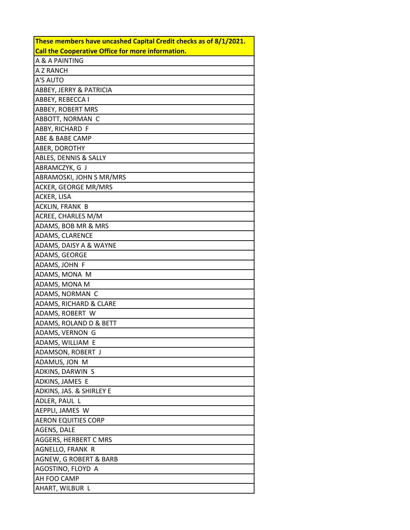| These members have uncashed Capital Credit checks as of 8/1/2021. |
|-------------------------------------------------------------------|
| <b>Call the Cooperative Office for more information.</b>          |
| A & A PAINTING                                                    |
| A Z RANCH                                                         |
| A'S AUTO                                                          |
| ABBEY, JERRY & PATRICIA                                           |
| ABBEY, REBECCA I                                                  |
| ABBEY, ROBERT MRS                                                 |
| ABBOTT, NORMAN C                                                  |
| ABBY, RICHARD F                                                   |
| ABE & BABE CAMP                                                   |
| ABER, DOROTHY                                                     |
| ABLES, DENNIS & SALLY                                             |
| ABRAMCZYK, G J                                                    |
| ABRAMOSKI, JOHN S MR/MRS                                          |
| ACKER, GEORGE MR/MRS                                              |
| <b>ACKER, LISA</b>                                                |
| ACKLIN, FRANK B                                                   |
| ACREE, CHARLES M/M                                                |
| ADAMS, BOB MR & MRS                                               |
| ADAMS, CLARENCE                                                   |
| ADAMS, DAISY A & WAYNE                                            |
| ADAMS, GEORGE                                                     |
| ADAMS, JOHN F                                                     |
| ADAMS, MONA M                                                     |
| ADAMS, MONA M                                                     |
| ADAMS, NORMAN C                                                   |
| ADAMS, RICHARD & CLARE                                            |
| ADAMS, ROBERT W                                                   |
| ADAMS, ROLAND D & BETT                                            |
| ADAMS, VERNON G                                                   |
| ADAMS, WILLIAM E                                                  |
| ADAMSON, ROBERT J                                                 |
| ADAMUS, JON M                                                     |
| ADKINS, DARWIN S                                                  |
| ADKINS, JAMES E                                                   |
| ADKINS, JAS. & SHIRLEY E                                          |
| ADLER, PAUL L                                                     |
| AEPPLI, JAMES W                                                   |
| <b>AERON EQUITIES CORP</b>                                        |
| AGENS, DALE                                                       |
| <b>AGGERS, HERBERT C MRS</b>                                      |
| AGNELLO, FRANK R                                                  |
| AGNEW, G ROBERT & BARB                                            |
| AGOSTINO, FLOYD A                                                 |
| AH FOO CAMP                                                       |
| AHART, WILBUR L                                                   |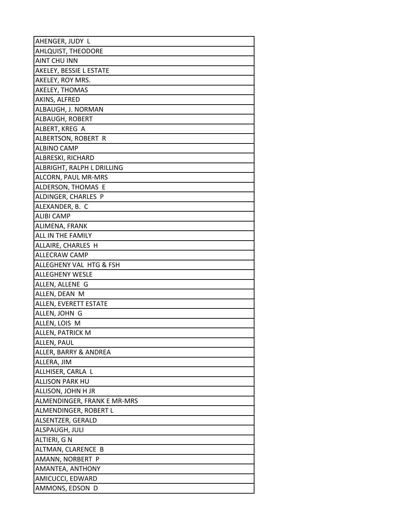| AHENGER, JUDY L             |
|-----------------------------|
| AHLQUIST, THEODORE          |
| <b>AINT CHU INN</b>         |
| AKELEY, BESSIE L ESTATE     |
| AKELEY, ROY MRS.            |
| AKELEY, THOMAS              |
| AKINS, ALFRED               |
| ALBAUGH, J. NORMAN          |
| ALBAUGH, ROBERT             |
| ALBERT, KREG A              |
| ALBERTSON, ROBERT R         |
| <b>ALBINO CAMP</b>          |
| <b>ALBRESKI, RICHARD</b>    |
| ALBRIGHT, RALPH L DRILLING  |
| ALCORN, PAUL MR-MRS         |
| ALDERSON, THOMAS E          |
| ALDINGER, CHARLES P         |
| ALEXANDER, B. C             |
| <b>ALIBI CAMP</b>           |
| ALIMENA, FRANK              |
| ALL IN THE FAMILY           |
| ALLAIRE, CHARLES H          |
| <b>ALLECRAW CAMP</b>        |
| ALLEGHENY VAL HTG & FSH     |
| <b>ALLEGHENY WESLE</b>      |
| ALLEN, ALLENE G             |
| ALLEN, DEAN M               |
| ALLEN, EVERETT ESTATE       |
| ALLEN, JOHN G               |
| ALLEN, LOIS M               |
| <b>ALLEN, PATRICK M</b>     |
| ALLEN, PAUL                 |
| ALLER, BARRY & ANDREA       |
| ALLERA, JIM                 |
| ALLHISER, CARLA L           |
| <b>ALLISON PARK HU</b>      |
| ALLISON, JOHN H JR          |
| ALMENDINGER, FRANK E MR-MRS |
| ALMENDINGER, ROBERT L       |
| ALSENTZER, GERALD           |
| ALSPAUGH, JULI              |
| ALTIERI, G N                |
| ALTMAN, CLARENCE B          |
| AMANN, NORBERT P            |
| AMANTEA, ANTHONY            |
| AMICUCCI, EDWARD            |
| AMMONS, EDSON D             |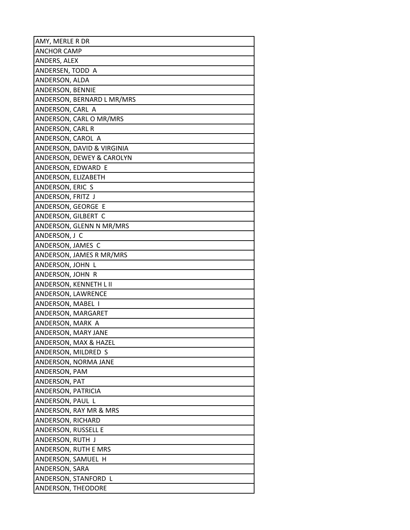| AMY, MERLE R DR            |
|----------------------------|
| <b>ANCHOR CAMP</b>         |
| ANDERS, ALEX               |
| ANDERSEN, TODD A           |
| ANDERSON, ALDA             |
| ANDERSON, BENNIE           |
| ANDERSON, BERNARD L MR/MRS |
| ANDERSON, CARL A           |
| ANDERSON, CARL O MR/MRS    |
| ANDERSON, CARL R           |
| ANDERSON, CAROL A          |
| ANDERSON, DAVID & VIRGINIA |
| ANDERSON, DEWEY & CAROLYN  |
| ANDERSON, EDWARD E         |
| ANDERSON, ELIZABETH        |
| ANDERSON, ERIC S           |
| ANDERSON, FRITZ J          |
| ANDERSON, GEORGE E         |
| ANDERSON, GILBERT C        |
| ANDERSON, GLENN N MR/MRS   |
| ANDERSON, J C              |
| ANDERSON, JAMES C          |
| ANDERSON, JAMES R MR/MRS   |
| ANDERSON, JOHN L           |
| ANDERSON, JOHN R           |
| ANDERSON, KENNETH L II     |
| ANDERSON, LAWRENCE         |
| ANDERSON, MABEL I          |
| ANDERSON, MARGARET         |
| ANDERSON, MARK A           |
| ANDERSON, MARY JANE        |
| ANDERSON, MAX & HAZEL      |
| ANDERSON, MILDRED S        |
| ANDERSON, NORMA JANE       |
| ANDERSON, PAM              |
| ANDERSON, PAT              |
| ANDERSON, PATRICIA         |
| ANDERSON, PAUL L           |
| ANDERSON, RAY MR & MRS     |
| ANDERSON, RICHARD          |
| ANDERSON, RUSSELL E        |
| ANDERSON, RUTH J           |
| ANDERSON, RUTH E MRS       |
| ANDERSON, SAMUEL H         |
| ANDERSON, SARA             |
| ANDERSON, STANFORD L       |
| ANDERSON, THEODORE         |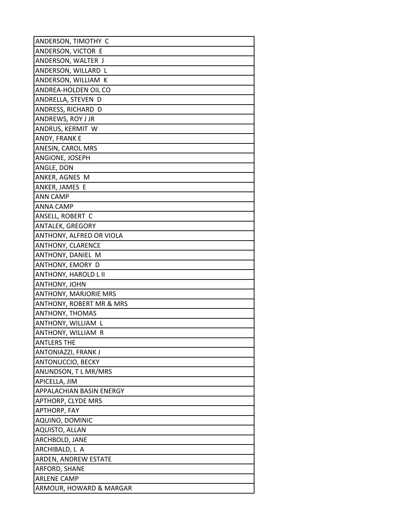| ANDERSON, TIMOTHY C                 |
|-------------------------------------|
| ANDERSON, VICTOR E                  |
| ANDERSON, WALTER J                  |
| ANDERSON, WILLARD L                 |
| ANDERSON, WILLIAM K                 |
| ANDREA-HOLDEN OIL CO                |
| ANDRELLA, STEVEN D                  |
| ANDRESS, RICHARD D                  |
| ANDREWS, ROY J JR                   |
| ANDRUS, KERMIT W                    |
| ANDY, FRANK E                       |
| ANESIN, CAROL MRS                   |
| ANGIONE, JOSEPH                     |
| ANGLE, DON                          |
| ANKER, AGNES M                      |
| ANKER, JAMES E                      |
| <b>ANN CAMP</b>                     |
| <b>ANNA CAMP</b>                    |
| ANSELL, ROBERT C                    |
| ANTALEK, GREGORY                    |
| ANTHONY, ALFRED OR VIOLA            |
| ANTHONY, CLARENCE                   |
| ANTHONY, DANIEL M                   |
| ANTHONY, EMORY D                    |
| <b>ANTHONY, HAROLD L II</b>         |
| ANTHONY, JOHN                       |
| <b>ANTHONY, MARJORIE MRS</b>        |
| <b>ANTHONY, ROBERT MR &amp; MRS</b> |
| ANTHONY, THOMAS                     |
| ANTHONY, WILLIAM L                  |
| ANTHONY, WILLIAM R                  |
| <b>ANTLERS THE</b>                  |
| ANTONIAZZI, FRANK J                 |
| ANTONUCCIO, BECKY                   |
| ANUNDSON, TL MR/MRS                 |
| APICELLA, JIM                       |
| APPALACHIAN BASIN ENERGY            |
| APTHORP, CLYDE MRS                  |
| <b>APTHORP, FAY</b>                 |
| AQUINO, DOMINIC                     |
| AQUISTO, ALLAN                      |
| ARCHBOLD, JANE                      |
| ARCHIBALD, L A                      |
| ARDEN, ANDREW ESTATE                |
| ARFORD, SHANE                       |
| <b>ARLENE CAMP</b>                  |
| ARMOUR, HOWARD & MARGAR             |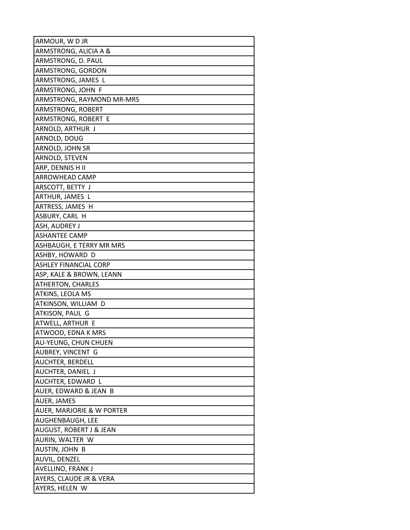| ARMOUR, WDJR                 |
|------------------------------|
| ARMSTRONG, ALICIA A &        |
| ARMSTRONG, D. PAUL           |
| ARMSTRONG, GORDON            |
| ARMSTRONG, JAMES L           |
| ARMSTRONG, JOHN F            |
| ARMSTRONG, RAYMOND MR-MRS    |
| ARMSTRONG, ROBERT            |
| ARMSTRONG, ROBERT E          |
| ARNOLD, ARTHUR J             |
| ARNOLD, DOUG                 |
| ARNOLD, JOHN SR              |
| ARNOLD, STEVEN               |
| ARP, DENNIS H II             |
| ARROWHEAD CAMP               |
| ARSCOTT, BETTY J             |
| ARTHUR, JAMES L              |
| ARTRESS, JAMES H             |
| ASBURY, CARL H               |
| ASH, AUDREY J                |
| <b>ASHANTEE CAMP</b>         |
| ASHBAUGH, E TERRY MR MRS     |
| ASHBY, HOWARD D              |
| <b>ASHLEY FINANCIAL CORP</b> |
| ASP, KALE & BROWN, LEANN     |
| <b>ATHERTON, CHARLES</b>     |
| <b>ATKINS, LEOLA MS</b>      |
| ATKINSON, WILLIAM D          |
| ATKISON, PAUL G              |
| ATWELL, ARTHUR E             |
| ATWOOD, EDNA K MRS           |
| <b>AU-YEUNG, CHUN CHUEN</b>  |
| AUBREY, VINCENT G            |
| AUCHTER, BERDELL             |
| AUCHTER, DANIEL J            |
| AUCHTER, EDWARD L            |
| AUER, EDWARD & JEAN B        |
| AUER, JAMES                  |
| AUER, MARJORIE & W PORTER    |
| AUGHENBAUGH, LEE             |
| AUGUST, ROBERT J & JEAN      |
| AURIN, WALTER W              |
| AUSTIN, JOHN B               |
| AUVIL, DENZEL                |
| AVELLINO, FRANK J            |
| AYERS, CLAUDE JR & VERA      |
| AYERS, HELEN W               |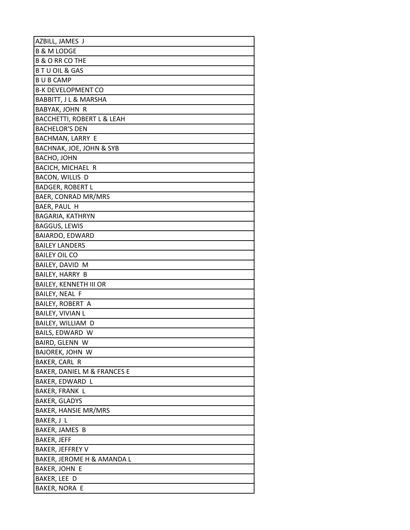| AZBILL, JAMES J               |
|-------------------------------|
| <b>B &amp; M LODGE</b>        |
| <b>B &amp; O RR CO THE</b>    |
| <b>BTUOIL &amp; GAS</b>       |
| <b>BUBCAMP</b>                |
| <b>B-K DEVELOPMENT CO</b>     |
| BABBITT, J L & MARSHA         |
| BABYAK, JOHN R                |
| BACCHETTI, ROBERT L & LEAH    |
| <b>BACHELOR'S DEN</b>         |
| BACHMAN, LARRY E              |
| BACHNAK, JOE, JOHN & SYB      |
| BACHO, JOHN                   |
| BACICH, MICHAEL R             |
| BACON, WILLIS D               |
| <b>BADGER, ROBERT L</b>       |
| BAER, CONRAD MR/MRS           |
| BAER, PAUL H                  |
| BAGARIA, KATHRYN              |
| <b>BAGGUS, LEWIS</b>          |
| BAIARDO, EDWARD               |
| <b>BAILEY LANDERS</b>         |
| <b>BAILEY OIL CO</b>          |
| BAILEY, DAVID M               |
| BAILEY, HARRY B               |
| <b>BAILEY, KENNETH III OR</b> |
| BAILEY, NEAL F                |
| <b>BAILEY, ROBERT A</b>       |
| <b>BAILEY, VIVIAN L</b>       |
| BAILEY, WILLIAM D             |
| BAILS, EDWARD W               |
| BAIRD, GLENN W                |
| BAJOREK, JOHN W               |
| BAKER, CARL R                 |
| BAKER, DANIEL M & FRANCES E   |
| BAKER, EDWARD L               |
| BAKER, FRANK L                |
| BAKER, GLADYS                 |
| <b>BAKER, HANSIE MR/MRS</b>   |
| BAKER, J L                    |
| BAKER, JAMES B                |
| <b>BAKER, JEFF</b>            |
| BAKER, JEFFREY V              |
| BAKER, JEROME H & AMANDA L    |
| BAKER, JOHN E                 |
| BAKER, LEE D                  |
| BAKER, NORA E                 |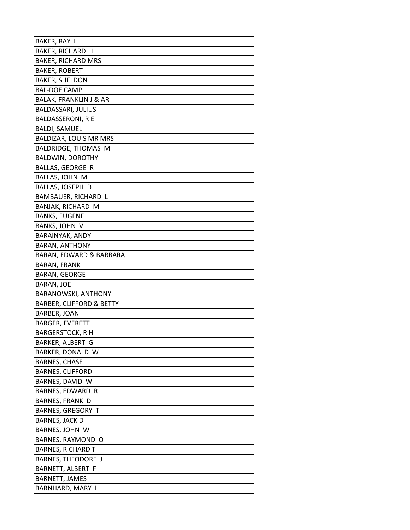| BAKER, RAY I                        |
|-------------------------------------|
| BAKER, RICHARD H                    |
| <b>BAKER, RICHARD MRS</b>           |
| <b>BAKER, ROBERT</b>                |
| <b>BAKER, SHELDON</b>               |
| <b>BAL-DOE CAMP</b>                 |
| <b>BALAK, FRANKLIN J &amp; AR</b>   |
| <b>BALDASSARI, JULIUS</b>           |
| <b>BALDASSERONI, R E</b>            |
| <b>BALDI, SAMUEL</b>                |
| BALDIZAR, LOUIS MR MRS              |
| BALDRIDGE, THOMAS M                 |
| <b>BALDWIN, DOROTHY</b>             |
| <b>BALLAS, GEORGE R</b>             |
| BALLAS, JOHN M                      |
| BALLAS, JOSEPH D                    |
| BAMBAUER, RICHARD L                 |
| BANJAK, RICHARD M                   |
| <b>BANKS, EUGENE</b>                |
| BANKS, JOHN V                       |
| BARAINYAK, ANDY                     |
| <b>BARAN, ANTHONY</b>               |
| BARAN, EDWARD & BARBARA             |
| <b>BARAN, FRANK</b>                 |
| BARAN, GEORGE                       |
| BARAN, JOE                          |
| <b>BARANOWSKI, ANTHONY</b>          |
| <b>BARBER, CLIFFORD &amp; BETTY</b> |
| BARBER, JOAN                        |
| <b>BARGER, EVERETT</b>              |
| <b>BARGERSTOCK, R H</b>             |
| BARKER, ALBERT G                    |
| BARKER, DONALD W                    |
| <b>BARNES, CHASE</b>                |
| <b>BARNES, CLIFFORD</b>             |
| BARNES, DAVID W                     |
| BARNES, EDWARD R                    |
| <b>BARNES, FRANK D</b>              |
| <b>BARNES, GREGORY T</b>            |
| <b>BARNES, JACK D</b>               |
| BARNES, JOHN W                      |
| BARNES, RAYMOND O                   |
| <b>BARNES, RICHARD T</b>            |
| BARNES, THEODORE J                  |
| BARNETT, ALBERT F                   |
| <b>BARNETT, JAMES</b>               |
| BARNHARD, MARY L                    |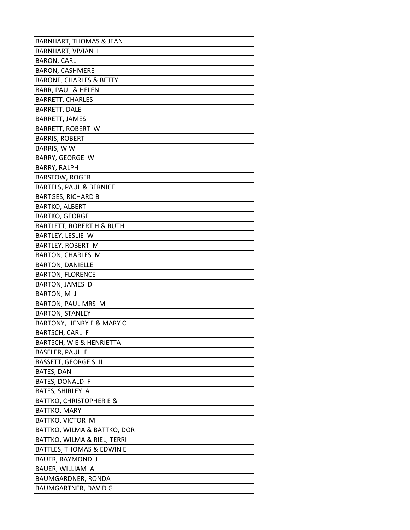| <b>BARNHART, THOMAS &amp; JEAN</b>   |
|--------------------------------------|
| BARNHART, VIVIAN L                   |
| <b>BARON, CARL</b>                   |
| <b>BARON, CASHMERE</b>               |
| <b>BARONE, CHARLES &amp; BETTY</b>   |
| <b>BARR, PAUL &amp; HELEN</b>        |
| <b>BARRETT, CHARLES</b>              |
| BARRETT, DALE                        |
| <b>BARRETT, JAMES</b>                |
| BARRETT, ROBERT W                    |
| <b>BARRIS, ROBERT</b>                |
| BARRIS, W W                          |
| BARRY, GEORGE W                      |
| BARRY, RALPH                         |
| <b>BARSTOW, ROGER L</b>              |
| <b>BARTELS, PAUL &amp; BERNICE</b>   |
| <b>BARTGES, RICHARD B</b>            |
| <b>BARTKO, ALBERT</b>                |
| <b>BARTKO, GEORGE</b>                |
| <b>BARTLETT, ROBERT H &amp; RUTH</b> |
| BARTLEY, LESLIE W                    |
| BARTLEY, ROBERT M                    |
| BARTON, CHARLES M                    |
| <b>BARTON, DANIELLE</b>              |
| <b>BARTON, FLORENCE</b>              |
| BARTON, JAMES D                      |
| BARTON, M J                          |
| BARTON, PAUL MRS M                   |
| <b>BARTON, STANLEY</b>               |
| <b>BARTONY, HENRY E &amp; MARY C</b> |
| BARTSCH, CARL F                      |
| BARTSCH, W E & HENRIETTA             |
| BASELER, PAUL E                      |
| <b>BASSETT, GEORGE S III</b>         |
| BATES, DAN                           |
| BATES, DONALD F                      |
| BATES, SHIRLEY A                     |
| <b>BATTKO, CHRISTOPHER E &amp;</b>   |
| BATTKO, MARY                         |
| BATTKO, VICTOR M                     |
| BATTKO, WILMA & BATTKO, DOR          |
| BATTKO, WILMA & RIEL, TERRI          |
| BATTLES, THOMAS & EDWIN E            |
| BAUER, RAYMOND J                     |
| BAUER, WILLIAM A                     |
| BAUMGARDNER, RONDA                   |
| BAUMGARTNER, DAVID G                 |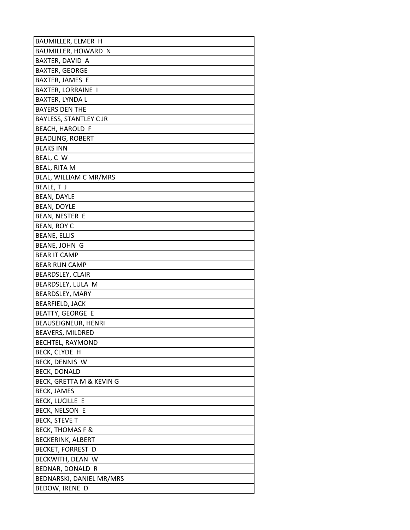| BAUMILLER, ELMER H            |
|-------------------------------|
| BAUMILLER, HOWARD N           |
| BAXTER, DAVID A               |
| <b>BAXTER, GEORGE</b>         |
| BAXTER, JAMES E               |
| <b>BAXTER, LORRAINE I</b>     |
| BAXTER, LYNDA L               |
| <b>BAYERS DEN THE</b>         |
| <b>BAYLESS, STANTLEY C JR</b> |
| <b>BEACH, HAROLD F</b>        |
| <b>BEADLING, ROBERT</b>       |
| <b>BEAKS INN</b>              |
| BEAL, C W                     |
| <b>BEAL, RITA M</b>           |
| BEAL, WILLIAM C MR/MRS        |
| BEALE, TJ                     |
| <b>BEAN, DAYLE</b>            |
| <b>BEAN, DOYLE</b>            |
| BEAN, NESTER E                |
| BEAN, ROY C                   |
| <b>BEANE, ELLIS</b>           |
| BEANE, JOHN G                 |
| <b>BEAR IT CAMP</b>           |
| <b>BEAR RUN CAMP</b>          |
| BEARDSLEY, CLAIR              |
| BEARDSLEY, LULA M             |
| BEARDSLEY, MARY               |
| <b>BEARFIELD, JACK</b>        |
| <b>BEATTY, GEORGE E</b>       |
| <b>BEAUSEIGNEUR, HENRI</b>    |
| BEAVERS, MILDRED              |
| <b>BECHTEL, RAYMOND</b>       |
| BECK, CLYDE H                 |
| BECK, DENNIS W                |
| <b>BECK, DONALD</b>           |
| BECK, GRETTA M & KEVIN G      |
| <b>BECK, JAMES</b>            |
| <b>BECK, LUCILLE E</b>        |
| <b>BECK, NELSON E</b>         |
| <b>BECK, STEVE T</b>          |
| <b>BECK, THOMAS F &amp;</b>   |
| <b>BECKERINK, ALBERT</b>      |
| <b>BECKET, FORREST D</b>      |
| BECKWITH, DEAN W              |
| BEDNAR, DONALD R              |
| BEDNARSKI, DANIEL MR/MRS      |
| BEDOW, IRENE D                |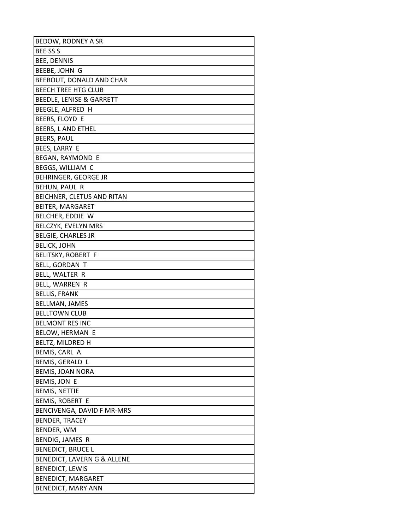| BEDOW, RODNEY A SR                  |
|-------------------------------------|
| <b>BEE SS S</b>                     |
| <b>BEE, DENNIS</b>                  |
| BEEBE, JOHN G                       |
| BEEBOUT, DONALD AND CHAR            |
| <b>BEECH TREE HTG CLUB</b>          |
| <b>BEEDLE, LENISE &amp; GARRETT</b> |
| BEEGLE, ALFRED H                    |
| BEERS, FLOYD E                      |
| BEERS, L AND ETHEL                  |
| <b>BEERS, PAUL</b>                  |
| BEES, LARRY E                       |
| BEGAN, RAYMOND E                    |
| BEGGS, WILLIAM C                    |
| BEHRINGER, GEORGE JR                |
| BEHUN, PAUL R                       |
| BEICHNER, CLETUS AND RITAN          |
| BEITER, MARGARET                    |
| BELCHER, EDDIE W                    |
| BELCZYK, EVELYN MRS                 |
| <b>BELGIE, CHARLES JR</b>           |
| <b>BELICK, JOHN</b>                 |
| <b>BELITSKY, ROBERT F</b>           |
| BELL, GORDAN T                      |
| BELL, WALTER R                      |
| BELL, WARREN R                      |
| <b>BELLIS, FRANK</b>                |
| BELLMAN, JAMES                      |
| <b>BELLTOWN CLUB</b>                |
| <b>BELMONT RES INC</b>              |
| <b>BELOW, HERMAN E</b>              |
| BELTZ, MILDRED H                    |
| BEMIS, CARL A                       |
| BEMIS, GERALD L                     |
| <b>BEMIS, JOAN NORA</b>             |
| BEMIS, JON E                        |
| <b>BEMIS, NETTIE</b>                |
| BEMIS, ROBERT E                     |
| BENCIVENGA, DAVID F MR-MRS          |
| <b>BENDER, TRACEY</b>               |
| BENDER, WM                          |
| BENDIG, JAMES R                     |
| <b>BENEDICT, BRUCE L</b>            |
| BENEDICT, LAVERN G & ALLENE         |
| <b>BENEDICT, LEWIS</b>              |
| <b>BENEDICT, MARGARET</b>           |
| BENEDICT, MARY ANN                  |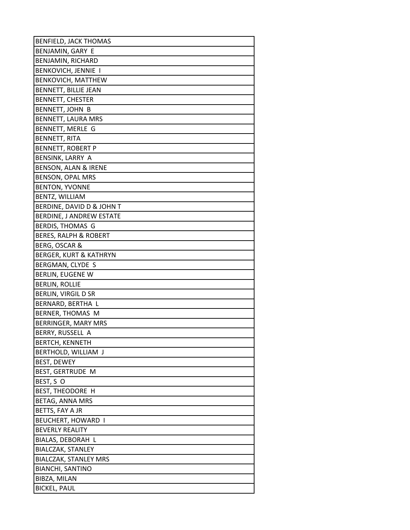| <b>BENFIELD, JACK THOMAS</b>      |
|-----------------------------------|
| BENJAMIN, GARY E                  |
| <b>BENJAMIN, RICHARD</b>          |
| <b>BENKOVICH, JENNIE I</b>        |
| BENKOVICH, MATTHEW                |
| BENNETT, BILLIE JEAN              |
| <b>BENNETT, CHESTER</b>           |
| <b>BENNETT, JOHN B</b>            |
| BENNETT, LAURA MRS                |
| BENNETT, MERLE G                  |
| <b>BENNETT, RITA</b>              |
| <b>BENNETT, ROBERT P</b>          |
| BENSINK, LARRY A                  |
| BENSON, ALAN & IRENE              |
| <b>BENSON, OPAL MRS</b>           |
| <b>BENTON, YVONNE</b>             |
| BENTZ, WILLIAM                    |
| BERDINE, DAVID D & JOHN T         |
| BERDINE, J ANDREW ESTATE          |
| BERDIS, THOMAS G                  |
| <b>BERES, RALPH &amp; ROBERT</b>  |
| BERG, OSCAR &                     |
| <b>BERGER, KURT &amp; KATHRYN</b> |
| BERGMAN, CLYDE S                  |
| <b>BERLIN, EUGENE W</b>           |
| <b>BERLIN, ROLLIE</b>             |
| BERLIN, VIRGIL D SR               |
| BERNARD, BERTHA L                 |
| BERNER, THOMAS M                  |
| BERRINGER, MARY MRS               |
| BERRY, RUSSELL A                  |
| <b>BERTCH, KENNETH</b>            |
| BERTHOLD, WILLIAM J               |
| BEST, DEWEY                       |
| BEST, GERTRUDE M                  |
| BEST, S O                         |
| BEST, THEODORE H                  |
| BETAG, ANNA MRS                   |
| BETTS, FAY A JR                   |
| BEUCHERT, HOWARD I                |
| <b>BEVERLY REALITY</b>            |
| BIALAS, DEBORAH L                 |
| BIALCZAK, STANLEY                 |
| <b>BIALCZAK, STANLEY MRS</b>      |
| <b>BIANCHI, SANTINO</b>           |
| BIBZA, MILAN                      |
| <b>BICKEL, PAUL</b>               |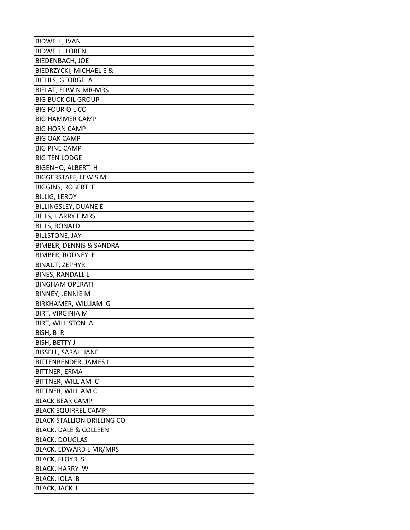| <b>BIDWELL, IVAN</b>               |
|------------------------------------|
| <b>BIDWELL, LOREN</b>              |
| <b>BIEDENBACH, JOE</b>             |
| BIEDRZYCKI, MICHAEL E &            |
| BIEHLS, GEORGE A                   |
| BIELAT, EDWIN MR-MRS               |
| <b>BIG BUCK OIL GROUP</b>          |
| <b>BIG FOUR OIL CO</b>             |
| <b>BIG HAMMER CAMP</b>             |
| <b>BIG HORN CAMP</b>               |
| <b>BIG OAK CAMP</b>                |
| <b>BIG PINE CAMP</b>               |
| <b>BIG TEN LODGE</b>               |
| BIGENHO, ALBERT H                  |
| <b>BIGGERSTAFF, LEWIS M</b>        |
| <b>BIGGINS, ROBERT E</b>           |
| <b>BILLIG, LEROY</b>               |
| <b>BILLINGSLEY, DUANE E</b>        |
| <b>BILLS, HARRY E MRS</b>          |
| <b>BILLS, RONALD</b>               |
| <b>BILLSTONE, JAY</b>              |
| <b>BIMBER, DENNIS &amp; SANDRA</b> |
| <b>BIMBER, RODNEY E</b>            |
| <b>BINAUT, ZEPHYR</b>              |
| <b>BINES, RANDALL L</b>            |
| <b>BINGHAM OPERATI</b>             |
| BINNEY, JENNIE M                   |
| BIRKHAMER, WILLIAM G               |
| <b>BIRT, VIRGINIA M</b>            |
| BIRT, WILLISTON A                  |
| BISH, B R                          |
| BISH, BETTY J                      |
| <b>BISSELL, SARAH JANE</b>         |
| BITTENBENDER, JAMES L              |
| BITTNER, ERMA                      |
| BITTNER, WILLIAM C                 |
| BITTNER, WILLIAM C                 |
| <b>BLACK BEAR CAMP</b>             |
| <b>BLACK SQUIRREL CAMP</b>         |
| <b>BLACK STALLION DRILLING CO</b>  |
| <b>BLACK, DALE &amp; COLLEEN</b>   |
| <b>BLACK, DOUGLAS</b>              |
| BLACK, EDWARD L MR/MRS             |
| <b>BLACK, FLOYD S</b>              |
| BLACK, HARRY W                     |
| BLACK, IOLA B                      |
| BLACK, JACK L                      |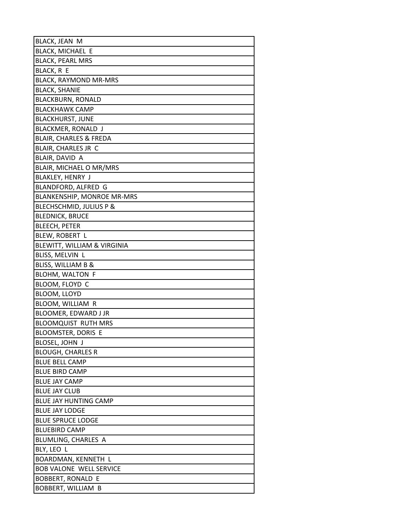| BLACK, JEAN M                     |
|-----------------------------------|
| BLACK, MICHAEL E                  |
| <b>BLACK, PEARL MRS</b>           |
| BLACK, R E                        |
| <b>BLACK, RAYMOND MR-MRS</b>      |
| <b>BLACK, SHANIE</b>              |
| <b>BLACKBURN, RONALD</b>          |
| <b>BLACKHAWK CAMP</b>             |
| <b>BLACKHURST, JUNE</b>           |
| BLACKMER, RONALD J                |
| <b>BLAIR, CHARLES &amp; FREDA</b> |
| BLAIR, CHARLES JR C               |
| BLAIR, DAVID A                    |
| BLAIR, MICHAEL O MR/MRS           |
| BLAKLEY, HENRY J                  |
| BLANDFORD, ALFRED G               |
| BLANKENSHIP, MONROE MR-MRS        |
| BLECHSCHMID, JULIUS P &           |
| <b>BLEDNICK, BRUCE</b>            |
| BLEECH, PETER                     |
| BLEW, ROBERT L                    |
| BLEWITT, WILLIAM & VIRGINIA       |
| BLISS, MELVIN L                   |
| BLISS, WILLIAM B &                |
| <b>BLOHM, WALTON F</b>            |
| BLOOM, FLOYD C                    |
| BLOOM, LLOYD                      |
| BLOOM, WILLIAM R                  |
| BLOOMER, EDWARD J JR              |
| <b>BLOOMQUIST RUTH MRS</b>        |
| <b>BLOOMSTER, DORIS E</b>         |
| BLOSEL, JOHN J                    |
| <b>BLOUGH, CHARLES R</b>          |
| <b>BLUE BELL CAMP</b>             |
| <b>BLUE BIRD CAMP</b>             |
| <b>BLUE JAY CAMP</b>              |
| <b>BLUE JAY CLUB</b>              |
| <b>BLUE JAY HUNTING CAMP</b>      |
| <b>BLUE JAY LODGE</b>             |
| <b>BLUE SPRUCE LODGE</b>          |
| <b>BLUEBIRD CAMP</b>              |
| BLUMLING, CHARLES A               |
| BLY, LEO L                        |
| BOARDMAN, KENNETH L               |
| <b>BOB VALONE WELL SERVICE</b>    |
| <b>BOBBERT, RONALD E</b>          |
| BOBBERT, WILLIAM B                |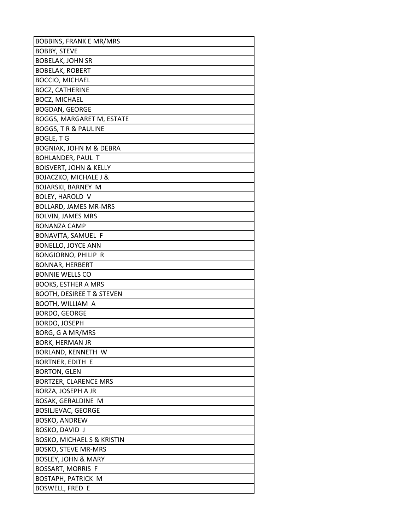| <b>BOBBINS, FRANK E MR/MRS</b>        |
|---------------------------------------|
| <b>BOBBY, STEVE</b>                   |
| <b>BOBELAK, JOHN SR</b>               |
| <b>BOBELAK, ROBERT</b>                |
| <b>BOCCIO, MICHAEL</b>                |
| <b>BOCZ, CATHERINE</b>                |
| <b>BOCZ, MICHAEL</b>                  |
| <b>BOGDAN, GEORGE</b>                 |
| BOGGS, MARGARET M, ESTATE             |
| <b>BOGGS, T R &amp; PAULINE</b>       |
| <b>BOGLE, T G</b>                     |
| <b>BOGNIAK, JOHN M &amp; DEBRA</b>    |
| BOHLANDER, PAUL T                     |
| <b>BOISVERT, JOHN &amp; KELLY</b>     |
| <b>BOJACZKO, MICHALE J &amp;</b>      |
| BOJARSKI, BARNEY M                    |
| BOLEY, HAROLD V                       |
| <b>BOLLARD, JAMES MR-MRS</b>          |
| <b>BOLVIN, JAMES MRS</b>              |
| <b>BONANZA CAMP</b>                   |
| BONAVITA, SAMUEL F                    |
| <b>BONELLO, JOYCE ANN</b>             |
| BONGIORNO, PHILIP R                   |
| <b>BONNAR, HERBERT</b>                |
| <b>BONNIE WELLS CO</b>                |
| <b>BOOKS, ESTHER A MRS</b>            |
| <b>BOOTH, DESIREE T &amp; STEVEN</b>  |
| BOOTH, WILLIAM A                      |
| BORDO, GEORGE                         |
| BORDO, JOSEPH                         |
| BORG, G A MR/MRS                      |
| <b>BORK, HERMAN JR</b>                |
| BORLAND, KENNETH W                    |
| BORTNER, EDITH E                      |
| <b>BORTON, GLEN</b>                   |
| <b>BORTZER, CLARENCE MRS</b>          |
| BORZA, JOSEPH A JR                    |
| BOSAK, GERALDINE M                    |
| <b>BOSILJEVAC, GEORGE</b>             |
| <b>BOSKO, ANDREW</b>                  |
| BOSKO, DAVID J                        |
| <b>BOSKO, MICHAEL S &amp; KRISTIN</b> |
| <b>BOSKO, STEVE MR-MRS</b>            |
| BOSLEY, JOHN & MARY                   |
| BOSSART, MORRIS F                     |
| <b>BOSTAPH, PATRICK M</b>             |
| <b>BOSWELL, FRED E</b>                |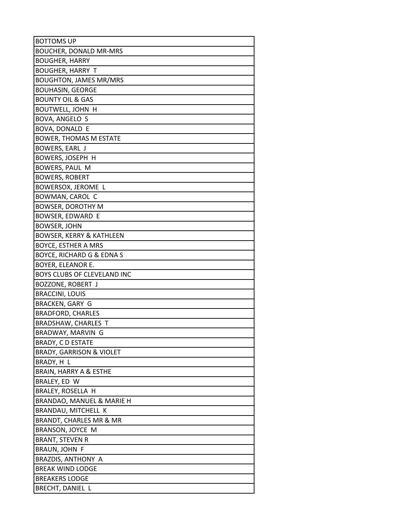| <b>BOTTOMS UP</b>                   |
|-------------------------------------|
| <b>BOUCHER, DONALD MR-MRS</b>       |
| <b>BOUGHER, HARRY</b>               |
| <b>BOUGHER, HARRY T</b>             |
| <b>BOUGHTON, JAMES MR/MRS</b>       |
| <b>BOUHASIN, GEORGE</b>             |
| <b>BOUNTY OIL &amp; GAS</b>         |
| <b>BOUTWELL, JOHN H</b>             |
| BOVA, ANGELO S                      |
| BOVA, DONALD E                      |
| <b>BOWER, THOMAS M ESTATE</b>       |
| BOWERS, EARL J                      |
| BOWERS, JOSEPH H                    |
| BOWERS, PAUL M                      |
| BOWERS, ROBERT                      |
| BOWERSOX, JEROME L                  |
| BOWMAN, CAROL C                     |
| BOWSER, DOROTHY M                   |
| BOWSER, EDWARD E                    |
| <b>BOWSER, JOHN</b>                 |
| BOWSER, KERRY & KATHLEEN            |
| BOYCE, ESTHER A MRS                 |
| BOYCE, RICHARD G & EDNA S           |
| BOYER, ELEANOR E.                   |
| BOYS CLUBS OF CLEVELAND INC         |
| BOZZONE, ROBERT J                   |
| <b>BRACCINI, LOUIS</b>              |
| <b>BRACKEN, GARY G</b>              |
| <b>BRADFORD, CHARLES</b>            |
| <b>BRADSHAW, CHARLES T</b>          |
| BRADWAY, MARVIN G                   |
| <b>BRADY, C D ESTATE</b>            |
| <b>BRADY, GARRISON &amp; VIOLET</b> |
| BRADY, H L                          |
| <b>BRAIN, HARRY A &amp; ESTHE</b>   |
| BRALEY, ED W                        |
| BRALEY, ROSELLA H                   |
| BRANDAO, MANUEL & MARIE H           |
| BRANDAU, MITCHELL K                 |
| BRANDT, CHARLES MR & MR             |
| BRANSON, JOYCE M                    |
| <b>BRANT, STEVEN R</b>              |
| BRAUN, JOHN F                       |
| BRAZDIS, ANTHONY A                  |
| <b>BREAK WIND LODGE</b>             |
| <b>BREAKERS LODGE</b>               |
| BRECHT, DANIEL L                    |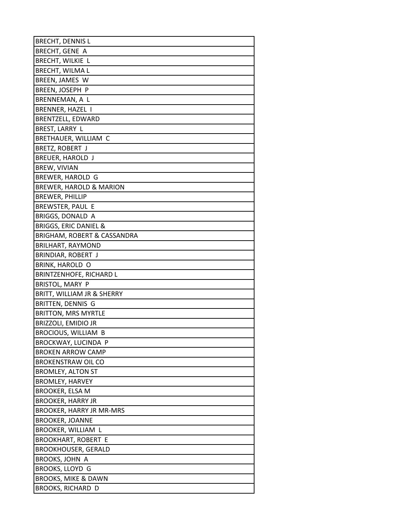| <b>BRECHT, DENNIS L</b>                |
|----------------------------------------|
| BRECHT, GENE A                         |
| BRECHT, WILKIE L                       |
| <b>BRECHT, WILMAL</b>                  |
| BREEN, JAMES W                         |
| BREEN, JOSEPH P                        |
| BRENNEMAN, A L                         |
| BRENNER, HAZEL I                       |
| BRENTZELL, EDWARD                      |
| BREST, LARRY L                         |
| BRETHAUER, WILLIAM C                   |
| BRETZ, ROBERT J                        |
| BREUER, HAROLD J                       |
| BREW, VIVIAN                           |
| BREWER, HAROLD G                       |
| <b>BREWER, HAROLD &amp; MARION</b>     |
| <b>BREWER, PHILLIP</b>                 |
| BREWSTER, PAUL E                       |
| BRIGGS, DONALD A                       |
| <b>BRIGGS, ERIC DANIEL &amp;</b>       |
| <b>BRIGHAM, ROBERT &amp; CASSANDRA</b> |
| <b>BRILHART, RAYMOND</b>               |
| BRINDIAR, ROBERT J                     |
| BRINK, HAROLD O                        |
| <b>BRINTZENHOFE, RICHARD L</b>         |
| BRISTOL, MARY P                        |
| BRITT, WILLIAM JR & SHERRY             |
| BRITTEN, DENNIS G                      |
| <b>BRITTON, MRS MYRTLE</b>             |
| <b>BRIZZOLI, EMIDIO JR</b>             |
| <b>BROCIOUS, WILLIAM B</b>             |
| BROCKWAY, LUCINDA P                    |
| <b>BROKEN ARROW CAMP</b>               |
| <b>BROKENSTRAW OIL CO</b>              |
| <b>BROMLEY, ALTON ST</b>               |
| <b>BROMLEY, HARVEY</b>                 |
| BROOKER, ELSA M                        |
| <b>BROOKER, HARRY JR</b>               |
| <b>BROOKER, HARRY JR MR-MRS</b>        |
| <b>BROOKER, JOANNE</b>                 |
| BROOKER, WILLIAM L                     |
| <b>BROOKHART, ROBERT E</b>             |
| <b>BROOKHOUSER, GERALD</b>             |
| BROOKS, JOHN A                         |
| <b>BROOKS, LLOYD G</b>                 |
| <b>BROOKS, MIKE &amp; DAWN</b>         |
| <b>BROOKS, RICHARD D</b>               |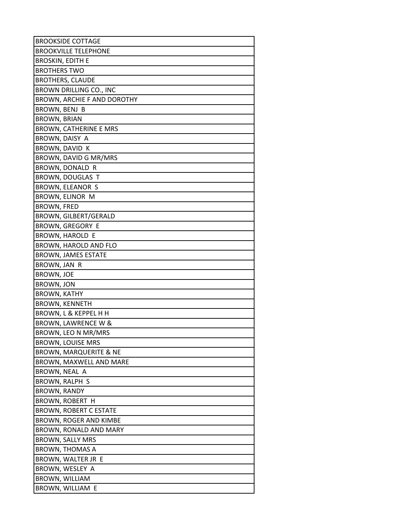| <b>BROOKSIDE COTTAGE</b>          |
|-----------------------------------|
| <b>BROOKVILLE TELEPHONE</b>       |
| <b>BROSKIN, EDITH E</b>           |
| <b>BROTHERS TWO</b>               |
| <b>BROTHERS, CLAUDE</b>           |
| BROWN DRILLING CO., INC           |
| BROWN, ARCHIE F AND DOROTHY       |
| BROWN, BENJ B                     |
| <b>BROWN, BRIAN</b>               |
| <b>BROWN, CATHERINE E MRS</b>     |
| BROWN, DAISY A                    |
| BROWN, DAVID K                    |
| BROWN, DAVID G MR/MRS             |
| BROWN, DONALD R                   |
| BROWN, DOUGLAS T                  |
| BROWN, ELEANOR S                  |
| BROWN, ELINOR M                   |
| <b>BROWN, FRED</b>                |
| BROWN, GILBERT/GERALD             |
| <b>BROWN, GREGORY E</b>           |
| BROWN, HAROLD E                   |
| BROWN, HAROLD AND FLO             |
| <b>BROWN, JAMES ESTATE</b>        |
| BROWN, JAN R                      |
| <b>BROWN, JOE</b>                 |
| BROWN, JON                        |
| <b>BROWN, KATHY</b>               |
| <b>BROWN, KENNETH</b>             |
| <b>BROWN, L &amp; KEPPEL H H</b>  |
| BROWN, LAWRENCE W &               |
| BROWN, LEO N MR/MRS               |
| <b>BROWN, LOUISE MRS</b>          |
| <b>BROWN, MARQUERITE &amp; NE</b> |
| BROWN, MAXWELL AND MARE           |
| BROWN, NEAL A                     |
| BROWN, RALPH S                    |
| <b>BROWN, RANDY</b>               |
| BROWN, ROBERT H                   |
| <b>BROWN, ROBERT C ESTATE</b>     |
| BROWN, ROGER AND KIMBE            |
| BROWN, RONALD AND MARY            |
| <b>BROWN, SALLY MRS</b>           |
| <b>BROWN, THOMAS A</b>            |
| BROWN, WALTER JR E                |
| BROWN, WESLEY A                   |
| BROWN, WILLIAM                    |
| BROWN, WILLIAM E                  |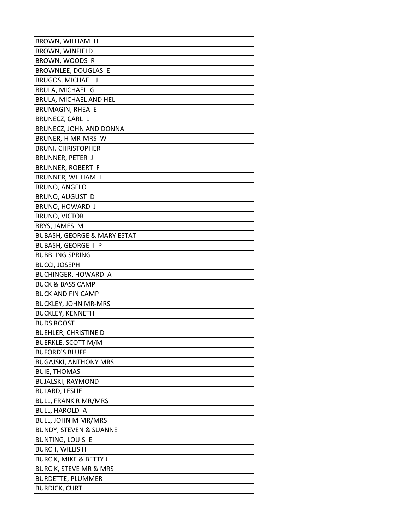| BROWN, WILLIAM H                       |
|----------------------------------------|
| <b>BROWN, WINFIELD</b>                 |
| BROWN, WOODS R                         |
| BROWNLEE, DOUGLAS E                    |
| BRUGOS, MICHAEL J                      |
| BRULA, MICHAEL G                       |
| BRULA, MICHAEL AND HEL                 |
| BRUMAGIN, RHEA E                       |
| BRUNECZ, CARL L                        |
| BRUNECZ, JOHN AND DONNA                |
| BRUNER, H MR-MRS W                     |
| <b>BRUNI, CHRISTOPHER</b>              |
| BRUNNER, PETER J                       |
| BRUNNER, ROBERT F                      |
| BRUNNER, WILLIAM L                     |
| BRUNO, ANGELO                          |
| BRUNO, AUGUST D                        |
| BRUNO, HOWARD J                        |
| <b>BRUNO, VICTOR</b>                   |
| BRYS, JAMES M                          |
| <b>BUBASH, GEORGE &amp; MARY ESTAT</b> |
| <b>BUBASH, GEORGE II P</b>             |
| <b>BUBBLING SPRING</b>                 |
| <b>BUCCI, JOSEPH</b>                   |
| <b>BUCHINGER, HOWARD A</b>             |
| <b>BUCK &amp; BASS CAMP</b>            |
| <b>BUCK AND FIN CAMP</b>               |
| <b>BUCKLEY, JOHN MR-MRS</b>            |
| <b>BUCKLEY, KENNETH</b>                |
| <b>BUDS ROOST</b>                      |
| <b>BUEHLER, CHRISTINE D</b>            |
| <b>BUERKLE, SCOTT M/M</b>              |
| <b>BUFORD'S BLUFF</b>                  |
| <b>BUGAJSKI, ANTHONY MRS</b>           |
| <b>BUIE, THOMAS</b>                    |
| <b>BUJALSKI, RAYMOND</b>               |
| <b>BULARD, LESLIE</b>                  |
| <b>BULL, FRANK R MR/MRS</b>            |
| <b>BULL, HAROLD A</b>                  |
| <b>BULL, JOHN M MR/MRS</b>             |
| <b>BUNDY, STEVEN &amp; SUANNE</b>      |
| <b>BUNTING, LOUIS E</b>                |
| <b>BURCH, WILLIS H</b>                 |
| <b>BURCIK, MIKE &amp; BETTY J</b>      |
| <b>BURCIK, STEVE MR &amp; MRS</b>      |
| <b>BURDETTE, PLUMMER</b>               |
| <b>BURDICK, CURT</b>                   |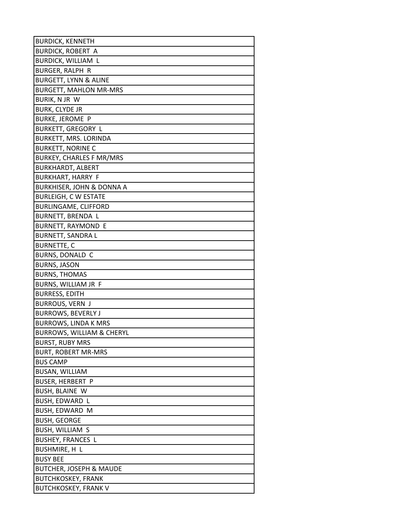| <b>BURDICK, KENNETH</b>              |
|--------------------------------------|
| <b>BURDICK, ROBERT A</b>             |
| BURDICK, WILLIAM L                   |
| <b>BURGER, RALPH R</b>               |
| <b>BURGETT, LYNN &amp; ALINE</b>     |
| <b>BURGETT, MAHLON MR-MRS</b>        |
| BURIK, N JR W                        |
| <b>BURK, CLYDE JR</b>                |
| <b>BURKE, JEROME P</b>               |
| <b>BURKETT, GREGORY L</b>            |
| BURKETT, MRS. LORINDA                |
| <b>BURKETT, NORINE C</b>             |
| <b>BURKEY, CHARLES F MR/MRS</b>      |
| <b>BURKHARDT, ALBERT</b>             |
| <b>BURKHART, HARRY F</b>             |
| BURKHISER, JOHN & DONNA A            |
| <b>BURLEIGH, C W ESTATE</b>          |
| <b>BURLINGAME, CLIFFORD</b>          |
| BURNETT, BRENDA L                    |
| <b>BURNETT, RAYMOND E</b>            |
| <b>BURNETT, SANDRA L</b>             |
| <b>BURNETTE, C</b>                   |
| BURNS, DONALD C                      |
| <b>BURNS, JASON</b>                  |
| <b>BURNS, THOMAS</b>                 |
| BURNS, WILLIAM JR F                  |
| <b>BURRESS, EDITH</b>                |
| BURROUS, VERN J                      |
| <b>BURROWS, BEVERLY J</b>            |
| <b>BURROWS, LINDA K MRS</b>          |
| <b>BURROWS, WILLIAM &amp; CHERYL</b> |
| <b>BURST, RUBY MRS</b>               |
| <b>BURT, ROBERT MR-MRS</b>           |
| <b>BUS CAMP</b>                      |
| <b>BUSAN, WILLIAM</b>                |
| <b>BUSER, HERBERT P</b>              |
| BUSH, BLAINE W                       |
| BUSH, EDWARD L                       |
| BUSH, EDWARD M                       |
| <b>BUSH, GEORGE</b>                  |
| BUSH, WILLIAM S                      |
| <b>BUSHEY, FRANCES L</b>             |
| BUSHMIRE, H L                        |
| <b>BUSY BEE</b>                      |
| <b>BUTCHER, JOSEPH &amp; MAUDE</b>   |
| <b>BUTCHKOSKEY, FRANK</b>            |
| <b>BUTCHKOSKEY, FRANK V</b>          |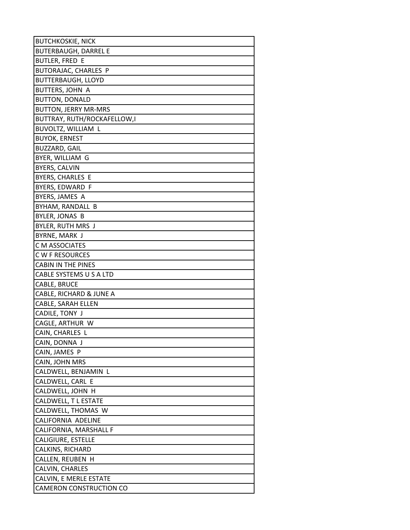| <b>BUTCHKOSKIE, NICK</b>       |
|--------------------------------|
| <b>BUTERBAUGH, DARREL E</b>    |
| <b>BUTLER, FRED E</b>          |
| BUTORAJAC, CHARLES P           |
| <b>BUTTERBAUGH, LLOYD</b>      |
| BUTTERS, JOHN A                |
| <b>BUTTON, DONALD</b>          |
| <b>BUTTON, JERRY MR-MRS</b>    |
| BUTTRAY, RUTH/ROCKAFELLOW,I    |
| BUVOLTZ, WILLIAM L             |
| <b>BUYOK, ERNEST</b>           |
| BUZZARD, GAIL                  |
| BYER, WILLIAM G                |
| <b>BYERS, CALVIN</b>           |
| <b>BYERS, CHARLES E</b>        |
| BYERS, EDWARD F                |
| BYERS, JAMES A                 |
| BYHAM, RANDALL B               |
| BYLER, JONAS B                 |
| <b>BYLER, RUTH MRS J</b>       |
| BYRNE, MARK J                  |
| C M ASSOCIATES                 |
| C W F RESOURCES                |
| <b>CABIN IN THE PINES</b>      |
| CABLE SYSTEMS U S A LTD        |
| CABLE, BRUCE                   |
| CABLE, RICHARD & JUNE A        |
| CABLE, SARAH ELLEN             |
| CADILE, TONY J                 |
| CAGLE, ARTHUR W                |
| CAIN, CHARLES L                |
| CAIN, DONNA J                  |
| CAIN, JAMES P                  |
| CAIN, JOHN MRS                 |
| CALDWELL, BENJAMIN L           |
| CALDWELL, CARL E               |
| CALDWELL, JOHN H               |
| CALDWELL, T L ESTATE           |
| CALDWELL, THOMAS W             |
| CALIFORNIA ADELINE             |
| CALIFORNIA, MARSHALL F         |
| CALIGIURE, ESTELLE             |
| CALKINS, RICHARD               |
| CALLEN, REUBEN H               |
| CALVIN, CHARLES                |
| CALVIN, E MERLE ESTATE         |
| <b>CAMERON CONSTRUCTION CO</b> |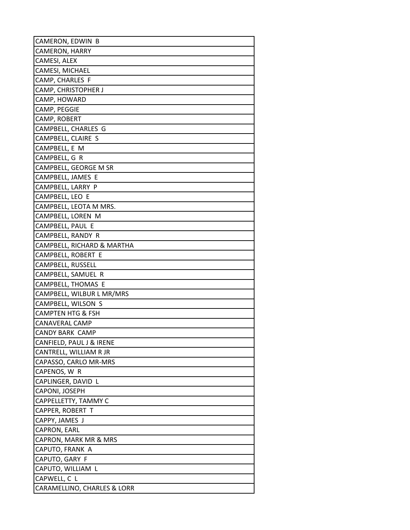| CAMERON, EDWIN B            |
|-----------------------------|
| <b>CAMERON, HARRY</b>       |
| CAMESI, ALEX                |
| CAMESI, MICHAEL             |
| CAMP, CHARLES F             |
| <b>CAMP, CHRISTOPHER J</b>  |
| CAMP, HOWARD                |
| CAMP, PEGGIE                |
| CAMP, ROBERT                |
| CAMPBELL, CHARLES G         |
| CAMPBELL, CLAIRE S          |
| CAMPBELL, E M               |
| CAMPBELL, G R               |
| CAMPBELL, GEORGE M SR       |
| CAMPBELL, JAMES E           |
| CAMPBELL, LARRY P           |
| CAMPBELL, LEO E             |
| CAMPBELL, LEOTA M MRS.      |
| CAMPBELL, LOREN M           |
| CAMPBELL, PAUL E            |
| CAMPBELL, RANDY R           |
| CAMPBELL, RICHARD & MARTHA  |
| CAMPBELL, ROBERT E          |
| CAMPBELL, RUSSELL           |
| CAMPBELL, SAMUEL R          |
| CAMPBELL, THOMAS E          |
| CAMPBELL, WILBUR L MR/MRS   |
| CAMPBELL, WILSON S          |
| CAMPTEN HTG & FSH           |
| CANAVERAL CAMP              |
| <b>CANDY BARK CAMP</b>      |
| CANFIELD, PAUL J & IRENE    |
| CANTRELL, WILLIAM R JR      |
| CAPASSO, CARLO MR-MRS       |
| CAPENOS, W R                |
| CAPLINGER, DAVID L          |
| CAPONI, JOSEPH              |
| CAPPELLETTY, TAMMY C        |
| CAPPER, ROBERT T            |
| CAPPY, JAMES J              |
| CAPRON, EARL                |
| CAPRON, MARK MR & MRS       |
| CAPUTO, FRANK A             |
| CAPUTO, GARY F              |
| CAPUTO, WILLIAM L           |
| CAPWELL, C L                |
| CARAMELLINO, CHARLES & LORR |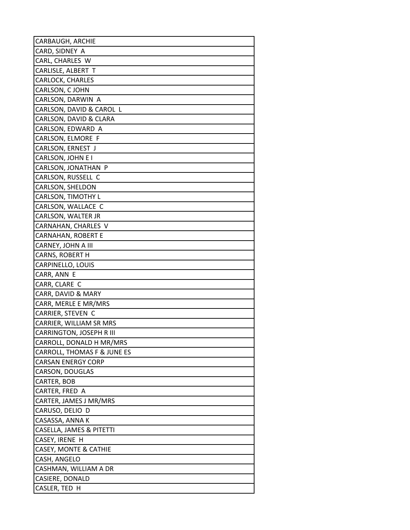| CARBAUGH, ARCHIE                 |
|----------------------------------|
| CARD, SIDNEY A                   |
| CARL, CHARLES W                  |
| CARLISLE, ALBERT T               |
| <b>CARLOCK, CHARLES</b>          |
| CARLSON, C JOHN                  |
| CARLSON, DARWIN A                |
| CARLSON, DAVID & CAROL L         |
| CARLSON, DAVID & CLARA           |
| CARLSON, EDWARD A                |
| CARLSON, ELMORE F                |
| CARLSON, ERNEST J                |
| CARLSON, JOHN E I                |
| CARLSON, JONATHAN P              |
| CARLSON, RUSSELL C               |
| CARLSON, SHELDON                 |
| CARLSON, TIMOTHY L               |
| CARLSON, WALLACE C               |
| CARLSON, WALTER JR               |
| CARNAHAN, CHARLES V              |
| <b>CARNAHAN, ROBERT E</b>        |
| CARNEY, JOHN A III               |
| CARNS, ROBERT H                  |
| CARPINELLO, LOUIS                |
| CARR, ANN E                      |
| CARR, CLARE C                    |
| CARR, DAVID & MARY               |
| CARR, MERLE E MR/MRS             |
| CARRIER, STEVEN C                |
| CARRIER, WILLIAM SR MRS          |
| <b>CARRINGTON, JOSEPH R III</b>  |
| CARROLL, DONALD H MR/MRS         |
| CARROLL, THOMAS F & JUNE ES      |
| CARSAN ENERGY CORP               |
| CARSON, DOUGLAS                  |
| CARTER, BOB                      |
| CARTER, FRED A                   |
| CARTER, JAMES J MR/MRS           |
| CARUSO, DELIO D                  |
| CASASSA, ANNA K                  |
| CASELLA, JAMES & PITETTI         |
| CASEY, IRENE H                   |
| <b>CASEY, MONTE &amp; CATHIE</b> |
| CASH, ANGELO                     |
| CASHMAN, WILLIAM A DR            |
| CASIERE, DONALD                  |
| CASLER, TED H                    |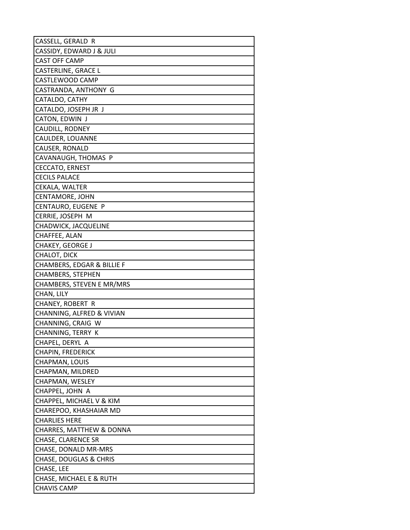| CASSELL, GERALD R                                  |
|----------------------------------------------------|
| CASSIDY, EDWARD J & JULI                           |
| <b>CAST OFF CAMP</b>                               |
| CASTERLINE, GRACE L                                |
| CASTLEWOOD CAMP                                    |
| CASTRANDA, ANTHONY G                               |
| CATALDO, CATHY                                     |
| CATALDO, JOSEPH JR J                               |
| CATON, EDWIN J                                     |
| CAUDILL, RODNEY                                    |
| CAULDER, LOUANNE                                   |
| CAUSER, RONALD                                     |
| CAVANAUGH, THOMAS P                                |
| <b>CECCATO, ERNEST</b>                             |
| <b>CECILS PALACE</b>                               |
| CEKALA, WALTER                                     |
| <b>CENTAMORE, JOHN</b>                             |
| CENTAURO, EUGENE P                                 |
| CERRIE, JOSEPH M                                   |
| <b>CHADWICK, JACQUELINE</b>                        |
| CHAFFEE, ALAN                                      |
| <b>CHAKEY, GEORGE J</b>                            |
| CHALOT, DICK                                       |
| CHAMBERS, EDGAR & BILLIE F                         |
| CHAMBERS, STEPHEN                                  |
| CHAMBERS, STEVEN E MR/MRS                          |
| CHAN, LILY                                         |
| CHANEY, ROBERT R                                   |
| CHANNING, ALFRED & VIVIAN                          |
| CHANNING, CRAIG W                                  |
| CHANNING, TERRY K                                  |
| CHAPEL, DERYL A                                    |
| <b>CHAPIN, FREDERICK</b>                           |
| CHAPMAN, LOUIS                                     |
| CHAPMAN, MILDRED                                   |
| CHAPMAN, WESLEY                                    |
| CHAPPEL, JOHN A                                    |
| CHAPPEL, MICHAEL V & KIM<br>CHAREPOO, KHASHAIAR MD |
| <b>CHARLIES HERE</b>                               |
| CHARRES, MATTHEW & DONNA                           |
| CHASE, CLARENCE SR                                 |
| CHASE, DONALD MR-MRS                               |
| <b>CHASE, DOUGLAS &amp; CHRIS</b>                  |
| CHASE, LEE                                         |
| CHASE, MICHAEL E & RUTH                            |
| <b>CHAVIS CAMP</b>                                 |
|                                                    |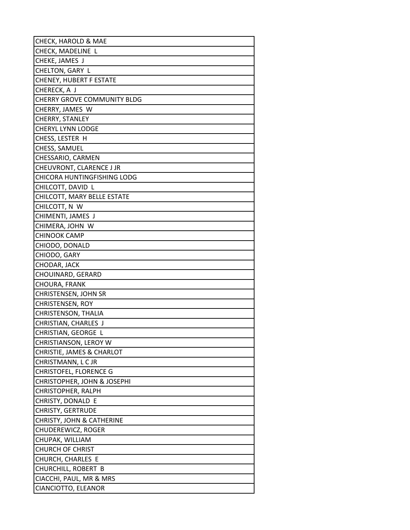| CHECK, HAROLD & MAE                  |
|--------------------------------------|
| CHECK, MADELINE L                    |
| CHEKE, JAMES J                       |
| CHELTON, GARY L                      |
| <b>CHENEY, HUBERT F ESTATE</b>       |
| CHERECK, A J                         |
| CHERRY GROVE COMMUNITY BLDG          |
| CHERRY, JAMES W                      |
| CHERRY, STANLEY                      |
| <b>CHERYL LYNN LODGE</b>             |
| CHESS, LESTER H                      |
| CHESS, SAMUEL                        |
| CHESSARIO, CARMEN                    |
| CHEUVRONT, CLARENCE J JR             |
| CHICORA HUNTINGFISHING LODG          |
| CHILCOTT, DAVID L                    |
| CHILCOTT, MARY BELLE ESTATE          |
| CHILCOTT, N W                        |
| CHIMENTI, JAMES J                    |
| CHIMERA, JOHN W                      |
| <b>CHINOOK CAMP</b>                  |
| CHIODO, DONALD                       |
| CHIODO, GARY                         |
| CHODAR, JACK                         |
| CHOUINARD, GERARD                    |
| CHOURA, FRANK                        |
| CHRISTENSEN, JOHN SR                 |
| CHRISTENSEN, ROY                     |
| CHRISTENSON, THALIA                  |
| CHRISTIAN, CHARLES J                 |
| CHRISTIAN, GEORGE L                  |
| CHRISTIANSON, LEROY W                |
| CHRISTIE, JAMES & CHARLOT            |
| CHRISTMANN, LCJR                     |
| <b>CHRISTOFEL, FLORENCE G</b>        |
| CHRISTOPHER, JOHN & JOSEPHI          |
| CHRISTOPHER, RALPH                   |
| CHRISTY, DONALD E                    |
| <b>CHRISTY, GERTRUDE</b>             |
| <b>CHRISTY, JOHN &amp; CATHERINE</b> |
| CHUDEREWICZ, ROGER                   |
| CHUPAK, WILLIAM                      |
| <b>CHURCH OF CHRIST</b>              |
| CHURCH, CHARLES E                    |
| CHURCHILL, ROBERT B                  |
| CIACCHI, PAUL, MR & MRS              |
| CIANCIOTTO, ELEANOR                  |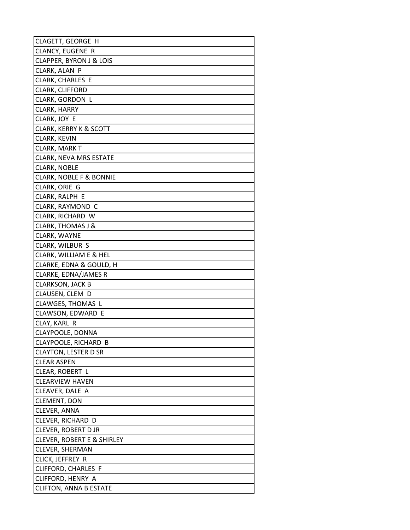| CLAGETT, GEORGE H                     |
|---------------------------------------|
| <b>CLANCY, EUGENE R</b>               |
| <b>CLAPPER, BYRON J &amp; LOIS</b>    |
| CLARK, ALAN P                         |
| CLARK, CHARLES E                      |
| CLARK, CLIFFORD                       |
| CLARK, GORDON L                       |
| CLARK, HARRY                          |
| CLARK, JOY E                          |
| <b>CLARK, KERRY K &amp; SCOTT</b>     |
| CLARK, KEVIN                          |
| <b>CLARK, MARK T</b>                  |
| <b>CLARK, NEVA MRS ESTATE</b>         |
| CLARK, NOBLE                          |
| CLARK, NOBLE F & BONNIE               |
| CLARK, ORIE G                         |
| CLARK, RALPH E                        |
| CLARK, RAYMOND C                      |
| CLARK, RICHARD W                      |
| <b>CLARK, THOMAS J &amp;</b>          |
| CLARK, WAYNE                          |
| CLARK, WILBUR S                       |
| CLARK, WILLIAM E & HEL                |
| CLARKE, EDNA & GOULD, H               |
| CLARKE, EDNA/JAMES R                  |
| <b>CLARKSON, JACK B</b>               |
| CLAUSEN, CLEM D                       |
| CLAWGES, THOMAS L                     |
| CLAWSON, EDWARD E                     |
| CLAY, KARL R                          |
| CLAYPOOLE, DONNA                      |
| CLAYPOOLE, RICHARD B                  |
| <b>CLAYTON, LESTER D SR</b>           |
| <b>CLEAR ASPEN</b>                    |
| CLEAR, ROBERT L                       |
| <b>CLEARVIEW HAVEN</b>                |
| CLEAVER, DALE A                       |
| CLEMENT, DON                          |
| CLEVER, ANNA                          |
| CLEVER, RICHARD D                     |
| CLEVER, ROBERT D JR                   |
| <b>CLEVER, ROBERT E &amp; SHIRLEY</b> |
| <b>CLEVER, SHERMAN</b>                |
| CLICK, JEFFREY R                      |
| CLIFFORD, CHARLES F                   |
| CLIFFORD, HENRY A                     |
| <b>CLIFTON, ANNA B ESTATE</b>         |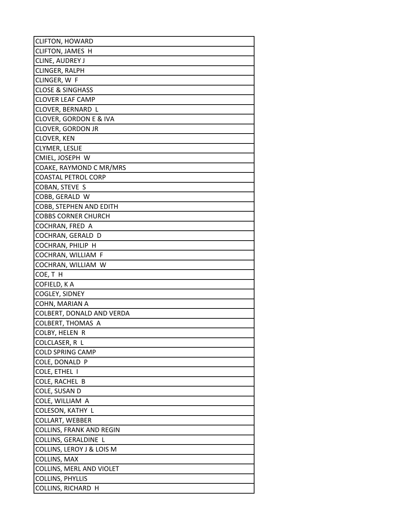| <b>CLIFTON, HOWARD</b>           |
|----------------------------------|
| CLIFTON, JAMES H                 |
| <b>CLINE, AUDREY J</b>           |
| CLINGER, RALPH                   |
| CLINGER, W F                     |
| <b>CLOSE &amp; SINGHASS</b>      |
| <b>CLOVER LEAF CAMP</b>          |
| CLOVER, BERNARD L                |
| CLOVER, GORDON E & IVA           |
| <b>CLOVER, GORDON JR</b>         |
| CLOVER, KEN                      |
| <b>CLYMER, LESLIE</b>            |
| CMIEL, JOSEPH W                  |
| COAKE, RAYMOND C MR/MRS          |
| <b>COASTAL PETROL CORP</b>       |
| COBAN, STEVE S                   |
| COBB, GERALD W                   |
| COBB, STEPHEN AND EDITH          |
| <b>COBBS CORNER CHURCH</b>       |
| COCHRAN, FRED A                  |
| COCHRAN, GERALD D                |
| COCHRAN, PHILIP H                |
| COCHRAN, WILLIAM F               |
| COCHRAN, WILLIAM W               |
| COE, TH                          |
| COFIELD, K A                     |
| COGLEY, SIDNEY                   |
| COHN, MARIAN A                   |
| COLBERT, DONALD AND VERDA        |
| <b>COLBERT, THOMAS A</b>         |
| COLBY, HELEN R                   |
| COLCLASER, R L                   |
| <b>COLD SPRING CAMP</b>          |
| COLE, DONALD P                   |
| COLE, ETHEL I                    |
| COLE, RACHEL B                   |
| COLE, SUSAN D<br>COLE, WILLIAM A |
| COLESON, KATHY L                 |
| COLLART, WEBBER                  |
| <b>COLLINS, FRANK AND REGIN</b>  |
| COLLINS, GERALDINE L             |
| COLLINS, LEROY J & LOIS M        |
| COLLINS, MAX                     |
| COLLINS, MERL AND VIOLET         |
| COLLINS, PHYLLIS                 |
| COLLINS, RICHARD H               |
|                                  |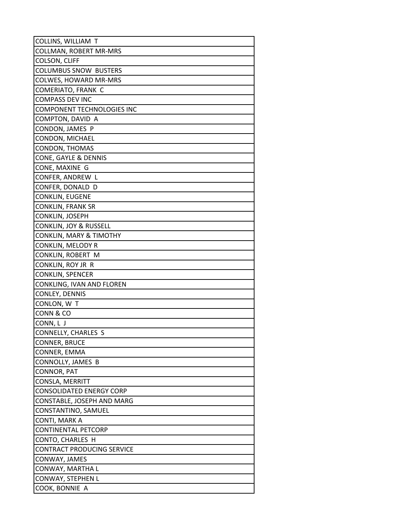| COLLINS, WILLIAM T                 |
|------------------------------------|
| <b>COLLMAN, ROBERT MR-MRS</b>      |
| COLSON, CLIFF                      |
| <b>COLUMBUS SNOW BUSTERS</b>       |
| <b>COLWES, HOWARD MR-MRS</b>       |
| COMERIATO, FRANK C                 |
| <b>COMPASS DEV INC</b>             |
| COMPONENT TECHNOLOGIES INC         |
| COMPTON, DAVID A                   |
| CONDON, JAMES P                    |
| CONDON, MICHAEL                    |
| CONDON, THOMAS                     |
| CONE, GAYLE & DENNIS               |
| CONE, MAXINE G                     |
| CONFER, ANDREW L                   |
| CONFER, DONALD D                   |
| <b>CONKLIN, EUGENE</b>             |
| <b>CONKLIN, FRANK SR</b>           |
| CONKLIN, JOSEPH                    |
| <b>CONKLIN, JOY &amp; RUSSELL</b>  |
| <b>CONKLIN, MARY &amp; TIMOTHY</b> |
| CONKLIN, MELODY R                  |
| CONKLIN, ROBERT M                  |
| CONKLIN, ROY JR R                  |
| <b>CONKLIN, SPENCER</b>            |
| CONKLING, IVAN AND FLOREN          |
| CONLEY, DENNIS                     |
| CONLON, W T                        |
| CONN & CO                          |
| CONN, L J                          |
| <b>CONNELLY, CHARLES S</b>         |
| <b>CONNER, BRUCE</b>               |
| CONNER, EMMA                       |
| CONNOLLY, JAMES B                  |
| CONNOR, PAT                        |
| CONSLA, MERRITT                    |
| <b>CONSOLIDATED ENERGY CORP</b>    |
| CONSTABLE, JOSEPH AND MARG         |
| CONSTANTINO, SAMUEL                |
| CONTI, MARK A                      |
| <b>CONTINENTAL PETCORP</b>         |
| CONTO, CHARLES H                   |
| <b>CONTRACT PRODUCING SERVICE</b>  |
| CONWAY, JAMES                      |
| CONWAY, MARTHA L                   |
| CONWAY, STEPHEN L                  |
| COOK, BONNIE A                     |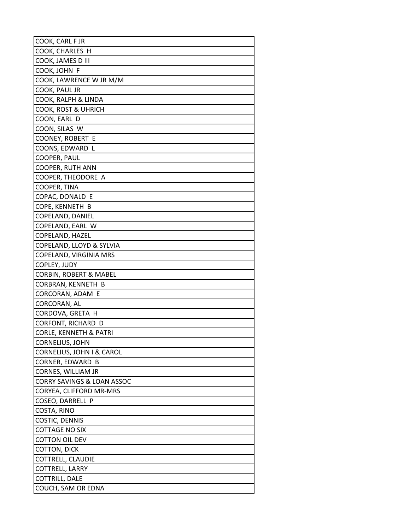| COOK, CARL F JR                       |
|---------------------------------------|
| COOK, CHARLES H                       |
| COOK, JAMES D III                     |
| COOK, JOHN F                          |
| COOK, LAWRENCE W JR M/M               |
| COOK, PAUL JR                         |
| COOK, RALPH & LINDA                   |
| COOK, ROST & UHRICH                   |
| COON, EARL D                          |
| COON, SILAS W                         |
| <b>COONEY, ROBERT E</b>               |
| COONS, EDWARD L                       |
| COOPER, PAUL                          |
| COOPER, RUTH ANN                      |
| COOPER, THEODORE A                    |
| COOPER, TINA                          |
| COPAC, DONALD E                       |
| COPE, KENNETH B                       |
| COPELAND, DANIEL                      |
| COPELAND, EARL W                      |
| COPELAND, HAZEL                       |
| COPELAND, LLOYD & SYLVIA              |
| COPELAND, VIRGINIA MRS                |
| COPLEY, JUDY                          |
| CORBIN, ROBERT & MABEL                |
| CORBRAN, KENNETH B                    |
| CORCORAN, ADAM E                      |
| CORCORAN, AL                          |
| CORDOVA, GRETA H                      |
| CORFONT, RICHARD D                    |
| <b>CORLE, KENNETH &amp; PATRI</b>     |
| <b>CORNELIUS, JOHN</b>                |
| CORNELIUS, JOHN I & CAROL             |
| CORNER, EDWARD B                      |
| CORNES, WILLIAM JR                    |
| <b>CORRY SAVINGS &amp; LOAN ASSOC</b> |
| CORYEA, CLIFFORD MR-MRS               |
| COSEO, DARRELL P                      |
| COSTA, RINO                           |
| COSTIC, DENNIS                        |
| <b>COTTAGE NO SIX</b>                 |
| <b>COTTON OIL DEV</b>                 |
| COTTON, DICK                          |
| COTTRELL, CLAUDIE                     |
| COTTRELL, LARRY                       |
| COTTRILL, DALE                        |
| COUCH, SAM OR EDNA                    |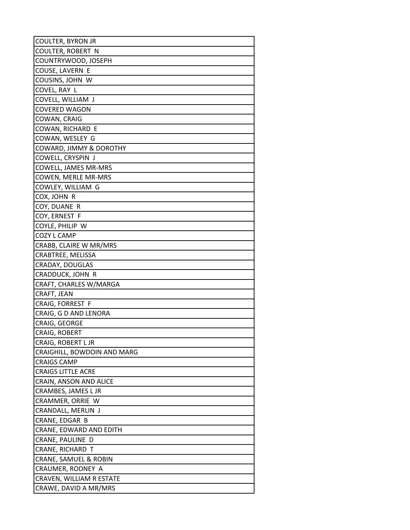| <b>COULTER, BYRON JR</b>    |
|-----------------------------|
| <b>COULTER, ROBERT N</b>    |
| COUNTRYWOOD, JOSEPH         |
| COUSE, LAVERN E             |
| COUSINS, JOHN W             |
| COVEL, RAY L                |
| COVELL, WILLIAM J           |
| <b>COVERED WAGON</b>        |
| COWAN, CRAIG                |
| COWAN, RICHARD E            |
| COWAN, WESLEY G             |
| COWARD, JIMMY & DOROTHY     |
| COWELL, CRYSPIN J           |
| COWELL, JAMES MR-MRS        |
| COWEN, MERLE MR-MRS         |
| COWLEY, WILLIAM G           |
| COX, JOHN R                 |
| COY, DUANE R                |
| COY, ERNEST F               |
| COYLE, PHILIP W             |
| COZY L CAMP                 |
| CRABB, CLAIRE W MR/MRS      |
| CRABTREE, MELISSA           |
| CRADAY, DOUGLAS             |
| CRADDUCK, JOHN R            |
| CRAFT, CHARLES W/MARGA      |
| CRAFT, JEAN                 |
| CRAIG, FORREST F            |
| CRAIG, G D AND LENORA       |
| CRAIG, GEORGE               |
| CRAIG, ROBERT               |
| CRAIG, ROBERT L JR          |
| CRAIGHILL, BOWDOIN AND MARG |
| <b>CRAIGS CAMP</b>          |
| <b>CRAIGS LITTLE ACRE</b>   |
| CRAIN, ANSON AND ALICE      |
| CRAMBES, JAMES L JR         |
| CRAMMER, ORRIE W            |
| CRANDALL, MERLIN J          |
| CRANE, EDGAR B              |
| CRANE, EDWARD AND EDITH     |
| CRANE, PAULINE D            |
| CRANE, RICHARD T            |
| CRANE, SAMUEL & ROBIN       |
| CRAUMER, RODNEY A           |
| CRAVEN, WILLIAM R ESTATE    |
| CRAWE, DAVID A MR/MRS       |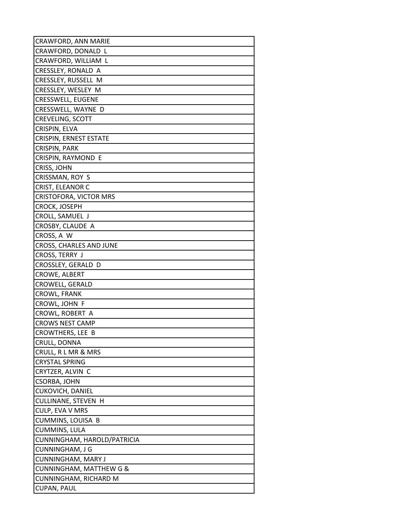| CRAWFORD, ANN MARIE           |
|-------------------------------|
| CRAWFORD, DONALD L            |
| CRAWFORD, WILLIAM L           |
| CRESSLEY, RONALD A            |
| CRESSLEY, RUSSELL M           |
| CRESSLEY, WESLEY M            |
| CRESSWELL, EUGENE             |
| CRESSWELL, WAYNE D            |
| <b>CREVELING, SCOTT</b>       |
| CRISPIN, ELVA                 |
| <b>CRISPIN, ERNEST ESTATE</b> |
| CRISPIN, PARK                 |
| CRISPIN, RAYMOND E            |
| CRISS, JOHN                   |
| CRISSMAN, ROY S               |
| CRIST, ELEANOR C              |
| <b>CRISTOFORA, VICTOR MRS</b> |
| <b>CROCK, JOSEPH</b>          |
| CROLL, SAMUEL J               |
| CROSBY, CLAUDE A              |
| CROSS, A W                    |
| CROSS, CHARLES AND JUNE       |
| CROSS, TERRY J                |
| CROSSLEY, GERALD D            |
| CROWE, ALBERT                 |
| CROWELL, GERALD               |
| CROWL, FRANK                  |
| CROWL, JOHN F                 |
| CROWL, ROBERT A               |
| <b>CROWS NEST CAMP</b>        |
| <b>CROWTHERS, LEE B</b>       |
| CRULL, DONNA                  |
| CRULL, R L MR & MRS           |
| <b>CRYSTAL SPRING</b>         |
| CRYTZER, ALVIN C              |
| CSORBA, JOHN                  |
| CUKOVICH, DANIEL              |
| CULLINANE, STEVEN H           |
| CULP, EVA V MRS               |
| CUMMINS, LOUISA B             |
| CUMMINS, LULA                 |
| CUNNINGHAM, HAROLD/PATRICIA   |
| CUNNINGHAM, J G               |
| CUNNINGHAM, MARY J            |
| CUNNINGHAM, MATTHEW G &       |
| CUNNINGHAM, RICHARD M         |
| CUPAN, PAUL                   |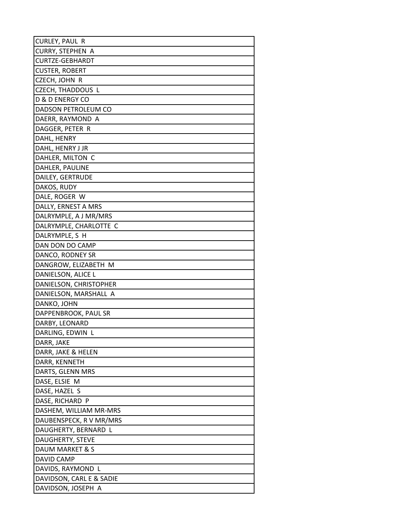| CURLEY, PAUL R             |
|----------------------------|
| CURRY, STEPHEN A           |
| CURTZE-GEBHARDT            |
| <b>CUSTER, ROBERT</b>      |
| CZECH, JOHN R              |
| CZECH, THADDOUS L          |
| <b>D &amp; D ENERGY CO</b> |
| DADSON PETROLEUM CO        |
| DAERR, RAYMOND A           |
| DAGGER, PETER R            |
| DAHL, HENRY                |
| DAHL, HENRY J JR           |
| DAHLER, MILTON C           |
| DAHLER, PAULINE            |
| DAILEY, GERTRUDE           |
| DAKOS, RUDY                |
| DALE, ROGER W              |
| DALLY, ERNEST A MRS        |
| DALRYMPLE, A J MR/MRS      |
| DALRYMPLE, CHARLOTTE C     |
| DALRYMPLE, S H             |
| DAN DON DO CAMP            |
| DANCO, RODNEY SR           |
| DANGROW, ELIZABETH M       |
| DANIELSON, ALICE L         |
| DANIELSON, CHRISTOPHER     |
| DANIELSON, MARSHALL A      |
| DANKO, JOHN                |
| DAPPENBROOK, PAUL SR       |
| DARBY, LEONARD             |
| DARLING, EDWIN L           |
| DARR, JAKE                 |
| DARR, JAKE & HELEN         |
| DARR, KENNETH              |
| DARTS, GLENN MRS           |
| DASE, ELSIE M              |
| DASE, HAZEL S              |
| DASE, RICHARD P            |
| DASHEM, WILLIAM MR-MRS     |
| DAUBENSPECK, R V MR/MRS    |
| DAUGHERTY, BERNARD L       |
| DAUGHERTY, STEVE           |
| DAUM MARKET & S            |
| DAVID CAMP                 |
| DAVIDS, RAYMOND L          |
| DAVIDSON, CARL E & SADIE   |
| DAVIDSON, JOSEPH A         |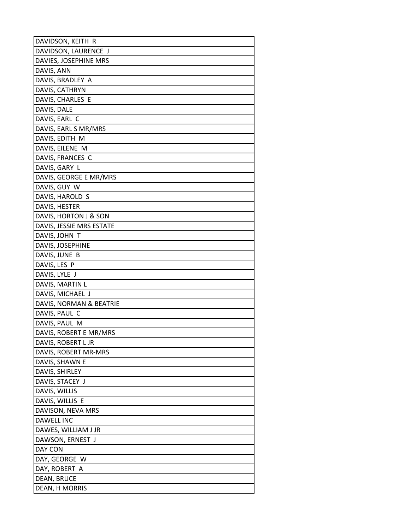| DAVIDSON, KEITH R                 |
|-----------------------------------|
| DAVIDSON, LAURENCE J              |
| DAVIES, JOSEPHINE MRS             |
| DAVIS, ANN                        |
| DAVIS, BRADLEY A                  |
| DAVIS, CATHRYN                    |
| DAVIS, CHARLES E                  |
| DAVIS, DALE                       |
| DAVIS, EARL C                     |
| DAVIS, EARL S MR/MRS              |
| DAVIS, EDITH M                    |
| DAVIS, EILENE M                   |
| DAVIS, FRANCES C                  |
| DAVIS, GARY L                     |
| DAVIS, GEORGE E MR/MRS            |
| DAVIS, GUY W                      |
| DAVIS, HAROLD S                   |
| DAVIS, HESTER                     |
| DAVIS, HORTON J & SON             |
| DAVIS, JESSIE MRS ESTATE          |
| DAVIS, JOHN T                     |
| DAVIS, JOSEPHINE                  |
| DAVIS, JUNE B                     |
| DAVIS, LES P                      |
| DAVIS, LYLE J                     |
| DAVIS, MARTIN L                   |
| DAVIS, MICHAEL J                  |
| DAVIS, NORMAN & BEATRIE           |
| DAVIS, PAUL C                     |
| DAVIS, PAUL M                     |
| DAVIS, ROBERT E MR/MRS            |
| DAVIS, ROBERT L JR                |
| DAVIS, ROBERT MR-MRS              |
| DAVIS, SHAWN E                    |
| DAVIS, SHIRLEY<br>DAVIS, STACEY J |
| DAVIS, WILLIS                     |
| DAVIS, WILLIS E                   |
| DAVISON, NEVA MRS                 |
| DAWELL INC                        |
| DAWES, WILLIAM J JR               |
| DAWSON, ERNEST J                  |
| DAY CON                           |
| DAY, GEORGE W                     |
| DAY, ROBERT A                     |
| DEAN, BRUCE                       |
| DEAN, H MORRIS                    |
|                                   |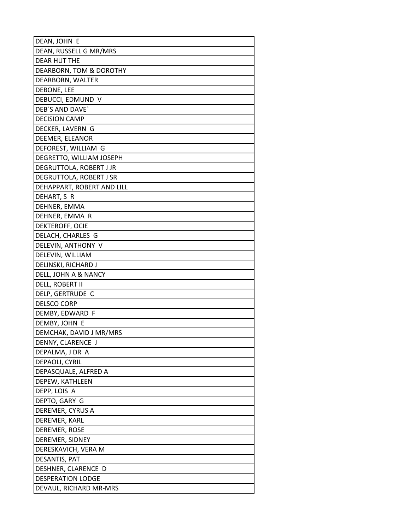| DEAN, JOHN E               |
|----------------------------|
| DEAN, RUSSELL G MR/MRS     |
| DEAR HUT THE               |
| DEARBORN, TOM & DOROTHY    |
| DEARBORN, WALTER           |
| DEBONE, LEE                |
| DEBUCCI, EDMUND V          |
| DEB'S AND DAVE'            |
| <b>DECISION CAMP</b>       |
| DECKER, LAVERN G           |
| DEEMER, ELEANOR            |
| DEFOREST, WILLIAM G        |
| DEGRETTO, WILLIAM JOSEPH   |
| DEGRUTTOLA, ROBERT J JR    |
| DEGRUTTOLA, ROBERT J SR    |
| DEHAPPART, ROBERT AND LILL |
| DEHART, S R                |
| DEHNER, EMMA               |
| DEHNER, EMMA R             |
| DEKTEROFF, OCIE            |
| DELACH, CHARLES G          |
| DELEVIN, ANTHONY V         |
| DELEVIN, WILLIAM           |
| DELINSKI, RICHARD J        |
| DELL, JOHN A & NANCY       |
| DELL, ROBERT II            |
| DELP, GERTRUDE C           |
| <b>DELSCO CORP</b>         |
| DEMBY, EDWARD F            |
| DEMBY, JOHN E              |
| DEMCHAK, DAVID J MR/MRS    |
| DENNY, CLARENCE J          |
| DEPALMA, J DR A            |
| DEPAOLI, CYRIL             |
| DEPASQUALE, ALFRED A       |
| DEPEW, KATHLEEN            |
| DEPP, LOIS A               |
| DEPTO, GARY G              |
| DEREMER, CYRUS A           |
| DEREMER, KARL              |
| DEREMER, ROSE              |
| DEREMER, SIDNEY            |
| DERESKAVICH, VERA M        |
| DESANTIS, PAT              |
| DESHNER, CLARENCE D        |
| <b>DESPERATION LODGE</b>   |
| DEVAUL, RICHARD MR-MRS     |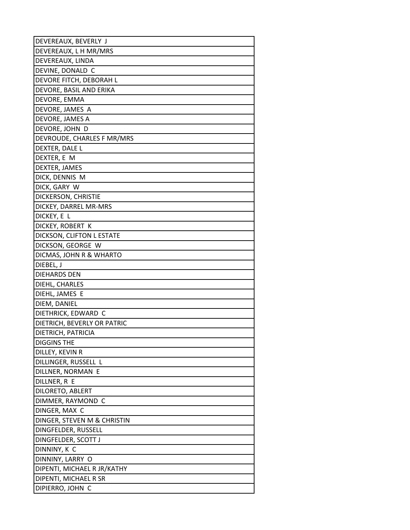| DEVEREAUX, BEVERLY J        |
|-----------------------------|
| DEVEREAUX, L H MR/MRS       |
| DEVEREAUX, LINDA            |
| DEVINE, DONALD C            |
| DEVORE FITCH, DEBORAH L     |
| DEVORE, BASIL AND ERIKA     |
| DEVORE, EMMA                |
| DEVORE, JAMES A             |
| DEVORE, JAMES A             |
| DEVORE, JOHN D              |
| DEVROUDE, CHARLES F MR/MRS  |
| DEXTER, DALE L              |
| DEXTER, E M                 |
| DEXTER, JAMES               |
| DICK, DENNIS M              |
| DICK, GARY W                |
| DICKERSON, CHRISTIE         |
| DICKEY, DARREL MR-MRS       |
| DICKEY, E L                 |
| DICKEY, ROBERT K            |
| DICKSON, CLIFTON L ESTATE   |
| DICKSON, GEORGE W           |
| DICMAS, JOHN R & WHARTO     |
| DIEBEL, J                   |
| <b>DIEHARDS DEN</b>         |
| DIEHL, CHARLES              |
| DIEHL, JAMES E              |
| DIEM, DANIEL                |
| DIETHRICK, EDWARD C         |
| DIETRICH, BEVERLY OR PATRIC |
| DIETRICH, PATRICIA          |
| <b>DIGGINS THE</b>          |
| DILLEY, KEVIN R             |
| DILLINGER, RUSSELL L        |
| DILLNER, NORMAN E           |
| DILLNER, R E                |
| DILORETO, ABLERT            |
| DIMMER, RAYMOND C           |
| DINGER, MAX C               |
| DINGER, STEVEN M & CHRISTIN |
| DINGFELDER, RUSSELL         |
| DINGFELDER, SCOTT J         |
| DINNINY, K C                |
| DINNINY, LARRY O            |
| DIPENTI, MICHAEL R JR/KATHY |
| DIPENTI, MICHAEL R SR       |
| DIPIERRO, JOHN C            |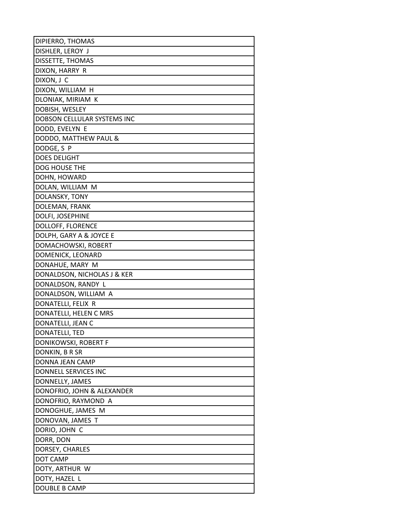| DIPIERRO, THOMAS                              |
|-----------------------------------------------|
| DISHLER, LEROY J                              |
| DISSETTE, THOMAS                              |
| DIXON, HARRY R                                |
| DIXON, J C                                    |
| DIXON, WILLIAM H                              |
| DLONIAK, MIRIAM K                             |
| DOBISH, WESLEY                                |
| DOBSON CELLULAR SYSTEMS INC                   |
| DODD, EVELYN E                                |
| DODDO, MATTHEW PAUL &                         |
| DODGE, S P                                    |
| <b>DOES DELIGHT</b>                           |
| DOG HOUSE THE                                 |
| DOHN, HOWARD                                  |
| DOLAN, WILLIAM M                              |
| DOLANSKY, TONY                                |
| DOLEMAN, FRANK                                |
| DOLFI, JOSEPHINE                              |
| DOLLOFF, FLORENCE                             |
| DOLPH, GARY A & JOYCE E                       |
| DOMACHOWSKI, ROBERT                           |
| DOMENICK, LEONARD                             |
| DONAHUE, MARY M                               |
| DONALDSON, NICHOLAS J & KER                   |
| DONALDSON, RANDY L                            |
| DONALDSON, WILLIAM A                          |
| DONATELLI, FELIX R                            |
| DONATELLI, HELEN C MRS                        |
| DONATELLI, JEAN C                             |
| DONATELLI, TED                                |
| DONIKOWSKI, ROBERT F                          |
| DONKIN, B R SR                                |
| DONNA JEAN CAMP                               |
| DONNELL SERVICES INC                          |
| DONNELLY, JAMES<br>DONOFRIO, JOHN & ALEXANDER |
| DONOFRIO, RAYMOND A                           |
| DONOGHUE, JAMES M                             |
| DONOVAN, JAMES T                              |
| DORIO, JOHN C                                 |
| DORR, DON                                     |
| DORSEY, CHARLES                               |
| DOT CAMP                                      |
| DOTY, ARTHUR W                                |
| DOTY, HAZEL L                                 |
| DOUBLE B CAMP                                 |
|                                               |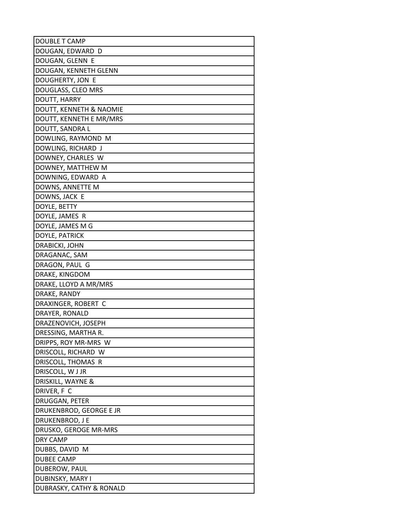| <b>DOUBLE T CAMP</b>     |
|--------------------------|
| DOUGAN, EDWARD D         |
| DOUGAN, GLENN E          |
| DOUGAN, KENNETH GLENN    |
| DOUGHERTY, JON E         |
| DOUGLASS, CLEO MRS       |
| DOUTT, HARRY             |
| DOUTT, KENNETH & NAOMIE  |
| DOUTT, KENNETH E MR/MRS  |
| DOUTT, SANDRA L          |
| DOWLING, RAYMOND M       |
| DOWLING, RICHARD J       |
| DOWNEY, CHARLES W        |
| DOWNEY, MATTHEW M        |
| DOWNING, EDWARD A        |
| DOWNS, ANNETTE M         |
| DOWNS, JACK E            |
| DOYLE, BETTY             |
| DOYLE, JAMES R           |
| DOYLE, JAMES M G         |
| DOYLE, PATRICK           |
| DRABICKI, JOHN           |
| DRAGANAC, SAM            |
| DRAGON, PAUL G           |
| DRAKE, KINGDOM           |
| DRAKE, LLOYD A MR/MRS    |
| DRAKE, RANDY             |
| DRAXINGER, ROBERT C      |
| DRAYER, RONALD           |
| DRAZENOVICH, JOSEPH      |
| DRESSING, MARTHA R.      |
| DRIPPS, ROY MR-MRS W     |
| DRISCOLL, RICHARD W      |
| DRISCOLL, THOMAS R       |
| DRISCOLL, W J JR         |
| DRISKILL, WAYNE &        |
| DRIVER, F C              |
| DRUGGAN, PETER           |
| DRUKENBROD, GEORGE E JR  |
| DRUKENBROD, J E          |
| DRUSKO, GEROGE MR-MRS    |
| DRY CAMP                 |
| DUBBS, DAVID M           |
| <b>DUBEE CAMP</b>        |
| DUBEROW, PAUL            |
| DUBINSKY, MARY I         |
| DUBRASKY, CATHY & RONALD |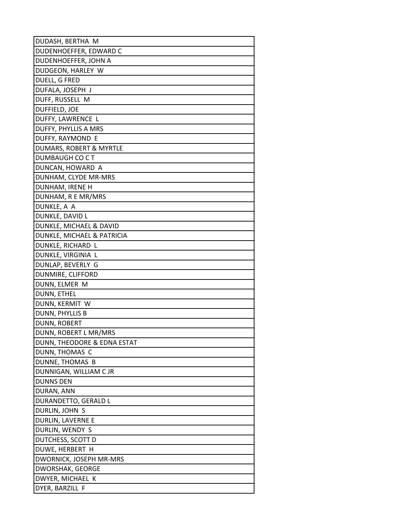| DUDASH, BERTHA M            |
|-----------------------------|
| DUDENHOEFFER, EDWARD C      |
| DUDENHOEFFER, JOHN A        |
| DUDGEON, HARLEY W           |
| DUELL, G FRED               |
| DUFALA, JOSEPH J            |
| DUFF, RUSSELL M             |
| DUFFIELD, JOE               |
| DUFFY, LAWRENCE L           |
| DUFFY, PHYLLIS A MRS        |
| DUFFY, RAYMOND E            |
| DUMARS, ROBERT & MYRTLE     |
| DUMBAUGH CO C T             |
| DUNCAN, HOWARD A            |
| DUNHAM, CLYDE MR-MRS        |
| DUNHAM, IRENE H             |
| DUNHAM, R E MR/MRS          |
| DUNKLE, A A                 |
| DUNKLE, DAVID L             |
| DUNKLE, MICHAEL & DAVID     |
| DUNKLE, MICHAEL & PATRICIA  |
| DUNKLE, RICHARD L           |
| DUNKLE, VIRGINIA L          |
| DUNLAP, BEVERLY G           |
| DUNMIRE, CLIFFORD           |
| DUNN, ELMER M               |
| DUNN, ETHEL                 |
| DUNN, KERMIT W              |
| DUNN, PHYLLIS B             |
| DUNN, ROBERT                |
| DUNN, ROBERT L MR/MRS       |
| DUNN, THEODORE & EDNA ESTAT |
| DUNN, THOMAS C              |
| DUNNE, THOMAS B             |
| DUNNIGAN, WILLIAM C JR      |
| <b>DUNNS DEN</b>            |
| DURAN, ANN                  |
| DURANDETTO, GERALD L        |
| DURLIN, JOHN S              |
| DURLIN, LAVERNE E           |
| DURLIN, WENDY S             |
| DUTCHESS, SCOTT D           |
| DUWE, HERBERT H             |
| DWORNICK, JOSEPH MR-MRS     |
| DWORSHAK, GEORGE            |
| DWYER, MICHAEL K            |
| DYER, BARZILL F             |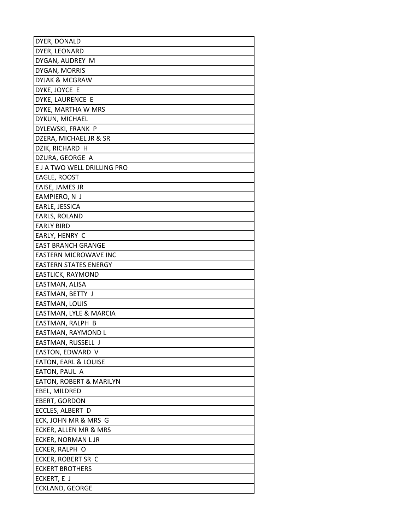| DYER, DONALD                                |
|---------------------------------------------|
| DYER, LEONARD                               |
| DYGAN, AUDREY M                             |
| DYGAN, MORRIS                               |
| DYJAK & MCGRAW                              |
| DYKE, JOYCE E                               |
| DYKE, LAURENCE E                            |
| DYKE, MARTHA W MRS                          |
| DYKUN, MICHAEL                              |
| DYLEWSKI, FRANK P                           |
| DZERA, MICHAEL JR & SR                      |
| DZIK, RICHARD H                             |
| DZURA, GEORGE A                             |
| E J A TWO WELL DRILLING PRO                 |
| EAGLE, ROOST                                |
| EAISE, JAMES JR                             |
| EAMPIERO, N J                               |
| EARLE, JESSICA                              |
| EARLS, ROLAND                               |
| <b>EARLY BIRD</b>                           |
| EARLY, HENRY C                              |
| <b>EAST BRANCH GRANGE</b>                   |
| EASTERN MICROWAVE INC                       |
| <b>EASTERN STATES ENERGY</b>                |
| EASTLICK, RAYMOND                           |
| EASTMAN, ALISA                              |
| EASTMAN, BETTY J                            |
| EASTMAN, LOUIS                              |
| EASTMAN, LYLE & MARCIA                      |
| EASTMAN, RALPH B                            |
| EASTMAN, RAYMOND L                          |
| EASTMAN, RUSSELL J                          |
| EASTON, EDWARD V                            |
| <b>EATON, EARL &amp; LOUISE</b>             |
| EATON, PAUL A                               |
| <b>EATON, ROBERT &amp; MARILYN</b>          |
| EBEL, MILDRED                               |
| <b>EBERT, GORDON</b>                        |
| ECCLES, ALBERT D                            |
| ECK, JOHN MR & MRS G                        |
| ECKER, ALLEN MR & MRS<br>ECKER, NORMAN L JR |
| ECKER, RALPH O                              |
| ECKER, ROBERT SR C                          |
| <b>ECKERT BROTHERS</b>                      |
|                                             |
| ECKERT, E J                                 |
| ECKLAND, GEORGE                             |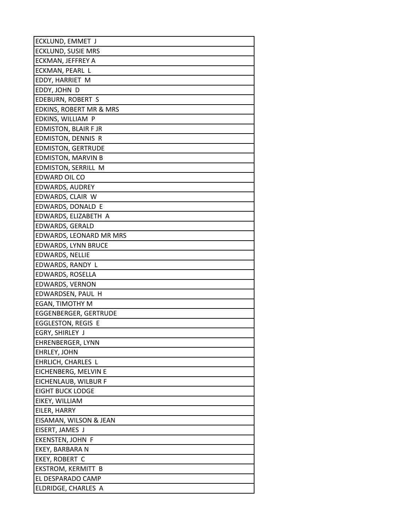| ECKLUND, EMMET J                         |
|------------------------------------------|
| ECKLUND, SUSIE MRS                       |
| ECKMAN, JEFFREY A                        |
| ECKMAN, PEARL L                          |
| EDDY, HARRIET M                          |
| EDDY, JOHN D                             |
| EDEBURN, ROBERT S                        |
| EDKINS, ROBERT MR & MRS                  |
| EDKINS, WILLIAM P                        |
| EDMISTON, BLAIR F JR                     |
| EDMISTON, DENNIS R                       |
| <b>EDMISTON, GERTRUDE</b>                |
| <b>EDMISTON, MARVIN B</b>                |
| EDMISTON, SERRILL M                      |
| EDWARD OIL CO                            |
| EDWARDS, AUDREY                          |
| EDWARDS, CLAIR W                         |
| EDWARDS, DONALD E                        |
| EDWARDS, ELIZABETH A                     |
| EDWARDS, GERALD                          |
| EDWARDS, LEONARD MR MRS                  |
| <b>EDWARDS, LYNN BRUCE</b>               |
| EDWARDS, NELLIE                          |
| EDWARDS, RANDY L                         |
| EDWARDS, ROSELLA                         |
| EDWARDS, VERNON                          |
| EDWARDSEN, PAUL H                        |
| EGAN, TIMOTHY M                          |
| <b>EGGENBERGER, GERTRUDE</b>             |
| <b>EGGLESTON, REGIS E</b>                |
| EGRY, SHIRLEY J                          |
| EHRENBERGER, LYNN                        |
| EHRLEY, JOHN                             |
| EHRLICH, CHARLES L                       |
| EICHENBERG, MELVIN E                     |
| EICHENLAUB, WILBUR F                     |
| <b>EIGHT BUCK LODGE</b>                  |
| EIKEY, WILLIAM                           |
| EILER, HARRY                             |
| EISAMAN, WILSON & JEAN                   |
| EISERT, JAMES J                          |
| EKENSTEN, JOHN F                         |
| EKEY, BARBARA N                          |
| EKEY, ROBERT C                           |
| EKSTROM, KERMITT B                       |
| EL DESPARADO CAMP<br>ELDRIDGE, CHARLES A |
|                                          |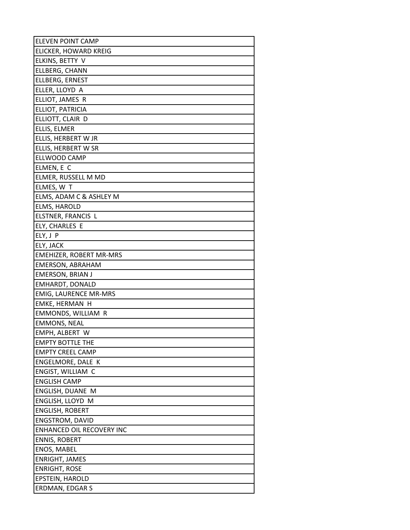| <b>ELEVEN POINT CAMP</b>       |
|--------------------------------|
| ELICKER, HOWARD KREIG          |
| ELKINS, BETTY V                |
| ELLBERG, CHANN                 |
| ELLBERG, ERNEST                |
| ELLER, LLOYD A                 |
| ELLIOT, JAMES R                |
| ELLIOT, PATRICIA               |
| ELLIOTT, CLAIR D               |
| ELLIS, ELMER                   |
| ELLIS, HERBERT W JR            |
| ELLIS, HERBERT W SR            |
| ELLWOOD CAMP                   |
| ELMEN, E C                     |
| ELMER, RUSSELL M MD            |
| ELMES, W T                     |
| ELMS, ADAM C & ASHLEY M        |
| ELMS, HAROLD                   |
| ELSTNER, FRANCIS L             |
| ELY, CHARLES E                 |
| ELY, J P                       |
| ELY, JACK                      |
| <b>EMEHIZER, ROBERT MR-MRS</b> |
| EMERSON, ABRAHAM               |
| <b>EMERSON, BRIAN J</b>        |
| EMHARDT, DONALD                |
| <b>EMIG, LAURENCE MR-MRS</b>   |
| EMKE, HERMAN H                 |
| EMMONDS, WILLIAM R             |
| <b>EMMONS, NEAL</b>            |
| EMPH, ALBERT W                 |
| <b>EMPTY BOTTLE THE</b>        |
| <b>EMPTY CREEL CAMP</b>        |
| ENGELMORE, DALE K              |
| ENGIST, WILLIAM C              |
| <b>ENGLISH CAMP</b>            |
| ENGLISH, DUANE M               |
| ENGLISH, LLOYD M               |
| <b>ENGLISH, ROBERT</b>         |
| ENGSTROM, DAVID                |
| ENHANCED OIL RECOVERY INC      |
| <b>ENNIS, ROBERT</b>           |
| <b>ENOS, MABEL</b>             |
| <b>ENRIGHT, JAMES</b>          |
| <b>ENRIGHT, ROSE</b>           |
| <b>EPSTEIN, HAROLD</b>         |
| ERDMAN, EDGAR S                |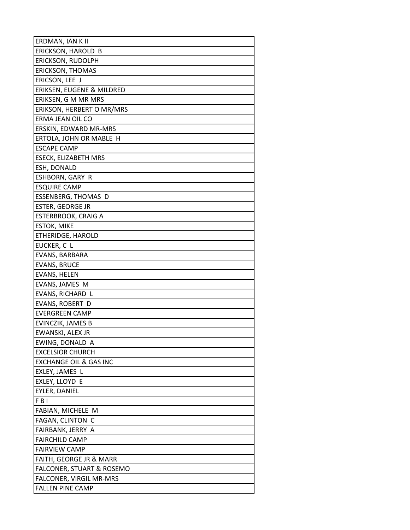| ERDMAN, IAN K II                     |
|--------------------------------------|
| ERICKSON, HAROLD B                   |
| ERICKSON, RUDOLPH                    |
| <b>ERICKSON, THOMAS</b>              |
| ERICSON, LEE J                       |
| ERIKSEN, EUGENE & MILDRED            |
| ERIKSEN, G M MR MRS                  |
| ERIKSON, HERBERT O MR/MRS            |
| ERMA JEAN OIL CO                     |
| ERSKIN, EDWARD MR-MRS                |
| ERTOLA, JOHN OR MABLE H              |
| <b>ESCAPE CAMP</b>                   |
| ESECK, ELIZABETH MRS                 |
| ESH, DONALD                          |
| ESHBORN, GARY R                      |
| <b>ESQUIRE CAMP</b>                  |
| ESSENBERG, THOMAS D                  |
| <b>ESTER, GEORGE JR</b>              |
| <b>ESTERBROOK, CRAIG A</b>           |
| <b>ESTOK, MIKE</b>                   |
| ETHERIDGE, HAROLD                    |
| EUCKER, C L                          |
| EVANS, BARBARA                       |
| <b>EVANS, BRUCE</b>                  |
| EVANS, HELEN                         |
| EVANS, JAMES M                       |
| EVANS, RICHARD L                     |
| EVANS, ROBERT D                      |
| <b>EVERGREEN CAMP</b>                |
| EVINCZIK, JAMES B                    |
| EWANSKI, ALEX JR                     |
| EWING, DONALD A                      |
| <b>EXCELSIOR CHURCH</b>              |
| <b>EXCHANGE OIL &amp; GAS INC</b>    |
| EXLEY, JAMES L                       |
| EXLEY, LLOYD E                       |
| EYLER, DANIEL                        |
| FBI                                  |
| FABIAN, MICHELE M                    |
| FAGAN, CLINTON C                     |
| FAIRBANK, JERRY A                    |
| <b>FAIRCHILD CAMP</b>                |
| <b>FAIRVIEW CAMP</b>                 |
| FAITH, GEORGE JR & MARR              |
| <b>FALCONER, STUART &amp; ROSEMO</b> |
| FALCONER, VIRGIL MR-MRS              |
| <b>FALLEN PINE CAMP</b>              |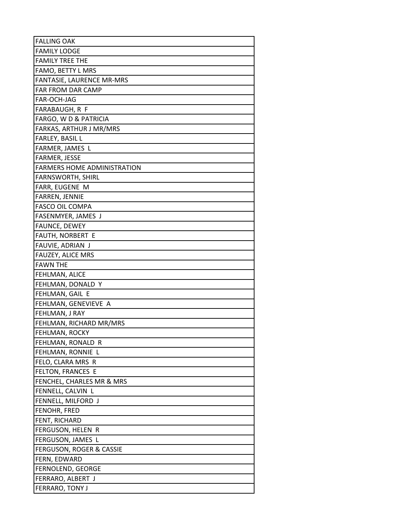| <b>FALLING OAK</b>                  |
|-------------------------------------|
| <b>FAMILY LODGE</b>                 |
| <b>FAMILY TREE THE</b>              |
| FAMO, BETTY L MRS                   |
| FANTASIE, LAURENCE MR-MRS           |
| FAR FROM DAR CAMP                   |
| FAR-OCH-JAG                         |
| FARABAUGH, R F                      |
| FARGO, W D & PATRICIA               |
| FARKAS, ARTHUR J MR/MRS             |
| FARLEY, BASIL L                     |
| FARMER, JAMES L                     |
| FARMER, JESSE                       |
| <b>FARMERS HOME ADMINISTRATION</b>  |
| <b>FARNSWORTH, SHIRL</b>            |
| FARR, EUGENE M                      |
| FARREN, JENNIE                      |
| <b>FASCO OIL COMPA</b>              |
| FASENMYER, JAMES J                  |
| FAUNCE, DEWEY                       |
| FAUTH, NORBERT E                    |
| FAUVIE, ADRIAN J                    |
| <b>FAUZEY, ALICE MRS</b>            |
| <b>FAWN THE</b>                     |
| FEHLMAN, ALICE                      |
| FEHLMAN, DONALD Y                   |
| FEHLMAN, GAIL E                     |
| FEHLMAN, GENEVIEVE A                |
| FEHLMAN, J RAY                      |
| FEHLMAN, RICHARD MR/MRS             |
| FEHLMAN, ROCKY                      |
| FEHLMAN, RONALD R                   |
| FEHLMAN, RONNIE L                   |
| FELO, CLARA MRS R                   |
| FELTON, FRANCES E                   |
| FENCHEL, CHARLES MR & MRS           |
| FENNELL, CALVIN L                   |
| FENNELL, MILFORD J                  |
| FENOHR, FRED                        |
| FENT, RICHARD                       |
| FERGUSON, HELEN R                   |
| FERGUSON, JAMES L                   |
| <b>FERGUSON, ROGER &amp; CASSIE</b> |
| FERN, EDWARD                        |
| FERNOLEND, GEORGE                   |
| FERRARO, ALBERT J                   |
| FERRARO, TONY J                     |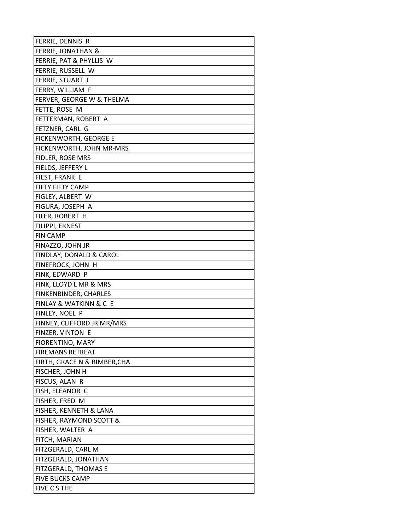| FERRIE, DENNIS R                      |
|---------------------------------------|
| FERRIE, JONATHAN &                    |
| FERRIE, PAT & PHYLLIS W               |
| FERRIE, RUSSELL W                     |
| FERRIE, STUART J                      |
| FERRY, WILLIAM F                      |
| FERVER, GEORGE W & THELMA             |
| FETTE, ROSE M                         |
| FETTERMAN, ROBERT A                   |
| FETZNER, CARL G                       |
| FICKENWORTH, GEORGE E                 |
| FICKENWORTH, JOHN MR-MRS              |
| FIDLER, ROSE MRS                      |
| FIELDS, JEFFERY L                     |
| FIEST, FRANK E                        |
| FIFTY FIFTY CAMP                      |
| FIGLEY, ALBERT W                      |
| FIGURA, JOSEPH A                      |
| FILER, ROBERT H                       |
| FILIPPI, ERNEST                       |
| <b>FIN CAMP</b>                       |
| FINAZZO, JOHN JR                      |
| FINDLAY, DONALD & CAROL               |
| FINEFROCK, JOHN H                     |
| FINK, EDWARD P                        |
| FINK, LLOYD L MR & MRS                |
| FINKENBINDER, CHARLES                 |
| <b>FINLAY &amp; WATKINN &amp; C E</b> |
| FINLEY, NOEL P                        |
| FINNEY, CLIFFORD JR MR/MRS            |
| FINZER, VINTON E                      |
| FIORENTINO, MARY                      |
| <b>FIREMANS RETREAT</b>               |
| FIRTH, GRACE N & BIMBER, CHA          |
| FISCHER, JOHN H                       |
| FISCUS, ALAN R                        |
| FISH, ELEANOR C                       |
| FISHER, FRED M                        |
| FISHER, KENNETH & LANA                |
| FISHER, RAYMOND SCOTT &               |
| FISHER, WALTER A                      |
| FITCH, MARIAN                         |
| FITZGERALD, CARL M                    |
| FITZGERALD, JONATHAN                  |
| FITZGERALD, THOMAS E                  |
| <b>FIVE BUCKS CAMP</b>                |
| FIVE C S THE                          |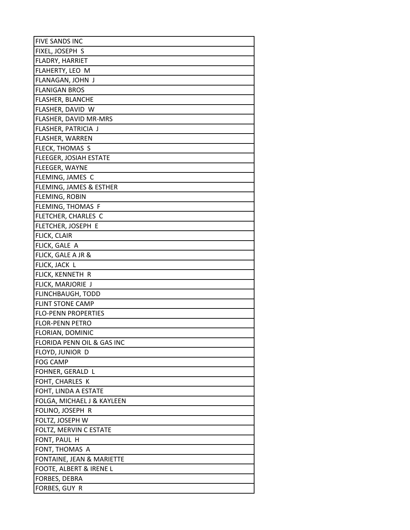| <b>FIVE SANDS INC</b>         |
|-------------------------------|
| FIXEL, JOSEPH S               |
| FLADRY, HARRIET               |
| FLAHERTY, LEO M               |
| FLANAGAN, JOHN J              |
| <b>FLANIGAN BROS</b>          |
| FLASHER, BLANCHE              |
| FLASHER, DAVID W              |
| FLASHER, DAVID MR-MRS         |
| FLASHER, PATRICIA J           |
| FLASHER, WARREN               |
| FLECK, THOMAS S               |
| <b>FLEEGER, JOSIAH ESTATE</b> |
| FLEEGER, WAYNE                |
| FLEMING, JAMES C              |
| FLEMING, JAMES & ESTHER       |
| FLEMING, ROBIN                |
| FLEMING, THOMAS F             |
| FLETCHER, CHARLES C           |
| FLETCHER, JOSEPH E            |
| FLICK, CLAIR                  |
| FLICK, GALE A                 |
| FLICK, GALE A JR &            |
| FLICK, JACK L                 |
| FLICK, KENNETH R              |
| FLICK, MARJORIE J             |
| <b>FLINCHBAUGH, TODD</b>      |
| <b>FLINT STONE CAMP</b>       |
| <b>FLO-PENN PROPERTIES</b>    |
| <b>FLOR-PENN PETRO</b>        |
| FLORIAN, DOMINIC              |
| FLORIDA PENN OIL & GAS INC    |
| FLOYD, JUNIOR D               |
| <b>FOG CAMP</b>               |
| FOHNER, GERALD L              |
| FOHT, CHARLES K               |
| FOHT, LINDA A ESTATE          |
| FOLGA, MICHAEL J & KAYLEEN    |
| FOLINO, JOSEPH R              |
| FOLTZ, JOSEPH W               |
| FOLTZ, MERVIN C ESTATE        |
| FONT, PAUL H                  |
| FONT, THOMAS A                |
| FONTAINE, JEAN & MARIETTE     |
| FOOTE, ALBERT & IRENE L       |
| FORBES, DEBRA                 |
| FORBES, GUY R                 |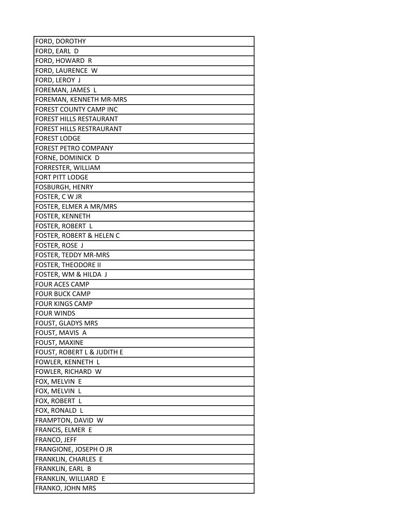| FORD, DOROTHY                         |
|---------------------------------------|
| FORD, EARL D                          |
| FORD, HOWARD R                        |
| FORD, LAURENCE W                      |
| FORD, LEROY J                         |
| FOREMAN, JAMES L                      |
| FOREMAN, KENNETH MR-MRS               |
| FOREST COUNTY CAMP INC                |
| FOREST HILLS RESTAURANT               |
| <b>FOREST HILLS RESTRAURANT</b>       |
| <b>FOREST LODGE</b>                   |
| FOREST PETRO COMPANY                  |
| FORNE, DOMINICK D                     |
| FORRESTER, WILLIAM                    |
| <b>FORT PITT LODGE</b>                |
| <b>FOSBURGH, HENRY</b>                |
| FOSTER, CWJR                          |
| FOSTER, ELMER A MR/MRS                |
| FOSTER, KENNETH                       |
| FOSTER, ROBERT L                      |
| <b>FOSTER, ROBERT &amp; HELEN C</b>   |
| FOSTER, ROSE J                        |
| FOSTER, TEDDY MR-MRS                  |
| <b>FOSTER, THEODORE II</b>            |
| FOSTER, WM & HILDA J                  |
| <b>FOUR ACES CAMP</b>                 |
| <b>FOUR BUCK CAMP</b>                 |
| <b>FOUR KINGS CAMP</b>                |
| <b>FOUR WINDS</b>                     |
| <b>FOUST, GLADYS MRS</b>              |
| FOUST, MAVIS A                        |
| FOUST, MAXINE                         |
| <b>FOUST, ROBERT L &amp; JUDITH E</b> |
| FOWLER, KENNETH L                     |
| FOWLER, RICHARD W                     |
| FOX, MELVIN E                         |
| FOX, MELVIN L                         |
| FOX, ROBERT L                         |
| FOX, RONALD L                         |
| FRAMPTON, DAVID W                     |
| FRANCIS, ELMER E                      |
| FRANCO, JEFF                          |
| FRANGIONE, JOSEPH O JR                |
| FRANKLIN, CHARLES E                   |
| FRANKLIN, EARL B                      |
| FRANKLIN, WILLIARD E                  |
| FRANKO, JOHN MRS                      |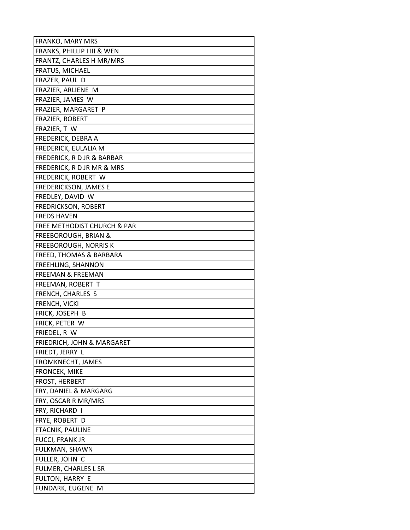| <b>FRANKO, MARY MRS</b>                      |
|----------------------------------------------|
| FRANKS, PHILLIP I III & WEN                  |
| FRANTZ, CHARLES H MR/MRS                     |
| FRATUS, MICHAEL                              |
| FRAZER, PAUL D                               |
| FRAZIER, ARLIENE M                           |
| FRAZIER, JAMES W                             |
| FRAZIER, MARGARET P                          |
| FRAZIER, ROBERT                              |
| FRAZIER, T W                                 |
| FREDERICK, DEBRA A                           |
| FREDERICK, EULALIA M                         |
| FREDERICK, R D JR & BARBAR                   |
| FREDERICK, R D JR MR & MRS                   |
| FREDERICK, ROBERT W                          |
| <b>FREDERICKSON, JAMES E</b>                 |
| FREDLEY, DAVID W                             |
| <b>FREDRICKSON, ROBERT</b>                   |
| <b>FREDS HAVEN</b>                           |
| FREE METHODIST CHURCH & PAR                  |
| <b>FREEBOROUGH, BRIAN &amp;</b>              |
| <b>FREEBOROUGH, NORRIS K</b>                 |
| FREED, THOMAS & BARBARA                      |
| FREEHLING, SHANNON                           |
| <b>FREEMAN &amp; FREEMAN</b>                 |
| FREEMAN, ROBERT T                            |
| FRENCH, CHARLES S                            |
| FRENCH, VICKI                                |
| FRICK, JOSEPH B                              |
| FRICK, PETER W                               |
| FRIEDEL, R W                                 |
| FRIEDRICH, JOHN & MARGARET                   |
| FRIEDT, JERRY L                              |
| FROMKNECHT, JAMES                            |
| <b>FRONCEK, MIKE</b>                         |
| <b>FROST, HERBERT</b>                        |
| FRY, DANIEL & MARGARG<br>FRY, OSCAR R MR/MRS |
| FRY, RICHARD I                               |
| FRYE, ROBERT D                               |
| FTACNIK, PAULINE                             |
| FUCCI, FRANK JR                              |
| FULKMAN, SHAWN                               |
| FULLER, JOHN C                               |
| FULMER, CHARLES L SR                         |
| FULTON, HARRY E                              |
| FUNDARK, EUGENE M                            |
|                                              |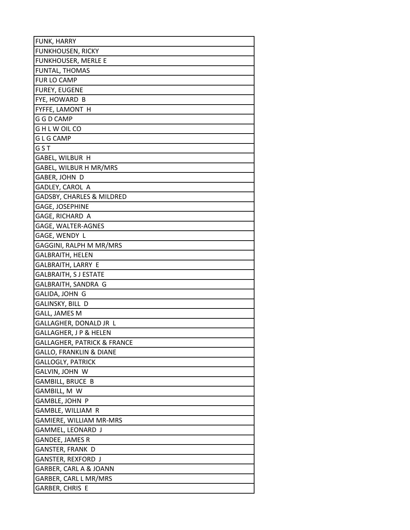| FUNK, HARRY                            |
|----------------------------------------|
| <b>FUNKHOUSEN, RICKY</b>               |
| <b>FUNKHOUSER, MERLE E</b>             |
| FUNTAL, THOMAS                         |
| FUR LO CAMP                            |
| <b>FUREY, EUGENE</b>                   |
| FYE, HOWARD B                          |
| FYFFE, LAMONT H                        |
| G G D CAMP                             |
| G H L W OIL CO                         |
| G L G CAMP                             |
| GST                                    |
| GABEL, WILBUR H                        |
| GABEL, WILBUR H MR/MRS                 |
| GABER, JOHN D                          |
| GADLEY, CAROL A                        |
| GADSBY, CHARLES & MILDRED              |
| GAGE, JOSEPHINE                        |
| GAGE, RICHARD A                        |
| GAGE, WALTER-AGNES                     |
| GAGE, WENDY L                          |
| GAGGINI, RALPH M MR/MRS                |
| GALBRAITH, HELEN                       |
| GALBRAITH, LARRY E                     |
| GALBRAITH, S J ESTATE                  |
| GALBRAITH, SANDRA G                    |
| GALIDA, JOHN G                         |
| GALINSKY, BILL D                       |
| <b>GALL, JAMES M</b>                   |
| GALLAGHER, DONALD JR L                 |
| GALLAGHER, J P & HELEN                 |
| <b>GALLAGHER, PATRICK &amp; FRANCE</b> |
| <b>GALLO, FRANKLIN &amp; DIANE</b>     |
| <b>GALLOGLY, PATRICK</b>               |
| GALVIN, JOHN W                         |
| <b>GAMBILL, BRUCE B</b>                |
| GAMBILL, M W                           |
| GAMBLE, JOHN P                         |
| GAMBLE, WILLIAM R                      |
| GAMIERE, WILLIAM MR-MRS                |
| GAMMEL, LEONARD J                      |
| GANDEE, JAMES R                        |
| GANSTER, FRANK D                       |
| GANSTER, REXFORD J                     |
| GARBER, CARL A & JOANN                 |
| GARBER, CARL L MR/MRS                  |
| GARBER, CHRIS E                        |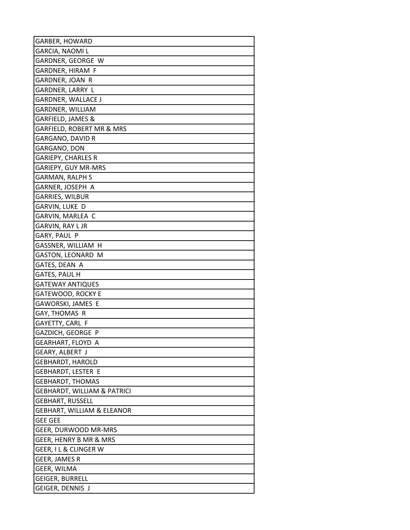| GARBER, HOWARD                         |
|----------------------------------------|
| GARCIA, NAOMI L                        |
| GARDNER, GEORGE W                      |
| GARDNER, HIRAM F                       |
| GARDNER, JOAN R                        |
| GARDNER, LARRY L                       |
| <b>GARDNER, WALLACE J</b>              |
| GARDNER, WILLIAM                       |
| GARFIELD, JAMES &                      |
| GARFIELD, ROBERT MR & MRS              |
| GARGANO, DAVID R                       |
| GARGANO, DON                           |
| <b>GARIEPY, CHARLES R</b>              |
| GARIEPY, GUY MR-MRS                    |
| <b>GARMAN, RALPH S</b>                 |
| GARNER, JOSEPH A                       |
| <b>GARRIES, WILBUR</b>                 |
| GARVIN, LUKE D                         |
| GARVIN, MARLEA C                       |
| GARVIN, RAY L JR                       |
| GARY, PAUL P                           |
| GASSNER, WILLIAM H                     |
| GASTON, LEONARD M                      |
| GATES, DEAN A                          |
| <b>GATES, PAUL H</b>                   |
| <b>GATEWAY ANTIQUES</b>                |
| <b>GATEWOOD, ROCKY E</b>               |
| GAWORSKI, JAMES E                      |
| GAY, THOMAS R                          |
| GAYETTY, CARL F                        |
| GAZDICH, GEORGE P                      |
| GEARHART, FLOYD A                      |
| <b>GEARY, ALBERT J</b>                 |
| <b>GEBHARDT, HAROLD</b>                |
| <b>GEBHARDT, LESTER E</b>              |
| <b>GEBHARDT, THOMAS</b>                |
| <b>GEBHARDT, WILLIAM &amp; PATRICI</b> |
| <b>GEBHART, RUSSELL</b>                |
| <b>GEBHART, WILLIAM &amp; ELEANOR</b>  |
| <b>GEE GEE</b>                         |
| GEER, DURWOOD MR-MRS                   |
| GEER, HENRY B MR & MRS                 |
| GEER, I L & CLINGER W                  |
| <b>GEER, JAMES R</b>                   |
| GEER, WILMA                            |
| <b>GEIGER, BURRELL</b>                 |
| GEIGER, DENNIS J                       |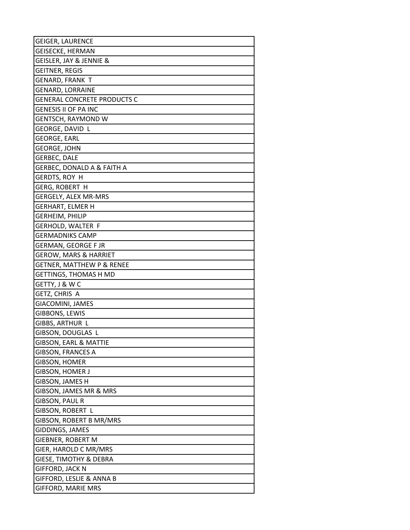| GEIGER, LAURENCE                      |
|---------------------------------------|
| GEISECKE, HERMAN                      |
| GEISLER, JAY & JENNIE &               |
| <b>GEITNER, REGIS</b>                 |
| <b>GENARD, FRANK T</b>                |
| <b>GENARD, LORRAINE</b>               |
| <b>GENERAL CONCRETE PRODUCTS C</b>    |
| <b>GENESIS II OF PA INC</b>           |
| GENTSCH, RAYMOND W                    |
| GEORGE, DAVID L                       |
| <b>GEORGE, EARL</b>                   |
| <b>GEORGE, JOHN</b>                   |
| <b>GERBEC, DALE</b>                   |
| <b>GERBEC, DONALD A &amp; FAITH A</b> |
| GERDTS, ROY H                         |
| <b>GERG, ROBERT H</b>                 |
| GERGELY, ALEX MR-MRS                  |
| <b>GERHART, ELMER H</b>               |
| <b>GERHEIM, PHILIP</b>                |
| <b>GERHOLD, WALTER F</b>              |
| <b>GERMADNIKS CAMP</b>                |
| <b>GERMAN, GEORGE F JR</b>            |
| <b>GEROW, MARS &amp; HARRIET</b>      |
| <b>GETNER, MATTHEW P &amp; RENEE</b>  |
| <b>GETTINGS, THOMAS H MD</b>          |
| GETTY, J & W C                        |
| GETZ, CHRIS A                         |
| GIACOMINI, JAMES                      |
| GIBBONS, LEWIS                        |
| GIBBS, ARTHUR L                       |
| GIBSON, DOUGLAS L                     |
| <b>GIBSON, EARL &amp; MATTIE</b>      |
| <b>GIBSON, FRANCES A</b>              |
| GIBSON, HOMER                         |
| GIBSON, HOMER J                       |
| GIBSON, JAMES H                       |
| GIBSON, JAMES MR & MRS                |
| <b>GIBSON, PAUL R</b>                 |
| GIBSON, ROBERT L                      |
| GIBSON, ROBERT B MR/MRS               |
| GIDDINGS, JAMES                       |
| GIEBNER, ROBERT M                     |
| GIER, HAROLD C MR/MRS                 |
| GIESE, TIMOTHY & DEBRA                |
| <b>GIFFORD, JACK N</b>                |
| GIFFORD, LESLIE & ANNA B              |
| <b>GIFFORD, MARIE MRS</b>             |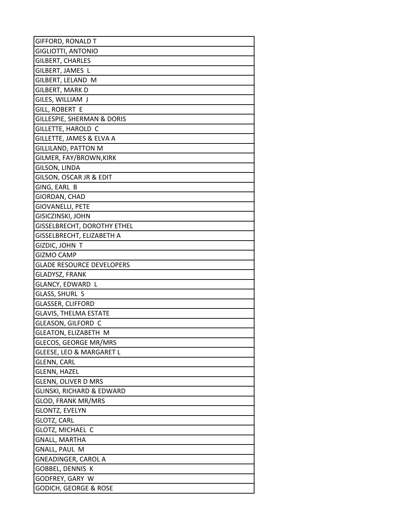| <b>GIFFORD, RONALD T</b>           |
|------------------------------------|
| GIGLIOTTI, ANTONIO                 |
| GILBERT, CHARLES                   |
| GILBERT, JAMES L                   |
| GILBERT, LELAND M                  |
| GILBERT, MARK D                    |
| GILES, WILLIAM J                   |
| GILL, ROBERT E                     |
| GILLESPIE, SHERMAN & DORIS         |
| GILLETTE, HAROLD C                 |
| GILLETTE, JAMES & ELVA A           |
| <b>GILLILAND, PATTON M</b>         |
| GILMER, FAY/BROWN,KIRK             |
| GILSON, LINDA                      |
| GILSON, OSCAR JR & EDIT            |
| GING, EARL B                       |
| GIORDAN, CHAD                      |
| GIOVANELLI, PETE                   |
| GISICZINSKI, JOHN                  |
| <b>GISSELBRECHT, DOROTHY ETHEL</b> |
| GISSELBRECHT, ELIZABETH A          |
| GIZDIC, JOHN T                     |
| GIZMO CAMP                         |
| <b>GLADE RESOURCE DEVELOPERS</b>   |
| <b>GLADYSZ, FRANK</b>              |
| GLANCY, EDWARD L                   |
| GLASS, SHURL S                     |
| <b>GLASSER, CLIFFORD</b>           |
| <b>GLAVIS, THELMA ESTATE</b>       |
| GLEASON, GILFORD C                 |
| <b>GLEATON, ELIZABETH M</b>        |
| GLECOS, GEORGE MR/MRS              |
| GLEESE, LEO & MARGARET L           |
| <b>GLENN, CARL</b>                 |
| GLENN, HAZEL                       |
| <b>GLENN, OLIVER D MRS</b>         |
| GLINSKI, RICHARD & EDWARD          |
| <b>GLOD, FRANK MR/MRS</b>          |
| GLONTZ, EVELYN                     |
| <b>GLOTZ, CARL</b>                 |
| GLOTZ, MICHAEL C                   |
| <b>GNALL, MARTHA</b>               |
| <b>GNALL, PAUL M</b>               |
| GNEADINGER, CAROL A                |
| GOBBEL, DENNIS K                   |
| GODFREY, GARY W                    |
| GODICH, GEORGE & ROSE              |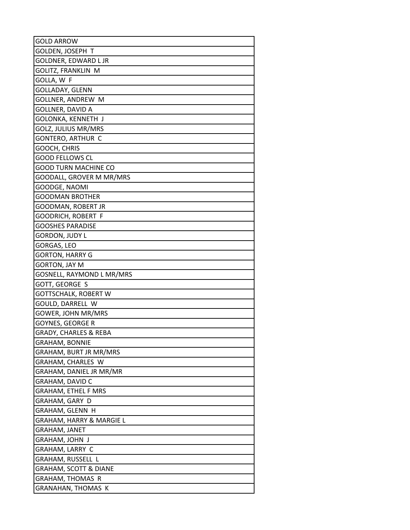| <b>GOLD ARROW</b>                |
|----------------------------------|
| GOLDEN, JOSEPH T                 |
| <b>GOLDNER, EDWARD L JR</b>      |
| GOLITZ, FRANKLIN M               |
| GOLLA, W F                       |
| GOLLADAY, GLENN                  |
| <b>GOLLNER, ANDREW M</b>         |
| GOLLNER, DAVID A                 |
| GOLONKA, KENNETH J               |
| <b>GOLZ, JULIUS MR/MRS</b>       |
| GONTERO, ARTHUR C                |
| GOOCH, CHRIS                     |
| GOOD FELLOWS CL                  |
| <b>GOOD TURN MACHINE CO</b>      |
| GOODALL, GROVER M MR/MRS         |
| GOODGE, NAOMI                    |
| GOODMAN BROTHER                  |
| GOODMAN, ROBERT JR               |
| GOODRICH, ROBERT F               |
| <b>GOOSHES PARADISE</b>          |
| GORDON, JUDY L                   |
| GORGAS, LEO                      |
| <b>GORTON, HARRY G</b>           |
| <b>GORTON, JAY M</b>             |
| GOSNELL, RAYMOND L MR/MRS        |
| GOTT, GEORGE S                   |
| <b>GOTTSCHALK, ROBERT W</b>      |
| GOULD, DARRELL W                 |
| GOWER, JOHN MR/MRS               |
| GOYNES, GEORGE R                 |
| <b>GRADY, CHARLES &amp; REBA</b> |
| GRAHAM, BONNIE                   |
| GRAHAM, BURT JR MR/MRS           |
| GRAHAM, CHARLES W                |
| GRAHAM, DANIEL JR MR/MR          |
| GRAHAM, DAVID C                  |
| GRAHAM, ETHEL F MRS              |
| GRAHAM, GARY D                   |
| GRAHAM, GLENN H                  |
| GRAHAM, HARRY & MARGIE L         |
| GRAHAM, JANET                    |
| GRAHAM, JOHN J                   |
| GRAHAM, LARRY C                  |
| GRAHAM, RUSSELL L                |
| GRAHAM, SCOTT & DIANE            |
| <b>GRAHAM, THOMAS R</b>          |
| <b>GRANAHAN, THOMAS K</b>        |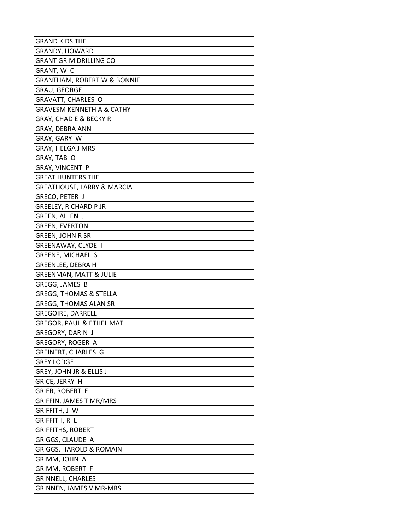| <b>GRAND KIDS THE</b>                  |
|----------------------------------------|
| GRANDY, HOWARD L                       |
| GRANT GRIM DRILLING CO                 |
| GRANT, W C                             |
| <b>GRANTHAM, ROBERT W &amp; BONNIE</b> |
| GRAU, GEORGE                           |
| GRAVATT, CHARLES O                     |
| GRAVESM KENNETH A & CATHY              |
| GRAY, CHAD E & BECKY R                 |
| GRAY, DEBRA ANN                        |
| GRAY, GARY W                           |
| <b>GRAY, HELGA J MRS</b>               |
| GRAY, TAB O                            |
| GRAY, VINCENT P                        |
| <b>GREAT HUNTERS THE</b>               |
| GREATHOUSE, LARRY & MARCIA             |
| GRECO, PETER J                         |
| <b>GREELEY, RICHARD P JR</b>           |
| GREEN, ALLEN J                         |
| <b>GREEN, EVERTON</b>                  |
| <b>GREEN, JOHN R SR</b>                |
| GREENAWAY, CLYDE I                     |
| GREENE, MICHAEL S                      |
| GREENLEE, DEBRA H                      |
| <b>GREENMAN, MATT &amp; JULIE</b>      |
| GREGG, JAMES B                         |
| GREGG, THOMAS & STELLA                 |
| <b>GREGG, THOMAS ALAN SR</b>           |
| <b>GREGOIRE, DARRELL</b>               |
| <b>GREGOR, PAUL &amp; ETHEL MAT</b>    |
| <b>GREGORY, DARIN J</b>                |
| GREGORY, ROGER A                       |
| GREINERT, CHARLES G                    |
| GREY LODGE                             |
| GREY, JOHN JR & ELLIS J                |
| GRICE, JERRY H                         |
| GRIER, ROBERT E                        |
| GRIFFIN, JAMES T MR/MRS                |
| GRIFFITH, J W                          |
| GRIFFITH, R L                          |
| GRIFFITHS, ROBERT                      |
| GRIGGS, CLAUDE A                       |
| <b>GRIGGS, HAROLD &amp; ROMAIN</b>     |
| GRIMM, JOHN A                          |
| GRIMM, ROBERT F                        |
| GRINNELL, CHARLES                      |
| <b>GRINNEN, JAMES V MR-MRS</b>         |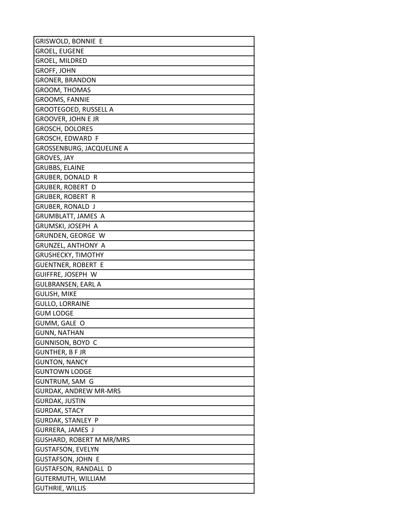| GRISWOLD, BONNIE E               |
|----------------------------------|
| <b>GROEL, EUGENE</b>             |
| <b>GROEL, MILDRED</b>            |
| GROFF, JOHN                      |
| <b>GRONER, BRANDON</b>           |
| GROOM, THOMAS                    |
| <b>GROOMS, FANNIE</b>            |
| <b>GROOTEGOED, RUSSELL A</b>     |
| GROOVER, JOHN E JR               |
| <b>GROSCH, DOLORES</b>           |
| GROSCH, EDWARD F                 |
| <b>GROSSENBURG, JACQUELINE A</b> |
| GROVES, JAY                      |
| <b>GRUBBS, ELAINE</b>            |
| <b>GRUBER, DONALD R</b>          |
| <b>GRUBER, ROBERT D</b>          |
| <b>GRUBER, ROBERT R</b>          |
| <b>GRUBER, RONALD J</b>          |
| GRUMBLATT, JAMES A               |
| GRUMSKI, JOSEPH A                |
| GRUNDEN, GEORGE W                |
| <b>GRUNZEL, ANTHONY A</b>        |
| <b>GRUSHECKY, TIMOTHY</b>        |
| <b>GUENTNER, ROBERT E</b>        |
| GUIFFRE, JOSEPH W                |
| <b>GULBRANSEN, EARL A</b>        |
| <b>GULISH, MIKE</b>              |
| <b>GULLO, LORRAINE</b>           |
| <b>GUM LODGE</b>                 |
| GUMM, GALE O                     |
| <b>GUNN, NATHAN</b>              |
| GUNNISON, BOYD C                 |
| <b>GUNTHER, B F JR</b>           |
| <b>GUNTON, NANCY</b>             |
| <b>GUNTOWN LODGE</b>             |
| <b>GUNTRUM, SAM G</b>            |
| <b>GURDAK, ANDREW MR-MRS</b>     |
| <b>GURDAK, JUSTIN</b>            |
| <b>GURDAK, STACY</b>             |
| <b>GURDAK, STANLEY P</b>         |
| GURRERA, JAMES J                 |
| GUSHARD, ROBERT M MR/MRS         |
| <b>GUSTAFSON, EVELYN</b>         |
| <b>GUSTAFSON, JOHN E</b>         |
| <b>GUSTAFSON, RANDALL D</b>      |
| <b>GUTERMUTH, WILLIAM</b>        |
| <b>GUTHRIE, WILLIS</b>           |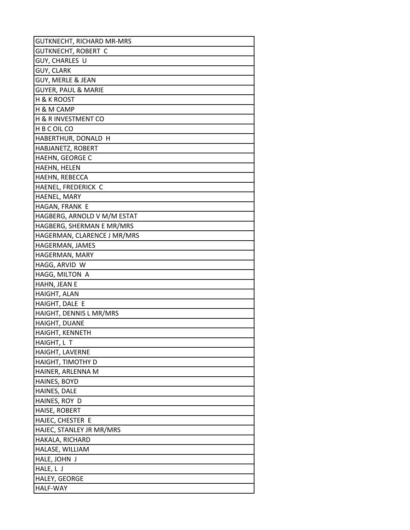| GUTKNECHT, RICHARD MR-MRS      |
|--------------------------------|
| GUTKNECHT, ROBERT C            |
| GUY, CHARLES U                 |
| GUY, CLARK                     |
| GUY, MERLE & JEAN              |
| <b>GUYER, PAUL &amp; MARIE</b> |
| <b>H &amp; K ROOST</b>         |
| H & M CAMP                     |
| <b>H &amp; R INVESTMENT CO</b> |
| H B C OIL CO                   |
| HABERTHUR, DONALD H            |
| HABJANETZ, ROBERT              |
| HAEHN, GEORGE C                |
| HAEHN, HELEN                   |
| HAEHN, REBECCA                 |
| HAENEL, FREDERICK C            |
| HAENEL, MARY                   |
| HAGAN, FRANK E                 |
| HAGBERG, ARNOLD V M/M ESTAT    |
| HAGBERG, SHERMAN E MR/MRS      |
| HAGERMAN, CLARENCE J MR/MRS    |
| HAGERMAN, JAMES                |
| HAGERMAN, MARY                 |
| HAGG, ARVID W                  |
| HAGG, MILTON A                 |
| HAHN, JEAN E                   |
| HAIGHT, ALAN                   |
| HAIGHT, DALE E                 |
| HAIGHT, DENNIS L MR/MRS        |
| <b>HAIGHT, DUANE</b>           |
| <b>HAIGHT, KENNETH</b>         |
| HAIGHT, L T                    |
| HAIGHT, LAVERNE                |
| HAIGHT, TIMOTHY D              |
| HAINER, ARLENNA M              |
| HAINES, BOYD                   |
| HAINES, DALE                   |
| HAINES, ROY D                  |
| HAISE, ROBERT                  |
| HAJEC, CHESTER E               |
| HAJEC, STANLEY JR MR/MRS       |
| HAKALA, RICHARD                |
| HALASE, WILLIAM                |
| HALE, JOHN J                   |
| HALE, L J                      |
| HALEY, GEORGE                  |
| <b>HALF-WAY</b>                |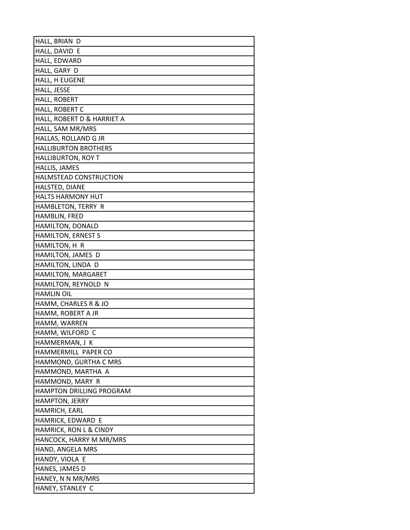| HALL, BRIAN D                   |
|---------------------------------|
| HALL, DAVID E                   |
| HALL, EDWARD                    |
| HALL, GARY D                    |
| HALL, H EUGENE                  |
| HALL, JESSE                     |
| HALL, ROBERT                    |
| HALL, ROBERT C                  |
| HALL, ROBERT D & HARRIET A      |
| HALL, SAM MR/MRS                |
| HALLAS, ROLLAND G JR            |
| <b>HALLIBURTON BROTHERS</b>     |
| <b>HALLIBURTON, ROY T</b>       |
| HALLIS, JAMES                   |
| HALMSTEAD CONSTRUCTION          |
| HALSTED, DIANE                  |
| HALTS HARMONY HUT               |
| HAMBLETON, TERRY R              |
| HAMBLIN, FRED                   |
| HAMILTON, DONALD                |
| HAMILTON, ERNEST S              |
| HAMILTON, H R                   |
| HAMILTON, JAMES D               |
| HAMILTON, LINDA D               |
| HAMILTON, MARGARET              |
| HAMILTON, REYNOLD N             |
| <b>HAMLIN OIL</b>               |
| HAMM, CHARLES R & JO            |
| HAMM, ROBERT A JR               |
| HAMM, WARREN                    |
| HAMM, WILFORD C                 |
| HAMMERMAN, J K                  |
| HAMMERMILL PAPER CO             |
| HAMMOND, GURTHA C MRS           |
| HAMMOND, MARTHA A               |
| HAMMOND, MARY R                 |
| <b>HAMPTON DRILLING PROGRAM</b> |
| HAMPTON, JERRY                  |
| HAMRICH, EARL                   |
| HAMRICK, EDWARD E               |
| HAMRICK, RON L & CINDY          |
| HANCOCK, HARRY M MR/MRS         |
| HAND, ANGELA MRS                |
| HANDY, VIOLA E                  |
| HANES, JAMES D                  |
| HANEY, N N MR/MRS               |
| HANEY, STANLEY C                |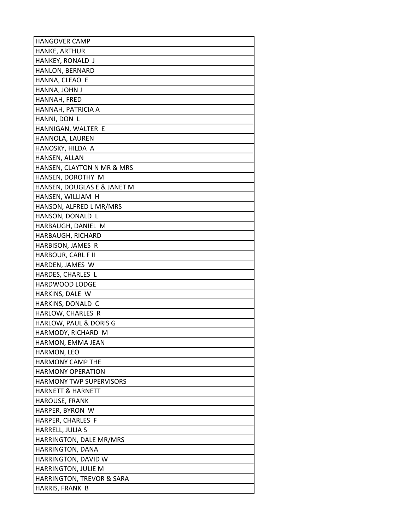| <b>HANGOVER CAMP</b>                    |
|-----------------------------------------|
| HANKE, ARTHUR                           |
| HANKEY, RONALD J                        |
| HANLON, BERNARD                         |
| HANNA, CLEAO E                          |
| HANNA, JOHN J                           |
| HANNAH, FRED                            |
| HANNAH, PATRICIA A                      |
| HANNI, DON L                            |
| HANNIGAN, WALTER E                      |
| HANNOLA, LAUREN                         |
| HANOSKY, HILDA A                        |
| HANSEN, ALLAN                           |
| HANSEN, CLAYTON N MR & MRS              |
| HANSEN, DOROTHY M                       |
| HANSEN, DOUGLAS E & JANET M             |
| HANSEN, WILLIAM H                       |
| HANSON, ALFRED L MR/MRS                 |
| HANSON, DONALD L                        |
| HARBAUGH, DANIEL M                      |
| HARBAUGH, RICHARD                       |
| HARBISON, JAMES R                       |
| HARBOUR, CARL F II                      |
| HARDEN, JAMES W                         |
| HARDES, CHARLES L                       |
| HARDWOOD LODGE                          |
| HARKINS, DALE W                         |
| HARKINS, DONALD C                       |
| HARLOW, CHARLES R                       |
| HARLOW, PAUL & DORIS G                  |
| HARMODY, RICHARD M                      |
| HARMON, EMMA JEAN                       |
| HARMON, LEO                             |
| <b>HARMONY CAMP THE</b>                 |
| <b>HARMONY OPERATION</b>                |
| <b>HARMONY TWP SUPERVISORS</b>          |
| <b>HARNETT &amp; HARNETT</b>            |
| HAROUSE, FRANK                          |
| HARPER, BYRON W                         |
| HARPER, CHARLES F                       |
| HARRELL, JULIA S                        |
| HARRINGTON, DALE MR/MRS                 |
| HARRINGTON, DANA<br>HARRINGTON, DAVID W |
|                                         |
| HARRINGTON, JULIE M                     |
| <b>HARRINGTON, TREVOR &amp; SARA</b>    |
| HARRIS, FRANK B                         |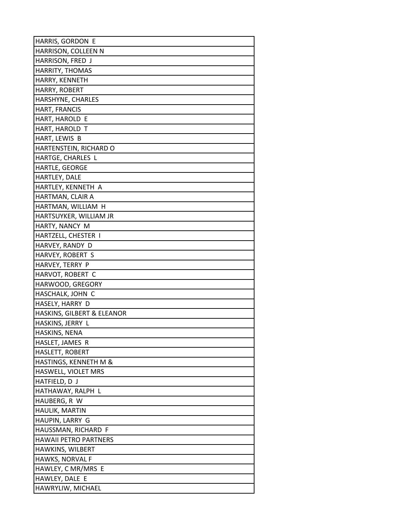| HARRIS, GORDON E             |
|------------------------------|
| HARRISON, COLLEEN N          |
| HARRISON, FRED J             |
| HARRITY, THOMAS              |
| HARRY, KENNETH               |
| HARRY, ROBERT                |
| HARSHYNE, CHARLES            |
| HART, FRANCIS                |
| HART, HAROLD E               |
| HART, HAROLD T               |
| HART, LEWIS B                |
| HARTENSTEIN, RICHARD O       |
| HARTGE, CHARLES L            |
| HARTLE, GEORGE               |
| HARTLEY, DALE                |
| HARTLEY, KENNETH A           |
| HARTMAN, CLAIR A             |
| HARTMAN, WILLIAM H           |
| HARTSUYKER, WILLIAM JR       |
| HARTY, NANCY M               |
| HARTZELL, CHESTER I          |
| HARVEY, RANDY D              |
| HARVEY, ROBERT S             |
| HARVEY, TERRY P              |
| HARVOT, ROBERT C             |
| HARWOOD, GREGORY             |
| HASCHALK, JOHN C             |
| HASELY, HARRY D              |
| HASKINS, GILBERT & ELEANOR   |
| HASKINS, JERRY L             |
| HASKINS, NENA                |
| HASLET, JAMES R              |
| HASLETT, ROBERT              |
| HASTINGS, KENNETH M &        |
| HASWELL, VIOLET MRS          |
| HATFIELD, D J                |
| HATHAWAY, RALPH L            |
| HAUBERG, R W                 |
| HAULIK, MARTIN               |
| HAUPIN, LARRY G              |
| HAUSSMAN, RICHARD F          |
| <b>HAWAII PETRO PARTNERS</b> |
| HAWKINS, WILBERT             |
| HAWKS, NORVAL F              |
| HAWLEY, C MR/MRS E           |
| HAWLEY, DALE E               |
| HAWRYLIW, MICHAEL            |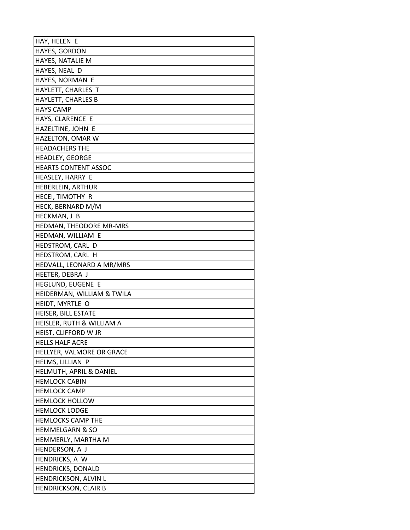| HAY, HELEN E                                 |
|----------------------------------------------|
| HAYES, GORDON                                |
| HAYES, NATALIE M                             |
| HAYES, NEAL D                                |
| HAYES, NORMAN E                              |
| HAYLETT, CHARLES T                           |
| HAYLETT, CHARLES B                           |
| <b>HAYS CAMP</b>                             |
| HAYS, CLARENCE E                             |
| HAZELTINE, JOHN E                            |
| HAZELTON, OMAR W                             |
| <b>HEADACHERS THE</b>                        |
| <b>HEADLEY, GEORGE</b>                       |
| <b>HEARTS CONTENT ASSOC</b>                  |
| HEASLEY, HARRY E                             |
| HEBERLEIN, ARTHUR                            |
| HECEI, TIMOTHY R                             |
| HECK, BERNARD M/M                            |
| HECKMAN, J B                                 |
| HEDMAN, THEODORE MR-MRS                      |
| HEDMAN, WILLIAM E                            |
| HEDSTROM, CARL D                             |
| HEDSTROM, CARL H                             |
| HEDVALL, LEONARD A MR/MRS                    |
| HEETER, DEBRA J                              |
| HEGLUND, EUGENE E                            |
| HEIDERMAN, WILLIAM & TWILA                   |
| HEIDT, MYRTLE O                              |
| HEISER, BILL ESTATE                          |
| HEISLER, RUTH & WILLIAM A                    |
| HEIST, CLIFFORD W JR                         |
| <b>HELLS HALF ACRE</b>                       |
| HELLYER, VALMORE OR GRACE                    |
| HELMS, LILLIAN P                             |
| HELMUTH, APRIL & DANIEL                      |
| <b>HEMLOCK CABIN</b>                         |
| <b>HEMLOCK CAMP</b><br><b>HEMLOCK HOLLOW</b> |
| <b>HEMLOCK LODGE</b>                         |
| <b>HEMLOCKS CAMP THE</b>                     |
| <b>HEMMELGARN &amp; SO</b>                   |
| HEMMERLY, MARTHA M                           |
| HENDERSON, A J                               |
| HENDRICKS, A W                               |
| HENDRICKS, DONALD                            |
| HENDRICKSON, ALVIN L                         |
| <b>HENDRICKSON, CLAIR B</b>                  |
|                                              |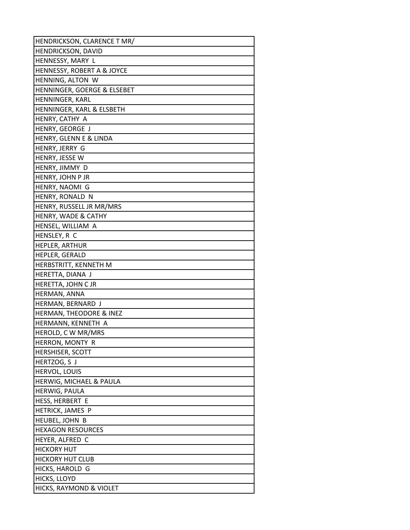| HENDRICKSON, CLARENCE T MR/           |
|---------------------------------------|
| HENDRICKSON, DAVID                    |
| HENNESSY, MARY L                      |
| <b>HENNESSY, ROBERT A &amp; JOYCE</b> |
| HENNING, ALTON W                      |
| HENNINGER, GOERGE & ELSEBET           |
| HENNINGER, KARL                       |
| HENNINGER, KARL & ELSBETH             |
| HENRY, CATHY A                        |
| HENRY, GEORGE J                       |
| HENRY, GLENN E & LINDA                |
| HENRY, JERRY G                        |
| HENRY, JESSE W                        |
| HENRY, JIMMY D                        |
| HENRY, JOHN P JR                      |
| HENRY, NAOMI G                        |
| HENRY, RONALD N                       |
| HENRY, RUSSELL JR MR/MRS              |
| HENRY, WADE & CATHY                   |
| HENSEL, WILLIAM A                     |
| HENSLEY, R C                          |
| HEPLER, ARTHUR                        |
| HEPLER, GERALD                        |
| HERBSTRITT, KENNETH M                 |
| HERETTA, DIANA J                      |
| HERETTA, JOHN C JR                    |
| HERMAN, ANNA                          |
| HERMAN, BERNARD J                     |
| HERMAN, THEODORE & INEZ               |
| HERMANN, KENNETH A                    |
| HEROLD, C W MR/MRS                    |
| HERRON, MONTY R                       |
| HERSHISER, SCOTT                      |
| HERTZOG, S J                          |
| HERVOL, LOUIS                         |
| HERWIG, MICHAEL & PAULA               |
| HERWIG, PAULA                         |
| HESS, HERBERT E                       |
| HETRICK, JAMES P                      |
| HEUBEL, JOHN B                        |
| <b>HEXAGON RESOURCES</b>              |
| HEYER, ALFRED C                       |
| <b>HICKORY HUT</b>                    |
| <b>HICKORY HUT CLUB</b>               |
| HICKS, HAROLD G                       |
| HICKS, LLOYD                          |
| HICKS, RAYMOND & VIOLET               |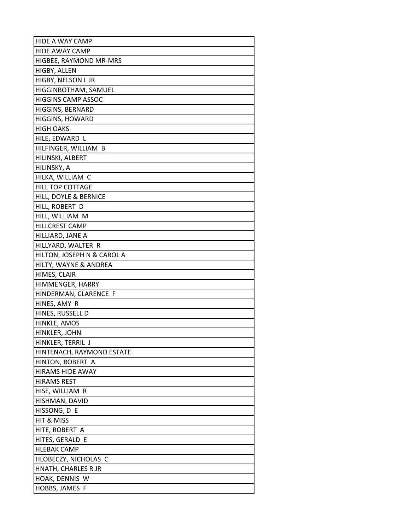| <b>HIDE A WAY CAMP</b>     |
|----------------------------|
| <b>HIDE AWAY CAMP</b>      |
| HIGBEE, RAYMOND MR-MRS     |
| HIGBY, ALLEN               |
| HIGBY, NELSON L JR         |
| HIGGINBOTHAM, SAMUEL       |
| <b>HIGGINS CAMP ASSOC</b>  |
| HIGGINS, BERNARD           |
| <b>HIGGINS, HOWARD</b>     |
| <b>HIGH OAKS</b>           |
| HILE, EDWARD L             |
| HILFINGER, WILLIAM B       |
| HILINSKI, ALBERT           |
| HILINSKY, A                |
| HILKA, WILLIAM C           |
| <b>HILL TOP COTTAGE</b>    |
| HILL, DOYLE & BERNICE      |
| HILL, ROBERT D             |
| HILL, WILLIAM M            |
| HILLCREST CAMP             |
| HILLIARD, JANE A           |
| HILLYARD, WALTER R         |
| HILTON, JOSEPH N & CAROL A |
| HILTY, WAYNE & ANDREA      |
| HIMES, CLAIR               |
| HIMMENGER, HARRY           |
| HINDERMAN, CLARENCE F      |
| HINES, AMY R               |
| HINES, RUSSELL D           |
| HINKLE, AMOS               |
| HINKLER, JOHN              |
| HINKLER, TERRIL J          |
| HINTENACH, RAYMOND ESTATE  |
| HINTON, ROBERT A           |
| <b>HIRAMS HIDE AWAY</b>    |
| <b>HIRAMS REST</b>         |
| HISE, WILLIAM R            |
| HISHMAN, DAVID             |
| HISSONG, D E               |
| HIT & MISS                 |
| HITE, ROBERT A             |
| HITES, GERALD E            |
| <b>HLEBAK CAMP</b>         |
| HLOBECZY, NICHOLAS C       |
| HNATH, CHARLES R JR        |
| HOAK, DENNIS W             |
| HOBBS, JAMES F             |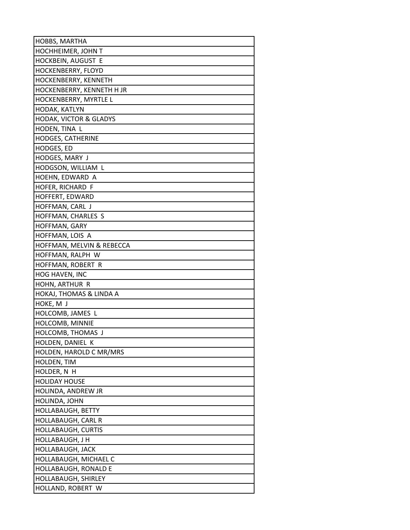| HOBBS, MARTHA                     |
|-----------------------------------|
| HOCHHEIMER, JOHN T                |
| HOCKBEIN, AUGUST E                |
| HOCKENBERRY, FLOYD                |
| HOCKENBERRY, KENNETH              |
| HOCKENBERRY, KENNETH H JR         |
| HOCKENBERRY, MYRTLE L             |
| HODAK, KATLYN                     |
| <b>HODAK, VICTOR &amp; GLADYS</b> |
| HODEN, TINA L                     |
| HODGES, CATHERINE                 |
| HODGES, ED                        |
| HODGES, MARY J                    |
| HODGSON, WILLIAM L                |
| HOEHN, EDWARD A                   |
| HOFER, RICHARD F                  |
| HOFFERT, EDWARD                   |
| HOFFMAN, CARL J                   |
| HOFFMAN, CHARLES S                |
| HOFFMAN, GARY                     |
| HOFFMAN, LOIS A                   |
| HOFFMAN, MELVIN & REBECCA         |
| HOFFMAN, RALPH W                  |
| HOFFMAN, ROBERT R                 |
| HOG HAVEN, INC                    |
| HOHN, ARTHUR R                    |
| HOKAJ, THOMAS & LINDA A           |
| HOKE, M J                         |
| HOLCOMB, JAMES L                  |
| HOLCOMB, MINNIE                   |
| HOLCOMB, THOMAS J                 |
| HOLDEN, DANIEL K                  |
| HOLDEN, HAROLD C MR/MRS           |
| HOLDEN, TIM                       |
| HOLDER, N H                       |
| <b>HOLIDAY HOUSE</b>              |
| HOLINDA, ANDREW JR                |
| HOLINDA, JOHN                     |
| <b>HOLLABAUGH, BETTY</b>          |
| HOLLABAUGH, CARL R                |
| <b>HOLLABAUGH, CURTIS</b>         |
| HOLLABAUGH, J H                   |
| HOLLABAUGH, JACK                  |
| HOLLABAUGH, MICHAEL C             |
| HOLLABAUGH, RONALD E              |
| <b>HOLLABAUGH, SHIRLEY</b>        |
| HOLLAND, ROBERT W                 |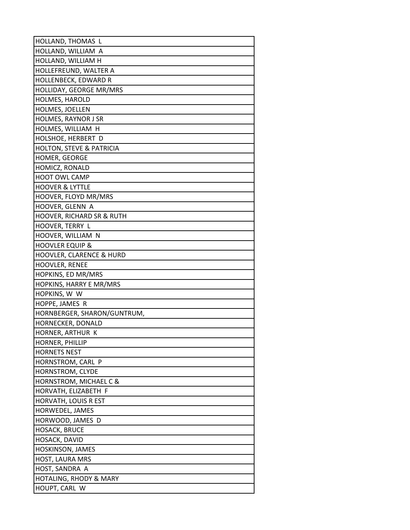| HOLLAND, THOMAS L                            |
|----------------------------------------------|
| HOLLAND, WILLIAM A                           |
| HOLLAND, WILLIAM H                           |
| HOLLEFREUND, WALTER A                        |
| HOLLENBECK, EDWARD R                         |
| HOLLIDAY, GEORGE MR/MRS                      |
| HOLMES, HAROLD                               |
| HOLMES, JOELLEN                              |
| HOLMES, RAYNOR J SR                          |
| HOLMES, WILLIAM H                            |
| HOLSHOE, HERBERT D                           |
| HOLTON, STEVE & PATRICIA                     |
| HOMER, GEORGE                                |
| HOMICZ, RONALD                               |
| <b>HOOT OWL CAMP</b>                         |
| <b>HOOVER &amp; LYTTLE</b>                   |
| HOOVER, FLOYD MR/MRS                         |
| HOOVER, GLENN A                              |
| <b>HOOVER, RICHARD SR &amp; RUTH</b>         |
| HOOVER, TERRY L                              |
| HOOVER, WILLIAM N                            |
| <b>HOOVLER EQUIP &amp;</b>                   |
| HOOVLER, CLARENCE & HURD                     |
| HOOVLER, RENEE                               |
| HOPKINS, ED MR/MRS                           |
| HOPKINS, HARRY E MR/MRS                      |
| HOPKINS, W W                                 |
| HOPPE, JAMES R                               |
| HORNBERGER, SHARON/GUNTRUM,                  |
| HORNECKER, DONALD                            |
| HORNER, ARTHUR K                             |
| HORNER, PHILLIP                              |
| <b>HORNETS NEST</b>                          |
| HORNSTROM, CARL P                            |
| HORNSTROM, CLYDE                             |
| HORNSTROM, MICHAEL C &                       |
| HORVATH, ELIZABETH F<br>HORVATH, LOUIS R EST |
| HORWEDEL, JAMES                              |
| HORWOOD, JAMES D                             |
| <b>HOSACK, BRUCE</b>                         |
| HOSACK, DAVID                                |
| HOSKINSON, JAMES                             |
| HOST, LAURA MRS                              |
| HOST, SANDRA A                               |
| <b>HOTALING, RHODY &amp; MARY</b>            |
| HOUPT, CARL W                                |
|                                              |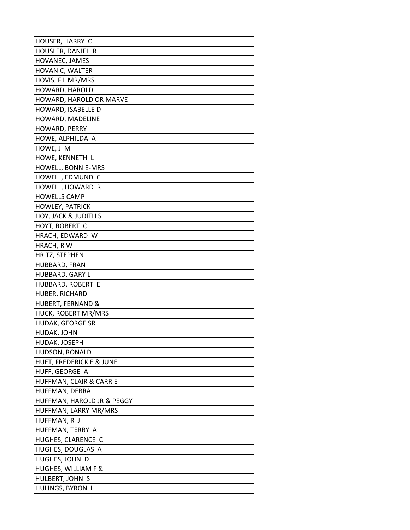| HOUSER, HARRY C              |
|------------------------------|
| HOUSLER, DANIEL R            |
| HOVANEC, JAMES               |
| HOVANIC, WALTER              |
| HOVIS, F L MR/MRS            |
| HOWARD, HAROLD               |
| HOWARD, HAROLD OR MARVE      |
| HOWARD, ISABELLE D           |
| HOWARD, MADELINE             |
| HOWARD, PERRY                |
| HOWE, ALPHILDA A             |
| HOWE, J M                    |
| HOWE, KENNETH L              |
| HOWELL, BONNIE-MRS           |
| HOWELL, EDMUND C             |
| HOWELL, HOWARD R             |
| <b>HOWELLS CAMP</b>          |
| <b>HOWLEY, PATRICK</b>       |
| HOY, JACK & JUDITH S         |
| HOYT, ROBERT C               |
| HRACH, EDWARD W              |
| HRACH, R W                   |
| HRITZ, STEPHEN               |
| HUBBARD, FRAN                |
| HUBBARD, GARY L              |
| HUBBARD, ROBERT E            |
| HUBER, RICHARD               |
| <b>HUBERT, FERNAND &amp;</b> |
| HUCK, ROBERT MR/MRS          |
| HUDAK, GEORGE SR             |
| HUDAK, JOHN                  |
| HUDAK, JOSEPH                |
| HUDSON, RONALD               |
| HUET, FREDERICK E & JUNE     |
| HUFF, GEORGE A               |
| HUFFMAN, CLAIR & CARRIE      |
| HUFFMAN, DEBRA               |
| HUFFMAN, HAROLD JR & PEGGY   |
| HUFFMAN, LARRY MR/MRS        |
| HUFFMAN, R J                 |
| HUFFMAN, TERRY A             |
| HUGHES, CLARENCE C           |
| HUGHES, DOUGLAS A            |
| HUGHES, JOHN D               |
| HUGHES, WILLIAM F &          |
| HULBERT, JOHN S              |
| HULINGS, BYRON L             |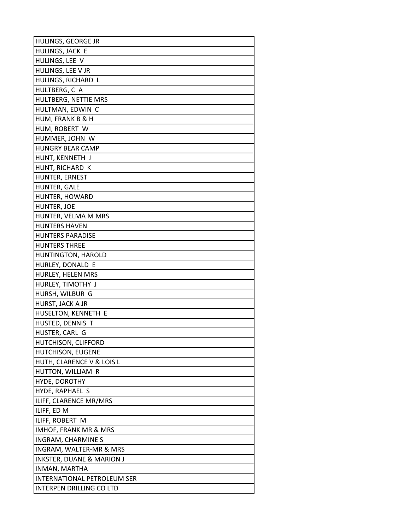| HULINGS, GEORGE JR                   |
|--------------------------------------|
| HULINGS, JACK E                      |
| HULINGS, LEE V                       |
| HULINGS, LEE V JR                    |
| HULINGS, RICHARD L                   |
| HULTBERG, C A                        |
| HULTBERG, NETTIE MRS                 |
| HULTMAN, EDWIN C                     |
| HUM, FRANK B & H                     |
| HUM, ROBERT W                        |
| HUMMER, JOHN W                       |
| <b>HUNGRY BEAR CAMP</b>              |
| HUNT, KENNETH J                      |
| HUNT, RICHARD K                      |
| HUNTER, ERNEST                       |
| HUNTER, GALE                         |
| HUNTER, HOWARD                       |
| HUNTER, JOE                          |
| HUNTER, VELMA M MRS                  |
| <b>HUNTERS HAVEN</b>                 |
| <b>HUNTERS PARADISE</b>              |
| <b>HUNTERS THREE</b>                 |
| HUNTINGTON, HAROLD                   |
| HURLEY, DONALD E                     |
| HURLEY, HELEN MRS                    |
| HURLEY, TIMOTHY J                    |
| HURSH, WILBUR G                      |
| HURST, JACK A JR                     |
| HUSELTON, KENNETH E                  |
| HUSTED, DENNIS T                     |
| HUSTER, CARL G                       |
| HUTCHISON, CLIFFORD                  |
| HUTCHISON, EUGENE                    |
| HUTH, CLARENCE V & LOIS L            |
| HUTTON, WILLIAM R                    |
| HYDE, DOROTHY                        |
| HYDE, RAPHAEL S                      |
| ILIFF, CLARENCE MR/MRS               |
| ILIFF, ED M                          |
| ILIFF, ROBERT M                      |
| <b>IMHOF, FRANK MR &amp; MRS</b>     |
| <b>INGRAM, CHARMINE S</b>            |
| INGRAM, WALTER-MR & MRS              |
| <b>INKSTER, DUANE &amp; MARION J</b> |
| INMAN, MARTHA                        |
| INTERNATIONAL PETROLEUM SER          |
| INTERPEN DRILLING CO LTD             |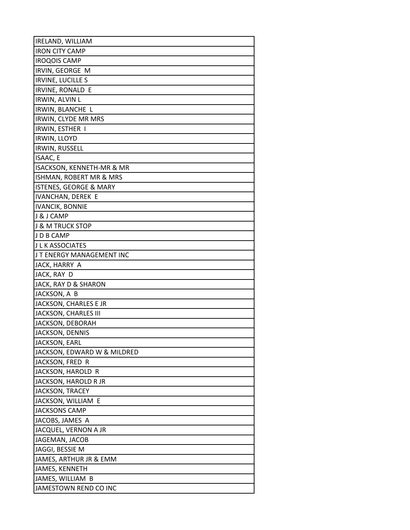| <b>IRELAND, WILLIAM</b>           |
|-----------------------------------|
| <b>IRON CITY CAMP</b>             |
| <b>IROQOIS CAMP</b>               |
| IRVIN, GEORGE M                   |
| <b>IRVINE, LUCILLE S</b>          |
| <b>IRVINE, RONALD E</b>           |
| <b>IRWIN, ALVIN L</b>             |
| IRWIN, BLANCHE L                  |
| IRWIN, CLYDE MR MRS               |
| IRWIN, ESTHER I                   |
| IRWIN, LLOYD                      |
| IRWIN, RUSSELL                    |
| <b>ISAAC, E</b>                   |
| ISACKSON, KENNETH-MR & MR         |
| ISHMAN, ROBERT MR & MRS           |
| <b>ISTENES, GEORGE &amp; MARY</b> |
| <b>IVANCHAN, DEREK E</b>          |
| <b>IVANCIK, BONNIE</b>            |
| J & J CAMP                        |
| J & M TRUCK STOP                  |
| JDB CAMP                          |
| <b>JLKASSOCIATES</b>              |
| J T ENERGY MANAGEMENT INC         |
| JACK, HARRY A                     |
| JACK, RAY D                       |
| JACK, RAY D & SHARON              |
| JACKSON, A B                      |
| JACKSON, CHARLES E JR             |
| JACKSON, CHARLES III              |
| JACKSON, DEBORAH                  |
| <b>JACKSON, DENNIS</b>            |
| <b>JACKSON, EARL</b>              |
| JACKSON, EDWARD W & MILDRED       |
| JACKSON, FRED R                   |
| JACKSON, HAROLD R                 |
| JACKSON, HAROLD R JR              |
| JACKSON, TRACEY                   |
| JACKSON, WILLIAM E                |
| <b>JACKSONS CAMP</b>              |
| JACOBS, JAMES A                   |
| JACQUEL, VERNON A JR              |
| JAGEMAN, JACOB                    |
| JAGGI, BESSIE M                   |
| JAMES, ARTHUR JR & EMM            |
| JAMES, KENNETH                    |
| JAMES, WILLIAM B                  |
| JAMESTOWN REND CO INC             |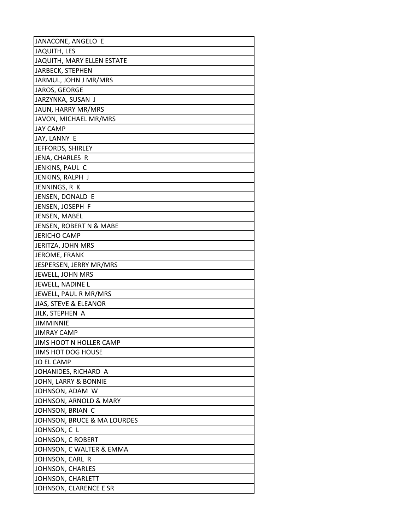| JANACONE, ANGELO E                |
|-----------------------------------|
| <b>JAQUITH, LES</b>               |
| <b>JAQUITH, MARY ELLEN ESTATE</b> |
| JARBECK, STEPHEN                  |
| JARMUL, JOHN J MR/MRS             |
| JAROS, GEORGE                     |
| JARZYNKA, SUSAN J                 |
| JAUN, HARRY MR/MRS                |
| JAVON, MICHAEL MR/MRS             |
| <b>JAY CAMP</b>                   |
| JAY, LANNY E                      |
| JEFFORDS, SHIRLEY                 |
| JENA, CHARLES R                   |
| JENKINS, PAUL C                   |
| JENKINS, RALPH J                  |
| JENNINGS, R K                     |
| JENSEN, DONALD E                  |
| JENSEN, JOSEPH F                  |
| JENSEN, MABEL                     |
| JENSEN, ROBERT N & MABE           |
| <b>JERICHO CAMP</b>               |
| JERITZA, JOHN MRS                 |
| JEROME, FRANK                     |
| JESPERSEN, JERRY MR/MRS           |
| JEWELL, JOHN MRS                  |
| JEWELL, NADINE L                  |
| JEWELL, PAUL R MR/MRS             |
| JIAS, STEVE & ELEANOR             |
| JILK, STEPHEN A                   |
| <b>JIMMINNIE</b>                  |
| <b>JIMRAY CAMP</b>                |
| JIMS HOOT N HOLLER CAMP           |
| JIMS HOT DOG HOUSE                |
| <b>JO EL CAMP</b>                 |
| JOHANIDES, RICHARD A              |
| JOHN, LARRY & BONNIE              |
| JOHNSON, ADAM W                   |
| JOHNSON, ARNOLD & MARY            |
| JOHNSON, BRIAN C                  |
| JOHNSON, BRUCE & MA LOURDES       |
| JOHNSON, C L                      |
| JOHNSON, C ROBERT                 |
| JOHNSON, C WALTER & EMMA          |
| JOHNSON, CARL R                   |
| JOHNSON, CHARLES                  |
| JOHNSON, CHARLETT                 |
| JOHNSON, CLARENCE E SR            |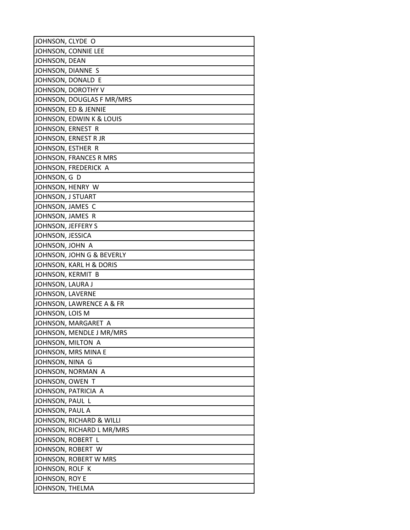| JOHNSON, CLYDE O          |
|---------------------------|
| JOHNSON, CONNIE LEE       |
| JOHNSON, DEAN             |
| JOHNSON, DIANNE S         |
| JOHNSON, DONALD E         |
| JOHNSON, DOROTHY V        |
| JOHNSON, DOUGLAS F MR/MRS |
| JOHNSON, ED & JENNIE      |
| JOHNSON, EDWIN K & LOUIS  |
| JOHNSON, ERNEST R         |
| JOHNSON, ERNEST R JR      |
| JOHNSON, ESTHER R         |
| JOHNSON, FRANCES R MRS    |
| JOHNSON, FREDERICK A      |
| JOHNSON, G D              |
| JOHNSON, HENRY W          |
| JOHNSON, J STUART         |
| JOHNSON, JAMES C          |
| JOHNSON, JAMES R          |
| JOHNSON, JEFFERY S        |
| JOHNSON, JESSICA          |
| JOHNSON, JOHN A           |
| JOHNSON, JOHN G & BEVERLY |
| JOHNSON, KARL H & DORIS   |
| JOHNSON, KERMIT B         |
| JOHNSON, LAURA J          |
| JOHNSON, LAVERNE          |
| JOHNSON, LAWRENCE A & FR  |
| JOHNSON, LOIS M           |
| JOHNSON, MARGARET A       |
| JOHNSON, MENDLE J MR/MRS  |
| JOHNSON, MILTON A         |
| JOHNSON, MRS MINA E       |
| JOHNSON, NINA G           |
| JOHNSON, NORMAN A         |
| JOHNSON, OWEN T           |
| JOHNSON, PATRICIA A       |
| JOHNSON, PAUL L           |
| JOHNSON, PAUL A           |
| JOHNSON, RICHARD & WILLI  |
| JOHNSON, RICHARD L MR/MRS |
| JOHNSON, ROBERT L         |
| JOHNSON, ROBERT W         |
| JOHNSON, ROBERT W MRS     |
| JOHNSON, ROLF K           |
| JOHNSON, ROY E            |
| JOHNSON, THELMA           |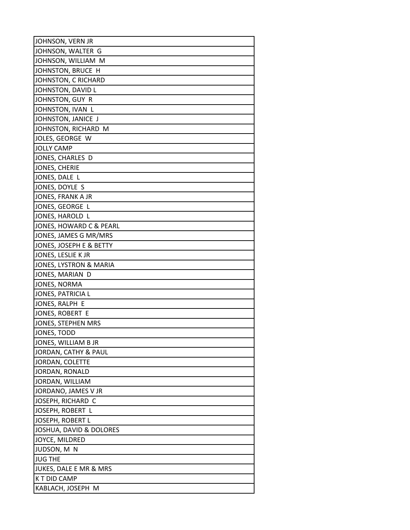| JOHNSON, VERN JR        |
|-------------------------|
| JOHNSON, WALTER G       |
| JOHNSON, WILLIAM M      |
| JOHNSTON, BRUCE H       |
| JOHNSTON, C RICHARD     |
| JOHNSTON, DAVID L       |
| JOHNSTON, GUY R         |
| JOHNSTON, IVAN L        |
| JOHNSTON, JANICE J      |
| JOHNSTON, RICHARD M     |
| JOLES, GEORGE W         |
| <b>JOLLY CAMP</b>       |
| JONES, CHARLES D        |
| JONES, CHERIE           |
| JONES, DALE L           |
| JONES, DOYLE S          |
| JONES, FRANK A JR       |
| JONES, GEORGE L         |
| JONES, HAROLD L         |
| JONES, HOWARD C & PEARL |
| JONES, JAMES G MR/MRS   |
| JONES, JOSEPH E & BETTY |
| JONES, LESLIE K JR      |
| JONES, LYSTRON & MARIA  |
| JONES, MARIAN D         |
| JONES, NORMA            |
| JONES, PATRICIA L       |
| JONES, RALPH E          |
| JONES, ROBERT E         |
| JONES, STEPHEN MRS      |
| JONES, TODD             |
| JONES, WILLIAM B JR     |
| JORDAN, CATHY & PAUL    |
| JORDAN, COLETTE         |
| JORDAN, RONALD          |
| JORDAN, WILLIAM         |
| JORDANO, JAMES V JR     |
| JOSEPH, RICHARD C       |
| JOSEPH, ROBERT L        |
| JOSEPH, ROBERT L        |
| JOSHUA, DAVID & DOLORES |
| JOYCE, MILDRED          |
| JUDSON, M N             |
| <b>JUG THE</b>          |
| JUKES, DALE E MR & MRS  |
| K T DID CAMP            |
| KABLACH, JOSEPH M       |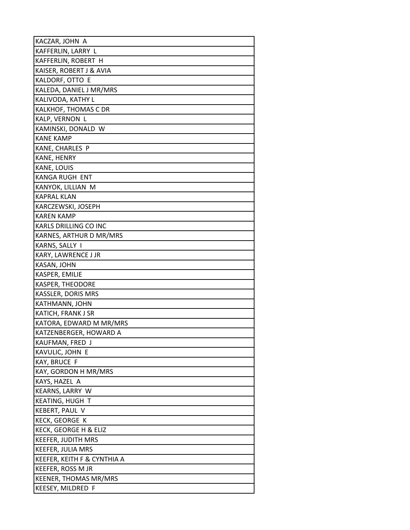| KACZAR, JOHN A              |
|-----------------------------|
| KAFFERLIN, LARRY L          |
| KAFFERLIN, ROBERT H         |
| KAISER, ROBERT J & AVIA     |
| KALDORF, OTTO E             |
| KALEDA, DANIEL J MR/MRS     |
| KALIVODA, KATHY L           |
| KALKHOF, THOMAS C DR        |
| KALP, VERNON L              |
| KAMINSKI, DONALD W          |
| <b>KANE KAMP</b>            |
| KANE, CHARLES P             |
| KANE, HENRY                 |
| KANE, LOUIS                 |
| KANGA RUGH ENT              |
| KANYOK, LILLIAN M           |
| <b>KAPRAL KLAN</b>          |
| KARCZEWSKI, JOSEPH          |
| <b>KAREN KAMP</b>           |
| KARLS DRILLING CO INC       |
| KARNES, ARTHUR D MR/MRS     |
| KARNS, SALLY I              |
| KARY, LAWRENCE J JR         |
| KASAN, JOHN                 |
| KASPER, EMILIE              |
| <b>KASPER, THEODORE</b>     |
| KASSLER, DORIS MRS          |
| KATHMANN, JOHN              |
| KATICH, FRANK J SR          |
| KATORA, EDWARD M MR/MRS     |
| KATZENBERGER, HOWARD A      |
| KAUFMAN, FRED J             |
| KAVULIC, JOHN E             |
| KAY, BRUCE F                |
| KAY, GORDON H MR/MRS        |
| KAYS, HAZEL A               |
| KEARNS, LARRY W             |
| KEATING, HUGH T             |
| KEBERT, PAUL V              |
| KECK, GEORGE K              |
| KECK, GEORGE H & ELIZ       |
| <b>KEEFER, JUDITH MRS</b>   |
| KEEFER, JULIA MRS           |
| KEEFER, KEITH F & CYNTHIA A |
| KEEFER, ROSS M JR           |
| KEENER, THOMAS MR/MRS       |
| KEESEY, MILDRED F           |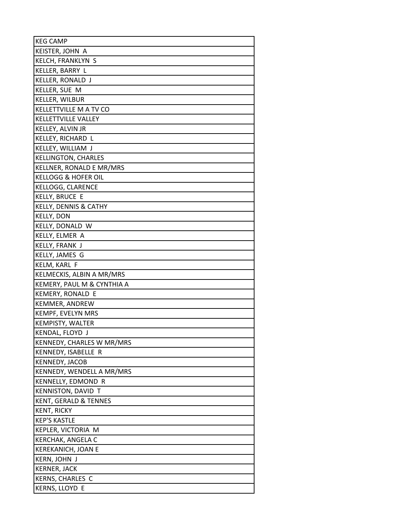| <b>KEG CAMP</b>            |
|----------------------------|
| KEISTER, JOHN A            |
| KELCH, FRANKLYN S          |
| KELLER, BARRY L            |
| KELLER, RONALD J           |
| KELLER, SUE M              |
| KELLER, WILBUR             |
| KELLETTVILLE M A TV CO     |
| KELLETTVILLE VALLEY        |
| KELLEY, ALVIN JR           |
| KELLEY, RICHARD L          |
| KELLEY, WILLIAM J          |
| <b>KELLINGTON, CHARLES</b> |
| KELLNER, RONALD E MR/MRS   |
| KELLOGG & HOFER OIL        |
| KELLOGG, CLARENCE          |
| <b>KELLY, BRUCE E</b>      |
| KELLY, DENNIS & CATHY      |
| <b>KELLY, DON</b>          |
| KELLY, DONALD W            |
| KELLY, ELMER A             |
| KELLY, FRANK J             |
| KELLY, JAMES G             |
| KELM, KARL F               |
| KELMECKIS, ALBIN A MR/MRS  |
| KEMERY, PAUL M & CYNTHIA A |
| KEMERY, RONALD E           |
| KEMMER, ANDREW             |
| KEMPF, EVELYN MRS          |
| KEMPISTY, WALTER           |
| KENDAL, FLOYD J            |
| KENNEDY, CHARLES W MR/MRS  |
| KENNEDY, ISABELLE R        |
| KENNEDY, JACOB             |
| KENNEDY, WENDELL A MR/MRS  |
| KENNELLY, EDMOND R         |
| <b>KENNISTON, DAVID T</b>  |
| KENT, GERALD & TENNES      |
| <b>KENT, RICKY</b>         |
| <b>KEP'S KASTLE</b>        |
| KEPLER, VICTORIA M         |
| KERCHAK, ANGELA C          |
| KEREKANICH, JOAN E         |
| <b>KERN, JOHN J</b>        |
| <b>KERNER, JACK</b>        |
| <b>KERNS, CHARLES C</b>    |
| KERNS, LLOYD E             |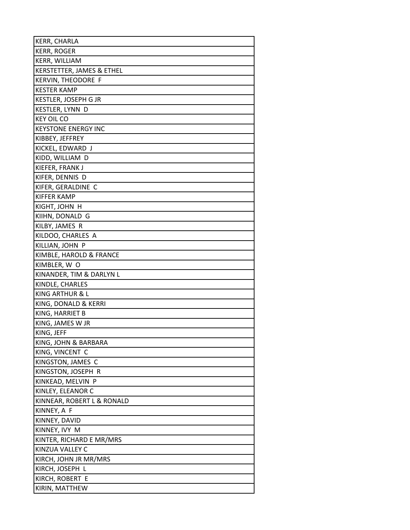| KERR, CHARLA               |
|----------------------------|
| <b>KERR, ROGER</b>         |
| KERR, WILLIAM              |
| KERSTETTER, JAMES & ETHEL  |
| <b>KERVIN, THEODORE F</b>  |
| <b>KESTER KAMP</b>         |
| KESTLER, JOSEPH G JR       |
| KESTLER, LYNN D            |
| <b>KEY OIL CO</b>          |
| <b>KEYSTONE ENERGY INC</b> |
| KIBBEY, JEFFREY            |
| KICKEL, EDWARD J           |
| KIDD, WILLIAM D            |
| KIEFER, FRANK J            |
| KIFER, DENNIS D            |
| KIFER, GERALDINE C         |
| <b>KIFFER KAMP</b>         |
| KIGHT, JOHN H              |
| KIIHN, DONALD G            |
| KILBY, JAMES R             |
| KILDOO, CHARLES A          |
| KILLIAN, JOHN P            |
| KIMBLE, HAROLD & FRANCE    |
| KIMBLER, W O               |
| KINANDER, TIM & DARLYN L   |
| KINDLE, CHARLES            |
| KING ARTHUR & L            |
| KING, DONALD & KERRI       |
| KING, HARRIET B            |
| KING, JAMES W JR           |
| KING, JEFF                 |
| KING, JOHN & BARBARA       |
| KING, VINCENT C            |
| KINGSTON, JAMES C          |
| KINGSTON, JOSEPH R         |
| KINKEAD, MELVIN P          |
| KINLEY, ELEANOR C          |
| KINNEAR, ROBERT L & RONALD |
| KINNEY, A F                |
| KINNEY, DAVID              |
| KINNEY, IVY M              |
| KINTER, RICHARD E MR/MRS   |
| KINZUA VALLEY C            |
| KIRCH, JOHN JR MR/MRS      |
| KIRCH, JOSEPH L            |
| KIRCH, ROBERT E            |
| KIRIN, MATTHEW             |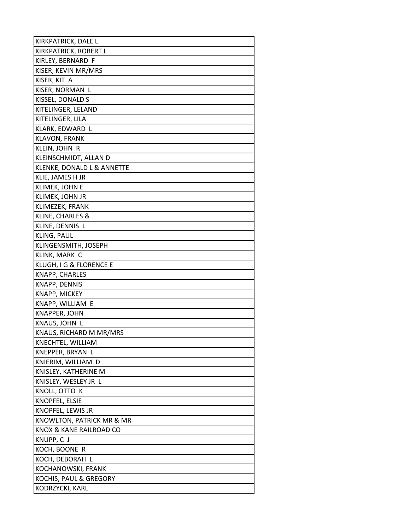| KIRKPATRICK, DALE L        |
|----------------------------|
| KIRKPATRICK, ROBERT L      |
| KIRLEY, BERNARD F          |
| KISER, KEVIN MR/MRS        |
| KISER, KIT A               |
| KISER, NORMAN L            |
| KISSEL, DONALD S           |
| KITELINGER, LELAND         |
| KITELINGER, LILA           |
| KLARK, EDWARD L            |
| <b>KLAVON, FRANK</b>       |
| KLEIN, JOHN R              |
| KLEINSCHMIDT, ALLAN D      |
| KLENKE, DONALD L & ANNETTE |
| KLIE, JAMES H JR           |
| KLIMEK, JOHN E             |
| KLIMEK, JOHN JR            |
| KLIMEZEK, FRANK            |
| KLINE, CHARLES &           |
| KLINE, DENNIS L            |
| KLING, PAUL                |
| KLINGENSMITH, JOSEPH       |
| KLINK, MARK C              |
| KLUGH, I G & FLORENCE E    |
| KNAPP, CHARLES             |
| KNAPP, DENNIS              |
| KNAPP, MICKEY              |
| KNAPP, WILLIAM E           |
| <b>KNAPPER, JOHN</b>       |
| KNAUS, JOHN L              |
| KNAUS, RICHARD M MR/MRS    |
| KNECHTEL, WILLIAM          |
| KNEPPER, BRYAN L           |
| KNIERIM, WILLIAM D         |
| KNISLEY, KATHERINE M       |
| KNISLEY, WESLEY JR L       |
| KNOLL, OTTO K              |
| KNOPFEL, ELSIE             |
| KNOPFEL, LEWIS JR          |
| KNOWLTON, PATRICK MR & MR  |
| KNOX & KANE RAILROAD CO    |
| KNUPP, C J                 |
| KOCH, BOONE R              |
| KOCH, DEBORAH L            |
| KOCHANOWSKI, FRANK         |
| KOCHIS, PAUL & GREGORY     |
| KODRZYCKI, KARL            |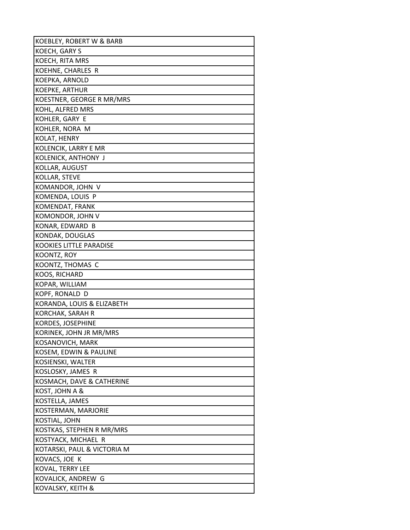| KOEBLEY, ROBERT W & BARB    |
|-----------------------------|
| KOECH, GARY S               |
| KOECH, RITA MRS             |
| KOEHNE, CHARLES R           |
| KOEPKA, ARNOLD              |
| KOEPKE, ARTHUR              |
| KOESTNER, GEORGE R MR/MRS   |
| KOHL, ALFRED MRS            |
| KOHLER, GARY E              |
| KOHLER, NORA M              |
| KOLAT, HENRY                |
| KOLENCIK, LARRY E MR        |
| KOLENICK, ANTHONY J         |
| KOLLAR, AUGUST              |
| KOLLAR, STEVE               |
| KOMANDOR, JOHN V            |
| KOMENDA, LOUIS P            |
| KOMENDAT, FRANK             |
| KOMONDOR, JOHN V            |
| KONAR, EDWARD B             |
| KONDAK, DOUGLAS             |
| KOOKIES LITTLE PARADISE     |
| KOONTZ, ROY                 |
| KOONTZ, THOMAS C            |
| KOOS, RICHARD               |
| KOPAR, WILLIAM              |
| KOPF, RONALD D              |
| KORANDA, LOUIS & ELIZABETH  |
| <b>KORCHAK, SARAH R</b>     |
| KORDES, JOSEPHINE           |
| KORINEK, JOHN JR MR/MRS     |
| KOSANOVICH, MARK            |
| KOSEM, EDWIN & PAULINE      |
| KOSIENSKI, WALTER           |
| KOSLOSKY, JAMES R           |
| KOSMACH, DAVE & CATHERINE   |
| KOST, JOHN A &              |
| KOSTELLA, JAMES             |
| KOSTERMAN, MARJORIE         |
| KOSTIAL, JOHN               |
| KOSTKAS, STEPHEN R MR/MRS   |
| KOSTYACK, MICHAEL R         |
| KOTARSKI, PAUL & VICTORIA M |
| KOVACS, JOE K               |
| KOVAL, TERRY LEE            |
| KOVALICK, ANDREW G          |
| KOVALSKY, KEITH &           |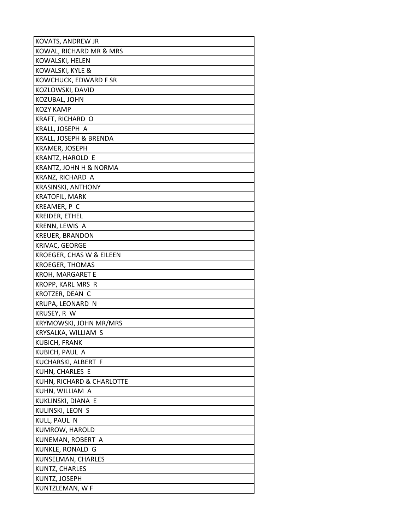| KOVATS, ANDREW JR         |
|---------------------------|
| KOWAL, RICHARD MR & MRS   |
| KOWALSKI, HELEN           |
| KOWALSKI, KYLE &          |
| KOWCHUCK, EDWARD F SR     |
| KOZLOWSKI, DAVID          |
| KOZUBAL, JOHN             |
| KOZY KAMP                 |
| KRAFT, RICHARD O          |
| KRALL, JOSEPH A           |
| KRALL, JOSEPH & BRENDA    |
| KRAMER, JOSEPH            |
| KRANTZ, HAROLD E          |
| KRANTZ, JOHN H & NORMA    |
| KRANZ, RICHARD A          |
| <b>KRASINSKI, ANTHONY</b> |
| <b>KRATOFIL, MARK</b>     |
| KREAMER, P C              |
| KREIDER, ETHEL            |
| KRENN, LEWIS A            |
| <b>KREUER, BRANDON</b>    |
| KRIVAC, GEORGE            |
| KROEGER, CHAS W & EILEEN  |
| <b>KROEGER, THOMAS</b>    |
| KROH, MARGARET E          |
| KROPP, KARL MRS R         |
| KROTZER, DEAN C           |
| KRUPA, LEONARD N          |
| KRUSEY, R W               |
| KRYMOWSKI, JOHN MR/MRS    |
| KRYSALKA, WILLIAM S       |
| KUBICH, FRANK             |
| KUBICH, PAUL A            |
| KUCHARSKI, ALBERT F       |
| KUHN, CHARLES E           |
| KUHN, RICHARD & CHARLOTTE |
| KUHN, WILLIAM A           |
| KUKLINSKI, DIANA E        |
| KULINSKI, LEON S          |
| KULL, PAUL N              |
| KUMROW, HAROLD            |
| KUNEMAN, ROBERT A         |
| KUNKLE, RONALD G          |
| KUNSELMAN, CHARLES        |
| KUNTZ, CHARLES            |
| KUNTZ, JOSEPH             |
| KUNTZLEMAN, W F           |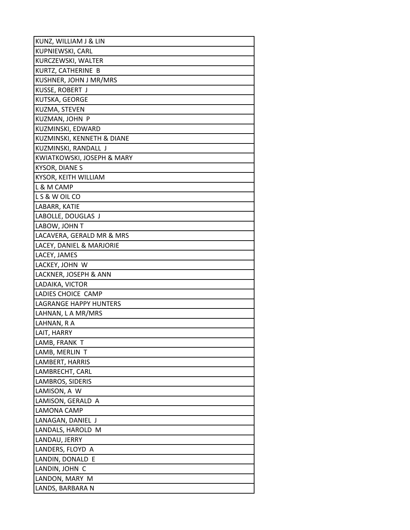| KUNZ, WILLIAM J & LIN         |
|-------------------------------|
| KUPNIEWSKI, CARL              |
| KURCZEWSKI, WALTER            |
| KURTZ, CATHERINE B            |
| KUSHNER, JOHN J MR/MRS        |
| KUSSE, ROBERT J               |
| KUTSKA, GEORGE                |
| KUZMA, STEVEN                 |
| KUZMAN, JOHN P                |
| KUZMINSKI, EDWARD             |
| KUZMINSKI, KENNETH & DIANE    |
| KUZMINSKI, RANDALL J          |
| KWIATKOWSKI, JOSEPH & MARY    |
| <b>KYSOR, DIANES</b>          |
| KYSOR, KEITH WILLIAM          |
| L & M CAMP                    |
| LS & W OIL CO                 |
| LABARR, KATIE                 |
| LABOLLE, DOUGLAS J            |
| LABOW, JOHN T                 |
| LACAVERA, GERALD MR & MRS     |
| LACEY, DANIEL & MARJORIE      |
| LACEY, JAMES                  |
| LACKEY, JOHN W                |
| LACKNER, JOSEPH & ANN         |
| LADAIKA, VICTOR               |
| LADIES CHOICE CAMP            |
| <b>LAGRANGE HAPPY HUNTERS</b> |
| LAHNAN, L A MR/MRS            |
| LAHNAN, R A                   |
| LAIT, HARRY                   |
| LAMB, FRANK T                 |
| LAMB, MERLIN T                |
| LAMBERT, HARRIS               |
| LAMBRECHT, CARL               |
| LAMBROS, SIDERIS              |
| LAMISON, A W                  |
| LAMISON, GERALD A             |
| LAMONA CAMP                   |
| LANAGAN, DANIEL J             |
| LANDALS, HAROLD M             |
| LANDAU, JERRY                 |
| LANDERS, FLOYD A              |
| LANDIN, DONALD E              |
| LANDIN, JOHN C                |
| LANDON, MARY M                |
| LANDS, BARBARA N              |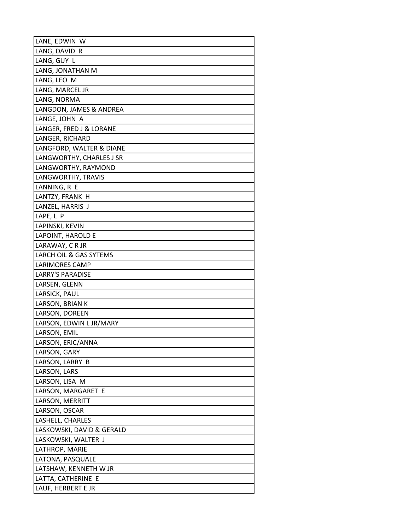| LANE, EDWIN W             |
|---------------------------|
| LANG, DAVID R             |
| LANG, GUY L               |
| LANG, JONATHAN M          |
| LANG, LEO M               |
| LANG, MARCEL JR           |
| LANG, NORMA               |
| LANGDON, JAMES & ANDREA   |
| LANGE, JOHN A             |
| LANGER, FRED J & LORANE   |
| LANGER, RICHARD           |
| LANGFORD, WALTER & DIANE  |
| LANGWORTHY, CHARLES J SR  |
| LANGWORTHY, RAYMOND       |
| LANGWORTHY, TRAVIS        |
| LANNING, R E              |
| LANTZY, FRANK H           |
| LANZEL, HARRIS J          |
| LAPE, L P                 |
| LAPINSKI, KEVIN           |
| LAPOINT, HAROLD E         |
| LARAWAY, CRJR             |
| LARCH OIL & GAS SYTEMS    |
| LARIMORES CAMP            |
| LARRY'S PARADISE          |
| LARSEN, GLENN             |
| LARSICK, PAUL             |
| LARSON, BRIAN K           |
| LARSON, DOREEN            |
| LARSON, EDWIN L JR/MARY   |
| LARSON, EMIL              |
| LARSON, ERIC/ANNA         |
| LARSON, GARY              |
| LARSON, LARRY B           |
| LARSON, LARS              |
| LARSON, LISA M            |
| LARSON, MARGARET E        |
| LARSON, MERRITT           |
| LARSON, OSCAR             |
| LASHELL, CHARLES          |
| LASKOWSKI, DAVID & GERALD |
| LASKOWSKI, WALTER J       |
| LATHROP, MARIE            |
| LATONA, PASQUALE          |
| LATSHAW, KENNETH W JR     |
| LATTA, CATHERINE E        |
| LAUF, HERBERT E JR        |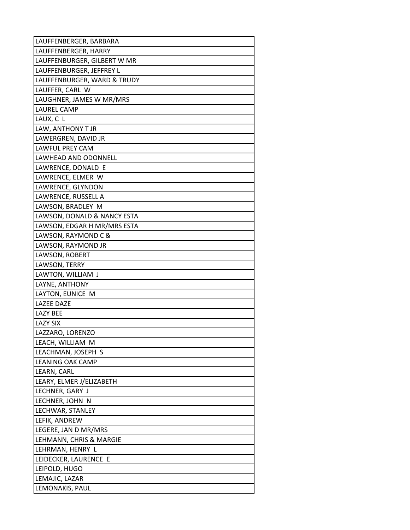| LAUFFENBERGER, BARBARA      |
|-----------------------------|
| LAUFFENBERGER, HARRY        |
| LAUFFENBURGER, GILBERT W MR |
| LAUFFENBURGER, JEFFREY L    |
| LAUFFENBURGER, WARD & TRUDY |
| LAUFFER, CARL W             |
| LAUGHNER, JAMES W MR/MRS    |
| <b>LAUREL CAMP</b>          |
| LAUX, C L                   |
| LAW, ANTHONY T JR           |
| LAWERGREN, DAVID JR         |
| <b>LAWFUL PREY CAM</b>      |
| LAWHEAD AND ODONNELL        |
| LAWRENCE, DONALD E          |
| LAWRENCE, ELMER W           |
| LAWRENCE, GLYNDON           |
| LAWRENCE, RUSSELL A         |
| LAWSON, BRADLEY M           |
| LAWSON, DONALD & NANCY ESTA |
| LAWSON, EDGAR H MR/MRS ESTA |
| LAWSON, RAYMOND C &         |
| LAWSON, RAYMOND JR          |
| LAWSON, ROBERT              |
| LAWSON, TERRY               |
| LAWTON, WILLIAM J           |
| LAYNE, ANTHONY              |
| LAYTON, EUNICE M            |
| <b>LAZEE DAZE</b>           |
| <b>LAZY BEE</b>             |
| <b>LAZY SIX</b>             |
| LAZZARO, LORENZO            |
| LEACH, WILLIAM M            |
| LEACHMAN, JOSEPH S          |
| LEANING OAK CAMP            |
| LEARN, CARL                 |
| LEARY, ELMER J/ELIZABETH    |
| LECHNER, GARY J             |
| LECHNER, JOHN N             |
| LECHWAR, STANLEY            |
| LEFIK, ANDREW               |
| LEGERE, JAN D MR/MRS        |
| LEHMANN, CHRIS & MARGIE     |
| LEHRMAN, HENRY L            |
| LEIDECKER, LAURENCE E       |
| LEIPOLD, HUGO               |
| LEMAJIC, LAZAR              |
| LEMONAKIS, PAUL             |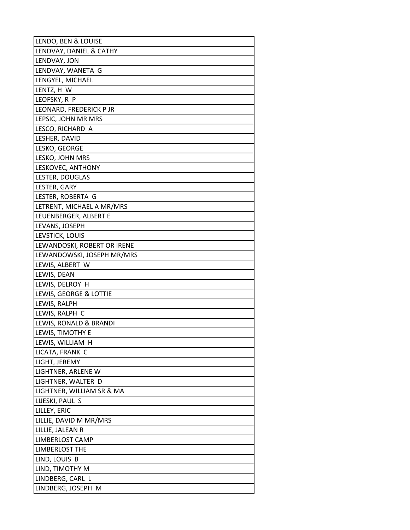| LENDO, BEN & LOUISE         |
|-----------------------------|
| LENDVAY, DANIEL & CATHY     |
| LENDVAY, JON                |
| LENDVAY, WANETA G           |
| LENGYEL, MICHAEL            |
| LENTZ, H W                  |
| LEOFSKY, R P                |
| LEONARD, FREDERICK P JR     |
| LEPSIC, JOHN MR MRS         |
| LESCO, RICHARD A            |
| LESHER, DAVID               |
| LESKO, GEORGE               |
| LESKO, JOHN MRS             |
| LESKOVEC, ANTHONY           |
| LESTER, DOUGLAS             |
| LESTER, GARY                |
| LESTER, ROBERTA G           |
| LETRENT, MICHAEL A MR/MRS   |
| LEUENBERGER, ALBERT E       |
| LEVANS, JOSEPH              |
| LEVSTICK, LOUIS             |
| LEWANDOSKI, ROBERT OR IRENE |
| LEWANDOWSKI, JOSEPH MR/MRS  |
| LEWIS, ALBERT W             |
| LEWIS, DEAN                 |
| LEWIS, DELROY H             |
| LEWIS, GEORGE & LOTTIE      |
| LEWIS, RALPH                |
| LEWIS, RALPH C              |
| LEWIS, RONALD & BRANDI      |
| LEWIS, TIMOTHY E            |
| LEWIS, WILLIAM H            |
| LICATA, FRANK C             |
| LIGHT, JEREMY               |
| LIGHTNER, ARLENE W          |
| LIGHTNER, WALTER D          |
| LIGHTNER, WILLIAM SR & MA   |
| LIJESKI, PAUL S             |
| LILLEY, ERIC                |
| LILLIE, DAVID M MR/MRS      |
| LILLIE, JALEAN R            |
| <b>LIMBERLOST CAMP</b>      |
| <b>LIMBERLOST THE</b>       |
| LIND, LOUIS B               |
| LIND, TIMOTHY M             |
| LINDBERG, CARL L            |
| LINDBERG, JOSEPH M          |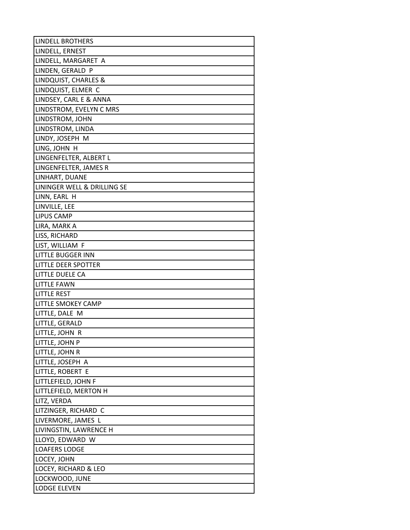| <b>LINDELL BROTHERS</b>         |
|---------------------------------|
| LINDELL, ERNEST                 |
| LINDELL, MARGARET A             |
| LINDEN, GERALD P                |
| <b>LINDQUIST, CHARLES &amp;</b> |
| LINDQUIST, ELMER C              |
| LINDSEY, CARL E & ANNA          |
| LINDSTROM, EVELYN C MRS         |
| LINDSTROM, JOHN                 |
| LINDSTROM, LINDA                |
| LINDY, JOSEPH M                 |
| LING, JOHN H                    |
| LINGENFELTER, ALBERT L          |
| LINGENFELTER, JAMES R           |
| LINHART, DUANE                  |
| LININGER WELL & DRILLING SE     |
| LINN, EARL H                    |
| LINVILLE, LEE                   |
| <b>LIPUS CAMP</b>               |
| LIRA, MARK A                    |
| LISS, RICHARD                   |
| LIST, WILLIAM F                 |
| <b>LITTLE BUGGER INN</b>        |
| LITTLE DEER SPOTTER             |
| LITTLE DUELE CA                 |
| <b>LITTLE FAWN</b>              |
| <b>LITTLE REST</b>              |
| <b>LITTLE SMOKEY CAMP</b>       |
| LITTLE, DALE M                  |
| LITTLE, GERALD                  |
| LITTLE, JOHN R                  |
| LITTLE, JOHN P                  |
| LITTLE, JOHN R                  |
| LITTLE, JOSEPH A                |
| LITTLE, ROBERT E                |
| LITTLEFIELD, JOHN F             |
| LITTLEFIELD, MERTON H           |
| LITZ, VERDA                     |
| LITZINGER, RICHARD C            |
| LIVERMORE, JAMES L              |
| LIVINGSTIN, LAWRENCE H          |
| LLOYD, EDWARD W                 |
| <b>LOAFERS LODGE</b>            |
| LOCEY, JOHN                     |
| LOCEY, RICHARD & LEO            |
| LOCKWOOD, JUNE                  |
| LODGE ELEVEN                    |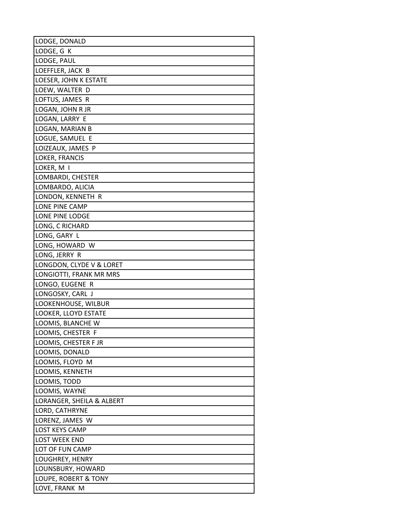| LODGE, DONALD             |
|---------------------------|
| LODGE, G K                |
| LODGE, PAUL               |
| LOEFFLER, JACK B          |
| LOESER, JOHN K ESTATE     |
| LOEW, WALTER D            |
| LOFTUS, JAMES R           |
| LOGAN, JOHN R JR          |
| LOGAN, LARRY E            |
| LOGAN, MARIAN B           |
| LOGUE, SAMUEL E           |
| LOIZEAUX, JAMES P         |
| LOKER, FRANCIS            |
| LOKER, M I                |
| LOMBARDI, CHESTER         |
| LOMBARDO, ALICIA          |
| LONDON, KENNETH R         |
| LONE PINE CAMP            |
| LONE PINE LODGE           |
| LONG, C RICHARD           |
| LONG, GARY L              |
| LONG, HOWARD W            |
| LONG, JERRY R             |
| LONGDON, CLYDE V & LORET  |
| LONGIOTTI, FRANK MR MRS   |
| LONGO, EUGENE R           |
| LONGOSKY, CARL J          |
| LOOKENHOUSE, WILBUR       |
| LOOKER, LLOYD ESTATE      |
| LOOMIS, BLANCHE W         |
| LOOMIS, CHESTER F         |
| LOOMIS, CHESTER F JR      |
| LOOMIS, DONALD            |
| LOOMIS, FLOYD M           |
| LOOMIS, KENNETH           |
| LOOMIS, TODD              |
| LOOMIS, WAYNE             |
| LORANGER, SHEILA & ALBERT |
| LORD, CATHRYNE            |
| LORENZ, JAMES W           |
| <b>LOST KEYS CAMP</b>     |
| <b>LOST WEEK END</b>      |
| LOT OF FUN CAMP           |
| LOUGHREY, HENRY           |
| LOUNSBURY, HOWARD         |
| LOUPE, ROBERT & TONY      |
| LOVE, FRANK M             |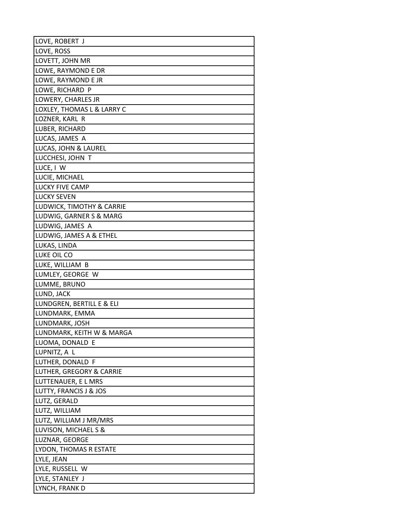| LOVE, ROBERT J             |
|----------------------------|
| LOVE, ROSS                 |
| LOVETT, JOHN MR            |
| LOWE, RAYMOND E DR         |
| LOWE, RAYMOND E JR         |
| LOWE, RICHARD P            |
| LOWERY, CHARLES JR         |
| LOXLEY, THOMAS L & LARRY C |
| LOZNER, KARL R             |
| LUBER, RICHARD             |
| LUCAS, JAMES A             |
| LUCAS, JOHN & LAUREL       |
| LUCCHESI, JOHN T           |
| LUCE, I W                  |
| LUCIE, MICHAEL             |
| <b>LUCKY FIVE CAMP</b>     |
| <b>LUCKY SEVEN</b>         |
| LUDWICK, TIMOTHY & CARRIE  |
| LUDWIG, GARNER S & MARG    |
| LUDWIG, JAMES A            |
| LUDWIG, JAMES A & ETHEL    |
| LUKAS, LINDA               |
| LUKE OIL CO                |
| LUKE, WILLIAM B            |
| LUMLEY, GEORGE W           |
| LUMME, BRUNO               |
| LUND, JACK                 |
| LUNDGREN, BERTILL E & ELI  |
| LUNDMARK, EMMA             |
| LUNDMARK, JOSH             |
| LUNDMARK, KEITH W & MARGA  |
| LUOMA, DONALD E            |
| LUPNITZ, A L               |
| LUTHER, DONALD F           |
| LUTHER, GREGORY & CARRIE   |
| LUTTENAUER, EL MRS         |
| LUTTY, FRANCIS J & JOS     |
| LUTZ, GERALD               |
| LUTZ, WILLIAM              |
| LUTZ, WILLIAM J MR/MRS     |
| LUVISON, MICHAEL S &       |
| LUZNAR, GEORGE             |
| LYDON, THOMAS R ESTATE     |
| LYLE, JEAN                 |
| LYLE, RUSSELL W            |
| LYLE, STANLEY J            |
| LYNCH, FRANK D             |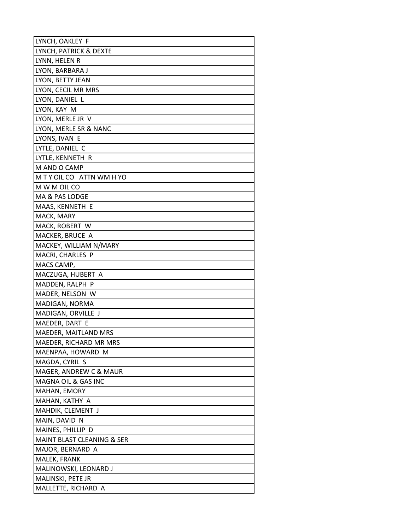| LYNCH, OAKLEY F            |
|----------------------------|
| LYNCH, PATRICK & DEXTE     |
| LYNN, HELEN R              |
| LYON, BARBARA J            |
| LYON, BETTY JEAN           |
| LYON, CECIL MR MRS         |
| LYON, DANIEL L             |
| LYON, KAY M                |
| LYON, MERLE JR V           |
| LYON, MERLE SR & NANC      |
| LYONS, IVAN E              |
| LYTLE, DANIEL C            |
| LYTLE, KENNETH R           |
| M AND O CAMP               |
| M T Y OIL CO ATTN WM H YO  |
| M W M OIL CO               |
| MA & PAS LODGE             |
| MAAS, KENNETH E            |
| MACK, MARY                 |
| MACK, ROBERT W             |
| MACKER, BRUCE A            |
| MACKEY, WILLIAM N/MARY     |
| MACRI, CHARLES P           |
| MACS CAMP,                 |
| MACZUGA, HUBERT A          |
| MADDEN, RALPH P            |
| MADER, NELSON W            |
| MADIGAN, NORMA             |
| MADIGAN, ORVILLE J         |
| MAEDER, DART E             |
| MAEDER, MAITLAND MRS       |
| MAEDER, RICHARD MR MRS     |
| MAENPAA, HOWARD M          |
| MAGDA, CYRIL S             |
| MAGER, ANDREW C & MAUR     |
| MAGNA OIL & GAS INC        |
| MAHAN, EMORY               |
| MAHAN, KATHY A             |
| MAHDIK, CLEMENT J          |
| MAIN, DAVID N              |
| MAINES, PHILLIP D          |
| MAINT BLAST CLEANING & SER |
| MAJOR, BERNARD A           |
| MALEK, FRANK               |
| MALINOWSKI, LEONARD J      |
| MALINSKI, PETE JR          |
| MALLETTE, RICHARD A        |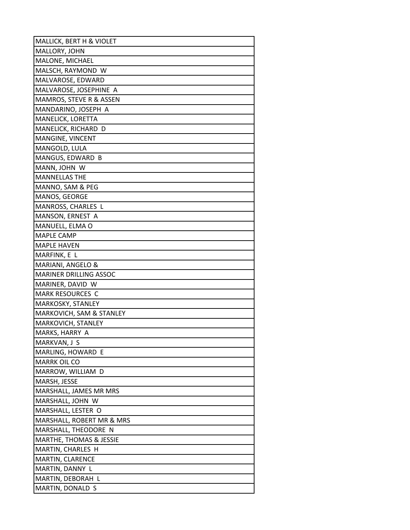| MALLICK, BERT H & VIOLET           |
|------------------------------------|
| MALLORY, JOHN                      |
| MALONE, MICHAEL                    |
| MALSCH, RAYMOND W                  |
| MALVAROSE, EDWARD                  |
| MALVAROSE, JOSEPHINE A             |
| MAMROS, STEVE R & ASSEN            |
| MANDARINO, JOSEPH A                |
| MANELICK, LORETTA                  |
| MANELICK, RICHARD D                |
| MANGINE, VINCENT                   |
| MANGOLD, LULA                      |
| MANGUS, EDWARD B                   |
| MANN, JOHN W                       |
| <b>MANNELLAS THE</b>               |
| MANNO, SAM & PEG                   |
| MANOS, GEORGE                      |
| MANROSS, CHARLES L                 |
| MANSON, ERNEST A                   |
| MANUELL, ELMA O                    |
| <b>MAPLE CAMP</b>                  |
| <b>MAPLE HAVEN</b>                 |
| MARFINK, E L                       |
| MARIANI, ANGELO &                  |
| <b>MARINER DRILLING ASSOC</b>      |
| MARINER, DAVID W                   |
| <b>MARK RESOURCES C</b>            |
| MARKOSKY, STANLEY                  |
| MARKOVICH, SAM & STANLEY           |
| MARKOVICH, STANLEY                 |
| MARKS, HARRY A                     |
| MARKVAN, J S                       |
| MARLING, HOWARD E                  |
| <b>MARRK OIL CO</b>                |
| MARROW, WILLIAM D                  |
| MARSH, JESSE                       |
| MARSHALL, JAMES MR MRS             |
| MARSHALL, JOHN W                   |
| MARSHALL, LESTER O                 |
| MARSHALL, ROBERT MR & MRS          |
| MARSHALL, THEODORE N               |
| <b>MARTHE, THOMAS &amp; JESSIE</b> |
| MARTIN, CHARLES H                  |
| MARTIN, CLARENCE                   |
| MARTIN, DANNY L                    |
| MARTIN, DEBORAH L                  |
| MARTIN, DONALD S                   |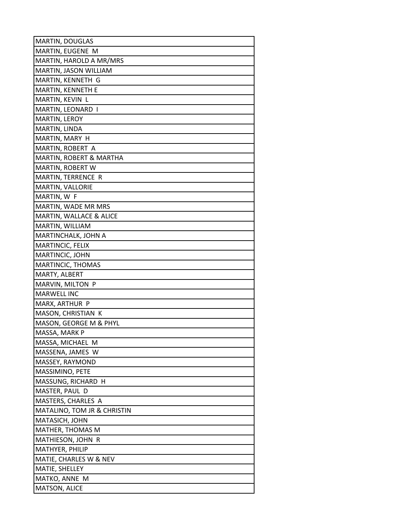| MARTIN, DOUGLAS                      |
|--------------------------------------|
| MARTIN, EUGENE M                     |
| MARTIN, HAROLD A MR/MRS              |
| MARTIN, JASON WILLIAM                |
| MARTIN, KENNETH G                    |
| MARTIN, KENNETH E                    |
| MARTIN, KEVIN L                      |
| MARTIN, LEONARD I                    |
| MARTIN, LEROY                        |
| MARTIN, LINDA                        |
| MARTIN, MARY H                       |
| MARTIN, ROBERT A                     |
| MARTIN, ROBERT & MARTHA              |
| MARTIN, ROBERT W                     |
| MARTIN, TERRENCE R                   |
| <b>MARTIN, VALLORIE</b>              |
| MARTIN, W F                          |
| MARTIN, WADE MR MRS                  |
| MARTIN, WALLACE & ALICE              |
| MARTIN, WILLIAM                      |
| MARTINCHALK, JOHN A                  |
| MARTINCIC, FELIX                     |
| MARTINCIC, JOHN                      |
| MARTINCIC, THOMAS                    |
| MARTY, ALBERT                        |
| MARVIN, MILTON P                     |
| <b>MARWELL INC</b>                   |
| MARX, ARTHUR P                       |
| MASON, CHRISTIAN K                   |
| MASON, GEORGE M & PHYL               |
| MASSA, MARK P                        |
| MASSA, MICHAEL M                     |
| MASSENA, JAMES W                     |
| MASSEY, RAYMOND                      |
| MASSIMINO, PETE                      |
| MASSUNG, RICHARD H                   |
| MASTER, PAUL D<br>MASTERS, CHARLES A |
| MATALINO, TOM JR & CHRISTIN          |
| MATASICH, JOHN                       |
| <b>MATHER, THOMAS M</b>              |
| MATHIESON, JOHN R                    |
| MATHYER, PHILIP                      |
| MATIE, CHARLES W & NEV               |
| MATIE, SHELLEY                       |
| MATKO, ANNE M                        |
| MATSON, ALICE                        |
|                                      |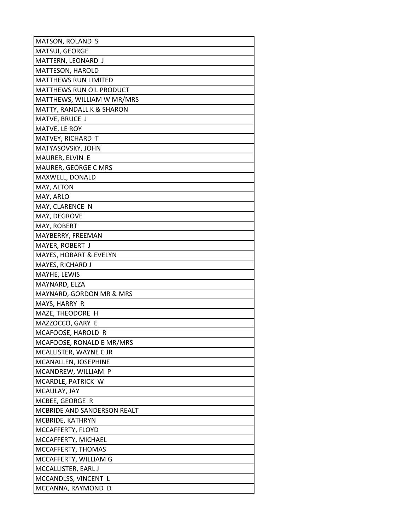| MATSON, ROLAND S                |
|---------------------------------|
| MATSUI, GEORGE                  |
| MATTERN, LEONARD J              |
| MATTESON, HAROLD                |
| <b>MATTHEWS RUN LIMITED</b>     |
| <b>MATTHEWS RUN OIL PRODUCT</b> |
| MATTHEWS, WILLIAM W MR/MRS      |
| MATTY, RANDALL K & SHARON       |
| MATVE, BRUCE J                  |
| MATVE, LE ROY                   |
| MATVEY, RICHARD T               |
| MATYASOVSKY, JOHN               |
| MAURER, ELVIN E                 |
| MAURER, GEORGE C MRS            |
| MAXWELL, DONALD                 |
| MAY, ALTON                      |
| MAY, ARLO                       |
| MAY, CLARENCE N                 |
| MAY, DEGROVE                    |
| MAY, ROBERT                     |
| MAYBERRY, FREEMAN               |
| MAYER, ROBERT J                 |
| MAYES, HOBART & EVELYN          |
| MAYES, RICHARD J                |
| MAYHE, LEWIS                    |
| MAYNARD, ELZA                   |
| MAYNARD, GORDON MR & MRS        |
| MAYS, HARRY R                   |
| MAZE, THEODORE H                |
| MAZZOCCO, GARY E                |
| MCAFOOSE, HAROLD R              |
| MCAFOOSE, RONALD E MR/MRS       |
| MCALLISTER, WAYNE C JR          |
| MCANALLEN, JOSEPHINE            |
| MCANDREW, WILLIAM P             |
| MCARDLE, PATRICK W              |
| MCAULAY, JAY                    |
| MCBEE, GEORGE R                 |
| MCBRIDE AND SANDERSON REALT     |
| MCBRIDE, KATHRYN                |
| MCCAFFERTY, FLOYD               |
| MCCAFFERTY, MICHAEL             |
| MCCAFFERTY, THOMAS              |
| MCCAFFERTY, WILLIAM G           |
| MCCALLISTER, EARL J             |
| MCCANDLSS, VINCENT L            |
| MCCANNA, RAYMOND D              |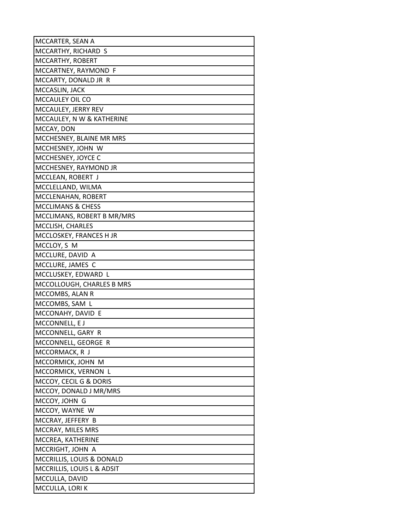| MCCARTER, SEAN A                       |
|----------------------------------------|
| MCCARTHY, RICHARD S                    |
| MCCARTHY, ROBERT                       |
| MCCARTNEY, RAYMOND F                   |
| MCCARTY, DONALD JR R                   |
| MCCASLIN, JACK                         |
| MCCAULEY OIL CO                        |
| MCCAULEY, JERRY REV                    |
| MCCAULEY, N W & KATHERINE              |
| MCCAY, DON                             |
| MCCHESNEY, BLAINE MR MRS               |
| MCCHESNEY, JOHN W                      |
| MCCHESNEY, JOYCE C                     |
| MCCHESNEY, RAYMOND JR                  |
| MCCLEAN, ROBERT J                      |
| MCCLELLAND, WILMA                      |
| MCCLENAHAN, ROBERT                     |
| <b>MCCLIMANS &amp; CHESS</b>           |
| MCCLIMANS, ROBERT B MR/MRS             |
| MCCLISH, CHARLES                       |
| MCCLOSKEY, FRANCES H JR                |
| MCCLOY, S M                            |
| MCCLURE, DAVID A                       |
| MCCLURE, JAMES C                       |
| MCCLUSKEY, EDWARD L                    |
| MCCOLLOUGH, CHARLES B MRS              |
| MCCOMBS, ALAN R                        |
| MCCOMBS, SAM L                         |
| MCCONAHY, DAVID E                      |
| MCCONNELL, E J                         |
| MCCONNELL, GARY R                      |
| MCCONNELL, GEORGE R                    |
| MCCORMACK, R J                         |
| MCCORMICK, JOHN M                      |
| MCCORMICK, VERNON L                    |
| MCCOY, CECIL G & DORIS                 |
| MCCOY, DONALD J MR/MRS                 |
| MCCOY, JOHN G                          |
| MCCOY, WAYNE W                         |
| MCCRAY, JEFFERY B                      |
| MCCRAY, MILES MRS<br>MCCREA, KATHERINE |
| MCCRIGHT, JOHN A                       |
| MCCRILLIS, LOUIS & DONALD              |
| MCCRILLIS, LOUIS L & ADSIT             |
| MCCULLA, DAVID                         |
| MCCULLA, LORIK                         |
|                                        |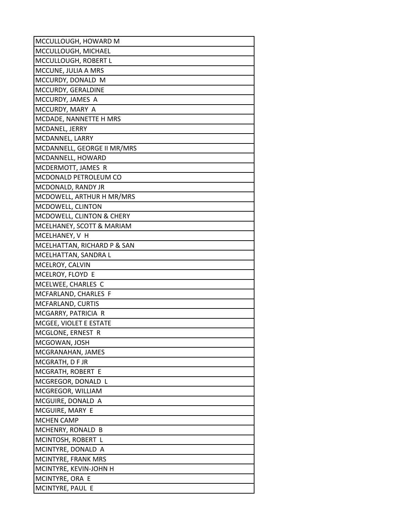| MCCULLOUGH, HOWARD M        |
|-----------------------------|
| MCCULLOUGH, MICHAEL         |
| MCCULLOUGH, ROBERT L        |
| MCCUNE, JULIA A MRS         |
| MCCURDY, DONALD M           |
| MCCURDY, GERALDINE          |
| MCCURDY, JAMES A            |
| MCCURDY, MARY A             |
| MCDADE, NANNETTE H MRS      |
| MCDANEL, JERRY              |
| MCDANNEL, LARRY             |
| MCDANNELL, GEORGE II MR/MRS |
| MCDANNELL, HOWARD           |
| MCDERMOTT, JAMES R          |
| MCDONALD PETROLEUM CO       |
| MCDONALD, RANDY JR          |
| MCDOWELL, ARTHUR H MR/MRS   |
| MCDOWELL, CLINTON           |
| MCDOWELL, CLINTON & CHERY   |
| MCELHANEY, SCOTT & MARIAM   |
| MCELHANEY, V H              |
| MCELHATTAN, RICHARD P & SAN |
| MCELHATTAN, SANDRA L        |
| MCELROY, CALVIN             |
| MCELROY, FLOYD E            |
| MCELWEE, CHARLES C          |
| MCFARLAND, CHARLES F        |
| MCFARLAND, CURTIS           |
| MCGARRY, PATRICIA R         |
| MCGEE, VIOLET E ESTATE      |
| MCGLONE, ERNEST R           |
| MCGOWAN, JOSH               |
| MCGRANAHAN, JAMES           |
| MCGRATH, D F JR             |
| MCGRATH, ROBERT E           |
| MCGREGOR, DONALD L          |
| MCGREGOR, WILLIAM           |
| MCGUIRE, DONALD A           |
| MCGUIRE, MARY E             |
| <b>MCHEN CAMP</b>           |
| MCHENRY, RONALD B           |
| MCINTOSH, ROBERT L          |
| MCINTYRE, DONALD A          |
| MCINTYRE, FRANK MRS         |
| MCINTYRE, KEVIN-JOHN H      |
| MCINTYRE, ORA E             |
| MCINTYRE, PAUL E            |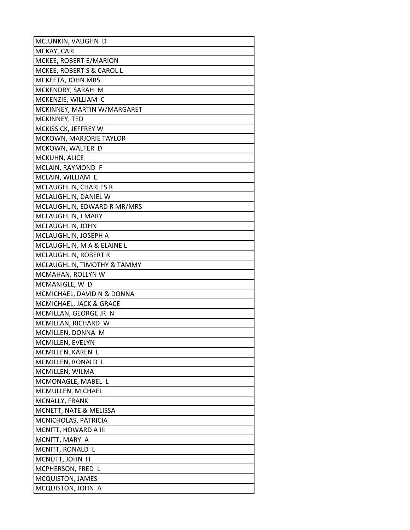| MCJUNKIN, VAUGHN D                    |
|---------------------------------------|
| MCKAY, CARL                           |
| MCKEE, ROBERT E/MARION                |
| MCKEE, ROBERT S & CAROL L             |
| MCKEETA, JOHN MRS                     |
| MCKENDRY, SARAH M                     |
| MCKENZIE, WILLIAM C                   |
| MCKINNEY, MARTIN W/MARGARET           |
| MCKINNEY, TED                         |
| MCKISSICK, JEFFREY W                  |
| MCKOWN, MARJORIE TAYLOR               |
| MCKOWN, WALTER D                      |
| MCKUHN, ALICE                         |
| MCLAIN, RAYMOND F                     |
| MCLAIN, WILLIAM E                     |
| MCLAUGHLIN, CHARLES R                 |
| MCLAUGHLIN, DANIEL W                  |
| MCLAUGHLIN, EDWARD R MR/MRS           |
| MCLAUGHLIN, J MARY                    |
| MCLAUGHLIN, JOHN                      |
| MCLAUGHLIN, JOSEPH A                  |
| MCLAUGHLIN, M A & ELAINE L            |
| MCLAUGHLIN, ROBERT R                  |
| MCLAUGHLIN, TIMOTHY & TAMMY           |
| MCMAHAN, ROLLYN W                     |
| MCMANIGLE, W D                        |
| MCMICHAEL, DAVID N & DONNA            |
| MCMICHAEL, JACK & GRACE               |
| MCMILLAN, GEORGE JR N                 |
| MCMILLAN, RICHARD W                   |
| MCMILLEN, DONNA M                     |
| MCMILLEN, EVELYN<br>MCMILLEN, KAREN L |
| MCMILLEN, RONALD L                    |
| MCMILLEN, WILMA                       |
| MCMONAGLE, MABEL L                    |
| MCMULLEN, MICHAEL                     |
| MCNALLY, FRANK                        |
| MCNETT, NATE & MELISSA                |
| MCNICHOLAS, PATRICIA                  |
| MCNITT, HOWARD A III                  |
| MCNITT, MARY A                        |
| MCNITT, RONALD L                      |
| MCNUTT, JOHN H                        |
| MCPHERSON, FRED L                     |
| <b>MCQUISTON, JAMES</b>               |
| MCQUISTON, JOHN A                     |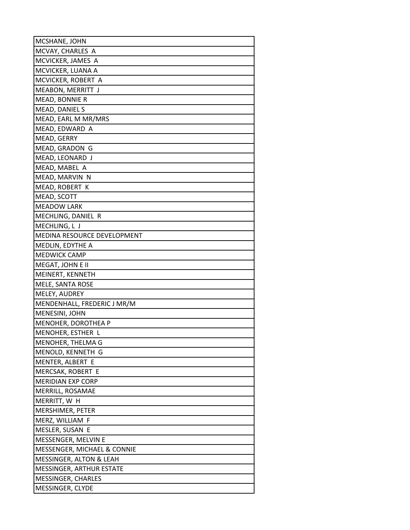| MCSHANE, JOHN               |
|-----------------------------|
| MCVAY, CHARLES A            |
| MCVICKER, JAMES A           |
| MCVICKER, LUANA A           |
| MCVICKER, ROBERT A          |
| MEABON, MERRITT J           |
| MEAD, BONNIE R              |
| MEAD, DANIEL S              |
| MEAD, EARL M MR/MRS         |
| MEAD, EDWARD A              |
| MEAD, GERRY                 |
| MEAD, GRADON G              |
| MEAD, LEONARD J             |
| MEAD, MABEL A               |
| MEAD, MARVIN N              |
| MEAD, ROBERT K              |
| MEAD, SCOTT                 |
| <b>MEADOW LARK</b>          |
| MECHLING, DANIEL R          |
| MECHLING, L J               |
| MEDINA RESOURCE DEVELOPMENT |
| MEDLIN, EDYTHE A            |
| <b>MEDWICK CAMP</b>         |
| MEGAT, JOHN E II            |
| MEINERT, KENNETH            |
| MELE, SANTA ROSE            |
| MELEY, AUDREY               |
| MENDENHALL, FREDERIC J MR/M |
| MENESINI, JOHN              |
| MENOHER, DOROTHEA P         |
| MENOHER, ESTHER L           |
| MENOHER, THELMA G           |
| MENOLD, KENNETH G           |
| MENTER, ALBERT E            |
| MERCSAK, ROBERT E           |
| MERIDIAN EXP CORP           |
| MERRILL, ROSAMAE            |
| MERRITT, W H                |
| MERSHIMER, PETER            |
| MERZ, WILLIAM F             |
| MESLER, SUSAN E             |
| MESSENGER, MELVIN E         |
| MESSENGER, MICHAEL & CONNIE |
| MESSINGER, ALTON & LEAH     |
| MESSINGER, ARTHUR ESTATE    |
| MESSINGER, CHARLES          |
| MESSINGER, CLYDE            |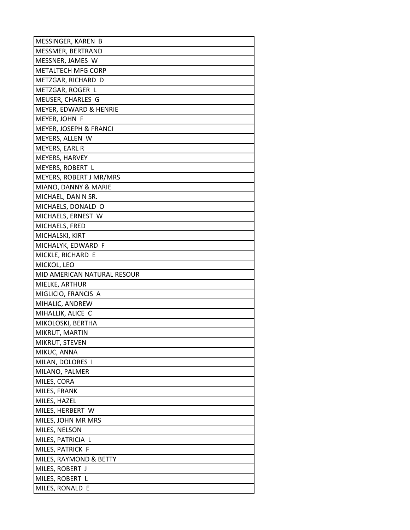| MESSINGER, KAREN B          |
|-----------------------------|
| MESSMER, BERTRAND           |
| MESSNER, JAMES W            |
| <b>METALTECH MFG CORP</b>   |
| METZGAR, RICHARD D          |
| METZGAR, ROGER L            |
| MEUSER, CHARLES G           |
| MEYER, EDWARD & HENRIE      |
| MEYER, JOHN F               |
| MEYER, JOSEPH & FRANCI      |
| MEYERS, ALLEN W             |
| MEYERS, EARL R              |
| MEYERS, HARVEY              |
| MEYERS, ROBERT L            |
| MEYERS, ROBERT J MR/MRS     |
| MIANO, DANNY & MARIE        |
| MICHAEL, DAN N SR.          |
| MICHAELS, DONALD O          |
| MICHAELS, ERNEST W          |
| MICHAELS, FRED              |
| MICHALSKI, KIRT             |
| MICHALYK, EDWARD F          |
| MICKLE, RICHARD E           |
| MICKOL, LEO                 |
| MID AMERICAN NATURAL RESOUR |
| MIELKE, ARTHUR              |
| MIGLICIO, FRANCIS A         |
| MIHALIC, ANDREW             |
| MIHALLIK, ALICE C           |
| MIKOLOSKI, BERTHA           |
| MIKRUT, MARTIN              |
| MIKRUT, STEVEN              |
| MIKUC, ANNA                 |
| MILAN, DOLORES I            |
| MILANO, PALMER              |
| MILES, CORA                 |
| MILES, FRANK                |
| MILES, HAZEL                |
| MILES, HERBERT W            |
| MILES, JOHN MR MRS          |
| MILES, NELSON               |
| MILES, PATRICIA L           |
| MILES, PATRICK F            |
| MILES, RAYMOND & BETTY      |
| MILES, ROBERT J             |
| MILES, ROBERT L             |
| MILES, RONALD E             |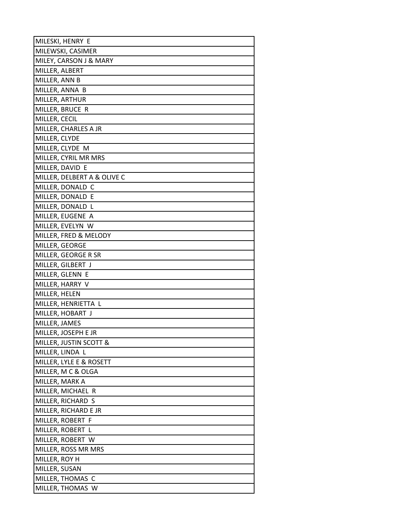| MILESKI, HENRY E                     |
|--------------------------------------|
| MILEWSKI, CASIMER                    |
| MILEY, CARSON J & MARY               |
| MILLER, ALBERT                       |
| MILLER, ANN B                        |
| MILLER, ANNA B                       |
| MILLER, ARTHUR                       |
| MILLER, BRUCE R                      |
| MILLER, CECIL                        |
| MILLER, CHARLES A JR                 |
| MILLER, CLYDE                        |
| MILLER, CLYDE M                      |
| MILLER, CYRIL MR MRS                 |
| MILLER, DAVID E                      |
| MILLER, DELBERT A & OLIVE C          |
| MILLER, DONALD C                     |
| MILLER, DONALD E                     |
| MILLER, DONALD L                     |
| MILLER, EUGENE A                     |
| MILLER, EVELYN W                     |
| MILLER, FRED & MELODY                |
| MILLER, GEORGE                       |
| MILLER, GEORGE R SR                  |
| MILLER, GILBERT J                    |
| MILLER, GLENN E                      |
| MILLER, HARRY V                      |
| MILLER, HELEN                        |
| MILLER, HENRIETTA L                  |
| MILLER, HOBART J                     |
| MILLER, JAMES                        |
| MILLER, JOSEPH E JR                  |
| MILLER, JUSTIN SCOTT &               |
| MILLER, LINDA L                      |
| MILLER, LYLE E & ROSETT              |
| MILLER, M C & OLGA<br>MILLER, MARK A |
| MILLER, MICHAEL R                    |
| MILLER, RICHARD S                    |
| MILLER, RICHARD E JR                 |
| MILLER, ROBERT F                     |
| MILLER, ROBERT L                     |
| MILLER, ROBERT W                     |
| MILLER, ROSS MR MRS                  |
| MILLER, ROY H                        |
| MILLER, SUSAN                        |
| MILLER, THOMAS C                     |
| MILLER, THOMAS W                     |
|                                      |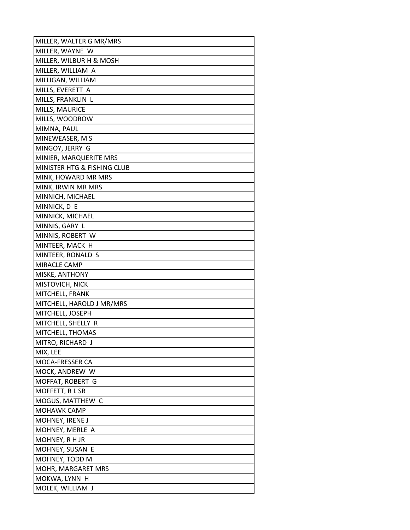| MILLER, WALTER G MR/MRS     |
|-----------------------------|
| MILLER, WAYNE W             |
| MILLER, WILBUR H & MOSH     |
| MILLER, WILLIAM A           |
| MILLIGAN, WILLIAM           |
| MILLS, EVERETT A            |
| MILLS, FRANKLIN L           |
| MILLS, MAURICE              |
| MILLS, WOODROW              |
| MIMNA, PAUL                 |
| MINEWEASER, M S             |
| MINGOY, JERRY G             |
| MINIER, MARQUERITE MRS      |
| MINISTER HTG & FISHING CLUB |
| MINK, HOWARD MR MRS         |
| MINK, IRWIN MR MRS          |
| MINNICH, MICHAEL            |
| MINNICK, D E                |
| MINNICK, MICHAEL            |
| MINNIS, GARY L              |
| MINNIS, ROBERT W            |
| MINTEER, MACK H             |
| MINTEER, RONALD S           |
| MIRACLE CAMP                |
| MISKE, ANTHONY              |
| MISTOVICH, NICK             |
| MITCHELL, FRANK             |
| MITCHELL, HAROLD J MR/MRS   |
| MITCHELL, JOSEPH            |
| MITCHELL, SHELLY R          |
| MITCHELL, THOMAS            |
| MITRO, RICHARD J            |
| MIX, LEE                    |
| MOCA-FRESSER CA             |
| MOCK, ANDREW W              |
| MOFFAT, ROBERT G            |
| MOFFETT, RLSR               |
| MOGUS, MATTHEW C            |
| <b>MOHAWK CAMP</b>          |
| MOHNEY, IRENE J             |
| MOHNEY, MERLE A             |
| MOHNEY, R H JR              |
| MOHNEY, SUSAN E             |
| MOHNEY, TODD M              |
| MOHR, MARGARET MRS          |
| MOKWA, LYNN H               |
| MOLEK, WILLIAM J            |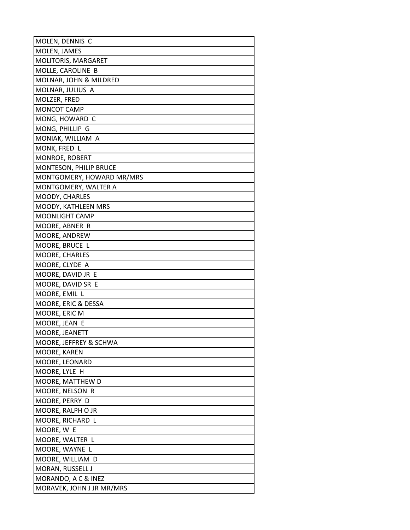| MOLEN, DENNIS C           |
|---------------------------|
| MOLEN, JAMES              |
| MOLITORIS, MARGARET       |
| MOLLE, CAROLINE B         |
| MOLNAR, JOHN & MILDRED    |
| MOLNAR, JULIUS A          |
| MOLZER, FRED              |
| MONCOT CAMP               |
| MONG, HOWARD C            |
| MONG, PHILLIP G           |
| MONIAK, WILLIAM A         |
| MONK, FRED L              |
| MONROE, ROBERT            |
| MONTESON, PHILIP BRUCE    |
| MONTGOMERY, HOWARD MR/MRS |
| MONTGOMERY, WALTER A      |
| MOODY, CHARLES            |
| MOODY, KATHLEEN MRS       |
| <b>MOONLIGHT CAMP</b>     |
| MOORE, ABNER R            |
| MOORE, ANDREW             |
| MOORE, BRUCE L            |
| MOORE, CHARLES            |
| MOORE, CLYDE A            |
| MOORE, DAVID JR E         |
| MOORE, DAVID SR E         |
| MOORE, EMIL L             |
| MOORE, ERIC & DESSA       |
| MOORE, ERIC M             |
| MOORE, JEAN E             |
| MOORE, JEANETT            |
| MOORE, JEFFREY & SCHWA    |
| MOORE, KAREN              |
| MOORE, LEONARD            |
| MOORE, LYLE H             |
| MOORE, MATTHEW D          |
| MOORE, NELSON R           |
| MOORE, PERRY D            |
| MOORE, RALPH O JR         |
| MOORE, RICHARD L          |
| MOORE, W E                |
| MOORE, WALTER L           |
| MOORE, WAYNE L            |
| MOORE, WILLIAM D          |
| MORAN, RUSSELL J          |
| MORANDO, A C & INEZ       |
| MORAVEK, JOHN J JR MR/MRS |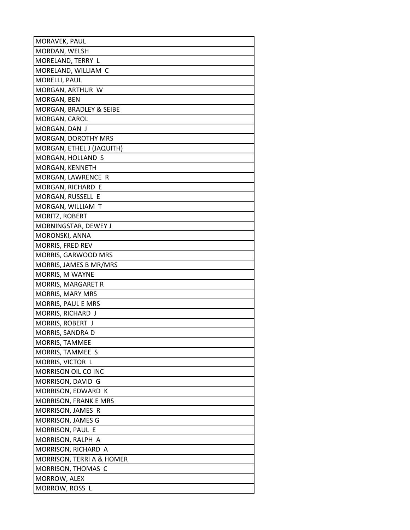| MORAVEK, PAUL                |
|------------------------------|
| MORDAN, WELSH                |
| MORELAND, TERRY L            |
| MORELAND, WILLIAM C          |
| MORELLI, PAUL                |
| MORGAN, ARTHUR W             |
| MORGAN, BEN                  |
| MORGAN, BRADLEY & SEIBE      |
| MORGAN, CAROL                |
| MORGAN, DAN J                |
| MORGAN, DOROTHY MRS          |
| MORGAN, ETHEL J (JAQUITH)    |
| MORGAN, HOLLAND S            |
| MORGAN, KENNETH              |
| MORGAN, LAWRENCE R           |
| MORGAN, RICHARD E            |
| MORGAN, RUSSELL E            |
| MORGAN, WILLIAM T            |
| MORITZ, ROBERT               |
| MORNINGSTAR, DEWEY J         |
| MORONSKI, ANNA               |
| <b>MORRIS, FRED REV</b>      |
| MORRIS, GARWOOD MRS          |
| MORRIS, JAMES B MR/MRS       |
| MORRIS, M WAYNE              |
| MORRIS, MARGARET R           |
| <b>MORRIS, MARY MRS</b>      |
| MORRIS, PAUL E MRS           |
| MORRIS, RICHARD J            |
| MORRIS, ROBERT J             |
| MORRIS, SANDRA D             |
| MORRIS, TAMMEE               |
| MORRIS, TAMMEE S             |
| MORRIS, VICTOR L             |
| MORRISON OIL CO INC          |
| MORRISON, DAVID G            |
| MORRISON, EDWARD K           |
| <b>MORRISON, FRANK E MRS</b> |
| MORRISON, JAMES R            |
| MORRISON, JAMES G            |
| MORRISON, PAUL E             |
| MORRISON, RALPH A            |
| MORRISON, RICHARD A          |
| MORRISON, TERRI A & HOMER    |
| MORRISON, THOMAS C           |
| MORROW, ALEX                 |
| MORROW, ROSS L               |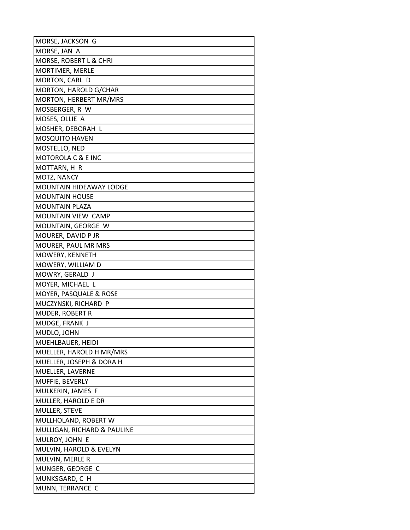| MORSE, JACKSON G            |
|-----------------------------|
| MORSE, JAN A                |
| MORSE, ROBERT L & CHRI      |
| MORTIMER, MERLE             |
| MORTON, CARL D              |
| MORTON, HAROLD G/CHAR       |
| MORTON, HERBERT MR/MRS      |
| MOSBERGER, R W              |
| MOSES, OLLIE A              |
| MOSHER, DEBORAH L           |
| <b>MOSQUITO HAVEN</b>       |
| MOSTELLO, NED               |
| MOTOROLA C & E INC          |
| MOTTARN, H R                |
| MOTZ, NANCY                 |
| MOUNTAIN HIDEAWAY LODGE     |
| <b>MOUNTAIN HOUSE</b>       |
| <b>MOUNTAIN PLAZA</b>       |
| MOUNTAIN VIEW CAMP          |
| MOUNTAIN, GEORGE W          |
| MOURER, DAVID P JR          |
| MOURER, PAUL MR MRS         |
| MOWERY, KENNETH             |
| MOWERY, WILLIAM D           |
| MOWRY, GERALD J             |
| MOYER, MICHAEL L            |
| MOYER, PASQUALE & ROSE      |
| MUCZYNSKI, RICHARD P        |
| <b>MUDER, ROBERT R</b>      |
| MUDGE, FRANK J              |
| MUDLO, JOHN                 |
| MUEHLBAUER, HEIDI           |
| MUELLER, HAROLD H MR/MRS    |
| MUELLER, JOSEPH & DORA H    |
| MUELLER, LAVERNE            |
| MUFFIE, BEVERLY             |
| MULKERIN, JAMES F           |
| MULLER, HAROLD E DR         |
| MULLER, STEVE               |
| MULLHOLAND, ROBERT W        |
| MULLIGAN, RICHARD & PAULINE |
| MULROY, JOHN E              |
| MULVIN, HAROLD & EVELYN     |
| MULVIN, MERLE R             |
| MUNGER, GEORGE C            |
| MUNKSGARD, C H              |
| MUNN, TERRANCE C            |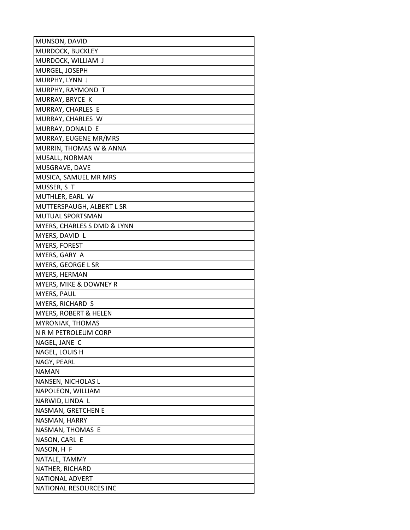| MUNSON, DAVID               |
|-----------------------------|
| MURDOCK, BUCKLEY            |
| MURDOCK, WILLIAM J          |
| MURGEL, JOSEPH              |
| MURPHY, LYNN J              |
| MURPHY, RAYMOND T           |
| MURRAY, BRYCE K             |
| MURRAY, CHARLES E           |
| MURRAY, CHARLES W           |
| MURRAY, DONALD E            |
| MURRAY, EUGENE MR/MRS       |
| MURRIN, THOMAS W & ANNA     |
| MUSALL, NORMAN              |
| MUSGRAVE, DAVE              |
| MUSICA, SAMUEL MR MRS       |
| MUSSER, S T                 |
| MUTHLER, EARL W             |
| MUTTERSPAUGH, ALBERT L SR   |
| MUTUAL SPORTSMAN            |
| MYERS, CHARLES S DMD & LYNN |
| MYERS, DAVID L              |
| <b>MYERS, FOREST</b>        |
| MYERS, GARY A               |
| MYERS, GEORGE L SR          |
| MYERS, HERMAN               |
| MYERS, MIKE & DOWNEY R      |
| MYERS, PAUL                 |
| MYERS, RICHARD S            |
| MYERS, ROBERT & HELEN       |
| MYRONIAK, THOMAS            |
| N R M PETROLEUM CORP        |
| NAGEL, JANE C               |
| NAGEL, LOUIS H              |
| NAGY, PEARL                 |
| <b>NAMAN</b>                |
| NANSEN, NICHOLAS L          |
| NAPOLEON, WILLIAM           |
| NARWID, LINDA L             |
| NASMAN, GRETCHEN E          |
| NASMAN, HARRY               |
| NASMAN, THOMAS E            |
| NASON, CARL E               |
| NASON, H F                  |
| NATALE, TAMMY               |
| NATHER, RICHARD             |
| NATIONAL ADVERT             |
| NATIONAL RESOURCES INC      |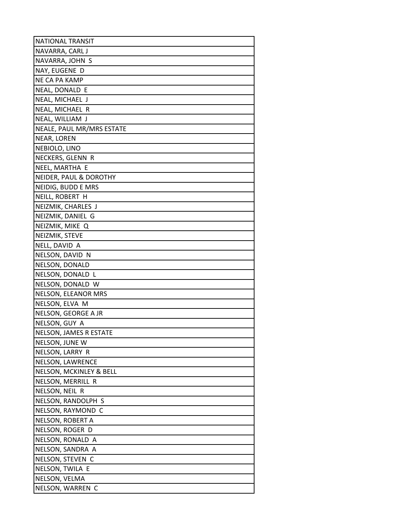| <b>NATIONAL TRANSIT</b>            |
|------------------------------------|
| NAVARRA, CARL J                    |
| NAVARRA, JOHN S                    |
| NAY, EUGENE D                      |
| NE CA PA KAMP                      |
| NEAL, DONALD E                     |
| NEAL, MICHAEL J                    |
| NEAL, MICHAEL R                    |
| NEAL, WILLIAM J                    |
| NEALE, PAUL MR/MRS ESTATE          |
| NEAR, LOREN                        |
| NEBIOLO, LINO                      |
| NECKERS, GLENN R                   |
| NEEL, MARTHA E                     |
| NEIDER, PAUL & DOROTHY             |
| NEIDIG, BUDD E MRS                 |
| NEILL, ROBERT H                    |
| NEIZMIK, CHARLES J                 |
| NEIZMIK, DANIEL G                  |
| NEIZMIK, MIKE Q                    |
| NEIZMIK, STEVE                     |
| NELL, DAVID A                      |
| NELSON, DAVID N                    |
| NELSON, DONALD                     |
| NELSON, DONALD L                   |
| NELSON, DONALD W                   |
| NELSON, ELEANOR MRS                |
| NELSON, ELVA M                     |
| NELSON, GEORGE A JR                |
| NELSON, GUY A                      |
| NELSON, JAMES R ESTATE             |
| NELSON, JUNE W                     |
| NELSON, LARRY R                    |
| NELSON, LAWRENCE                   |
| <b>NELSON, MCKINLEY &amp; BELL</b> |
| NELSON, MERRILL R                  |
| NELSON, NEIL R                     |
| NELSON, RANDOLPH S                 |
| NELSON, RAYMOND C                  |
| NELSON, ROBERT A                   |
| NELSON, ROGER D                    |
| NELSON, RONALD A                   |
| NELSON, SANDRA A                   |
| NELSON, STEVEN C                   |
| NELSON, TWILA E                    |
| NELSON, VELMA                      |
| NELSON, WARREN C                   |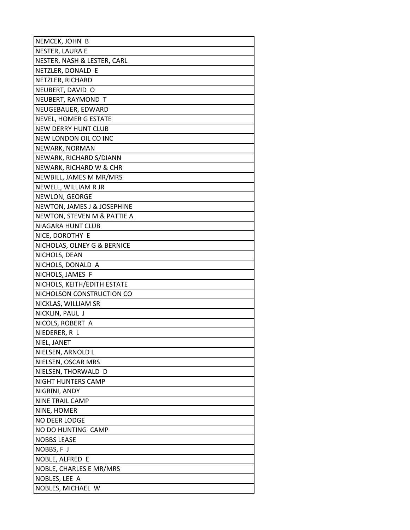| NEMCEK, JOHN B              |
|-----------------------------|
| NESTER, LAURA E             |
| NESTER, NASH & LESTER, CARL |
| NETZLER, DONALD E           |
| NETZLER, RICHARD            |
| NEUBERT, DAVID O            |
| NEUBERT, RAYMOND T          |
| NEUGEBAUER, EDWARD          |
| NEVEL, HOMER G ESTATE       |
| <b>NEW DERRY HUNT CLUB</b>  |
| NEW LONDON OIL CO INC       |
| NEWARK, NORMAN              |
| NEWARK, RICHARD S/DIANN     |
| NEWARK, RICHARD W & CHR     |
| NEWBILL, JAMES M MR/MRS     |
| NEWELL, WILLIAM R JR        |
| NEWLON, GEORGE              |
| NEWTON, JAMES J & JOSEPHINE |
| NEWTON, STEVEN M & PATTIE A |
| NIAGARA HUNT CLUB           |
| NICE, DOROTHY E             |
| NICHOLAS, OLNEY G & BERNICE |
| NICHOLS, DEAN               |
| NICHOLS, DONALD A           |
| NICHOLS, JAMES F            |
| NICHOLS, KEITH/EDITH ESTATE |
| NICHOLSON CONSTRUCTION CO   |
| NICKLAS, WILLIAM SR         |
| NICKLIN, PAUL J             |
| NICOLS, ROBERT A            |
| NIEDERER, R L               |
| NIEL, JANET                 |
| NIELSEN, ARNOLD L           |
| NIELSEN, OSCAR MRS          |
| NIELSEN, THORWALD D         |
| NIGHT HUNTERS CAMP          |
| NIGRINI, ANDY               |
| <b>NINE TRAIL CAMP</b>      |
| NINE, HOMER                 |
| NO DEER LODGE               |
| NO DO HUNTING CAMP          |
| <b>NOBBS LEASE</b>          |
| NOBBS, F J                  |
| NOBLE, ALFRED E             |
| NOBLE, CHARLES E MR/MRS     |
| NOBLES, LEE A               |
| NOBLES, MICHAEL W           |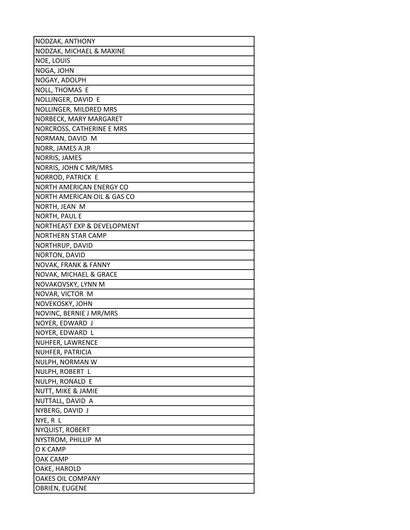| NODZAK, ANTHONY                       |
|---------------------------------------|
| NODZAK, MICHAEL & MAXINE              |
| <b>NOE, LOUIS</b>                     |
| NOGA, JOHN                            |
| NOGAY, ADOLPH                         |
| NOLL, THOMAS E                        |
| NOLLINGER, DAVID E                    |
| NOLLINGER, MILDRED MRS                |
| NORBECK, MARY MARGARET                |
| NORCROSS, CATHERINE E MRS             |
| NORMAN, DAVID M                       |
| NORR, JAMES A JR                      |
| NORRIS, JAMES                         |
| NORRIS, JOHN C MR/MRS                 |
| NORROD, PATRICK E                     |
| NORTH AMERICAN ENERGY CO              |
| NORTH AMERICAN OIL & GAS CO           |
| NORTH, JEAN M                         |
| <b>NORTH, PAUL E</b>                  |
| NORTHEAST EXP & DEVELOPMENT           |
| <b>NORTHERN STAR CAMP</b>             |
| NORTHRUP, DAVID                       |
| NORTON, DAVID                         |
| NOVAK, FRANK & FANNY                  |
| NOVAK, MICHAEL & GRACE                |
| NOVAKOVSKY, LYNN M                    |
| NOVAR, VICTOR M                       |
| NOVEKOSKY, JOHN                       |
| NOVINC, BERNIE J MR/MRS               |
| NOYER, EDWARD J                       |
| NOYER, EDWARD L                       |
| NUHFER, LAWRENCE                      |
| NUHFER, PATRICIA                      |
| NULPH, NORMAN W                       |
| NULPH, ROBERT L                       |
| NULPH, RONALD E                       |
| NUTT, MIKE & JAMIE                    |
| NUTTALL, DAVID A                      |
| NYBERG, DAVID J                       |
| NYE, R L                              |
| NYQUIST, ROBERT<br>NYSTROM, PHILLIP M |
| O K CAMP                              |
| <b>OAK CAMP</b>                       |
| OAKE, HAROLD                          |
| OAKES OIL COMPANY                     |
| <b>OBRIEN, EUGENE</b>                 |
|                                       |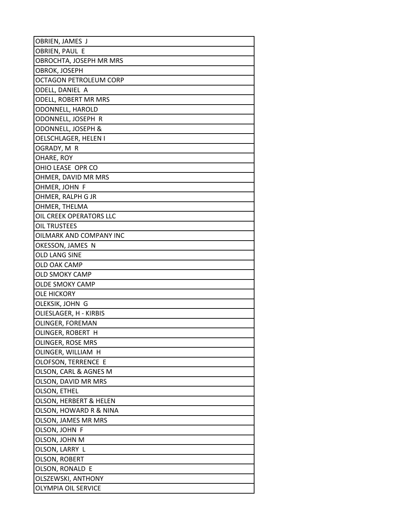| OBRIEN, JAMES J           |
|---------------------------|
| OBRIEN, PAUL E            |
| OBROCHTA, JOSEPH MR MRS   |
| OBROK, JOSEPH             |
| OCTAGON PETROLEUM CORP    |
| ODELL, DANIEL A           |
| ODELL, ROBERT MR MRS      |
| ODONNELL, HAROLD          |
| ODONNELL, JOSEPH R        |
| ODONNELL, JOSEPH &        |
| OELSCHLAGER, HELEN I      |
| OGRADY, M R               |
| OHARE, ROY                |
| OHIO LEASE OPR CO         |
| OHMER, DAVID MR MRS       |
| OHMER, JOHN F             |
| OHMER, RALPH G JR         |
| OHMER, THELMA             |
| OIL CREEK OPERATORS LLC   |
| OIL TRUSTEES              |
| OILMARK AND COMPANY INC   |
| OKESSON, JAMES N          |
| OLD LANG SINE             |
| OLD OAK CAMP              |
| <b>OLD SMOKY CAMP</b>     |
| <b>OLDE SMOKY CAMP</b>    |
| OLE HICKORY               |
| OLEKSIK, JOHN G           |
| OLIESLAGER, H - KIRBIS    |
| OLINGER, FOREMAN          |
| OLINGER, ROBERT H         |
| OLINGER, ROSE MRS         |
| OLINGER, WILLIAM H        |
| OLOFSON, TERRENCE E       |
| OLSON, CARL & AGNES M     |
| OLSON, DAVID MR MRS       |
| OLSON, ETHEL              |
| OLSON, HERBERT & HELEN    |
| OLSON, HOWARD R & NINA    |
| OLSON, JAMES MR MRS       |
| OLSON, JOHN F             |
| OLSON, JOHN M             |
| OLSON, LARRY L            |
| OLSON, ROBERT             |
| OLSON, RONALD E           |
| <b>OLSZEWSKI, ANTHONY</b> |
| OLYMPIA OIL SERVICE       |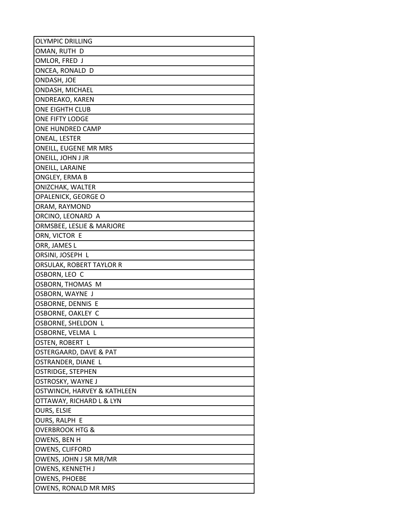| <b>OLYMPIC DRILLING</b>     |
|-----------------------------|
| OMAN, RUTH D                |
| OMLOR, FRED J               |
| ONCEA, RONALD D             |
| ONDASH, JOE                 |
| <b>ONDASH, MICHAEL</b>      |
| ONDREAKO, KAREN             |
| ONE EIGHTH CLUB             |
| ONE FIFTY LODGE             |
| ONE HUNDRED CAMP            |
| ONEAL, LESTER               |
| ONEILL, EUGENE MR MRS       |
| ONEILL, JOHN J JR           |
| ONEILL, LARAINE             |
| ONGLEY, ERMA B              |
| ONIZCHAK, WALTER            |
| OPALENICK, GEORGE O         |
| ORAM, RAYMOND               |
| ORCINO, LEONARD A           |
| ORMSBEE, LESLIE & MARJORE   |
| ORN, VICTOR E               |
| ORR, JAMES L                |
| ORSINI, JOSEPH L            |
| ORSULAK, ROBERT TAYLOR R    |
| OSBORN, LEO C               |
| OSBORN, THOMAS M            |
| OSBORN, WAYNE J             |
| OSBORNE, DENNIS E           |
| OSBORNE, OAKLEY C           |
| OSBORNE, SHELDON L          |
| OSBORNE, VELMA L            |
| OSTEN, ROBERT L             |
| OSTERGAARD, DAVE & PAT      |
| OSTRANDER, DIANE L          |
| OSTRIDGE, STEPHEN           |
| OSTROSKY, WAYNE J           |
| OSTWINCH, HARVEY & KATHLEEN |
| OTTAWAY, RICHARD L & LYN    |
| <b>OURS, ELSIE</b>          |
| OURS, RALPH E               |
| OVERBROOK HTG &             |
| OWENS, BEN H                |
| OWENS, CLIFFORD             |
| OWENS, JOHN J SR MR/MR      |
| OWENS, KENNETH J            |
| OWENS, PHOEBE               |
| OWENS, RONALD MR MRS        |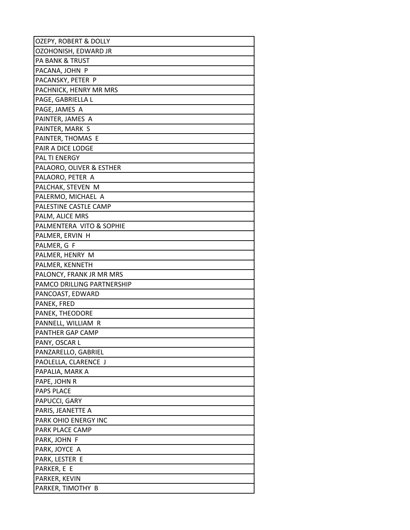| OZEPY, ROBERT & DOLLY      |
|----------------------------|
| OZOHONISH, EDWARD JR       |
| <b>PA BANK &amp; TRUST</b> |
| PACANA, JOHN P             |
| PACANSKY, PETER P          |
| PACHNICK, HENRY MR MRS     |
| PAGE, GABRIELLA L          |
| PAGE, JAMES A              |
| PAINTER, JAMES A           |
| PAINTER, MARK S            |
| PAINTER, THOMAS E          |
| PAIR A DICE LODGE          |
| <b>PAL TI ENERGY</b>       |
| PALAORO, OLIVER & ESTHER   |
| PALAORO, PETER A           |
| PALCHAK, STEVEN M          |
| PALERMO, MICHAEL A         |
| PALESTINE CASTLE CAMP      |
| PALM, ALICE MRS            |
| PALMENTERA VITO & SOPHIE   |
| PALMER, ERVIN H            |
| PALMER, G F                |
| PALMER, HENRY M            |
| PALMER, KENNETH            |
| PALONCY, FRANK JR MR MRS   |
| PAMCO DRILLING PARTNERSHIP |
| PANCOAST, EDWARD           |
| PANEK, FRED                |
| PANEK, THEODORE            |
| PANNELL, WILLIAM R         |
| PANTHER GAP CAMP           |
| PANY, OSCAR L              |
| PANZARELLO, GABRIEL        |
| PAOLELLA, CLARENCE J       |
| PAPALIA, MARK A            |
| PAPE, JOHN R<br>PAPS PLACE |
| PAPUCCI, GARY              |
| PARIS, JEANETTE A          |
| PARK OHIO ENERGY INC       |
| PARK PLACE CAMP            |
| PARK, JOHN F               |
| PARK, JOYCE A              |
| PARK, LESTER E             |
| PARKER, E E                |
| PARKER, KEVIN              |
| PARKER, TIMOTHY B          |
|                            |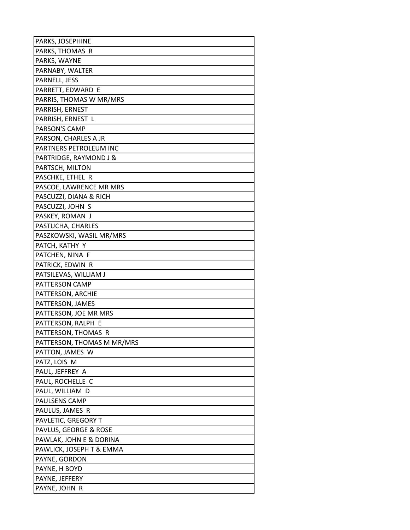| PARKS, JOSEPHINE           |
|----------------------------|
| PARKS, THOMAS R            |
| PARKS, WAYNE               |
| PARNABY, WALTER            |
| PARNELL, JESS              |
| PARRETT, EDWARD E          |
| PARRIS, THOMAS W MR/MRS    |
| PARRISH, ERNEST            |
| PARRISH, ERNEST L          |
| PARSON'S CAMP              |
| PARSON, CHARLES A JR       |
| PARTNERS PETROLEUM INC     |
| PARTRIDGE, RAYMOND J &     |
| PARTSCH, MILTON            |
| PASCHKE, ETHEL R           |
| PASCOE, LAWRENCE MR MRS    |
| PASCUZZI, DIANA & RICH     |
| PASCUZZI, JOHN S           |
| PASKEY, ROMAN J            |
| PASTUCHA, CHARLES          |
| PASZKOWSKI, WASIL MR/MRS   |
| PATCH, KATHY Y             |
| PATCHEN, NINA F            |
| PATRICK, EDWIN R           |
| PATSILEVAS, WILLIAM J      |
| PATTERSON CAMP             |
| PATTERSON, ARCHIE          |
| PATTERSON, JAMES           |
| PATTERSON, JOE MR MRS      |
| PATTERSON, RALPH E         |
| PATTERSON, THOMAS R        |
| PATTERSON, THOMAS M MR/MRS |
| PATTON, JAMES W            |
| PATZ, LOIS M               |
| PAUL, JEFFREY A            |
| PAUL, ROCHELLE C           |
| PAUL, WILLIAM D            |
| PAULSENS CAMP              |
| PAULUS, JAMES R            |
| PAVLETIC, GREGORY T        |
| PAVLUS, GEORGE & ROSE      |
| PAWLAK, JOHN E & DORINA    |
| PAWLICK, JOSEPH T & EMMA   |
| PAYNE, GORDON              |
| PAYNE, H BOYD              |
| PAYNE, JEFFERY             |
| PAYNE, JOHN R              |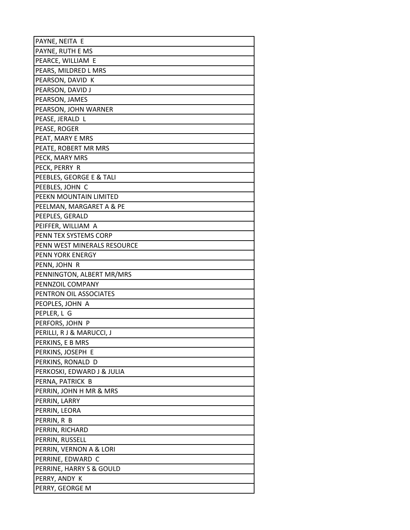| PAYNE, NEITA E              |
|-----------------------------|
| PAYNE, RUTH E MS            |
| PEARCE, WILLIAM E           |
| PEARS, MILDRED L MRS        |
| PEARSON, DAVID K            |
| PEARSON, DAVID J            |
| PEARSON, JAMES              |
| PEARSON, JOHN WARNER        |
| PEASE, JERALD L             |
| PEASE, ROGER                |
| PEAT, MARY E MRS            |
| PEATE, ROBERT MR MRS        |
| PECK, MARY MRS              |
| PECK, PERRY R               |
| PEEBLES, GEORGE E & TALI    |
| PEEBLES, JOHN C             |
| PEEKN MOUNTAIN LIMITED      |
| PEELMAN, MARGARET A & PE    |
| PEEPLES, GERALD             |
| PEIFFER, WILLIAM A          |
| PENN TEX SYSTEMS CORP       |
| PENN WEST MINERALS RESOURCE |
| PENN YORK ENERGY            |
| PENN, JOHN R                |
| PENNINGTON, ALBERT MR/MRS   |
| PENNZOIL COMPANY            |
| PENTRON OIL ASSOCIATES      |
| PEOPLES, JOHN A             |
| PEPLER, L G                 |
| PERFORS, JOHN P             |
| PERILLI, R J & MARUCCI, J   |
| PERKINS, E B MRS            |
| PERKINS, JOSEPH E           |
| PERKINS, RONALD D           |
| PERKOSKI, EDWARD J & JULIA  |
| PERNA, PATRICK B            |
| PERRIN, JOHN H MR & MRS     |
| PERRIN, LARRY               |
| PERRIN, LEORA               |
| PERRIN, R B                 |
| PERRIN, RICHARD             |
| PERRIN, RUSSELL             |
| PERRIN, VERNON A & LORI     |
| PERRINE, EDWARD C           |
| PERRINE, HARRY S & GOULD    |
| PERRY, ANDY K               |
| PERRY, GEORGE M             |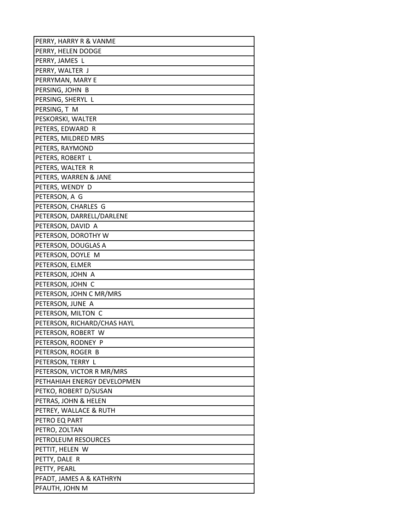| PERRY, HARRY R & VANME               |
|--------------------------------------|
| PERRY, HELEN DODGE                   |
| PERRY, JAMES L                       |
| PERRY, WALTER J                      |
| PERRYMAN, MARY E                     |
| PERSING, JOHN B                      |
| PERSING, SHERYL L                    |
| PERSING, T M                         |
| PESKORSKI, WALTER                    |
| PETERS, EDWARD R                     |
| PETERS, MILDRED MRS                  |
| PETERS, RAYMOND                      |
| PETERS, ROBERT L                     |
| PETERS, WALTER R                     |
| PETERS, WARREN & JANE                |
| PETERS, WENDY D                      |
| PETERSON, A G                        |
| PETERSON, CHARLES G                  |
| PETERSON, DARRELL/DARLENE            |
| PETERSON, DAVID A                    |
| PETERSON, DOROTHY W                  |
| PETERSON, DOUGLAS A                  |
| PETERSON, DOYLE M                    |
| PETERSON, ELMER                      |
| PETERSON, JOHN A                     |
| PETERSON, JOHN C                     |
| PETERSON, JOHN C MR/MRS              |
| PETERSON, JUNE A                     |
| PETERSON, MILTON C                   |
| PETERSON, RICHARD/CHAS HAYL          |
| PETERSON, ROBERT W                   |
| PETERSON, RODNEY P                   |
| PETERSON, ROGER B                    |
| PETERSON, TERRY L                    |
| PETERSON, VICTOR R MR/MRS            |
| PETHAHIAH ENERGY DEVELOPMEN          |
| PETKO, ROBERT D/SUSAN                |
| PETRAS, JOHN & HELEN                 |
| PETREY, WALLACE & RUTH               |
| PETRO EQ PART                        |
| PETRO, ZOLTAN<br>PETROLEUM RESOURCES |
| PETTIT, HELEN W                      |
| PETTY, DALE R                        |
| PETTY, PEARL                         |
| PFADT, JAMES A & KATHRYN             |
|                                      |
| PFAUTH, JOHN M                       |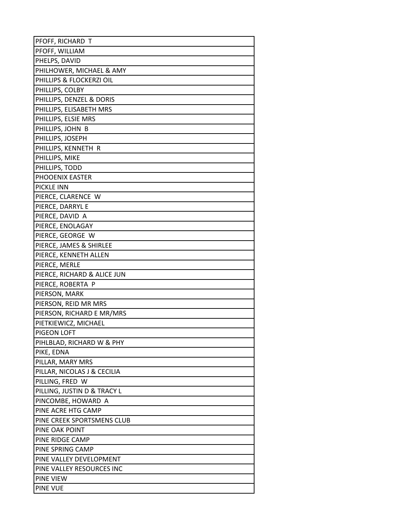| PFOFF, RICHARD T            |
|-----------------------------|
| PFOFF, WILLIAM              |
| PHELPS, DAVID               |
| PHILHOWER, MICHAEL & AMY    |
| PHILLIPS & FLOCKERZI OIL    |
| PHILLIPS, COLBY             |
| PHILLIPS, DENZEL & DORIS    |
| PHILLIPS, ELISABETH MRS     |
| PHILLIPS, ELSIE MRS         |
| PHILLIPS, JOHN B            |
| PHILLIPS, JOSEPH            |
| PHILLIPS, KENNETH R         |
| PHILLIPS, MIKE              |
| PHILLIPS, TODD              |
| PHOOENIX EASTER             |
| PICKLE INN                  |
| PIERCE, CLARENCE W          |
| PIERCE, DARRYL E            |
| PIERCE, DAVID A             |
| PIERCE, ENOLAGAY            |
| PIERCE, GEORGE W            |
| PIERCE, JAMES & SHIRLEE     |
| PIERCE, KENNETH ALLEN       |
| PIERCE, MERLE               |
| PIERCE, RICHARD & ALICE JUN |
| PIERCE, ROBERTA P           |
| PIERSON, MARK               |
| PIERSON, REID MR MRS        |
| PIERSON, RICHARD E MR/MRS   |
| PIETKIEWICZ, MICHAEL        |
| PIGEON LOFT                 |
| PIHLBLAD, RICHARD W & PHY   |
| PIKE, EDNA                  |
| PILLAR, MARY MRS            |
| PILLAR, NICOLAS J & CECILIA |
| PILLING, FRED W             |
| PILLING, JUSTIN D & TRACY L |
| PINCOMBE, HOWARD A          |
| PINE ACRE HTG CAMP          |
| PINE CREEK SPORTSMENS CLUB  |
| PINE OAK POINT              |
| PINE RIDGE CAMP             |
| PINE SPRING CAMP            |
| PINE VALLEY DEVELOPMENT     |
| PINE VALLEY RESOURCES INC   |
| <b>PINE VIEW</b>            |
| <b>PINE VUE</b>             |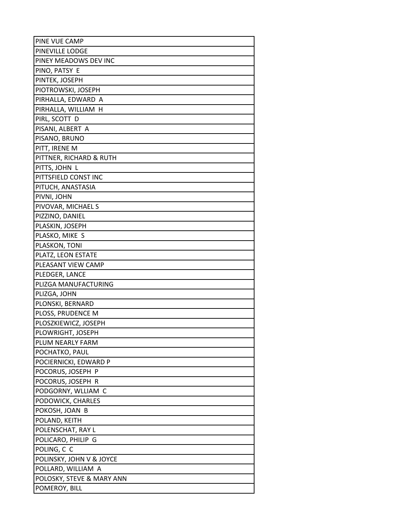| PINE VUE CAMP             |
|---------------------------|
| PINEVILLE LODGE           |
| PINEY MEADOWS DEV INC     |
| PINO, PATSY E             |
| PINTEK, JOSEPH            |
| PIOTROWSKI, JOSEPH        |
| PIRHALLA, EDWARD A        |
| PIRHALLA, WILLIAM H       |
| PIRL, SCOTT D             |
| PISANI, ALBERT A          |
| PISANO, BRUNO             |
| PITT, IRENE M             |
| PITTNER, RICHARD & RUTH   |
| PITTS, JOHN L             |
| PITTSFIELD CONST INC      |
| PITUCH, ANASTASIA         |
| PIVNI, JOHN               |
| PIVOVAR, MICHAEL S        |
| PIZZINO, DANIEL           |
| PLASKIN, JOSEPH           |
| PLASKO, MIKE S            |
| PLASKON, TONI             |
| PLATZ, LEON ESTATE        |
| PLEASANT VIEW CAMP        |
| PLEDGER, LANCE            |
| PLIZGA MANUFACTURING      |
| PLIZGA, JOHN              |
| PLONSKI, BERNARD          |
| PLOSS, PRUDENCE M         |
| PLOSZKIEWICZ, JOSEPH      |
| PLOWRIGHT, JOSEPH         |
| PLUM NEARLY FARM          |
| POCHATKO, PAUL            |
| POCIERNICKI, EDWARD P     |
| POCORUS, JOSEPH P         |
| POCORUS, JOSEPH R         |
| PODGORNY, WLLIAM C        |
| PODOWICK, CHARLES         |
| POKOSH, JOAN B            |
| POLAND, KEITH             |
| POLENSCHAT, RAY L         |
| POLICARO, PHILIP G        |
| POLING, C C               |
| POLINSKY, JOHN V & JOYCE  |
| POLLARD, WILLIAM A        |
| POLOSKY, STEVE & MARY ANN |
| POMEROY, BILL             |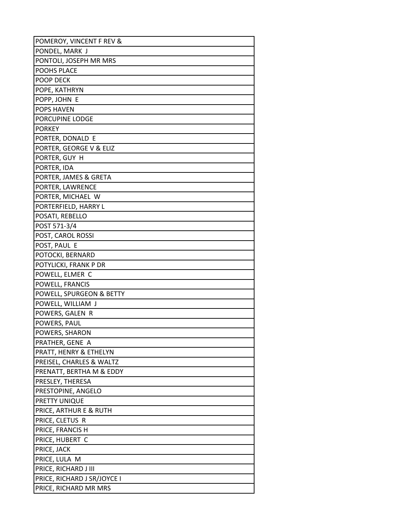| POMEROY, VINCENT F REV &    |
|-----------------------------|
| PONDEL, MARK J              |
| PONTOLI, JOSEPH MR MRS      |
| POOHS PLACE                 |
| POOP DECK                   |
| POPE, KATHRYN               |
| POPP, JOHN E                |
| <b>POPS HAVEN</b>           |
| PORCUPINE LODGE             |
| <b>PORKEY</b>               |
| PORTER, DONALD E            |
| PORTER, GEORGE V & ELIZ     |
| PORTER, GUY H               |
| PORTER, IDA                 |
| PORTER, JAMES & GRETA       |
| PORTER, LAWRENCE            |
| PORTER, MICHAEL W           |
| PORTERFIELD, HARRY L        |
| POSATI, REBELLO             |
| POST 571-3/4                |
| POST, CAROL ROSSI           |
| POST, PAUL E                |
| POTOCKI, BERNARD            |
| POTYLICKI, FRANK P DR       |
| POWELL, ELMER C             |
| POWELL, FRANCIS             |
| POWELL, SPURGEON & BETTY    |
| POWELL, WILLIAM J           |
| POWERS, GALEN R             |
| POWERS, PAUL                |
| POWERS, SHARON              |
| PRATHER, GENE A             |
| PRATT, HENRY & ETHELYN      |
| PREISEL, CHARLES & WALTZ    |
| PRENATT, BERTHA M & EDDY    |
| PRESLEY, THERESA            |
| PRESTOPINE, ANGELO          |
| PRETTY UNIQUE               |
| PRICE, ARTHUR E & RUTH      |
| PRICE, CLETUS R             |
| PRICE, FRANCIS H            |
| PRICE, HUBERT C             |
| PRICE, JACK                 |
| PRICE, LULA M               |
| PRICE, RICHARD J III        |
| PRICE, RICHARD J SR/JOYCE I |
| PRICE, RICHARD MR MRS       |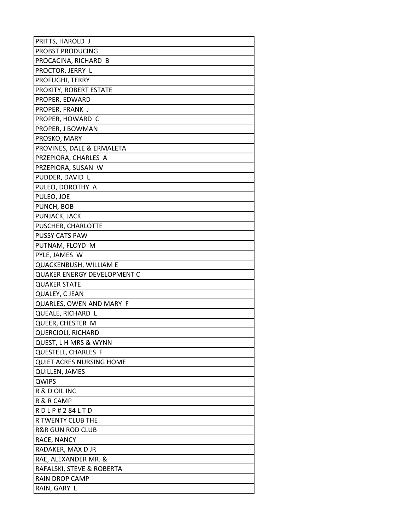| PRITTS, HAROLD J                   |
|------------------------------------|
| PROBST PRODUCING                   |
| PROCACINA, RICHARD B               |
| PROCTOR, JERRY L                   |
| PROFUGHI, TERRY                    |
| PROKITY, ROBERT ESTATE             |
| PROPER, EDWARD                     |
| PROPER, FRANK J                    |
| PROPER, HOWARD C                   |
| PROPER, J BOWMAN                   |
| PROSKO, MARY                       |
| PROVINES, DALE & ERMALETA          |
| PRZEPIORA, CHARLES A               |
| PRZEPIORA, SUSAN W                 |
| PUDDER, DAVID L                    |
| PULEO, DOROTHY A                   |
| PULEO, JOE                         |
| PUNCH, BOB                         |
| PUNJACK, JACK                      |
| PUSCHER, CHARLOTTE                 |
| <b>PUSSY CATS PAW</b>              |
| PUTNAM, FLOYD M                    |
| PYLE, JAMES W                      |
| QUACKENBUSH, WILLIAM E             |
| <b>QUAKER ENERGY DEVELOPMENT C</b> |
| <b>QUAKER STATE</b>                |
| QUALEY, C JEAN                     |
| QUARLES, OWEN AND MARY F           |
| QUEALE, RICHARD L                  |
| <b>QUEER, CHESTER M</b>            |
| <b>QUERCIOLI, RICHARD</b>          |
| <b>QUEST, L H MRS &amp; WYNN</b>   |
| <b>QUESTELL, CHARLES F</b>         |
| <b>QUIET ACRES NURSING HOME</b>    |
| <b>QUILLEN, JAMES</b>              |
| QWIPS                              |
| R & D OIL INC                      |
| R & R CAMP                         |
| RDLP#284LTD                        |
| R TWENTY CLUB THE                  |
| <b>R&amp;R GUN ROD CLUB</b>        |
| RACE, NANCY                        |
| RADAKER, MAX D JR                  |
| RAE, ALEXANDER MR. &               |
| RAFALSKI, STEVE & ROBERTA          |
| <b>RAIN DROP CAMP</b>              |
| RAIN, GARY L                       |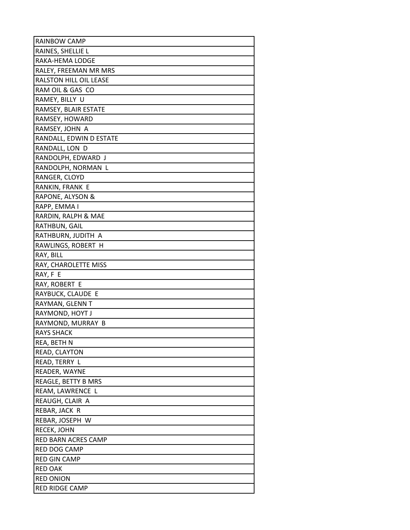| RAINBOW CAMP               |
|----------------------------|
| RAINES, SHELLIE L          |
| RAKA-HEMA LODGE            |
| RALEY, FREEMAN MR MRS      |
| RALSTON HILL OIL LEASE     |
| RAM OIL & GAS CO           |
| RAMEY, BILLY U             |
| RAMSEY, BLAIR ESTATE       |
| RAMSEY, HOWARD             |
| RAMSEY, JOHN A             |
| RANDALL, EDWIN D ESTATE    |
| RANDALL, LON D             |
| RANDOLPH, EDWARD J         |
| RANDOLPH, NORMAN L         |
| RANGER, CLOYD              |
| RANKIN, FRANK E            |
| RAPONE, ALYSON &           |
| RAPP, EMMA I               |
| RARDIN, RALPH & MAE        |
| RATHBUN, GAIL              |
| RATHBURN, JUDITH A         |
| RAWLINGS, ROBERT H         |
| RAY, BILL                  |
| RAY, CHAROLETTE MISS       |
| RAY, F E                   |
| RAY, ROBERT E              |
| RAYBUCK, CLAUDE E          |
| RAYMAN, GLENN T            |
| RAYMOND, HOYT J            |
| RAYMOND, MURRAY B          |
| <b>RAYS SHACK</b>          |
| REA, BETH N                |
| READ, CLAYTON              |
| READ, TERRY L              |
| READER, WAYNE              |
| REAGLE, BETTY B MRS        |
| REAM, LAWRENCE L           |
| REAUGH, CLAIR A            |
| REBAR, JACK R              |
| REBAR, JOSEPH W            |
| RECEK, JOHN                |
| <b>RED BARN ACRES CAMP</b> |
| RED DOG CAMP               |
| <b>RED GIN CAMP</b>        |
| <b>RED OAK</b>             |
| <b>RED ONION</b>           |
| RED RIDGE CAMP             |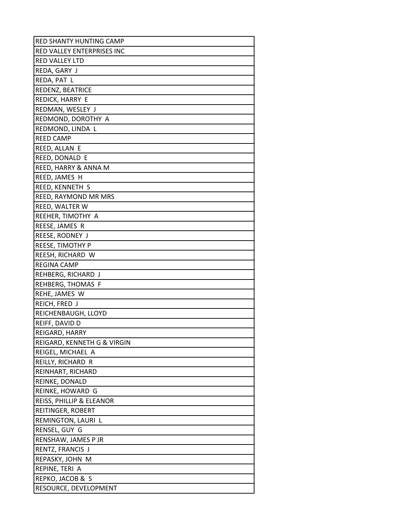| RED SHANTY HUNTING CAMP     |
|-----------------------------|
| RED VALLEY ENTERPRISES INC  |
| RED VALLEY LTD              |
| REDA, GARY J                |
| REDA, PAT L                 |
| REDENZ, BEATRICE            |
| REDICK, HARRY E             |
| REDMAN, WESLEY J            |
| REDMOND, DOROTHY A          |
| REDMOND, LINDA L            |
| <b>REED CAMP</b>            |
| REED, ALLAN E               |
| REED, DONALD E              |
| REED, HARRY & ANNA M        |
| REED, JAMES H               |
| REED, KENNETH S             |
| REED, RAYMOND MR MRS        |
| REED, WALTER W              |
| REEHER, TIMOTHY A           |
| REESE, JAMES R              |
| REESE, RODNEY J             |
| REESE, TIMOTHY P            |
| REESH, RICHARD W            |
| REGINA CAMP                 |
| REHBERG, RICHARD J          |
| REHBERG, THOMAS F           |
| REHE, JAMES W               |
| REICH, FRED J               |
| REICHENBAUGH, LLOYD         |
| REIFF, DAVID D              |
| REIGARD, HARRY              |
| REIGARD, KENNETH G & VIRGIN |
| REIGEL, MICHAEL A           |
| REILLY, RICHARD R           |
| REINHART, RICHARD           |
| REINKE, DONALD              |
| REINKE, HOWARD G            |
| REISS, PHILLIP & ELEANOR    |
| REITINGER, ROBERT           |
| REMINGTON, LAURI L          |
| RENSEL, GUY G               |
| RENSHAW, JAMES P JR         |
| RENTZ, FRANCIS J            |
| REPASKY, JOHN M             |
| REPINE, TERI A              |
| REPKO, JACOB & S            |
| RESOURCE, DEVELOPMENT       |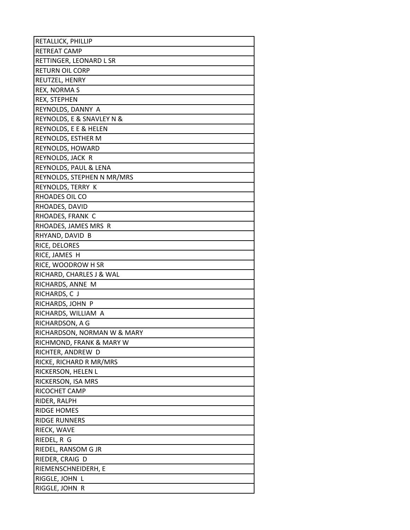| RETALLICK, PHILLIP          |
|-----------------------------|
| RETREAT CAMP                |
| RETTINGER, LEONARD L SR     |
| <b>RETURN OIL CORP</b>      |
| REUTZEL, HENRY              |
| REX, NORMA S                |
| REX, STEPHEN                |
| REYNOLDS, DANNY A           |
| REYNOLDS, E & SNAVLEY N &   |
| REYNOLDS, E E & HELEN       |
| REYNOLDS, ESTHER M          |
| REYNOLDS, HOWARD            |
| REYNOLDS, JACK R            |
| REYNOLDS, PAUL & LENA       |
| REYNOLDS, STEPHEN N MR/MRS  |
| REYNOLDS, TERRY K           |
| RHOADES OIL CO              |
| RHOADES, DAVID              |
| RHOADES, FRANK C            |
| RHOADES, JAMES MRS R        |
| RHYAND, DAVID B             |
| RICE, DELORES               |
| RICE, JAMES H               |
| RICE, WOODROW H SR          |
| RICHARD, CHARLES J & WAL    |
| RICHARDS, ANNE M            |
| RICHARDS, C J               |
| RICHARDS, JOHN P            |
| RICHARDS, WILLIAM A         |
| RICHARDSON, A G             |
| RICHARDSON, NORMAN W & MARY |
| RICHMOND, FRANK & MARY W    |
| RICHTER, ANDREW D           |
| RICKE, RICHARD R MR/MRS     |
| RICKERSON, HELEN L          |
| RICKERSON, ISA MRS          |
| RICOCHET CAMP               |
| RIDER, RALPH                |
| <b>RIDGE HOMES</b>          |
| RIDGE RUNNERS               |
| RIECK, WAVE                 |
| RIEDEL, R G                 |
| RIEDEL, RANSOM G JR         |
| RIEDER, CRAIG D             |
| RIEMENSCHNEIDERH, E         |
| RIGGLE, JOHN L              |
| RIGGLE, JOHN R              |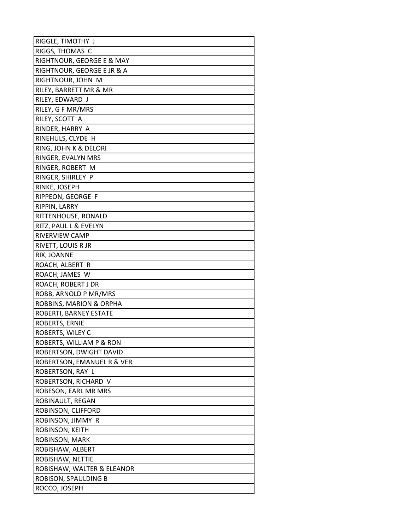| RIGGLE, TIMOTHY J          |
|----------------------------|
| RIGGS, THOMAS C            |
| RIGHTNOUR, GEORGE E & MAY  |
| RIGHTNOUR, GEORGE E JR & A |
| RIGHTNOUR, JOHN M          |
| RILEY, BARRETT MR & MR     |
| RILEY, EDWARD J            |
| RILEY, G F MR/MRS          |
| RILEY, SCOTT A             |
| RINDER, HARRY A            |
| RINEHULS, CLYDE H          |
| RING, JOHN K & DELORI      |
| RINGER, EVALYN MRS         |
| RINGER, ROBERT M           |
| RINGER, SHIRLEY P          |
| RINKE, JOSEPH              |
| RIPPEON, GEORGE F          |
| RIPPIN, LARRY              |
| RITTENHOUSE, RONALD        |
| RITZ, PAUL L & EVELYN      |
| RIVERVIEW CAMP             |
| RIVETT, LOUIS R JR         |
| RIX, JOANNE                |
| ROACH, ALBERT R            |
| ROACH, JAMES W             |
| ROACH, ROBERT J DR         |
| ROBB, ARNOLD P MR/MRS      |
| ROBBINS, MARION & ORPHA    |
| ROBERTI, BARNEY ESTATE     |
| ROBERTS, ERNIE             |
| ROBERTS, WILEY C           |
| ROBERTS, WILLIAM P & RON   |
| ROBERTSON, DWIGHT DAVID    |
| ROBERTSON, EMANUEL R & VER |
| ROBERTSON, RAY L           |
| ROBERTSON, RICHARD V       |
| ROBESON, EARL MR MRS       |
| ROBINAULT, REGAN           |
| ROBINSON, CLIFFORD         |
| ROBINSON, JIMMY R          |
| ROBINSON, KEITH            |
| ROBINSON, MARK             |
| ROBISHAW, ALBERT           |
| ROBISHAW, NETTIE           |
| ROBISHAW, WALTER & ELEANOR |
| ROBISON, SPAULDING B       |
| ROCCO, JOSEPH              |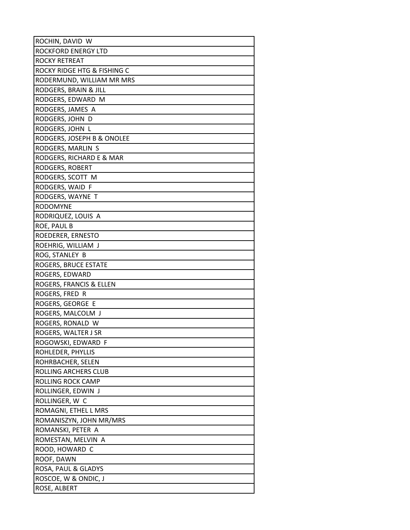| ROCHIN, DAVID W             |
|-----------------------------|
| ROCKFORD ENERGY LTD         |
| ROCKY RETREAT               |
| ROCKY RIDGE HTG & FISHING C |
| RODERMUND, WILLIAM MR MRS   |
| RODGERS, BRAIN & JILL       |
| RODGERS, EDWARD M           |
| RODGERS, JAMES A            |
| RODGERS, JOHN D             |
| RODGERS, JOHN L             |
| RODGERS, JOSEPH B & ONOLEE  |
| RODGERS, MARLIN S           |
| RODGERS, RICHARD E & MAR    |
| RODGERS, ROBERT             |
| RODGERS, SCOTT M            |
| RODGERS, WAID F             |
| RODGERS, WAYNE T            |
| <b>RODOMYNE</b>             |
| RODRIQUEZ, LOUIS A          |
| ROE, PAUL B                 |
| ROEDERER, ERNESTO           |
| ROEHRIG, WILLIAM J          |
| ROG, STANLEY B              |
| ROGERS, BRUCE ESTATE        |
| ROGERS, EDWARD              |
| ROGERS, FRANCIS & ELLEN     |
| ROGERS, FRED R              |
| ROGERS, GEORGE E            |
| ROGERS, MALCOLM J           |
| ROGERS, RONALD W            |
| ROGERS, WALTER J SR         |
| ROGOWSKI, EDWARD F          |
| ROHLEDER, PHYLLIS           |
| ROHRBACHER, SELEN           |
| ROLLING ARCHERS CLUB        |
| ROLLING ROCK CAMP           |
| ROLLINGER, EDWIN J          |
| ROLLINGER, W C              |
| ROMAGNI, ETHEL L MRS        |
| ROMANISZYN, JOHN MR/MRS     |
| ROMANSKI, PETER A           |
| ROMESTAN, MELVIN A          |
| ROOD, HOWARD C              |
| ROOF, DAWN                  |
| ROSA, PAUL & GLADYS         |
| ROSCOE, W & ONDIC, J        |
| ROSE, ALBERT                |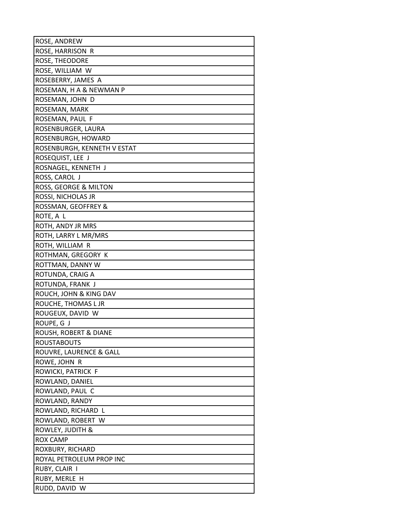| ROSE, ANDREW                |
|-----------------------------|
| ROSE, HARRISON R            |
| ROSE, THEODORE              |
| ROSE, WILLIAM W             |
| ROSEBERRY, JAMES A          |
| ROSEMAN, H A & NEWMAN P     |
| ROSEMAN, JOHN D             |
| ROSEMAN, MARK               |
| ROSEMAN, PAUL F             |
| ROSENBURGER, LAURA          |
| ROSENBURGH, HOWARD          |
| ROSENBURGH, KENNETH V ESTAT |
| ROSEQUIST, LEE J            |
| ROSNAGEL, KENNETH J         |
| ROSS, CAROL J               |
| ROSS, GEORGE & MILTON       |
| ROSSI, NICHOLAS JR          |
| ROSSMAN, GEOFFREY &         |
| ROTE, A L                   |
| ROTH, ANDY JR MRS           |
| ROTH, LARRY L MR/MRS        |
| ROTH, WILLIAM R             |
| ROTHMAN, GREGORY K          |
| ROTTMAN, DANNY W            |
| ROTUNDA, CRAIG A            |
| ROTUNDA, FRANK J            |
| ROUCH, JOHN & KING DAV      |
| ROUCHE, THOMAS L JR         |
| ROUGEUX, DAVID W            |
| ROUPE, G J                  |
| ROUSH, ROBERT & DIANE       |
| <b>ROUSTABOUTS</b>          |
| ROUVRE, LAURENCE & GALL     |
| ROWE, JOHN R                |
| ROWICKI, PATRICK F          |
| ROWLAND, DANIEL             |
| ROWLAND, PAUL C             |
| ROWLAND, RANDY              |
| ROWLAND, RICHARD L          |
| ROWLAND, ROBERT W           |
| ROWLEY, JUDITH &            |
| <b>ROX CAMP</b>             |
| ROXBURY, RICHARD            |
| ROYAL PETROLEUM PROP INC    |
| RUBY, CLAIR I               |
| RUBY, MERLE H               |
| RUDD, DAVID W               |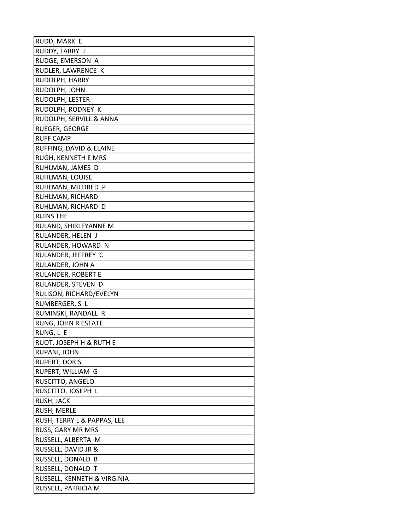| RUDD, MARK E                |
|-----------------------------|
| RUDDY, LARRY J              |
| RUDGE, EMERSON A            |
| RUDLER, LAWRENCE K          |
| RUDOLPH, HARRY              |
| RUDOLPH, JOHN               |
| RUDOLPH, LESTER             |
| RUDOLPH, RODNEY K           |
| RUDOLPH, SERVILL & ANNA     |
| RUEGER, GEORGE              |
| <b>RUFF CAMP</b>            |
| RUFFING, DAVID & ELAINE     |
| RUGH, KENNETH E MRS         |
| RUHLMAN, JAMES D            |
| RUHLMAN, LOUISE             |
| RUHLMAN, MILDRED P          |
| RUHLMAN, RICHARD            |
| RUHLMAN, RICHARD D          |
| <b>RUINS THE</b>            |
| RULAND, SHIRLEYANNE M       |
| RULANDER, HELEN J           |
| RULANDER, HOWARD N          |
| RULANDER, JEFFREY C         |
| RULANDER, JOHN A            |
| RULANDER, ROBERT E          |
| RULANDER, STEVEN D          |
| RULISON, RICHARD/EVELYN     |
| RUMBERGER, S L              |
| RUMINSKI, RANDALL R         |
| RUNG, JOHN R ESTATE         |
| RUNG, L E                   |
| RUOT, JOSEPH H & RUTH E     |
| RUPANI, JOHN                |
| <b>RUPERT, DORIS</b>        |
| RUPERT, WILLIAM G           |
| RUSCITTO, ANGELO            |
| RUSCITTO, JOSEPH L          |
| RUSH, JACK                  |
| <b>RUSH, MERLE</b>          |
| RUSH, TERRY L & PAPPAS, LEE |
| RUSS, GARY MR MRS           |
| RUSSELL, ALBERTA M          |
| RUSSELL, DAVID JR &         |
| RUSSELL, DONALD B           |
| RUSSELL, DONALD T           |
| RUSSELL, KENNETH & VIRGINIA |
| RUSSELL, PATRICIA M         |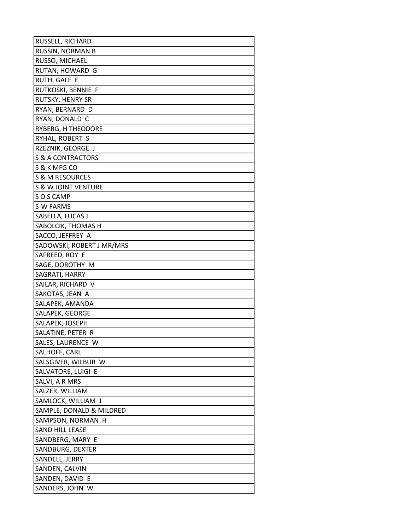| RUSSELL, RICHARD          |
|---------------------------|
| RUSSIN, NORMAN B          |
| RUSSO, MICHAEL            |
| RUTAN, HOWARD G           |
| RUTH, GALE E              |
| RUTKOSKI, BENNIE F        |
| RUTSKY, HENRY SR          |
| RYAN, BERNARD D           |
| RYAN, DONALD C            |
| RYBERG, H THEODORE        |
| RYHAL, ROBERT S           |
| RZEZNIK, GEORGE J         |
| S & A CONTRACTORS         |
| S & K MFG CO              |
| S & M RESOURCES           |
| S & W JOINT VENTURE       |
| SOS CAMP                  |
| S-W FARMS                 |
| SABELLA, LUCAS J          |
| SABOLCIK, THOMAS H        |
| SACCO, JEFFREY A          |
| SADOWSKI, ROBERT J MR/MRS |
| SAFREED, ROY E            |
| SAGE, DOROTHY M           |
| SAGRATI, HARRY            |
| SAILAR, RICHARD V         |
| SAKOTAS, JEAN A           |
| SALAPEK, AMANDA           |
| SALAPEK, GEORGE           |
| SALAPEK, JOSEPH           |
| SALATINE, PETER R         |
| SALES, LAURENCE W         |
| SALHOFF, CARL             |
| SALSGIVER, WILBUR W       |
| SALVATORE, LUIGI E        |
| SALVI, A R MRS            |
| SALZER, WILLIAM           |
| SAMLOCK, WILLIAM J        |
| SAMPLE, DONALD & MILDRED  |
| SAMPSON, NORMAN H         |
| SAND HILL LEASE           |
| SANDBERG, MARY E          |
| SANDBURG, DEXTER          |
| SANDELL, JERRY            |
| SANDEN, CALVIN            |
| SANDEN, DAVID E           |
| SANDERS, JOHN W           |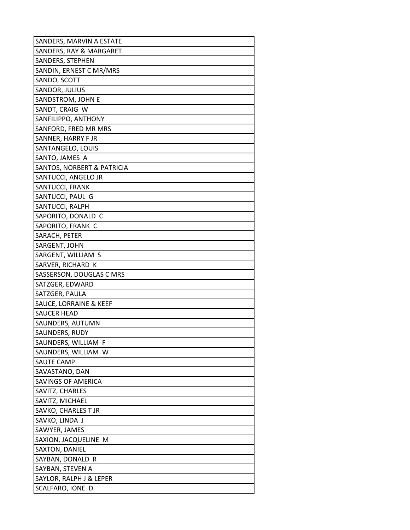| SANDERS, MARVIN A ESTATE   |
|----------------------------|
| SANDERS, RAY & MARGARET    |
| SANDERS, STEPHEN           |
| SANDIN, ERNEST C MR/MRS    |
| SANDO, SCOTT               |
| SANDOR, JULIUS             |
| SANDSTROM, JOHN E          |
| SANDT, CRAIG W             |
| SANFILIPPO, ANTHONY        |
| SANFORD, FRED MR MRS       |
| SANNER, HARRY F JR         |
| SANTANGELO, LOUIS          |
| SANTO, JAMES A             |
| SANTOS, NORBERT & PATRICIA |
| SANTUCCI, ANGELO JR        |
| SANTUCCI, FRANK            |
| SANTUCCI, PAUL G           |
| SANTUCCI, RALPH            |
| SAPORITO, DONALD C         |
| SAPORITO, FRANK C          |
| SARACH, PETER              |
| SARGENT, JOHN              |
| SARGENT, WILLIAM S         |
| SARVER, RICHARD K          |
| SASSERSON, DOUGLAS C MRS   |
| SATZGER, EDWARD            |
| SATZGER, PAULA             |
| SAUCE, LORRAINE & KEEF     |
| <b>SAUCER HEAD</b>         |
| SAUNDERS, AUTUMN           |
| SAUNDERS, RUDY             |
| SAUNDERS, WILLIAM F        |
| SAUNDERS, WILLIAM W        |
| SAUTE CAMP                 |
| SAVASTANO, DAN             |
| SAVINGS OF AMERICA         |
| SAVITZ, CHARLES            |
| SAVITZ, MICHAEL            |
| SAVKO, CHARLES T JR        |
| SAVKO, LINDA J             |
| SAWYER, JAMES              |
| SAXION, JACQUELINE M       |
| SAXTON, DANIEL             |
| SAYBAN, DONALD R           |
| SAYBAN, STEVEN A           |
| SAYLOR, RALPH J & LEPER    |
| SCALFARO, IONE D           |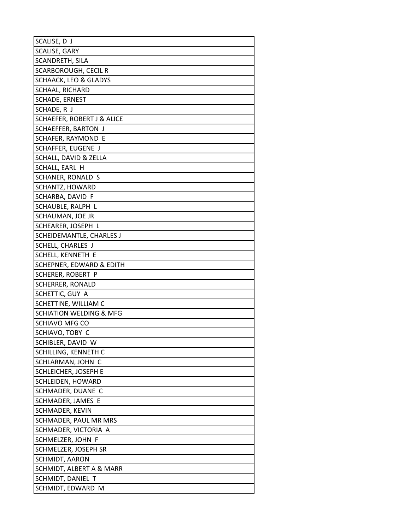| SCALISE, D J                          |
|---------------------------------------|
| SCALISE, GARY                         |
| SCANDRETH, SILA                       |
| SCARBOROUGH, CECIL R                  |
| <b>SCHAACK, LEO &amp; GLADYS</b>      |
| <b>SCHAAL, RICHARD</b>                |
| <b>SCHADE, ERNEST</b>                 |
| SCHADE, R J                           |
| <b>SCHAEFER, ROBERT J &amp; ALICE</b> |
| <b>SCHAEFFER, BARTON J</b>            |
| SCHAFER, RAYMOND E                    |
| SCHAFFER, EUGENE J                    |
| SCHALL, DAVID & ZELLA                 |
| SCHALL, EARL H                        |
| SCHANER, RONALD S                     |
| SCHANTZ, HOWARD                       |
| SCHARBA, DAVID F                      |
| SCHAUBLE, RALPH L                     |
| SCHAUMAN, JOE JR                      |
| SCHEARER, JOSEPH L                    |
| SCHEIDEMANTLE, CHARLES J              |
| SCHELL, CHARLES J                     |
| SCHELL, KENNETH E                     |
| SCHEPNER, EDWARD & EDITH              |
| SCHERER, ROBERT P                     |
| SCHERRER, RONALD                      |
| SCHETTIC, GUY A                       |
| SCHETTINE, WILLIAM C                  |
| SCHIATION WELDING & MFG               |
| SCHIAVO MFG CO                        |
| SCHIAVO, TOBY C                       |
| SCHIBLER, DAVID W                     |
| SCHILLING, KENNETH C                  |
| SCHLARMAN, JOHN C                     |
| SCHLEICHER, JOSEPH E                  |
| SCHLEIDEN, HOWARD                     |
| SCHMADER, DUANE C                     |
| SCHMADER, JAMES E                     |
| SCHMADER, KEVIN                       |
| SCHMADER, PAUL MR MRS                 |
| SCHMADER, VICTORIA A                  |
| SCHMELZER, JOHN F                     |
| SCHMELZER, JOSEPH SR                  |
| SCHMIDT, AARON                        |
| SCHMIDT, ALBERT A & MARR              |
| SCHMIDT, DANIEL T                     |
| SCHMIDT, EDWARD M                     |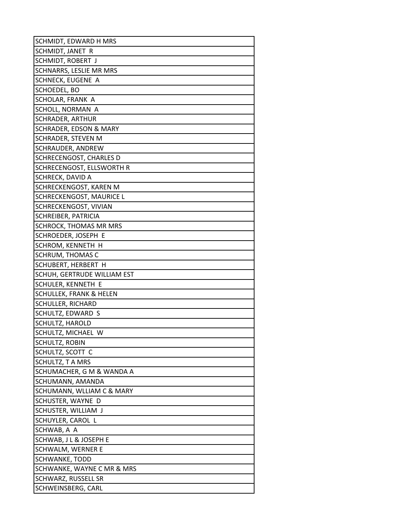| SCHMIDT, EDWARD H MRS              |
|------------------------------------|
| SCHMIDT, JANET R                   |
| SCHMIDT, ROBERT J                  |
| SCHNARRS, LESLIE MR MRS            |
| SCHNECK, EUGENE A                  |
| SCHOEDEL, BO                       |
| SCHOLAR, FRANK A                   |
| SCHOLL, NORMAN A                   |
| SCHRADER, ARTHUR                   |
| SCHRADER, EDSON & MARY             |
| SCHRADER, STEVEN M                 |
| SCHRAUDER, ANDREW                  |
| SCHRECENGOST, CHARLES D            |
| SCHRECENGOST, ELLSWORTH R          |
| SCHRECK, DAVID A                   |
| SCHRECKENGOST, KAREN M             |
| SCHRECKENGOST, MAURICE L           |
| SCHRECKENGOST, VIVIAN              |
| SCHREIBER, PATRICIA                |
| SCHROCK, THOMAS MR MRS             |
| SCHROEDER, JOSEPH E                |
| SCHROM, KENNETH H                  |
| SCHRUM, THOMAS C                   |
| SCHUBERT, HERBERT H                |
| SCHUH, GERTRUDE WILLIAM EST        |
| SCHULER, KENNETH E                 |
| <b>SCHULLEK, FRANK &amp; HELEN</b> |
| SCHULLER, RICHARD                  |
| SCHULTZ, EDWARD S                  |
| SCHULTZ, HAROLD                    |
| SCHULTZ, MICHAEL W                 |
| <b>SCHULTZ, ROBIN</b>              |
| SCHULTZ, SCOTT C                   |
| SCHULTZ, T A MRS                   |
| SCHUMACHER, G M & WANDA A          |
| SCHUMANN, AMANDA                   |
| SCHUMANN, WLLIAM C & MARY          |
| SCHUSTER, WAYNE D                  |
| SCHUSTER, WILLIAM J                |
| SCHUYLER, CAROL L                  |
| SCHWAB, A A                        |
| SCHWAB, J L & JOSEPH E             |
| SCHWALM, WERNER E                  |
| SCHWANKE, TODD                     |
| SCHWANKE, WAYNE C MR & MRS         |
| SCHWARZ, RUSSELL SR                |
| SCHWEINSBERG, CARL                 |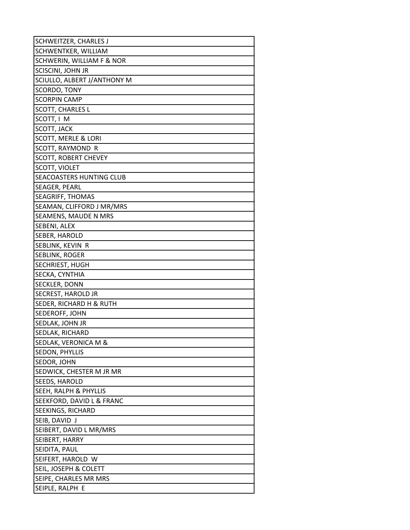| SCHWEITZER, CHARLES J          |
|--------------------------------|
| SCHWENTKER, WILLIAM            |
| SCHWERIN, WILLIAM F & NOR      |
| <b>SCISCINI, JOHN JR</b>       |
| SCIULLO, ALBERT J/ANTHONY M    |
| SCORDO, TONY                   |
| <b>SCORPIN CAMP</b>            |
| <b>SCOTT, CHARLES L</b>        |
| SCOTT, I M                     |
| SCOTT, JACK                    |
| <b>SCOTT, MERLE &amp; LORI</b> |
| SCOTT, RAYMOND R               |
| <b>SCOTT, ROBERT CHEVEY</b>    |
| SCOTT, VIOLET                  |
| SEACOASTERS HUNTING CLUB       |
| SEAGER, PEARL                  |
| <b>SEAGRIFF, THOMAS</b>        |
| SEAMAN, CLIFFORD J MR/MRS      |
| SEAMENS, MAUDE N MRS           |
| SEBENI, ALEX                   |
| SEBER, HAROLD                  |
| SEBLINK, KEVIN R               |
| SEBLINK, ROGER                 |
| SECHRIEST, HUGH                |
| SECKA, CYNTHIA                 |
| SECKLER, DONN                  |
| SECREST, HAROLD JR             |
| SEDER, RICHARD H & RUTH        |
| SEDEROFF, JOHN                 |
| SEDLAK, JOHN JR                |
| SEDLAK, RICHARD                |
| SEDLAK, VERONICA M &           |
| SEDON, PHYLLIS                 |
| SEDOR, JOHN                    |
| SEDWICK, CHESTER M JR MR       |
| SEEDS, HAROLD                  |
| SEEH, RALPH & PHYLLIS          |
| SEEKFORD, DAVID L & FRANC      |
| SEEKINGS, RICHARD              |
| SEIB, DAVID J                  |
| SEIBERT, DAVID L MR/MRS        |
| SEIBERT, HARRY                 |
| SEIDITA, PAUL                  |
| SEIFERT, HAROLD W              |
| SEIL, JOSEPH & COLETT          |
| SEIPE, CHARLES MR MRS          |
| SEIPLE, RALPH E                |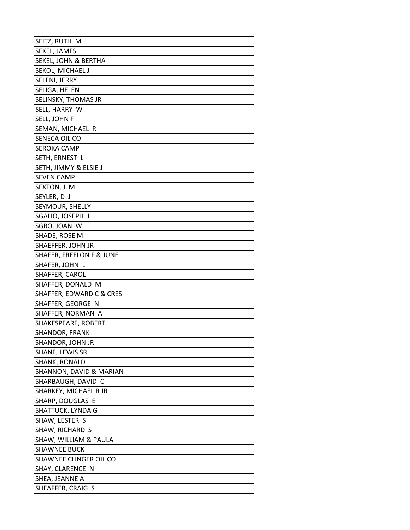| SEITZ, RUTH M                       |
|-------------------------------------|
| SEKEL, JAMES                        |
| <b>SEKEL, JOHN &amp; BERTHA</b>     |
| SEKOL, MICHAEL J                    |
| SELENI, JERRY                       |
| <b>SELIGA, HELEN</b>                |
| <b>SELINSKY, THOMAS JR</b>          |
| SELL, HARRY W                       |
| SELL, JOHN F                        |
| SEMAN, MICHAEL R                    |
| SENECA OIL CO                       |
| <b>SEROKA CAMP</b>                  |
| SETH, ERNEST L                      |
| SETH, JIMMY & ELSIE J               |
| <b>SEVEN CAMP</b>                   |
| SEXTON, J M                         |
| SEYLER, DJ                          |
| SEYMOUR, SHELLY                     |
| SGALIO, JOSEPH J                    |
| SGRO, JOAN W                        |
| SHADE, ROSE M                       |
| SHAEFFER, JOHN JR                   |
| <b>SHAFER, FREELON F &amp; JUNE</b> |
| SHAFER, JOHN L                      |
| SHAFFER, CAROL                      |
| SHAFFER, DONALD M                   |
| SHAFFER, EDWARD C & CRES            |
| SHAFFER, GEORGE N                   |
| SHAFFER, NORMAN A                   |
| SHAKESPEARE, ROBERT                 |
| SHANDOR, FRANK                      |
| SHANDOR, JOHN JR                    |
| SHANE, LEWIS SR                     |
| SHANK, RONALD                       |
| SHANNON, DAVID & MARIAN             |
| SHARBAUGH, DAVID C                  |
| SHARKEY, MICHAEL R JR               |
| SHARP, DOUGLAS E                    |
| SHATTUCK, LYNDA G                   |
| SHAW, LESTER S                      |
| SHAW, RICHARD S                     |
| SHAW, WILLIAM & PAULA               |
| <b>SHAWNEE BUCK</b>                 |
| SHAWNEE CLINGER OIL CO              |
| SHAY, CLARENCE N                    |
| SHEA, JEANNE A                      |
| SHEAFFER, CRAIG S                   |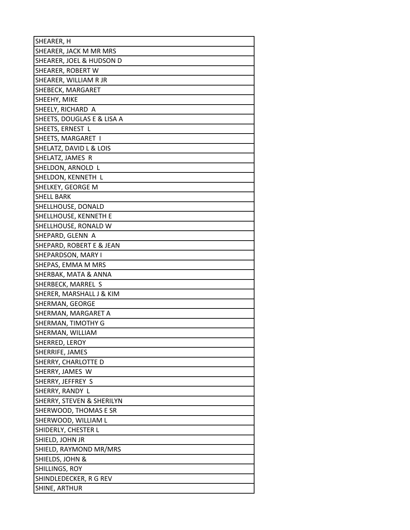| SHEARER, H                 |
|----------------------------|
| SHEARER, JACK M MR MRS     |
| SHEARER, JOEL & HUDSON D   |
| SHEARER, ROBERT W          |
| SHEARER, WILLIAM R JR      |
| SHEBECK, MARGARET          |
| SHEEHY, MIKE               |
| SHEELY, RICHARD A          |
| SHEETS, DOUGLAS E & LISA A |
| SHEETS, ERNEST L           |
| SHEETS, MARGARET I         |
| SHELATZ, DAVID L & LOIS    |
| SHELATZ, JAMES R           |
| SHELDON, ARNOLD L          |
| SHELDON, KENNETH L         |
| SHELKEY, GEORGE M          |
| <b>SHELL BARK</b>          |
| SHELLHOUSE, DONALD         |
| SHELLHOUSE, KENNETH E      |
| SHELLHOUSE, RONALD W       |
| SHEPARD, GLENN A           |
| SHEPARD, ROBERT E & JEAN   |
| SHEPARDSON, MARY I         |
| SHEPAS, EMMA M MRS         |
| SHERBAK, MATA & ANNA       |
| SHERBECK, MARREL S         |
| SHERER, MARSHALL J & KIM   |
| SHERMAN, GEORGE            |
| SHERMAN, MARGARET A        |
| SHERMAN, TIMOTHY G         |
| SHERMAN, WILLIAM           |
| SHERRED, LEROY             |
| SHERRIFE, JAMES            |
| SHERRY, CHARLOTTE D        |
| SHERRY, JAMES W            |
| SHERRY, JEFFREY S          |
| SHERRY, RANDY L            |
| SHERRY, STEVEN & SHERILYN  |
| SHERWOOD, THOMAS E SR      |
| SHERWOOD, WILLIAM L        |
| SHIDERLY, CHESTER L        |
| SHIELD, JOHN JR            |
| SHIELD, RAYMOND MR/MRS     |
| SHIELDS, JOHN &            |
| SHILLINGS, ROY             |
| SHINDLEDECKER, R G REV     |
| SHINE, ARTHUR              |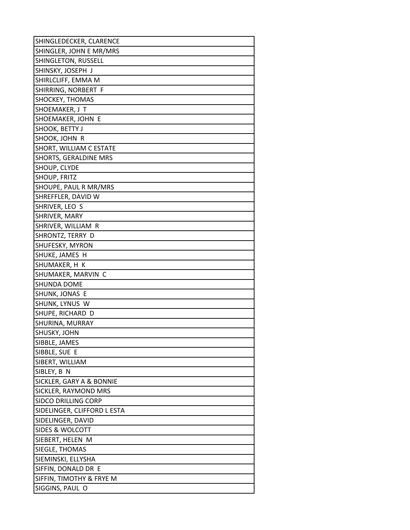| SHINGLEDECKER, CLARENCE     |
|-----------------------------|
| SHINGLER, JOHN E MR/MRS     |
| SHINGLETON, RUSSELL         |
| SHINSKY, JOSEPH J           |
| SHIRLCLIFF, EMMA M          |
| SHIRRING, NORBERT F         |
| SHOCKEY, THOMAS             |
| SHOEMAKER, J T              |
| SHOEMAKER, JOHN E           |
| SHOOK, BETTY J              |
| SHOOK, JOHN R               |
| SHORT, WILLIAM C ESTATE     |
| SHORTS, GERALDINE MRS       |
| SHOUP, CLYDE                |
| SHOUP, FRITZ                |
| SHOUPE, PAUL R MR/MRS       |
| SHREFFLER, DAVID W          |
| SHRIVER, LEO S              |
| SHRIVER, MARY               |
| SHRIVER, WILLIAM R          |
| SHRONTZ, TERRY D            |
| SHUFESKY, MYRON             |
| SHUKE, JAMES H              |
| SHUMAKER, H K               |
| SHUMAKER, MARVIN C          |
| SHUNDA DOME                 |
| SHUNK, JONAS E              |
| SHUNK, LYNUS W              |
| SHUPE, RICHARD D            |
| SHURINA, MURRAY             |
| SHUSKY, JOHN                |
| SIBBLE, JAMES               |
| SIBBLE, SUE E               |
| SIBERT, WILLIAM             |
| SIBLEY, B N                 |
| SICKLER, GARY A & BONNIE    |
| SICKLER, RAYMOND MRS        |
| SIDCO DRILLING CORP         |
| SIDELINGER, CLIFFORD L ESTA |
| SIDELINGER, DAVID           |
| SIDES & WOLCOTT             |
| SIEBERT, HELEN M            |
| SIEGLE, THOMAS              |
| SIEMINSKI, ELLYSHA          |
| SIFFIN, DONALD DR E         |
| SIFFIN, TIMOTHY & FRYE M    |
| SIGGINS, PAUL O             |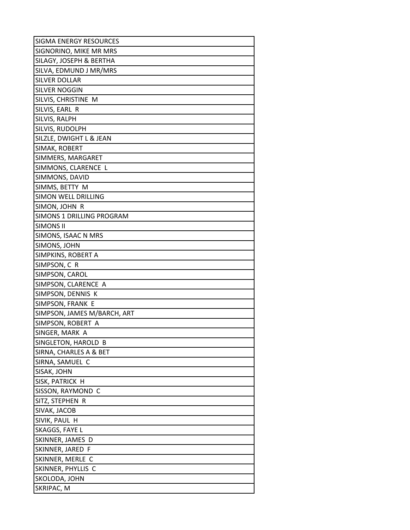| SIGMA ENERGY RESOURCES      |
|-----------------------------|
| SIGNORINO, MIKE MR MRS      |
| SILAGY, JOSEPH & BERTHA     |
| SILVA, EDMUND J MR/MRS      |
| <b>SILVER DOLLAR</b>        |
| SILVER NOGGIN               |
| SILVIS, CHRISTINE M         |
| SILVIS, EARL R              |
| SILVIS, RALPH               |
| SILVIS, RUDOLPH             |
| SILZLE, DWIGHT L & JEAN     |
| SIMAK, ROBERT               |
| SIMMERS, MARGARET           |
| SIMMONS, CLARENCE L         |
| SIMMONS, DAVID              |
| SIMMS, BETTY M              |
| SIMON WELL DRILLING         |
| SIMON, JOHN R               |
| SIMONS 1 DRILLING PROGRAM   |
| <b>SIMONS II</b>            |
| SIMONS, ISAAC N MRS         |
| SIMONS, JOHN                |
| SIMPKINS, ROBERT A          |
| SIMPSON, C R                |
| SIMPSON, CAROL              |
| SIMPSON, CLARENCE A         |
| SIMPSON, DENNIS K           |
| SIMPSON, FRANK E            |
| SIMPSON, JAMES M/BARCH, ART |
| SIMPSON, ROBERT A           |
| SINGER, MARK A              |
| SINGLETON, HAROLD B         |
| SIRNA, CHARLES A & BET      |
| SIRNA, SAMUEL C             |
| SISAK, JOHN                 |
| SISK, PATRICK H             |
| SISSON, RAYMOND C           |
| SITZ, STEPHEN R             |
| SIVAK, JACOB                |
| SIVIK, PAUL H               |
| SKAGGS, FAYE L              |
| SKINNER, JAMES D            |
| SKINNER, JARED F            |
| SKINNER, MERLE C            |
| SKINNER, PHYLLIS C          |
| SKOLODA, JOHN               |
| SKRIPAC, M                  |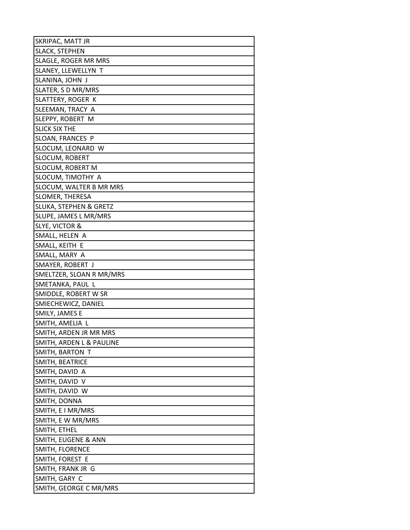| SKRIPAC, MATT JR                  |
|-----------------------------------|
| SLACK, STEPHEN                    |
| SLAGLE, ROGER MR MRS              |
| SLANEY, LLEWELLYN T               |
| SLANINA, JOHN J                   |
| SLATER, S D MR/MRS                |
| SLATTERY, ROGER K                 |
| SLEEMAN, TRACY A                  |
| SLEPPY, ROBERT M                  |
| <b>SLICK SIX THE</b>              |
| SLOAN, FRANCES P                  |
| SLOCUM, LEONARD W                 |
| SLOCUM, ROBERT                    |
| SLOCUM, ROBERT M                  |
| SLOCUM, TIMOTHY A                 |
| SLOCUM, WALTER B MR MRS           |
| <b>SLOMER, THERESA</b>            |
| <b>SLUKA, STEPHEN &amp; GRETZ</b> |
| SLUPE, JAMES L MR/MRS             |
| <b>SLYE, VICTOR &amp;</b>         |
| SMALL, HELEN A                    |
| SMALL, KEITH E                    |
| SMALL, MARY A                     |
| SMAYER, ROBERT J                  |
| SMELTZER, SLOAN R MR/MRS          |
| SMETANKA, PAUL L                  |
| SMIDDLE, ROBERT W SR              |
| SMIECHEWICZ, DANIEL               |
| SMILY, JAMES E                    |
| SMITH, AMELIA L                   |
| SMITH, ARDEN JR MR MRS            |
| SMITH, ARDEN L & PAULINE          |
| SMITH, BARTON T                   |
| SMITH, BEATRICE                   |
| SMITH, DAVID A                    |
| SMITH, DAVID V                    |
| SMITH, DAVID W                    |
| SMITH, DONNA                      |
| SMITH, E I MR/MRS                 |
| SMITH, E W MR/MRS                 |
| SMITH, ETHEL                      |
| SMITH, EUGENE & ANN               |
| SMITH, FLORENCE                   |
| SMITH, FOREST E                   |
| SMITH, FRANK JR G                 |
| SMITH, GARY C                     |
| SMITH, GEORGE C MR/MRS            |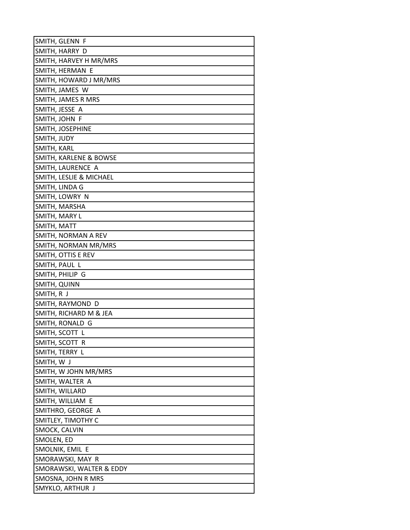| SMITH, GLENN F                    |
|-----------------------------------|
| SMITH, HARRY D                    |
| SMITH, HARVEY H MR/MRS            |
| SMITH, HERMAN E                   |
| SMITH, HOWARD J MR/MRS            |
| SMITH, JAMES W                    |
| SMITH, JAMES R MRS                |
| SMITH, JESSE A                    |
| SMITH, JOHN F                     |
| SMITH, JOSEPHINE                  |
| SMITH, JUDY                       |
| SMITH, KARL                       |
| <b>SMITH, KARLENE &amp; BOWSE</b> |
| SMITH, LAURENCE A                 |
| SMITH, LESLIE & MICHAEL           |
| SMITH, LINDA G                    |
| SMITH, LOWRY N                    |
| SMITH, MARSHA                     |
| SMITH, MARY L                     |
| SMITH, MATT                       |
| SMITH, NORMAN A REV               |
| SMITH, NORMAN MR/MRS              |
| SMITH, OTTIS E REV                |
| SMITH, PAUL L                     |
| SMITH, PHILIP G                   |
| SMITH, QUINN                      |
| SMITH, R J                        |
| SMITH, RAYMOND D                  |
| SMITH, RICHARD M & JEA            |
| SMITH, RONALD G                   |
| SMITH, SCOTT L                    |
| SMITH, SCOTT R                    |
| SMITH, TERRY L                    |
| SMITH, W J                        |
| SMITH, W JOHN MR/MRS              |
| SMITH, WALTER A                   |
| SMITH, WILLARD                    |
| SMITH, WILLIAM E                  |
| SMITHRO, GEORGE A                 |
| SMITLEY, TIMOTHY C                |
| SMOCK, CALVIN                     |
| SMOLEN, ED                        |
| SMOLNIK, EMIL E                   |
| SMORAWSKI, MAY R                  |
| SMORAWSKI, WALTER & EDDY          |
| SMOSNA, JOHN R MRS                |
| SMYKLO, ARTHUR J                  |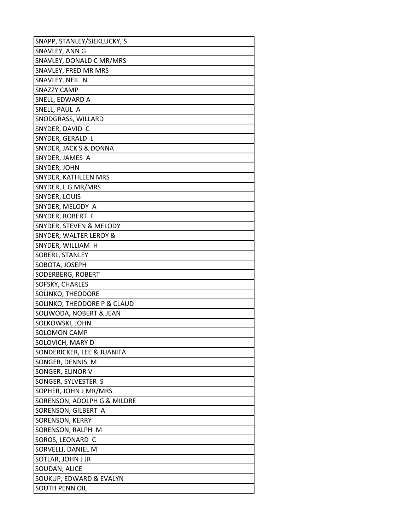| SNAPP, STANLEY/SIEKLUCKY, S |
|-----------------------------|
| SNAVLEY, ANN G              |
| SNAVLEY, DONALD C MR/MRS    |
| SNAVLEY, FRED MR MRS        |
| SNAVLEY, NEIL N             |
| SNAZZY CAMP                 |
| SNELL, EDWARD A             |
| SNELL, PAUL A               |
| SNODGRASS, WILLARD          |
| SNYDER, DAVID C             |
| SNYDER, GERALD L            |
| SNYDER, JACK S & DONNA      |
| SNYDER, JAMES A             |
| SNYDER, JOHN                |
| SNYDER, KATHLEEN MRS        |
| SNYDER, L G MR/MRS          |
| SNYDER, LOUIS               |
| SNYDER, MELODY A            |
| SNYDER, ROBERT F            |
| SNYDER, STEVEN & MELODY     |
| SNYDER, WALTER LEROY &      |
| SNYDER, WILLIAM H           |
| SOBERL, STANLEY             |
| SOBOTA, JOSEPH              |
| SODERBERG, ROBERT           |
| SOFSKY, CHARLES             |
| SOLINKO, THEODORE           |
| SOLINKO, THEODORE P & CLAUD |
| SOLIWODA, NOBERT & JEAN     |
| SOLKOWSKI, JOHN             |
| <b>SOLOMON CAMP</b>         |
| SOLOVICH, MARY D            |
| SONDERICKER, LEE & JUANITA  |
| SONGER, DENNIS M            |
| SONGER, ELINOR V            |
| SONGER, SYLVESTER S         |
| SOPHER, JOHN J MR/MRS       |
| SORENSON, ADOLPH G & MILDRE |
| SORENSON, GILBERT A         |
| SORENSON, KERRY             |
| SORENSON, RALPH M           |
| SOROS, LEONARD C            |
| SORVELLI, DANIEL M          |
| SOTLAR, JOHN J JR           |
| SOUDAN, ALICE               |
| SOUKUP, EDWARD & EVALYN     |
| SOUTH PENN OIL              |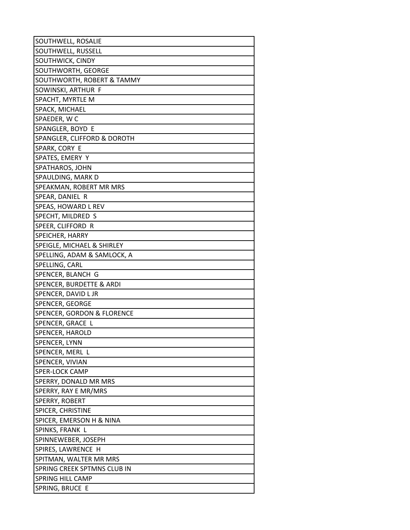| SOUTHWELL, ROSALIE          |
|-----------------------------|
| SOUTHWELL, RUSSELL          |
| SOUTHWICK, CINDY            |
| SOUTHWORTH, GEORGE          |
| SOUTHWORTH, ROBERT & TAMMY  |
| SOWINSKI, ARTHUR F          |
| SPACHT, MYRTLE M            |
| SPACK, MICHAEL              |
| SPAEDER, WC                 |
| SPANGLER, BOYD E            |
| SPANGLER, CLIFFORD & DOROTH |
| SPARK, CORY E               |
| SPATES, EMERY Y             |
| SPATHAROS, JOHN             |
| SPAULDING, MARK D           |
| SPEAKMAN, ROBERT MR MRS     |
| SPEAR, DANIEL R             |
| SPEAS, HOWARD L REV         |
| SPECHT, MILDRED S           |
| SPEER, CLIFFORD R           |
| SPEICHER, HARRY             |
| SPEIGLE, MICHAEL & SHIRLEY  |
| SPELLING, ADAM & SAMLOCK, A |
| SPELLING, CARL              |
| SPENCER, BLANCH G           |
| SPENCER, BURDETTE & ARDI    |
| SPENCER, DAVID L JR         |
| SPENCER, GEORGE             |
| SPENCER, GORDON & FLORENCE  |
| SPENCER, GRACE L            |
| SPENCER, HAROLD             |
| SPENCER, LYNN               |
| SPENCER, MERL L             |
| SPENCER, VIVIAN             |
| <b>SPER-LOCK CAMP</b>       |
| SPERRY, DONALD MR MRS       |
| SPERRY, RAY E MR/MRS        |
| SPERRY, ROBERT              |
| SPICER, CHRISTINE           |
| SPICER, EMERSON H & NINA    |
| SPINKS, FRANK L             |
| SPINNEWEBER, JOSEPH         |
| SPIRES, LAWRENCE H          |
| SPITMAN, WALTER MR MRS      |
| SPRING CREEK SPTMNS CLUB IN |
| SPRING HILL CAMP            |
| SPRING, BRUCE E             |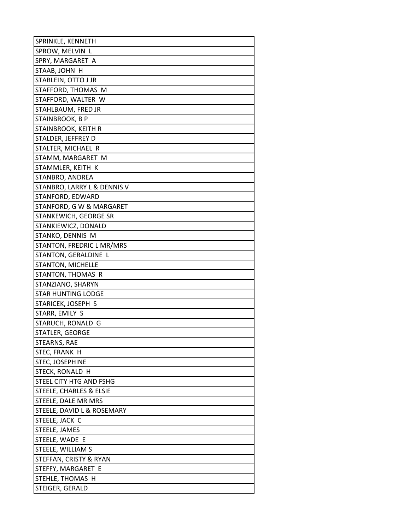| SPRINKLE, KENNETH           |
|-----------------------------|
| SPROW, MELVIN L             |
| SPRY, MARGARET A            |
| STAAB, JOHN H               |
| STABLEIN, OTTO J JR         |
| STAFFORD, THOMAS M          |
| STAFFORD, WALTER W          |
| STAHLBAUM, FRED JR          |
| STAINBROOK, B P             |
| STAINBROOK, KEITH R         |
| STALDER, JEFFREY D          |
| STALTER, MICHAEL R          |
| STAMM, MARGARET M           |
| STAMMLER, KEITH K           |
| STANBRO, ANDREA             |
| STANBRO, LARRY L & DENNIS V |
| STANFORD, EDWARD            |
| STANFORD, G W & MARGARET    |
| STANKEWICH, GEORGE SR       |
| STANKIEWICZ, DONALD         |
| STANKO, DENNIS M            |
| STANTON, FREDRIC L MR/MRS   |
| STANTON, GERALDINE L        |
| <b>STANTON, MICHELLE</b>    |
| STANTON, THOMAS R           |
| STANZIANO, SHARYN           |
| <b>STAR HUNTING LODGE</b>   |
| STARICEK, JOSEPH S          |
| STARR, EMILY S              |
| STARUCH, RONALD G           |
| STATLER, GEORGE             |
| STEARNS, RAE                |
| STEC, FRANK H               |
| STEC, JOSEPHINE             |
| STECK, RONALD H             |
| STEEL CITY HTG AND FSHG     |
| STEELE, CHARLES & ELSIE     |
| STEELE, DALE MR MRS         |
| STEELE, DAVID L & ROSEMARY  |
| STEELE, JACK C              |
| STEELE, JAMES               |
| STEELE, WADE E              |
| STEELE, WILLIAM S           |
| STEFFAN, CRISTY & RYAN      |
| STEFFY, MARGARET E          |
| STEHLE, THOMAS H            |
| STEIGER, GERALD             |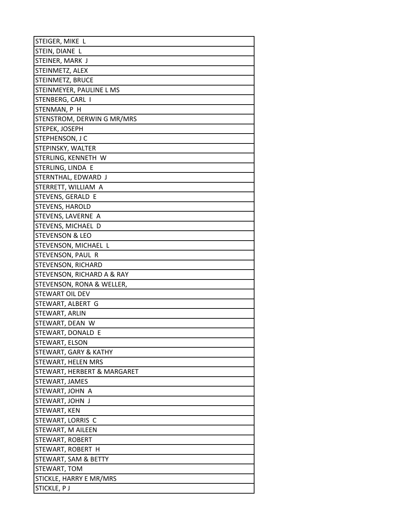| STEIGER, MIKE L             |
|-----------------------------|
| STEIN, DIANE L              |
| STEINER, MARK J             |
| STEINMETZ, ALEX             |
| STEINMETZ, BRUCE            |
| STEINMEYER, PAULINE L MS    |
| STENBERG, CARL I            |
| STENMAN, P H                |
| STENSTROM, DERWIN G MR/MRS  |
| STEPEK, JOSEPH              |
| STEPHENSON, J C             |
| STEPINSKY, WALTER           |
| STERLING, KENNETH W         |
| STERLING, LINDA E           |
| STERNTHAL, EDWARD J         |
| STERRETT, WILLIAM A         |
| STEVENS, GERALD E           |
| <b>STEVENS, HAROLD</b>      |
| STEVENS, LAVERNE A          |
| STEVENS, MICHAEL D          |
| <b>STEVENSON &amp; LEO</b>  |
| STEVENSON, MICHAEL L        |
| STEVENSON, PAUL R           |
| STEVENSON, RICHARD          |
| STEVENSON, RICHARD A & RAY  |
| STEVENSON, RONA & WELLER,   |
| <b>STEWART OIL DEV</b>      |
| STEWART, ALBERT G           |
| STEWART, ARLIN              |
| STEWART, DEAN W             |
| STEWART, DONALD E           |
| STEWART, ELSON              |
| STEWART, GARY & KATHY       |
| STEWART, HELEN MRS          |
| STEWART, HERBERT & MARGARET |
| STEWART, JAMES              |
| STEWART, JOHN A             |
| STEWART, JOHN J             |
| STEWART, KEN                |
| STEWART, LORRIS C           |
| STEWART, M AILEEN           |
| STEWART, ROBERT             |
| STEWART, ROBERT H           |
| STEWART, SAM & BETTY        |
| STEWART, TOM                |
| STICKLE, HARRY E MR/MRS     |
| STICKLE, PJ                 |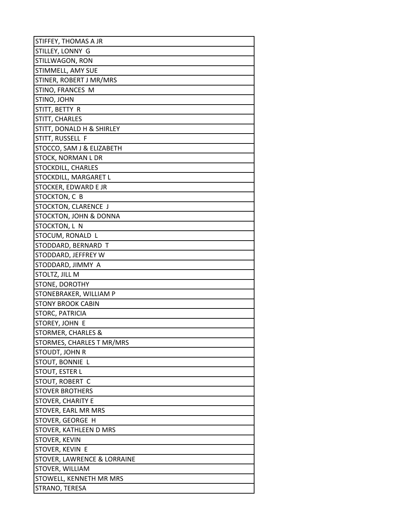| STIFFEY, THOMAS A JR          |
|-------------------------------|
| STILLEY, LONNY G              |
| STILLWAGON, RON               |
| STIMMELL, AMY SUE             |
| STINER, ROBERT J MR/MRS       |
| STINO, FRANCES M              |
| STINO, JOHN                   |
| STITT, BETTY R                |
| STITT, CHARLES                |
| STITT, DONALD H & SHIRLEY     |
| STITT, RUSSELL F              |
| STOCCO, SAM J & ELIZABETH     |
| STOCK, NORMAN L DR            |
| STOCKDILL, CHARLES            |
| STOCKDILL, MARGARET L         |
| STOCKER, EDWARD E JR          |
| STOCKTON, C B                 |
| STOCKTON, CLARENCE J          |
| STOCKTON, JOHN & DONNA        |
| STOCKTON, L N                 |
| STOCUM, RONALD L              |
| STODDARD, BERNARD T           |
| STODDARD, JEFFREY W           |
| STODDARD, JIMMY A             |
| STOLTZ, JILL M                |
| STONE, DOROTHY                |
| STONEBRAKER, WILLIAM P        |
| <b>STONY BROOK CABIN</b>      |
| STORC, PATRICIA               |
| STOREY, JOHN E                |
| <b>STORMER, CHARLES &amp;</b> |
| STORMES, CHARLES T MR/MRS     |
| STOUDT, JOHN R                |
| STOUT, BONNIE L               |
| STOUT, ESTER L                |
| STOUT, ROBERT C               |
| <b>STOVER BROTHERS</b>        |
| STOVER, CHARITY E             |
| STOVER, EARL MR MRS           |
| STOVER, GEORGE H              |
| STOVER, KATHLEEN D MRS        |
| STOVER, KEVIN                 |
| STOVER, KEVIN E               |
| STOVER, LAWRENCE & LORRAINE   |
| STOVER, WILLIAM               |
| STOWELL, KENNETH MR MRS       |
| STRANO, TERESA                |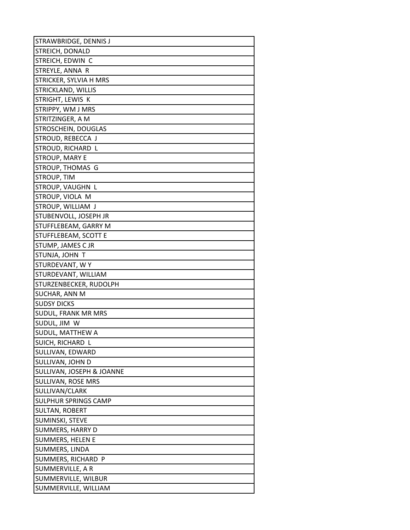| STRAWBRIDGE, DENNIS J       |
|-----------------------------|
| STREICH, DONALD             |
| STREICH, EDWIN C            |
| STREYLE, ANNA R             |
| STRICKER, SYLVIA H MRS      |
| STRICKLAND, WILLIS          |
| STRIGHT, LEWIS K            |
| STRIPPY, WM J MRS           |
| STRITZINGER, A M            |
| <b>STROSCHEIN, DOUGLAS</b>  |
| STROUD, REBECCA J           |
| STROUD, RICHARD L           |
| <b>STROUP, MARY E</b>       |
| STROUP, THOMAS G            |
| <b>STROUP, TIM</b>          |
| STROUP, VAUGHN L            |
| STROUP, VIOLA M             |
| STROUP, WILLIAM J           |
| STUBENVOLL, JOSEPH JR       |
| STUFFLEBEAM, GARRY M        |
| STUFFLEBEAM, SCOTT E        |
| STUMP, JAMES C JR           |
| STUNJA, JOHN T              |
| STURDEVANT, WY              |
| STURDEVANT, WILLIAM         |
| STURZENBECKER, RUDOLPH      |
| SUCHAR, ANN M               |
| <b>SUDSY DICKS</b>          |
| SUDUL, FRANK MR MRS         |
| SUDUL, JIM W                |
| SUDUL, MATTHEW A            |
| SUICH, RICHARD L            |
| SULLIVAN, EDWARD            |
| SULLIVAN, JOHN D            |
| SULLIVAN, JOSEPH & JOANNE   |
| SULLIVAN, ROSE MRS          |
| SULLIVAN/CLARK              |
| <b>SULPHUR SPRINGS CAMP</b> |
| SULTAN, ROBERT              |
| SUMINSKI, STEVE             |
| SUMMERS, HARRY D            |
| SUMMERS, HELEN E            |
| SUMMERS, LINDA              |
| SUMMERS, RICHARD P          |
| SUMMERVILLE, A R            |
| SUMMERVILLE, WILBUR         |
| SUMMERVILLE, WILLIAM        |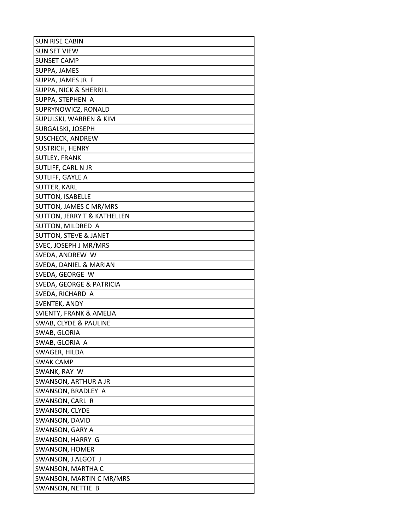| <b>SUN RISE CABIN</b>                  |
|----------------------------------------|
| <b>SUN SET VIEW</b>                    |
| <b>SUNSET CAMP</b>                     |
| SUPPA, JAMES                           |
| SUPPA, JAMES JR F                      |
| SUPPA, NICK & SHERRI L                 |
| SUPPA, STEPHEN A                       |
| SUPRYNOWICZ, RONALD                    |
| SUPULSKI, WARREN & KIM                 |
| SURGALSKI, JOSEPH                      |
| SUSCHECK, ANDREW                       |
| SUSTRICH, HENRY                        |
| <b>SUTLEY, FRANK</b>                   |
| SUTLIFF, CARL N JR                     |
| SUTLIFF, GAYLE A                       |
| SUTTER, KARL                           |
| SUTTON, ISABELLE                       |
| SUTTON, JAMES C MR/MRS                 |
| <b>SUTTON, JERRY T &amp; KATHELLEN</b> |
| SUTTON, MILDRED A                      |
| <b>SUTTON, STEVE &amp; JANET</b>       |
| SVEC, JOSEPH J MR/MRS                  |
| SVEDA, ANDREW W                        |
| SVEDA, DANIEL & MARIAN                 |
| SVEDA, GEORGE W                        |
| SVEDA, GEORGE & PATRICIA               |
| SVEDA, RICHARD A                       |
| SVENTEK, ANDY                          |
| <b>SVIENTY, FRANK &amp; AMELIA</b>     |
| SWAB, CLYDE & PAULINE                  |
| SWAB, GLORIA                           |
| SWAB, GLORIA A                         |
| SWAGER, HILDA                          |
| <b>SWAK CAMP</b>                       |
| SWANK, RAY W                           |
| <b>SWANSON, ARTHUR A JR</b>            |
| SWANSON, BRADLEY A                     |
| SWANSON, CARL R                        |
| SWANSON, CLYDE                         |
| SWANSON, DAVID                         |
| SWANSON, GARY A                        |
| SWANSON, HARRY G                       |
| SWANSON, HOMER                         |
| SWANSON, J ALGOT J                     |
| SWANSON, MARTHA C                      |
| SWANSON, MARTIN C MR/MRS               |
| SWANSON, NETTIE B                      |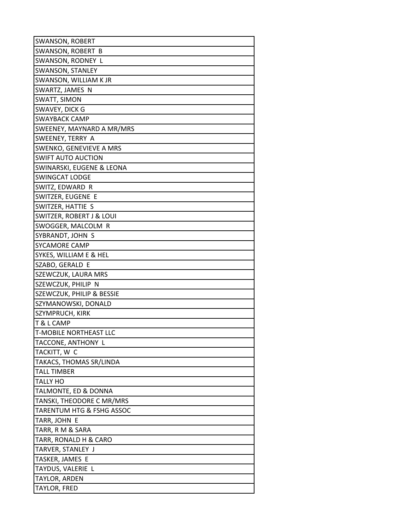| SWANSON, ROBERT                     |
|-------------------------------------|
| SWANSON, ROBERT B                   |
| SWANSON, RODNEY L                   |
| SWANSON, STANLEY                    |
| SWANSON, WILLIAM K JR               |
| SWARTZ, JAMES N                     |
| SWATT, SIMON                        |
| SWAVEY, DICK G                      |
| SWAYBACK CAMP                       |
| SWEENEY, MAYNARD A MR/MRS           |
| SWEENEY, TERRY A                    |
| SWENKO, GENEVIEVE A MRS             |
| <b>SWIFT AUTO AUCTION</b>           |
| SWINARSKI, EUGENE & LEONA           |
| SWINGCAT LODGE                      |
| SWITZ, EDWARD R                     |
| SWITZER, EUGENE E                   |
| SWITZER, HATTIE S                   |
| <b>SWITZER, ROBERT J &amp; LOUI</b> |
| SWOGGER, MALCOLM R                  |
| SYBRANDT, JOHN S                    |
| SYCAMORE CAMP                       |
| SYKES, WILLIAM E & HEL              |
| SZABO, GERALD E                     |
| SZEWCZUK, LAURA MRS                 |
| SZEWCZUK, PHILIP N                  |
| SZEWCZUK, PHILIP & BESSIE           |
| SZYMANOWSKI, DONALD                 |
| SZYMPRUCH, KIRK                     |
| T & L CAMP                          |
| <b>T-MOBILE NORTHEAST LLC</b>       |
| TACCONE, ANTHONY L                  |
| TACKITT, W C                        |
| TAKACS, THOMAS SR/LINDA             |
| <b>TALL TIMBER</b>                  |
| TALLY HO                            |
| TALMONTE, ED & DONNA                |
| TANSKI, THEODORE C MR/MRS           |
| TARENTUM HTG & FSHG ASSOC           |
| TARR, JOHN E                        |
| TARR, R M & SARA                    |
| TARR, RONALD H & CARO               |
| TARVER, STANLEY J                   |
| TASKER, JAMES E                     |
| TAYDUS, VALERIE L                   |
| TAYLOR, ARDEN                       |
| TAYLOR, FRED                        |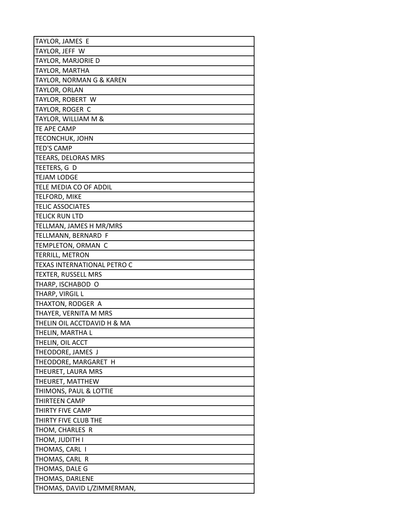| TAYLOR, JAMES E                            |
|--------------------------------------------|
| TAYLOR, JEFF W                             |
| TAYLOR, MARJORIE D                         |
| TAYLOR, MARTHA                             |
| TAYLOR, NORMAN G & KAREN                   |
| TAYLOR, ORLAN                              |
| TAYLOR, ROBERT W                           |
| TAYLOR, ROGER C                            |
| TAYLOR, WILLIAM M &                        |
| TE APE CAMP                                |
| TECONCHUK, JOHN                            |
| <b>TED'S CAMP</b>                          |
| TEEARS, DELORAS MRS                        |
| TEETERS, G D                               |
| TEJAM LODGE                                |
| TELE MEDIA CO OF ADDIL                     |
| TELFORD, MIKE                              |
| <b>TELIC ASSOCIATES</b>                    |
| TELICK RUN LTD                             |
| TELLMAN, JAMES H MR/MRS                    |
| TELLMANN, BERNARD F                        |
| TEMPLETON, ORMAN C                         |
| TERRILL, METRON                            |
| TEXAS INTERNATIONAL PETRO C                |
| TEXTER, RUSSELL MRS                        |
| THARP, ISCHABOD O                          |
| THARP, VIRGIL L                            |
| THAXTON, RODGER A                          |
| THAYER, VERNITA M MRS                      |
| THELIN OIL ACCTDAVID H & MA                |
| THELIN, MARTHA L                           |
| THELIN, OIL ACCT                           |
| THEODORE, JAMES J                          |
| THEODORE, MARGARET H                       |
| THEURET, LAURA MRS                         |
| THEURET, MATTHEW<br>THIMONS, PAUL & LOTTIE |
| THIRTEEN CAMP                              |
| THIRTY FIVE CAMP                           |
| THIRTY FIVE CLUB THE                       |
| THOM, CHARLES R                            |
| THOM, JUDITH I                             |
| THOMAS, CARL I                             |
| THOMAS, CARL R                             |
| THOMAS, DALE G                             |
| THOMAS, DARLENE                            |
| THOMAS, DAVID L/ZIMMERMAN,                 |
|                                            |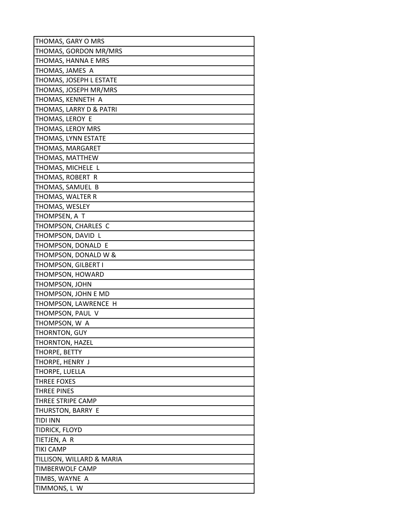| THOMAS, GARY O MRS        |
|---------------------------|
| THOMAS, GORDON MR/MRS     |
| THOMAS, HANNA E MRS       |
| THOMAS, JAMES A           |
| THOMAS, JOSEPH L ESTATE   |
| THOMAS, JOSEPH MR/MRS     |
| THOMAS, KENNETH A         |
| THOMAS, LARRY D & PATRI   |
| THOMAS, LEROY E           |
| THOMAS, LEROY MRS         |
| THOMAS, LYNN ESTATE       |
| THOMAS, MARGARET          |
| THOMAS, MATTHEW           |
| THOMAS, MICHELE L         |
| THOMAS, ROBERT R          |
| THOMAS, SAMUEL B          |
| THOMAS, WALTER R          |
| THOMAS, WESLEY            |
| THOMPSEN, A T             |
| THOMPSON, CHARLES C       |
| THOMPSON, DAVID L         |
| THOMPSON, DONALD E        |
| THOMPSON, DONALD W &      |
| THOMPSON, GILBERT I       |
| THOMPSON, HOWARD          |
| THOMPSON, JOHN            |
| THOMPSON, JOHN E MD       |
| THOMPSON, LAWRENCE H      |
| THOMPSON, PAUL V          |
| THOMPSON, W A             |
| THORNTON, GUY             |
| THORNTON, HAZEL           |
| THORPE, BETTY             |
| THORPE, HENRY J           |
| THORPE, LUELLA            |
| <b>THREE FOXES</b>        |
| THREE PINES               |
| THREE STRIPE CAMP         |
| THURSTON, BARRY E         |
| <b>TIDI INN</b>           |
| TIDRICK, FLOYD            |
| TIETJEN, A R              |
| TIKI CAMP                 |
| TILLISON, WILLARD & MARIA |
| TIMBERWOLF CAMP           |
| TIMBS, WAYNE A            |
| TIMMONS, L W              |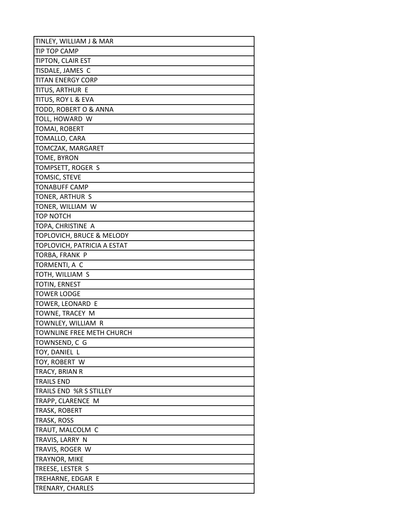| TINLEY, WILLIAM J & MAR     |
|-----------------------------|
| TIP TOP CAMP                |
| TIPTON, CLAIR EST           |
| TISDALE, JAMES C            |
| <b>TITAN ENERGY CORP</b>    |
| TITUS, ARTHUR E             |
| TITUS, ROY L & EVA          |
| TODD, ROBERT O & ANNA       |
| TOLL, HOWARD W              |
| TOMAI, ROBERT               |
| TOMALLO, CARA               |
| TOMCZAK, MARGARET           |
| TOME, BYRON                 |
| TOMPSETT, ROGER S           |
| TOMSIC, STEVE               |
| <b>TONABUFF CAMP</b>        |
| TONER, ARTHUR S             |
| TONER, WILLIAM W            |
| TOP NOTCH                   |
| TOPA, CHRISTINE A           |
| TOPLOVICH, BRUCE & MELODY   |
| TOPLOVICH, PATRICIA A ESTAT |
| TORBA, FRANK P              |
| TORMENTI, A C               |
| TOTH, WILLIAM S             |
| TOTIN, ERNEST               |
| <b>TOWER LODGE</b>          |
| TOWER, LEONARD E            |
| TOWNE, TRACEY M             |
| TOWNLEY, WILLIAM R          |
| TOWNLINE FREE METH CHURCH   |
| TOWNSEND, C G               |
| TOY, DANIEL L               |
| TOY, ROBERT W               |
| TRACY, BRIAN R              |
| <b>TRAILS END</b>           |
| TRAILS END %R S STILLEY     |
| TRAPP, CLARENCE M           |
| TRASK, ROBERT               |
| TRASK, ROSS                 |
| TRAUT, MALCOLM C            |
| TRAVIS, LARRY N             |
| TRAVIS, ROGER W             |
| TRAYNOR, MIKE               |
| TREESE, LESTER S            |
| TREHARNE, EDGAR E           |
| TRENARY, CHARLES            |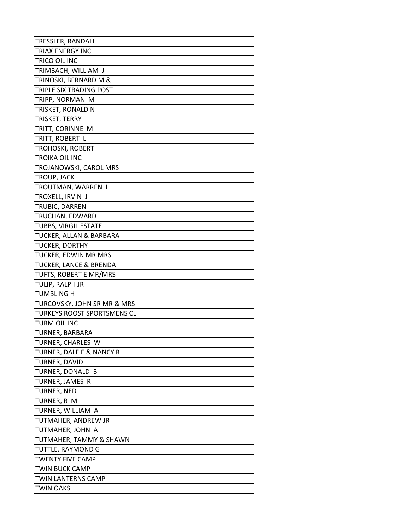| TRESSLER, RANDALL                  |
|------------------------------------|
| <b>TRIAX ENERGY INC</b>            |
| TRICO OIL INC                      |
| TRIMBACH, WILLIAM J                |
| TRINOSKI, BERNARD M &              |
| TRIPLE SIX TRADING POST            |
| TRIPP, NORMAN M                    |
| TRISKET, RONALD N                  |
| TRISKET, TERRY                     |
| TRITT, CORINNE M                   |
| TRITT, ROBERT L                    |
| <b>TROHOSKI, ROBERT</b>            |
| <b>TROIKA OIL INC</b>              |
| TROJANOWSKI, CAROL MRS             |
| TROUP, JACK                        |
| TROUTMAN, WARREN L                 |
| TROXELL, IRVIN J                   |
| TRUBIC, DARREN                     |
| TRUCHAN, EDWARD                    |
| <b>TUBBS, VIRGIL ESTATE</b>        |
| TUCKER, ALLAN & BARBARA            |
| TUCKER, DORTHY                     |
| TUCKER, EDWIN MR MRS               |
| <b>TUCKER, LANCE &amp; BRENDA</b>  |
| TUFTS, ROBERT E MR/MRS             |
| TULIP, RALPH JR                    |
| <b>TUMBLING H</b>                  |
| TURCOVSKY, JOHN SR MR & MRS        |
| <b>TURKEYS ROOST SPORTSMENS CL</b> |
| TURM OIL INC                       |
| TURNER, BARBARA                    |
| TURNER, CHARLES W                  |
| TURNER, DALE E & NANCY R           |
| TURNER, DAVID                      |
| TURNER, DONALD B                   |
| TURNER, JAMES R                    |
| <b>TURNER, NED</b>                 |
| TURNER, R M                        |
| TURNER, WILLIAM A                  |
| TUTMAHER, ANDREW JR                |
| TUTMAHER, JOHN A                   |
| TUTMAHER, TAMMY & SHAWN            |
| TUTTLE, RAYMOND G                  |
| <b>TWENTY FIVE CAMP</b>            |
| <b>TWIN BUCK CAMP</b>              |
| TWIN LANTERNS CAMP                 |
| <b>TWIN OAKS</b>                   |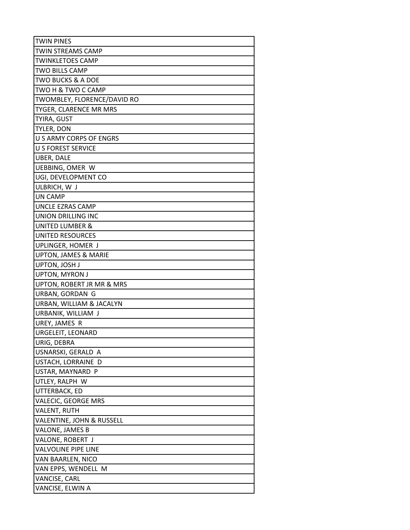| <b>TWIN PINES</b>              |
|--------------------------------|
| <b>TWIN STREAMS CAMP</b>       |
| <b>TWINKLETOES CAMP</b>        |
| TWO BILLS CAMP                 |
| TWO BUCKS & A DOE              |
| TWO H & TWO C CAMP             |
| TWOMBLEY, FLORENCE/DAVID RO    |
| TYGER, CLARENCE MR MRS         |
| TYIRA, GUST                    |
| TYLER, DON                     |
| <b>U S ARMY CORPS OF ENGRS</b> |
| <b>U S FOREST SERVICE</b>      |
| <b>UBER, DALE</b>              |
| UEBBING, OMER W                |
| UGI, DEVELOPMENT CO            |
| ULBRICH, W J                   |
| UN CAMP                        |
| UNCLE EZRAS CAMP               |
| UNION DRILLING INC             |
| UNITED LUMBER &                |
| <b>UNITED RESOURCES</b>        |
| UPLINGER, HOMER J              |
| UPTON, JAMES & MARIE           |
| UPTON, JOSH J                  |
| UPTON, MYRON J                 |
| UPTON, ROBERT JR MR & MRS      |
| URBAN, GORDAN G                |
| URBAN, WILLIAM & JACALYN       |
| URBANIK, WILLIAM J             |
| UREY, JAMES R                  |
| URGELEIT, LEONARD              |
| URIG, DEBRA                    |
| USNARSKI, GERALD A             |
| USTACH, LORRAINE D             |
| USTAR, MAYNARD P               |
| UTLEY, RALPH W                 |
| UTTERBACK, ED                  |
| VALECIC, GEORGE MRS            |
| <b>VALENT, RUTH</b>            |
| VALENTINE, JOHN & RUSSELL      |
| VALONE, JAMES B                |
| VALONE, ROBERT J               |
| VALVOLINE PIPE LINE            |
| VAN BAARLEN, NICO              |
| VAN EPPS, WENDELL M            |
| VANCISE, CARL                  |
| VANCISE, ELWIN A               |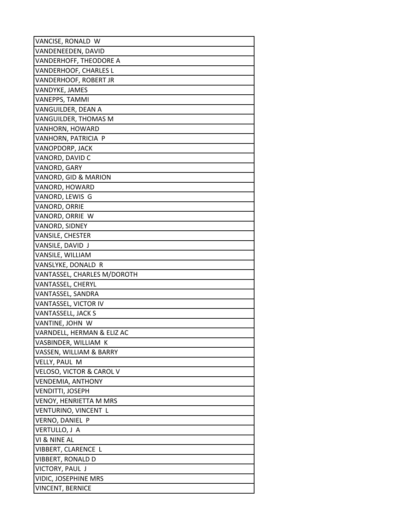| VANCISE, RONALD W             |
|-------------------------------|
| VANDENEEDEN, DAVID            |
| VANDERHOFF, THEODORE A        |
| VANDERHOOF, CHARLES L         |
| VANDERHOOF, ROBERT JR         |
| VANDYKE, JAMES                |
| VANEPPS, TAMMI                |
| VANGUILDER, DEAN A            |
| VANGUILDER, THOMAS M          |
| VANHORN, HOWARD               |
| VANHORN, PATRICIA P           |
| VANOPDORP, JACK               |
| VANORD, DAVID C               |
| VANORD, GARY                  |
| VANORD, GID & MARION          |
| VANORD, HOWARD                |
| VANORD, LEWIS G               |
| VANORD, ORRIE                 |
| VANORD, ORRIE W               |
| VANORD, SIDNEY                |
| VANSILE, CHESTER              |
| VANSILE, DAVID J              |
| VANSILE, WILLIAM              |
| VANSLYKE, DONALD R            |
| VANTASSEL, CHARLES M/DOROTH   |
| VANTASSEL, CHERYL             |
| VANTASSEL, SANDRA             |
| VANTASSEL, VICTOR IV          |
| VANTASSELL, JACK S            |
| VANTINE, JOHN W               |
| VARNDELL, HERMAN & ELIZ AC    |
| VASBINDER, WILLIAM K          |
| VASSEN, WILLIAM & BARRY       |
| VELLY, PAUL M                 |
| VELOSO, VICTOR & CAROL V      |
| <b>VENDEMIA, ANTHONY</b>      |
| <b>VENDITTI, JOSEPH</b>       |
| <b>VENOY, HENRIETTA M MRS</b> |
| VENTURINO, VINCENT L          |
| VERNO, DANIEL P               |
| VERTULLO, J A                 |
| VI & NINE AL                  |
| VIBBERT, CLARENCE L           |
| VIBBERT, RONALD D             |
| VICTORY, PAUL J               |
| <b>VIDIC, JOSEPHINE MRS</b>   |
| VINCENT, BERNICE              |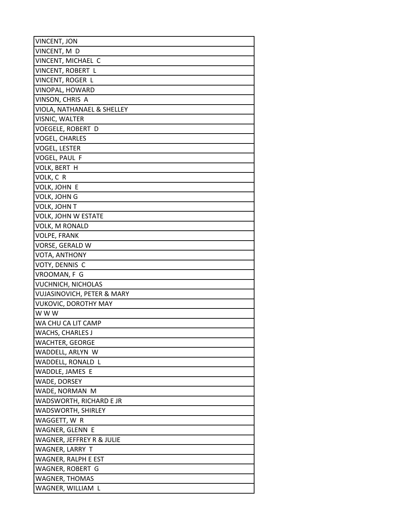| <b>VINCENT, JON</b>                   |
|---------------------------------------|
| VINCENT, M D                          |
| VINCENT, MICHAEL C                    |
| VINCENT, ROBERT L                     |
| VINCENT, ROGER L                      |
| VINOPAL, HOWARD                       |
| VINSON, CHRIS A                       |
| VIOLA, NATHANAEL & SHELLEY            |
| VISNIC, WALTER                        |
| <b>VOEGELE, ROBERT D</b>              |
| VOGEL, CHARLES                        |
| VOGEL, LESTER                         |
| VOGEL, PAUL F                         |
| VOLK, BERT H                          |
| VOLK, C R                             |
| VOLK, JOHN E                          |
| VOLK, JOHN G                          |
| VOLK, JOHN T                          |
| <b>VOLK, JOHN W ESTATE</b>            |
| <b>VOLK, M RONALD</b>                 |
| <b>VOLPE, FRANK</b>                   |
| VORSE, GERALD W                       |
| VOTA, ANTHONY                         |
| VOTY, DENNIS C                        |
| VROOMAN, F G                          |
| <b>VUCHNICH, NICHOLAS</b>             |
| <b>VUJASINOVICH, PETER &amp; MARY</b> |
| <b>VUKOVIC, DOROTHY MAY</b>           |
| w w w                                 |
| WA CHU CA LIT CAMP                    |
| <b>WACHS, CHARLES J</b>               |
| WACHTER, GEORGE                       |
| WADDELL, ARLYN W                      |
| WADDELL, RONALD L                     |
| WADDLE, JAMES E                       |
| WADE, DORSEY                          |
| WADE, NORMAN M                        |
| WADSWORTH, RICHARD E JR               |
| WADSWORTH, SHIRLEY                    |
| WAGGETT, W R                          |
| WAGNER, GLENN E                       |
| WAGNER, JEFFREY R & JULIE             |
| WAGNER, LARRY T                       |
| WAGNER, RALPH E EST                   |
| WAGNER, ROBERT G                      |
| WAGNER, THOMAS                        |
| WAGNER, WILLIAM L                     |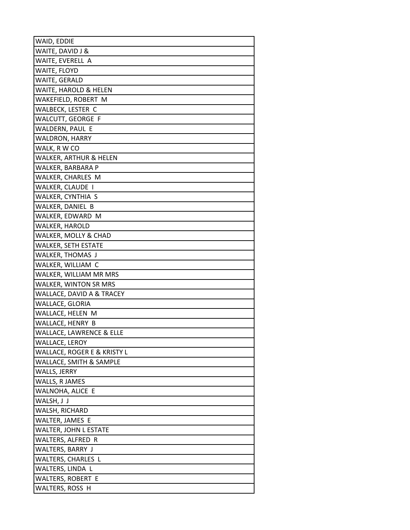| WAID, EDDIE                         |
|-------------------------------------|
| WAITE, DAVID J &                    |
| WAITE, EVERELL A                    |
| WAITE, FLOYD                        |
| WAITE, GERALD                       |
| WAITE, HAROLD & HELEN               |
| WAKEFIELD, ROBERT M                 |
| WALBECK, LESTER C                   |
| WALCUTT, GEORGE F                   |
| WALDERN, PAUL E                     |
| WALDRON, HARRY                      |
| WALK, R W CO                        |
| WALKER, ARTHUR & HELEN              |
| WALKER, BARBARA P                   |
| WALKER, CHARLES M                   |
| WALKER, CLAUDE I                    |
| WALKER, CYNTHIA S                   |
| WALKER, DANIEL B                    |
| WALKER, EDWARD M                    |
| WALKER, HAROLD                      |
| WALKER, MOLLY & CHAD                |
| WALKER, SETH ESTATE                 |
| WALKER, THOMAS J                    |
| WALKER, WILLIAM C                   |
| WALKER, WILLIAM MR MRS              |
| WALKER, WINTON SR MRS               |
| WALLACE, DAVID A & TRACEY           |
| WALLACE, GLORIA                     |
| WALLACE, HELEN M                    |
| WALLACE, HENRY B                    |
| <b>WALLACE, LAWRENCE &amp; ELLE</b> |
| <b>WALLACE, LEROY</b>               |
| WALLACE, ROGER E & KRISTY L         |
| WALLACE, SMITH & SAMPLE             |
| WALLS, JERRY                        |
| WALLS, R JAMES<br>WALNOHA, ALICE E  |
| WALSH, J J                          |
| WALSH, RICHARD                      |
| WALTER, JAMES E                     |
| WALTER, JOHN L ESTATE               |
| WALTERS, ALFRED R                   |
| WALTERS, BARRY J                    |
| WALTERS, CHARLES L                  |
| WALTERS, LINDA L                    |
| WALTERS, ROBERT E                   |
| WALTERS, ROSS H                     |
|                                     |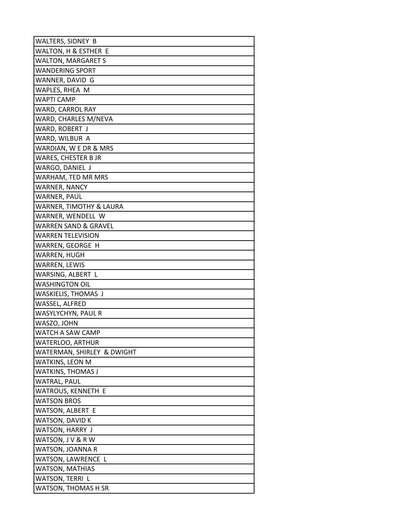| WALTERS, SIDNEY B          |
|----------------------------|
| WALTON, H & ESTHER E       |
| <b>WALTON, MARGARET S</b>  |
| <b>WANDERING SPORT</b>     |
| WANNER, DAVID G            |
| WAPLES, RHEA M             |
| WAPTI CAMP                 |
| WARD, CARROL RAY           |
| WARD, CHARLES M/NEVA       |
| WARD, ROBERT J             |
| WARD, WILBUR A             |
| WARDIAN, W E DR & MRS      |
| WARES, CHESTER B JR        |
| WARGO, DANIEL J            |
| WARHAM, TED MR MRS         |
| <b>WARNER, NANCY</b>       |
| <b>WARNER, PAUL</b>        |
| WARNER, TIMOTHY & LAURA    |
| WARNER, WENDELL W          |
| WARREN SAND & GRAVEL       |
| <b>WARREN TELEVISION</b>   |
| WARREN, GEORGE H           |
| WARREN, HUGH               |
| WARREN, LEWIS              |
| WARSING, ALBERT L          |
| <b>WASHINGTON OIL</b>      |
| WASKIELIS, THOMAS J        |
| WASSEL, ALFRED             |
| WASYLYCHYN, PAUL R         |
| WASZO, JOHN                |
| WATCH A SAW CAMP           |
| WATERLOO, ARTHUR           |
| WATERMAN, SHIRLEY & DWIGHT |
| WATKINS, LEON M            |
| WATKINS, THOMAS J          |
| <b>WATRAL, PAUL</b>        |
| WATROUS, KENNETH E         |
| <b>WATSON BROS</b>         |
| WATSON, ALBERT E           |
| WATSON, DAVID K            |
| WATSON, HARRY J            |
| WATSON, J V & R W          |
| WATSON, JOANNA R           |
| WATSON, LAWRENCE L         |
| WATSON, MATHIAS            |
| WATSON, TERRI L            |
| WATSON, THOMAS H SR        |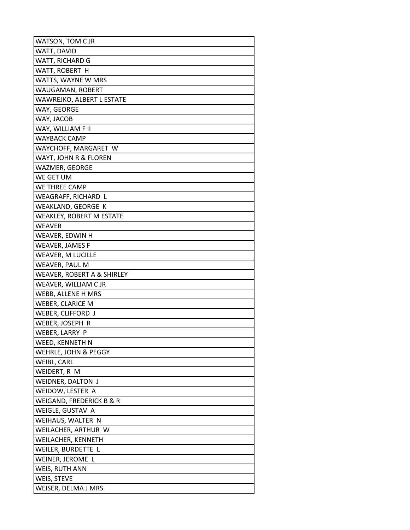| WATSON, TOM C JR           |
|----------------------------|
| WATT, DAVID                |
| WATT, RICHARD G            |
| WATT, ROBERT H             |
| WATTS, WAYNE W MRS         |
| WAUGAMAN, ROBERT           |
| WAWREJKO, ALBERT L ESTATE  |
| WAY, GEORGE                |
| WAY, JACOB                 |
| WAY, WILLIAM F II          |
| WAYBACK CAMP               |
| WAYCHOFF, MARGARET W       |
| WAYT, JOHN R & FLOREN      |
| WAZMER, GEORGE             |
| WE GET UM                  |
| WE THREE CAMP              |
| WEAGRAFF, RICHARD L        |
| WEAKLAND, GEORGE K         |
| WEAKLEY, ROBERT M ESTATE   |
| WEAVER                     |
| WEAVER, EDWIN H            |
| <b>WEAVER, JAMES F</b>     |
| WEAVER, M LUCILLE          |
| WEAVER, PAUL M             |
| WEAVER, ROBERT A & SHIRLEY |
| WEAVER, WILLIAM C JR       |
| WEBB, ALLENE H MRS         |
| WEBER, CLARICE M           |
| WEBER, CLIFFORD J          |
| WEBER, JOSEPH R            |
| WEBER, LARRY P             |
| WEED, KENNETH N            |
| WEHRLE, JOHN & PEGGY       |
| WEIBL, CARL                |
| WEIDERT, R M               |
| WEIDNER, DALTON J          |
| WEIDOW, LESTER A           |
| WEIGAND, FREDERICK B & R   |
| WEIGLE, GUSTAV A           |
| WEIHAUS, WALTER N          |
| WEILACHER, ARTHUR W        |
| WEILACHER, KENNETH         |
| WEILER, BURDETTE L         |
| WEINER, JEROME L           |
| WEIS, RUTH ANN             |
| WEIS, STEVE                |
| WEISER, DELMA J MRS        |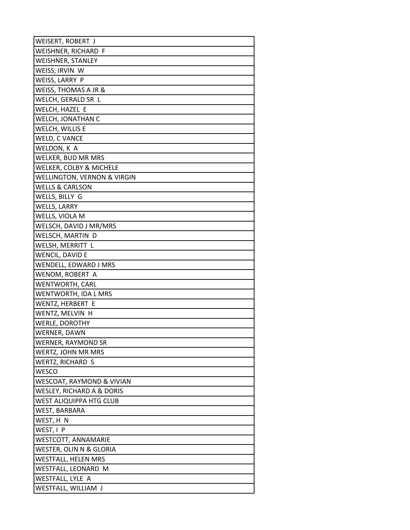| WEISERT, ROBERT J              |
|--------------------------------|
| WEISHNER, RICHARD F            |
| WEISHNER, STANLEY              |
| WEISS, IRVIN W                 |
| WEISS, LARRY P                 |
| WEISS, THOMAS A JR &           |
| WELCH, GERALD SR L             |
| WELCH, HAZEL E                 |
| WELCH, JONATHAN C              |
| WELCH, WILLIS E                |
| WELD, C VANCE                  |
| WELDON, K A                    |
| WELKER, BUD MR MRS             |
| WELKER, COLBY & MICHELE        |
| WELLINGTON, VERNON & VIRGIN    |
| <b>WELLS &amp; CARLSON</b>     |
| WELLS, BILLY G                 |
| <b>WELLS, LARRY</b>            |
| WELLS, VIOLA M                 |
| WELSCH, DAVID J MR/MRS         |
| WELSCH, MARTIN D               |
| WELSH, MERRITT L               |
| WENCIL, DAVID E                |
| WENDELL, EDWARD J MRS          |
| WENOM, ROBERT A                |
| WENTWORTH, CARL                |
| WENTWORTH, IDA L MRS           |
| WENTZ, HERBERT E               |
| WENTZ, MELVIN H                |
| <b>WERLE, DOROTHY</b>          |
| WERNER, DAWN                   |
| WERNER, RAYMOND SR             |
| WERTZ, JOHN MR MRS             |
| WERTZ, RICHARD S               |
| WESCO                          |
| WESCOAT, RAYMOND & VIVIAN      |
| WESLEY, RICHARD A & DORIS      |
| <b>WEST ALIQUIPPA HTG CLUB</b> |
| WEST, BARBARA                  |
| WEST, H N                      |
| WEST, I P                      |
| WESTCOTT, ANNAMARIE            |
| WESTER, OLIN N & GLORIA        |
| <b>WESTFALL, HELEN MRS</b>     |
| WESTFALL, LEONARD M            |
| WESTFALL, LYLE A               |
| WESTFALL, WILLIAM J            |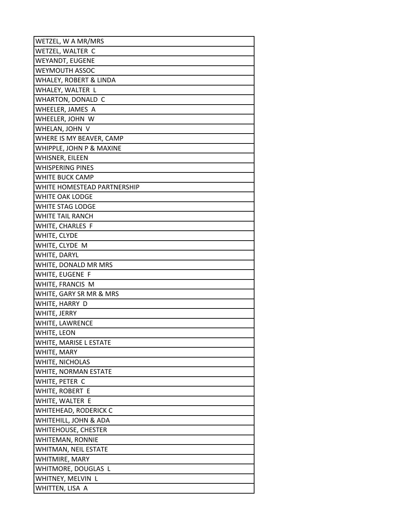| WETZEL, W A MR/MRS                       |
|------------------------------------------|
| WETZEL, WALTER C                         |
| WEYANDT, EUGENE                          |
| WEYMOUTH ASSOC                           |
| WHALEY, ROBERT & LINDA                   |
| WHALEY, WALTER L                         |
| WHARTON, DONALD C                        |
| WHEELER, JAMES A                         |
| WHEELER, JOHN W                          |
| WHELAN, JOHN V                           |
| WHERE IS MY BEAVER, CAMP                 |
| WHIPPLE, JOHN P & MAXINE                 |
| WHISNER, EILEEN                          |
| <b>WHISPERING PINES</b>                  |
| WHITE BUCK CAMP                          |
| WHITE HOMESTEAD PARTNERSHIP              |
| <b>WHITE OAK LODGE</b>                   |
| WHITE STAG LODGE                         |
| WHITE TAIL RANCH                         |
| WHITE, CHARLES F                         |
| WHITE, CLYDE                             |
| WHITE, CLYDE M                           |
| WHITE, DARYL                             |
| WHITE, DONALD MR MRS                     |
| WHITE, EUGENE F                          |
| WHITE, FRANCIS M                         |
| WHITE, GARY SR MR & MRS                  |
| WHITE, HARRY D                           |
| WHITE, JERRY                             |
| WHITE, LAWRENCE                          |
| WHITE, LEON                              |
| WHITE, MARISE L ESTATE                   |
| WHITE, MARY                              |
| WHITE, NICHOLAS                          |
| WHITE, NORMAN ESTATE                     |
| WHITE, PETER C                           |
| WHITE, ROBERT E                          |
| WHITE, WALTER E                          |
| <b>WHITEHEAD, RODERICK C</b>             |
| WHITEHILL, JOHN & ADA                    |
| <b>WHITEHOUSE, CHESTER</b>               |
| <b>WHITEMAN, RONNIE</b>                  |
| WHITMAN, NEIL ESTATE                     |
| WHITMIRE, MARY                           |
| WHITMORE, DOUGLAS L<br>WHITNEY, MELVIN L |
|                                          |
| WHITTEN, LISA A                          |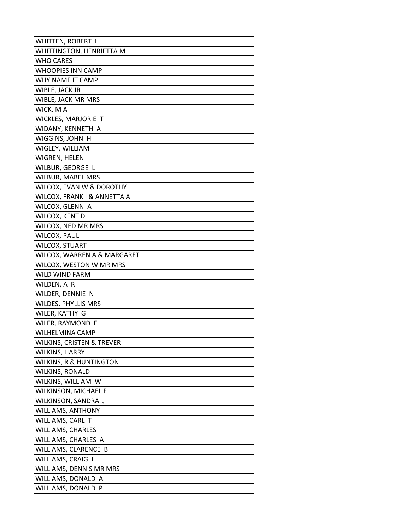| WHITTEN, ROBERT L           |
|-----------------------------|
| WHITTINGTON, HENRIETTA M    |
| <b>WHO CARES</b>            |
| <b>WHOOPIES INN CAMP</b>    |
| WHY NAME IT CAMP            |
| WIBLE, JACK JR              |
| WIBLE, JACK MR MRS          |
| WICK, M A                   |
| WICKLES, MARJORIE T         |
| WIDANY, KENNETH A           |
| WIGGINS, JOHN H             |
| WIGLEY, WILLIAM             |
| WIGREN, HELEN               |
| WILBUR, GEORGE L            |
| WILBUR, MABEL MRS           |
| WILCOX, EVAN W & DOROTHY    |
| WILCOX, FRANK I & ANNETTA A |
| WILCOX, GLENN A             |
| WILCOX, KENT D              |
| WILCOX, NED MR MRS          |
| <b>WILCOX, PAUL</b>         |
| WILCOX, STUART              |
| WILCOX, WARREN A & MARGARET |
| WILCOX, WESTON W MR MRS     |
| WILD WIND FARM              |
| WILDEN, A R                 |
| WILDER, DENNIE N            |
| WILDES, PHYLLIS MRS         |
| WILER, KATHY G              |
| WILER, RAYMOND E            |
| <b>WILHELMINA CAMP</b>      |
| WILKINS, CRISTEN & TREVER   |
| WILKINS, HARRY              |
| WILKINS, R & HUNTINGTON     |
| WILKINS, RONALD             |
| WILKINS, WILLIAM W          |
| WILKINSON, MICHAEL F        |
| WILKINSON, SANDRA J         |
| WILLIAMS, ANTHONY           |
| WILLIAMS, CARL T            |
| WILLIAMS, CHARLES           |
| WILLIAMS, CHARLES A         |
| WILLIAMS, CLARENCE B        |
| WILLIAMS, CRAIG L           |
| WILLIAMS, DENNIS MR MRS     |
| WILLIAMS, DONALD A          |
| WILLIAMS, DONALD P          |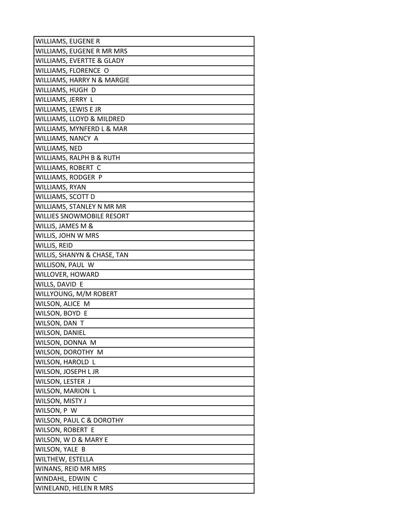| WILLIAMS, EUGENE R          |
|-----------------------------|
| WILLIAMS, EUGENE R MR MRS   |
| WILLIAMS, EVERTTE & GLADY   |
| WILLIAMS, FLORENCE O        |
| WILLIAMS, HARRY N & MARGIE  |
| WILLIAMS, HUGH D            |
| WILLIAMS, JERRY L           |
| WILLIAMS, LEWIS E JR        |
| WILLIAMS, LLOYD & MILDRED   |
| WILLIAMS, MYNFERD L & MAR   |
| WILLIAMS, NANCY A           |
| WILLIAMS, NED               |
| WILLIAMS, RALPH B & RUTH    |
| WILLIAMS, ROBERT C          |
| WILLIAMS, RODGER P          |
| WILLIAMS, RYAN              |
| WILLIAMS, SCOTT D           |
| WILLIAMS, STANLEY N MR MR   |
| WILLIES SNOWMOBILE RESORT   |
| WILLIS, JAMES M &           |
| WILLIS, JOHN W MRS          |
| WILLIS, REID                |
| WILLIS, SHANYN & CHASE, TAN |
| WILLISON, PAUL W            |
| WILLOVER, HOWARD            |
| WILLS, DAVID E              |
| WILLYOUNG, M/M ROBERT       |
| WILSON, ALICE M             |
| WILSON, BOYD E              |
| WILSON, DAN T               |
| <b>WILSON, DANIEL</b>       |
| WILSON, DONNA M             |
| WILSON, DOROTHY M           |
| WILSON, HAROLD L            |
| WILSON, JOSEPH L JR         |
| WILSON, LESTER J            |
| WILSON, MARION L            |
| WILSON, MISTY J             |
| WILSON, P W                 |
| WILSON, PAUL C & DOROTHY    |
| WILSON, ROBERT E            |
| WILSON, WD & MARY E         |
| WILSON, YALE B              |
| WILTHEW, ESTELLA            |
| WINANS, REID MR MRS         |
| WINDAHL, EDWIN C            |
| WINELAND, HELEN R MRS       |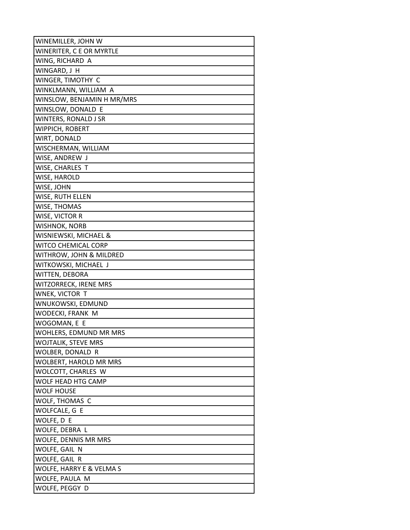| WINEMILLER, JOHN W         |
|----------------------------|
| WINERITER, C E OR MYRTLE   |
| WING, RICHARD A            |
| WINGARD, J H               |
| WINGER, TIMOTHY C          |
| WINKLMANN, WILLIAM A       |
| WINSLOW, BENJAMIN H MR/MRS |
| WINSLOW, DONALD E          |
| WINTERS, RONALD J SR       |
| WIPPICH, ROBERT            |
| WIRT, DONALD               |
| WISCHERMAN, WILLIAM        |
| WISE, ANDREW J             |
| WISE, CHARLES T            |
| WISE, HAROLD               |
| WISE, JOHN                 |
| WISE, RUTH ELLEN           |
| WISE, THOMAS               |
| WISE, VICTOR R             |
| WISHNOK, NORB              |
| WISNIEWSKI, MICHAEL &      |
| WITCO CHEMICAL CORP        |
| WITHROW, JOHN & MILDRED    |
| WITKOWSKI, MICHAEL J       |
| WITTEN, DEBORA             |
| WITZORRECK, IRENE MRS      |
| WNEK, VICTOR T             |
| WNUKOWSKI, EDMUND          |
| WODECKI, FRANK M           |
| WOGOMAN, E E               |
| WOHLERS, EDMUND MR MRS     |
| <b>WOJTALIK, STEVE MRS</b> |
| WOLBER, DONALD R           |
| WOLBERT, HAROLD MR MRS     |
| WOLCOTT, CHARLES W         |
| WOLF HEAD HTG CAMP         |
| WOLF HOUSE                 |
| WOLF, THOMAS C             |
| WOLFCALE, G E              |
| WOLFE, D E                 |
| WOLFE, DEBRA L             |
| WOLFE, DENNIS MR MRS       |
| WOLFE, GAIL N              |
| WOLFE, GAIL R              |
| WOLFE, HARRY E & VELMA S   |
| WOLFE, PAULA M             |
| WOLFE, PEGGY D             |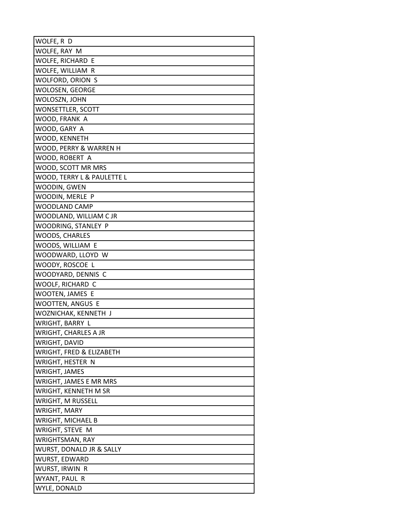| WOLFE, R D                  |
|-----------------------------|
| WOLFE, RAY M                |
| WOLFE, RICHARD E            |
| WOLFE, WILLIAM R            |
| WOLFORD, ORION S            |
| WOLOSEN, GEORGE             |
| WOLOSZN, JOHN               |
| WONSETTLER, SCOTT           |
| WOOD, FRANK A               |
| WOOD, GARY A                |
| WOOD, KENNETH               |
| WOOD, PERRY & WARREN H      |
| WOOD, ROBERT A              |
| WOOD, SCOTT MR MRS          |
| WOOD, TERRY L & PAULETTE L  |
| WOODIN, GWEN                |
| WOODIN, MERLE P             |
| WOODLAND CAMP               |
| WOODLAND, WILLIAM C JR      |
| WOODRING, STANLEY P         |
| WOODS, CHARLES              |
| WOODS, WILLIAM E            |
| WOODWARD, LLOYD W           |
| WOODY, ROSCOE L             |
| WOODYARD, DENNIS C          |
| WOOLF, RICHARD C            |
| WOOTEN, JAMES E             |
| WOOTTEN, ANGUS E            |
| WOZNICHAK, KENNETH J        |
| WRIGHT, BARRY L             |
| <b>WRIGHT, CHARLES A JR</b> |
| WRIGHT, DAVID               |
| WRIGHT, FRED & ELIZABETH    |
| WRIGHT, HESTER N            |
| WRIGHT, JAMES               |
| WRIGHT, JAMES E MR MRS      |
| WRIGHT, KENNETH M SR        |
| <b>WRIGHT, M RUSSELL</b>    |
| WRIGHT, MARY                |
| WRIGHT, MICHAEL B           |
| WRIGHT, STEVE M             |
| WRIGHTSMAN, RAY             |
| WURST, DONALD JR & SALLY    |
| WURST, EDWARD               |
| WURST, IRWIN R              |
| WYANT, PAUL R               |
| WYLE, DONALD                |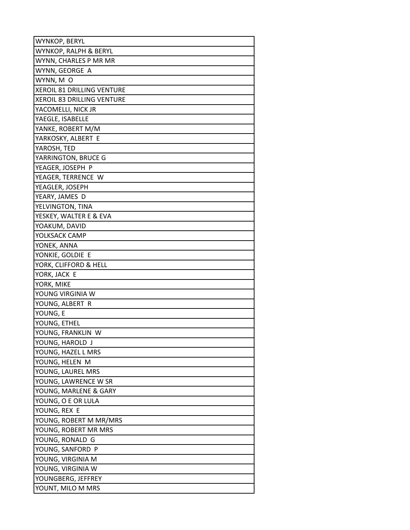| WYNKOP, BERYL                     |
|-----------------------------------|
| WYNKOP, RALPH & BERYL             |
| WYNN, CHARLES P MR MR             |
| WYNN, GEORGE A                    |
| WYNN, MO                          |
| <b>XEROIL 81 DRILLING VENTURE</b> |
| XEROIL 83 DRILLING VENTURE        |
| YACOMELLI, NICK JR                |
| YAEGLE, ISABELLE                  |
| YANKE, ROBERT M/M                 |
| YARKOSKY, ALBERT E                |
| YAROSH, TED                       |
| YARRINGTON, BRUCE G               |
| YEAGER, JOSEPH P                  |
| YEAGER, TERRENCE W                |
| YEAGLER, JOSEPH                   |
| YEARY, JAMES D                    |
| YELVINGTON, TINA                  |
| YESKEY, WALTER E & EVA            |
| YOAKUM, DAVID                     |
| YOLKSACK CAMP                     |
| YONEK, ANNA                       |
| YONKIE, GOLDIE E                  |
| YORK, CLIFFORD & HELL             |
| YORK, JACK E                      |
| YORK, MIKE                        |
| YOUNG VIRGINIA W                  |
| YOUNG, ALBERT R                   |
| YOUNG, E                          |
| YOUNG, ETHEL                      |
| YOUNG, FRANKLIN W                 |
| YOUNG, HAROLD J                   |
| YOUNG, HAZEL L MRS                |
| YOUNG, HELEN M                    |
| YOUNG, LAUREL MRS                 |
| YOUNG, LAWRENCE W SR              |
| YOUNG, MARLENE & GARY             |
| YOUNG, O E OR LULA                |
| YOUNG, REX E                      |
| YOUNG, ROBERT M MR/MRS            |
| YOUNG, ROBERT MR MRS              |
| YOUNG, RONALD G                   |
| YOUNG, SANFORD P                  |
| YOUNG, VIRGINIA M                 |
| YOUNG, VIRGINIA W                 |
| YOUNGBERG, JEFFREY                |
| YOUNT, MILO M MRS                 |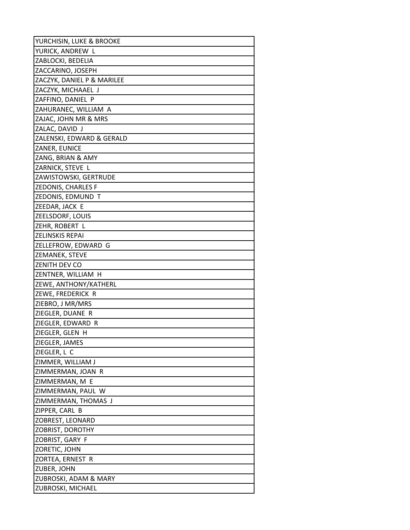| YURCHISIN, LUKE & BROOKE   |
|----------------------------|
| YURICK, ANDREW L           |
| ZABLOCKI, BEDELIA          |
| ZACCARINO, JOSEPH          |
| ZACZYK, DANIEL P & MARILEE |
| ZACZYK, MICHAAEL J         |
| ZAFFINO, DANIEL P          |
| ZAHURANEC, WILLIAM A       |
| ZAJAC, JOHN MR & MRS       |
| ZALAC, DAVID J             |
| ZALENSKI, EDWARD & GERALD  |
| ZANER, EUNICE              |
| ZANG, BRIAN & AMY          |
| ZARNICK, STEVE L           |
| ZAWISTOWSKI, GERTRUDE      |
| ZEDONIS, CHARLES F         |
| ZEDONIS, EDMUND T          |
| ZEEDAR, JACK E             |
| ZEELSDORF, LOUIS           |
| ZEHR, ROBERT L             |
| ZELINSKIS REPAI            |
| ZELLEFROW, EDWARD G        |
| ZEMANEK, STEVE             |
| ZENITH DEV CO              |
| ZENTNER, WILLIAM H         |
| ZEWE, ANTHONY/KATHERL      |
| ZEWE, FREDERICK R          |
| ZIEBRO, J MR/MRS           |
| ZIEGLER, DUANE R           |
| ZIEGLER, EDWARD R          |
| ZIEGLER, GLEN H            |
| ZIEGLER, JAMES             |
| ZIEGLER, L C               |
| ZIMMER, WILLIAM J          |
| ZIMMERMAN, JOAN R          |
| ZIMMERMAN, M E             |
| ZIMMERMAN, PAUL W          |
| ZIMMERMAN, THOMAS J        |
| ZIPPER, CARL B             |
| ZOBREST, LEONARD           |
| ZOBRIST, DOROTHY           |
| ZOBRIST, GARY F            |
| ZORETIC, JOHN              |
| ZORTEA, ERNEST R           |
| ZUBER, JOHN                |
| ZUBROSKI, ADAM & MARY      |
| ZUBROSKI, MICHAEL          |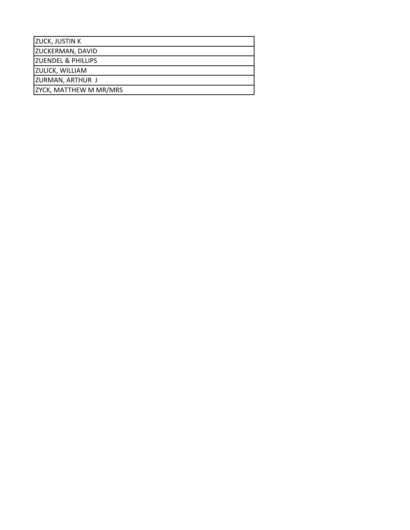| <b>IZUCK, JUSTIN K</b>        |
|-------------------------------|
| <b>ZUCKERMAN, DAVID</b>       |
| <b>ZUENDEL &amp; PHILLIPS</b> |
| <b>ZULICK, WILLIAM</b>        |
| <b>ZURMAN, ARTHUR J</b>       |
| ZYCK, MATTHEW M MR/MRS        |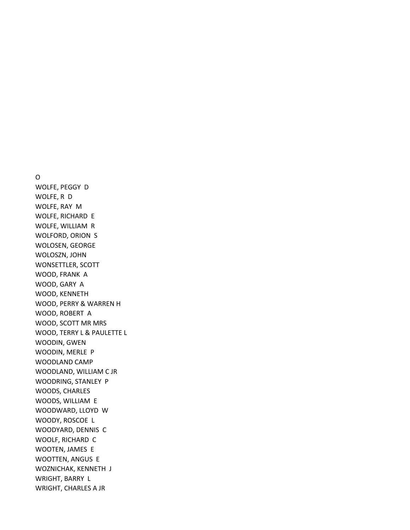## O

WOLFE, PEGGY D WOLFE, R D WOLFE, RAY M WOLFE, RICHARD E WOLFE, WILLIAM R WOLFORD, ORION S WOLOSEN, GEORGE WOLOSZN, JOHN WONSETTLER, SCOTT WOOD, FRANK A WOOD, GARY A WOOD, KENNETH WOOD, PERRY & WARREN H WOOD, ROBERT A WOOD, SCOTT MR MRS WOOD, TERRY L & PAULETTE L WOODIN, GWEN WOODIN, MERLE P WOODLAND CAMP WOODLAND, WILLIAM C JR WOODRING, STANLEY P WOODS, CHARLES WOODS, WILLIAM E WOODWARD, LLOYD W WOODY, ROSCOE L WOODYARD, DENNIS C WOOLF, RICHARD C WOOTEN, JAMES E WOOTTEN, ANGUS E WOZNICHAK, KENNETH J WRIGHT, BARRY L WRIGHT, CHARLES A JR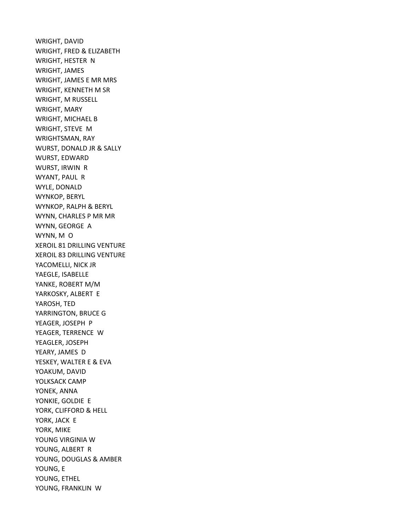WRIGHT, DAVID WRIGHT, FRED & ELIZABETH WRIGHT, HESTER N WRIGHT, JAMES WRIGHT, JAMES E MR MRS WRIGHT, KENNETH M SR WRIGHT, M RUSSELL WRIGHT, MARY WRIGHT, MICHAEL B WRIGHT, STEVE M WRIGHTSMAN, RAY WURST, DONALD JR & SALLY WURST, EDWARD WURST, IRWIN R WYANT, PAUL R WYLE, DONALD WYNKOP, BERYL WYNKOP, RALPH & BERYL WYNN, CHARLES P MR MR WYNN, GEORGE A WYNN, M O XEROIL 81 DRILLING VENTURE XEROIL 83 DRILLING VENTURE YACOMELLI, NICK JR YAEGLE, ISABELLE YANKE, ROBERT M/M YARKOSKY, ALBERT E YAROSH, TED YARRINGTON, BRUCE G YEAGER, JOSEPH P YEAGER, TERRENCE W YEAGLER, JOSEPH YEARY, JAMES D YESKEY, WALTER E & EVA YOAKUM, DAVID YOLKSACK CAMP YONEK, ANNA YONKIE, GOLDIE E YORK, CLIFFORD & HELL YORK, JACK E YORK, MIKE YOUNG VIRGINIA W YOUNG, ALBERT R YOUNG, DOUGLAS & AMBER YOUNG, E YOUNG, ETHEL YOUNG, FRANKLIN W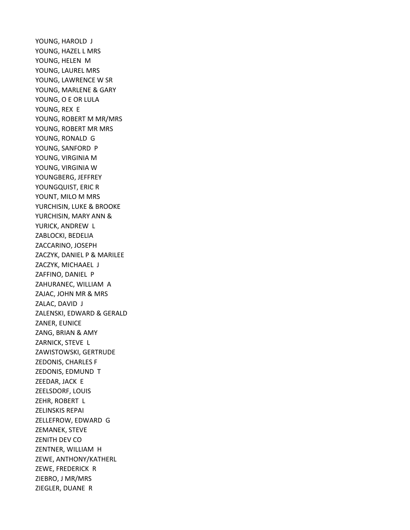YOUNG, HAROLD J YOUNG, HAZEL L MRS YOUNG, HELEN M YOUNG, LAUREL MRS YOUNG, LAWRENCE W SR YOUNG, MARLENE & GARY YOUNG, O E OR LULA YOUNG, REX E YOUNG, ROBERT M MR/MRS YOUNG, ROBERT MR MRS YOUNG, RONALD G YOUNG, SANFORD P YOUNG, VIRGINIA M YOUNG, VIRGINIA W YOUNGBERG, JEFFREY YOUNGQUIST, ERIC R YOUNT, MILO M MRS YURCHISIN, LUKE & BROOKE YURCHISIN, MARY ANN & YURICK, ANDREW L ZABLOCKI, BEDELIA ZACCARINO, JOSEPH ZACZYK, DANIEL P & MARILEE ZACZYK, MICHAAEL J ZAFFINO, DANIEL P ZAHURANEC, WILLIAM A ZAJAC, JOHN MR & MRS ZALAC, DAVID J ZALENSKI, EDWARD & GERALD ZANER, EUNICE ZANG, BRIAN & AMY ZARNICK, STEVE L ZAWISTOWSKI, GERTRUDE ZEDONIS, CHARLES F ZEDONIS, EDMUND T ZEEDAR, JACK E ZEELSDORF, LOUIS ZEHR, ROBERT L ZELINSKIS REPAI ZELLEFROW, EDWARD G ZEMANEK, STEVE ZENITH DEV CO ZENTNER, WILLIAM H ZEWE, ANTHONY/KATHERL ZEWE, FREDERICK R ZIEBRO, J MR/MRS ZIEGLER, DUANE R